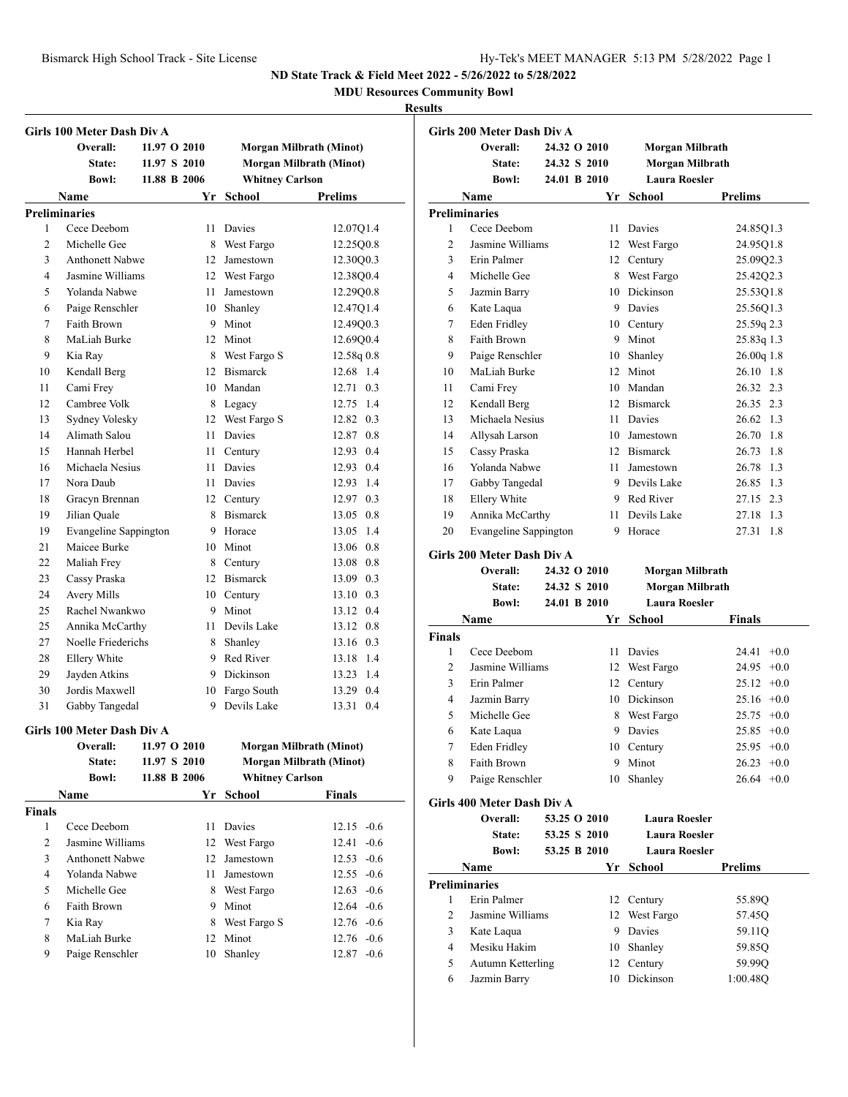**MDU Resources Community Bowl**

#### **Results**

|                      | Girls 100 Meter Dash Div A |              |    |                        |                                |
|----------------------|----------------------------|--------------|----|------------------------|--------------------------------|
|                      | Overall:                   | 11.97 O 2010 |    |                        | Morgan Milbrath (Minot)        |
|                      | State:                     | 11.97 S 2010 |    |                        | <b>Morgan Milbrath (Minot)</b> |
|                      | <b>Bowl:</b>               | 11.88 B 2006 |    | <b>Whitney Carlson</b> |                                |
|                      | Name                       |              |    | Yr School              | <b>Prelims</b>                 |
| <b>Preliminaries</b> |                            |              |    |                        |                                |
| 1                    | Cece Deebom                |              | 11 | Davies                 | 12.07Q1.4                      |
| $\overline{c}$       | Michelle Gee               |              |    | 8 West Fargo           | 12.25Q0.8                      |
| 3                    | <b>Anthonett Nabwe</b>     |              | 12 | Jamestown              | 12.30Q0.3                      |
| $\overline{4}$       | Jasmine Williams           |              |    | 12 West Fargo          | 12.3800.4                      |
| 5                    | Yolanda Nabwe              |              | 11 | Jamestown              | 12.29Q0.8                      |
| 6                    | Paige Renschler            |              |    | 10 Shanley             | 12.47Q1.4                      |
| 7                    | Faith Brown                |              |    | 9 Minot                | 12.49Q0.3                      |
| 8                    | MaLiah Burke               |              |    | 12 Minot               | 12.69Q0.4                      |
| 9                    | Kia Ray                    |              | 8  | West Fargo S           | 12.58q 0.8                     |
| 10                   | Kendall Berg               |              |    | 12 Bismarck            | 12.68 1.4                      |
| 11                   | Cami Frey                  |              |    | 10 Mandan              | 12.71 0.3                      |
| 12                   | Cambree Volk               |              |    | 8 Legacy               | 12.75 1.4                      |
| 13                   | Sydney Volesky             |              | 12 | West Fargo S           | 12.82 0.3                      |
| 14                   | Alimath Salou              |              | 11 | <b>Davies</b>          | 12.87 0.8                      |
| 15                   | Hannah Herbel              |              |    | 11 Century             | 12.93 0.4                      |
| 16                   | Michaela Nesius            |              |    | 11 Davies              | 12.93 0.4                      |
| 17                   | Nora Daub                  |              |    | 11 Davies              | 12.93 1.4                      |
| 18                   | Gracyn Brennan             |              |    | 12 Century             | 12.97 0.3                      |
| 19                   | Jilian Quale               |              |    | 8 Bismarck             | 13.05 0.8                      |
| 19                   | Evangeline Sappington      |              |    | 9 Horace               | 13.05 1.4                      |
| 21                   | Maicee Burke               |              |    | 10 Minot               | 13.06 0.8                      |
| 22                   | Maliah Frey                |              |    | 8 Century              | 13.08 0.8                      |
| 23                   | Cassy Praska               |              | 12 | <b>Bismarck</b>        | 13.09 0.3                      |
| 24                   | Avery Mills                |              |    | 10 Century             | 13.10 0.3                      |
| 25                   | Rachel Nwankwo             |              |    | 9 Minot                | 13.12 0.4                      |
| 25                   | Annika McCarthy            |              | 11 | Devils Lake            | 13.12 0.8                      |
| 27                   | Noelle Friederichs         |              | 8  | Shanley                | 13.16 0.3                      |
| 28                   | Ellery White               |              |    | 9 Red River            | 13.18 1.4                      |
| 29                   | Jayden Atkins              |              |    | 9 Dickinson            | 13.23 1.4                      |
| 30                   | Jordis Maxwell             |              |    | 10 Fargo South         | 13.29 0.4                      |
| 31                   | Gabby Tangedal             |              |    | 9 Devils Lake          | 13.31 0.4                      |
|                      | Girls 100 Meter Dash Div A |              |    |                        |                                |
|                      | Overall:                   | 11.97 O 2010 |    |                        | Morgan Milbrath (Minot)        |
|                      | State:                     | 11.97 S 2010 |    |                        | <b>Morgan Milbrath (Minot)</b> |
|                      | <b>Bowl:</b>               | 11.88 B 2006 |    | <b>Whitney Carlson</b> |                                |
|                      | Name                       |              | Yr | <b>School</b>          | <b>Finals</b>                  |
| <b>Finals</b>        |                            |              |    |                        |                                |
| 1                    | Cece Deebom                |              | 11 | Davies                 | $12.15 -0.6$                   |
| 2                    | Jasmine Williams           |              | 12 | West Fargo             | $-0.6$<br>12.41                |
| 3                    | Anthonett Nabwe            |              | 12 | Jamestown              | $12.53 -0.6$                   |
| $\overline{4}$       | Yolanda Nabwe              |              | 11 | Jamestown              | $12.55 -0.6$                   |
| 5                    | Michelle Gee               |              | 8  | West Fargo             | $12.63 - 0.6$                  |
| 6                    | Faith Brown                |              | 9  | Minot                  | $12.64 - 0.6$                  |
| 7                    | Kia Ray                    |              | 8  | West Fargo S           | 12.76 -0.6                     |
| 8                    | MaLiah Burke               |              |    | 12 Minot               | 12.76 -0.6                     |

Paige Renschler 10 Shanley 12.87 -0.6

|                | Girls 200 Meter Dash Div A   |              |    |                      |                 |
|----------------|------------------------------|--------------|----|----------------------|-----------------|
|                | Overall:                     | 24.32 O 2010 |    | Morgan Milbrath      |                 |
|                | State:                       | 24.32 S 2010 |    | Morgan Milbrath      |                 |
|                | <b>Bowl:</b>                 | 24.01 B 2010 |    | <b>Laura Roesler</b> |                 |
|                | Name                         |              | Yr | School               | Prelims         |
|                | <b>Preliminaries</b>         |              |    |                      |                 |
| 1              | Cece Deebom                  |              |    | 11 Davies            | 24.85Q1.3       |
| $\overline{c}$ | Jasmine Williams             |              |    | 12 West Fargo        | 24.95Q1.8       |
| 3              | Erin Palmer                  |              |    | 12 Century           | 25.09Q2.3       |
| 4              | Michelle Gee                 |              |    | 8 West Fargo         | 25.4202.3       |
| 5              | Jazmin Barry                 |              |    | 10 Dickinson         | 25.53Q1.8       |
| 6              | Kate Laqua                   |              |    | 9 Davies             | 25.56Q1.3       |
| 7              | Eden Fridley                 |              |    | 10 Century           | 25.59q 2.3      |
| 8              | Faith Brown                  |              |    | 9 Minot              | 25.83q 1.3      |
| 9              | Paige Renschler              |              |    | 10 Shanley           | 26.00q 1.8      |
| 10             | MaLiah Burke                 |              |    | 12 Minot             | 26.10 1.8       |
| 11             | Cami Frey                    |              |    | 10 Mandan            | 26.32 2.3       |
| 12             | Kendall Berg                 |              |    | 12 Bismarck          | 26.35 2.3       |
| 13             | Michaela Nesius              |              |    | 11 Davies            | 26.62 1.3       |
| 14             | Allysah Larson               |              |    | 10 Jamestown         | 26.70 1.8       |
| 15             | Cassy Praska                 |              |    | 12 Bismarck          | 26.73 1.8       |
| 16             | Yolanda Nabwe                |              |    | 11 Jamestown         | 26.78 1.3       |
| 17             | Gabby Tangedal               |              |    | 9 Devils Lake        | 26.85 1.3       |
| 18             | Ellery White                 |              |    | 9 Red River          | 27.15 2.3       |
| 19             | Annika McCarthy              |              |    | 11 Devils Lake       | 1.3<br>27.18    |
| 20             | <b>Evangeline Sappington</b> |              | 9  | Horace               | 27.31<br>1.8    |
|                | Girls 200 Meter Dash Div A   |              |    |                      |                 |
|                | Overall:                     | 24.32 O 2010 |    | Morgan Milbrath      |                 |
|                | State:                       | 24.32 S 2010 |    | Morgan Milbrath      |                 |
|                | <b>Bowl:</b>                 | 24.01 B 2010 |    | <b>Laura Roesler</b> |                 |
|                | Name                         |              |    | Yr School            | Finals          |
| <b>Finals</b>  |                              |              |    |                      |                 |
| 1              | Cece Deebom                  |              |    | 11 Davies            | $24.41 + 0.0$   |
| $\overline{2}$ | Jasmine Williams             |              |    |                      |                 |
| 3              | Erin Palmer                  |              |    |                      |                 |
|                |                              |              |    | 12 West Fargo        | $24.95 +0.0$    |
|                |                              |              | 12 | Century              | $25.12 +0.0$    |
| 4              | Jazmin Barry                 |              |    | 10 Dickinson         | $25.16 +0.0$    |
| 5              | Michelle Gee                 |              | 8  | West Fargo           | $25.75 +0.0$    |
| 6              | Kate Laqua                   |              | 9  | Davies               | $25.85 +0.0$    |
| 7              | <b>Eden Fridley</b>          |              |    | 10 Century           | $25.95 +0.0$    |
| 8              | Faith Brown                  |              | 9  | Minot                | 26.23<br>$+0.0$ |
| 9              | Paige Renschler              |              | 10 | Shanley              | $26.64$ +0.0    |
|                | Girls 400 Meter Dash Div A   |              |    |                      |                 |
|                | Overall:                     | 53.25 O 2010 |    | <b>Laura Roesler</b> |                 |
|                | State:                       | 53.25 S 2010 |    | <b>Laura Roesler</b> |                 |
|                | <b>Bowl:</b>                 | 53.25 B 2010 |    | <b>Laura Roesler</b> |                 |
|                | Name                         |              |    | Yr School            | <b>Prelims</b>  |
|                | <b>Preliminaries</b>         |              |    |                      |                 |
| 1              | Erin Palmer                  |              | 12 | Century              | 55.89Q          |
| 2              | Jasmine Williams             |              | 12 | West Fargo           | 57.45Q          |
| 3              | Kate Laqua                   |              | 9  | Davies               | 59.11Q          |
| 4              | Mesiku Hakim                 |              | 10 | Shanley              | 59.85Q          |
| 5              | Autumn Ketterling            |              | 12 | Century              | 59.99Q          |
| 6              | Jazmin Barry                 |              | 10 | Dickinson            | 1:00.48Q        |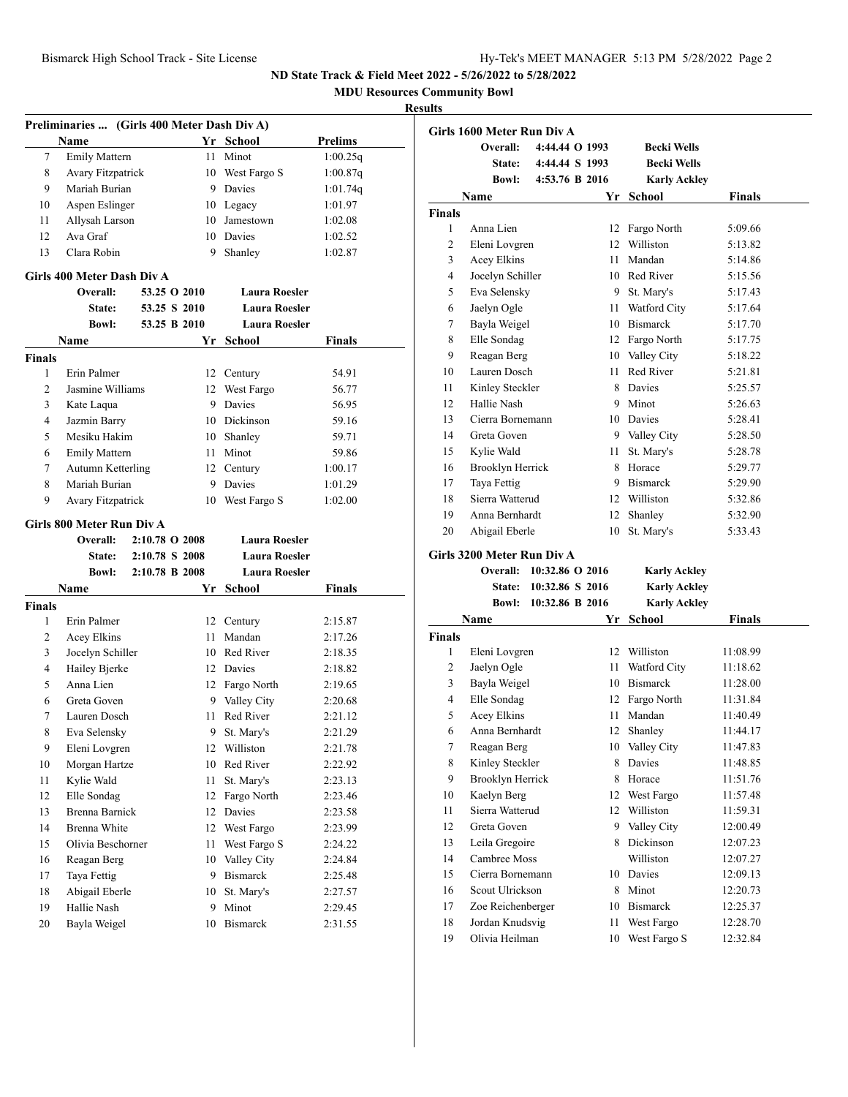**MDU Resources Community Bowl**

|               | Preliminaries  (Girls 400 Meter Dash Div A) |                |              |    |                      |                |
|---------------|---------------------------------------------|----------------|--------------|----|----------------------|----------------|
|               | Name                                        |                |              |    | Yr School            | <b>Prelims</b> |
| 7             | <b>Emily Mattern</b>                        |                |              | 11 | Minot                | 1:00.25q       |
| 8             | Avary Fitzpatrick                           |                |              |    | 10 West Fargo S      | 1:00.87q       |
| 9             | Mariah Burian                               |                |              |    | 9 Davies             | 1:01.74q       |
| 10            | Aspen Eslinger                              |                |              |    | 10 Legacy            | 1:01.97        |
| 11            | Allysah Larson                              |                |              |    | 10 Jamestown         | 1:02.08        |
| 12            | Ava Graf                                    |                |              |    | 10 Davies            | 1:02.52        |
| 13            | Clara Robin                                 |                |              | 9  | Shanley              | 1:02.87        |
|               | Girls 400 Meter Dash Div A                  |                |              |    |                      |                |
|               | Overall:                                    |                | 53.25 O 2010 |    | <b>Laura Roesler</b> |                |
|               | <b>State:</b>                               |                | 53.25 S 2010 |    | <b>Laura Roesler</b> |                |
|               | <b>Bowl:</b>                                |                | 53.25 B 2010 |    | <b>Laura Roesler</b> |                |
|               | <b>Name</b>                                 |                |              | Yr | School               | Finals         |
| <b>Finals</b> |                                             |                |              |    |                      |                |
| 1             | Erin Palmer                                 |                |              | 12 | Century              | 54.91          |
| 2             | Jasmine Williams                            |                |              |    | 12 West Fargo        | 56.77          |
| 3             | Kate Laqua                                  |                |              |    | 9 Davies             | 56.95          |
| 4             | Jazmin Barry                                |                |              |    | 10 Dickinson         | 59.16          |
| 5             | Mesiku Hakim                                |                |              | 10 | Shanley              | 59.71          |
| 6             | <b>Emily Mattern</b>                        |                |              |    | 11 Minot             | 59.86          |
| 7             | <b>Autumn Ketterling</b>                    |                |              |    | 12 Century           | 1:00.17        |
| 8             | Mariah Burian                               |                |              |    | 9 Davies             | 1:01.29        |
| 9             | Avary Fitzpatrick                           |                |              | 10 | West Fargo S         | 1:02.00        |
|               |                                             |                |              |    |                      |                |
|               | Girls 800 Meter Run Div A                   |                |              |    | <b>Laura Roesler</b> |                |
|               | Overall:                                    | 2:10.78 O 2008 |              |    |                      |                |
|               | State:                                      | 2:10.78 S 2008 |              |    | <b>Laura Roesler</b> |                |
|               | <b>Bowl:</b>                                | 2:10.78 B 2008 |              |    | <b>Laura Roesler</b> |                |
|               | <b>Name</b>                                 |                |              |    | Yr School            | Finals         |
| <b>Finals</b> |                                             |                |              |    |                      |                |
| 1             | Erin Palmer                                 |                |              |    | 12 Century           | 2:15.87        |
| 2             | Acey Elkins                                 |                |              |    | 11 Mandan            | 2:17.26        |
| 3             | Jocelyn Schiller                            |                |              |    | 10 Red River         | 2:18.35        |
| 4             | Hailey Bjerke                               |                |              |    | 12 Davies            | 2:18.82        |
| 5             | Anna Lien                                   |                |              |    | 12 Fargo North       | 2:19.65        |
| 6             | Greta Goven                                 |                |              |    | 9 Valley City        | 2:20.68        |
| 7             | Lauren Dosch                                |                |              |    | 11 Red River         | 2:21.12        |
| 8             | Eva Selensky                                |                |              | 9  | St. Mary's           | 2:21.29        |
| 9             | Eleni Lovgren                               |                |              | 12 | Williston            | 2:21.78        |
| 10            | Morgan Hartze                               |                |              | 10 | Red River            | 2:22.92        |
| 11            | Kylie Wald                                  |                |              | 11 | St. Mary's           | 2:23.13        |
| 12            | Elle Sondag                                 |                |              | 12 | Fargo North          | 2:23.46        |
| 13            | <b>Brenna Barnick</b>                       |                |              | 12 | Davies               | 2:23.58        |
| 14            | Brenna White                                |                |              | 12 | West Fargo           | 2:23.99        |
| 15            | Olivia Beschorner                           |                |              | 11 | West Fargo S         | 2:24.22        |
| 16            | Reagan Berg                                 |                |              | 10 | Valley City          | 2:24.84        |
| 17            | Taya Fettig                                 |                |              | 9  | Bismarck             | 2:25.48        |
| 18            | Abigail Eberle                              |                |              | 10 | St. Mary's           | 2:27.57        |
| 19            | Hallie Nash                                 |                |              | 9  | Minot                | 2:29.45        |
| 20            | Bayla Weigel                                |                |              | 10 | Bismarck             | 2:31.55        |
|               |                                             |                |              |    |                      |                |

|                  | Girls 1600 Meter Run Div A             |                                    |      |                             |                      |
|------------------|----------------------------------------|------------------------------------|------|-----------------------------|----------------------|
|                  | Overall:                               | 4:44.44 O 1993                     |      | <b>Becki Wells</b>          |                      |
|                  | State:                                 | 4:44.44 S 1993                     |      | <b>Becki Wells</b>          |                      |
|                  | <b>Bowl:</b>                           | 4:53.76 B 2016                     |      | <b>Karly Ackley</b>         |                      |
|                  | Name                                   |                                    | Yr   | <b>School</b>               | <b>Finals</b>        |
| Finals           |                                        |                                    |      |                             |                      |
| 1                | Anna Lien                              |                                    | 12   | Fargo North                 | 5:09.66              |
| 2                | Eleni Lovgren                          |                                    |      | 12 Williston                | 5:13.82              |
| 3                | Acey Elkins                            |                                    | 11 - | Mandan                      | 5:14.86              |
| 4                | Jocelyn Schiller                       |                                    |      | 10 Red River                | 5:15.56              |
| 5                | Eva Selensky                           |                                    |      | 9 St. Mary's                | 5:17.43              |
| 6                | Jaelyn Ogle                            |                                    | 11   | Watford City                | 5:17.64              |
| 7                | Bayla Weigel                           |                                    |      | 10 Bismarck                 | 5:17.70              |
| 8                | Elle Sondag                            |                                    |      | 12 Fargo North              | 5:17.75              |
| 9                | Reagan Berg                            |                                    |      | 10 Valley City              | 5:18.22              |
| 10               | Lauren Dosch                           |                                    | 11   | Red River                   | 5:21.81              |
| 11               | Kinley Steckler                        |                                    |      | 8 Davies                    | 5:25.57              |
| 12               | Hallie Nash                            |                                    |      | 9 Minot                     | 5:26.63              |
| 13               | Cierra Bornemann                       |                                    |      | 10 Davies                   | 5:28.41              |
| 14               | Greta Goven                            |                                    |      | 9 Valley City               | 5:28.50              |
| 15               | Kylie Wald                             |                                    | 11   | St. Mary's                  | 5:28.78              |
| 16               | <b>Brooklyn Herrick</b>                |                                    | 8    | Horace                      | 5:29.77              |
| 17               | Taya Fettig                            |                                    |      | 9 Bismarck                  | 5:29.90              |
| 18               | Sierra Watterud                        |                                    |      | 12 Williston                | 5:32.86              |
| 19               | Anna Bernhardt                         |                                    | 12   | Shanley                     | 5:32.90              |
| 20               | Abigail Eberle                         |                                    | 10   | St. Mary's                  | 5:33.43              |
|                  | Girls 3200 Meter Run Div A             |                                    |      |                             |                      |
|                  | Overall: 10:32.86 O 2016               |                                    |      | <b>Karly Ackley</b>         |                      |
|                  | <b>State:</b>                          |                                    |      |                             |                      |
|                  |                                        |                                    |      |                             |                      |
|                  | Bowl:                                  | 10:32.86 S 2016<br>10:32.86 B 2016 |      | <b>Karly Ackley</b>         |                      |
|                  |                                        |                                    |      | <b>Karly Ackley</b>         |                      |
|                  | Name                                   |                                    | Yr   | <b>School</b>               | <b>Finals</b>        |
| 1                |                                        |                                    | 12   | Williston                   | 11:08.99             |
| 2                | Eleni Lovgren<br>Jaelyn Ogle           |                                    | 11   |                             | 11:18.62             |
| 3                | Bayla Weigel                           |                                    |      | Watford City<br>10 Bismarck | 11:28.00             |
| 4                | Elle Sondag                            |                                    |      | 12 Fargo North              | 11:31.84             |
| 5                | Acey Elkins                            |                                    | 11   | Mandan                      | 11:40.49             |
| 6                | Anna Bernhardt                         |                                    | 12   | Shanley                     | 11:44.17             |
| Finals           |                                        |                                    |      |                             |                      |
| $\boldsymbol{7}$ | Reagan Berg<br>Kinley Steckler         |                                    | 8    | 10 Valley City<br>Davies    | 11:47.83<br>11:48.85 |
| 8<br>9           |                                        |                                    | 8    | Horace                      | 11:51.76             |
| 10               | <b>Brooklyn Herrick</b><br>Kaelyn Berg |                                    | 12   | West Fargo                  | 11:57.48             |
| 11               | Sierra Watterud                        |                                    | 12   | Williston                   | 11:59.31             |
| 12               | Greta Goven                            |                                    | 9    | Valley City                 | 12:00.49             |
| 13               | Leila Gregoire                         |                                    | 8    | Dickinson                   | 12:07.23             |
| 14               | Cambree Moss                           |                                    |      | Williston                   | 12:07.27             |
| 15               | Cierra Bornemann                       |                                    | 10   | Davies                      | 12:09.13             |
| 16               | Scout Ulrickson                        |                                    | 8    | Minot                       | 12:20.73             |
| 17               | Zoe Reichenberger                      |                                    | 10   | Bismarck                    | 12:25.37             |
| 18               | Jordan Knudsvig                        |                                    | 11   | West Fargo                  | 12:28.70             |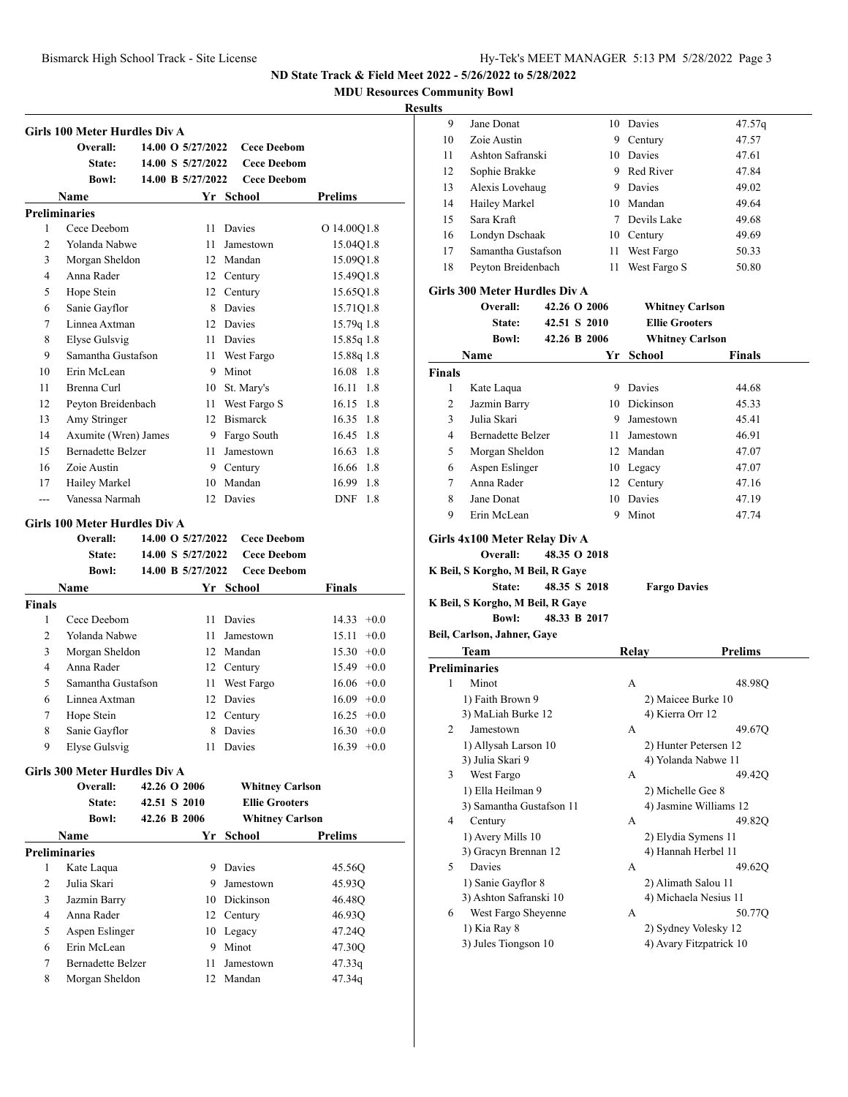**MDU Resources Community Bowl**

## **Resul**

|                | <b>Girls 100 Meter Hurdles Div A</b>       |              |                   |                        |                   |
|----------------|--------------------------------------------|--------------|-------------------|------------------------|-------------------|
|                | Overall:                                   |              | 14.00 O 5/27/2022 | <b>Cece Deebom</b>     |                   |
|                | <b>State:</b>                              |              | 14.00 S 5/27/2022 | <b>Cece Deebom</b>     |                   |
|                | <b>Bowl:</b>                               |              | 14.00 B 5/27/2022 | <b>Cece Deebom</b>     |                   |
|                | Name                                       |              |                   | Yr School              | <b>Prelims</b>    |
|                | <b>Preliminaries</b>                       |              |                   |                        |                   |
| 1              | Cece Deebom                                |              | 11                | Davies                 | O 14.00Q1.8       |
| $\overline{c}$ | Yolanda Nabwe                              |              | 11                | Jamestown              | 15.04Q1.8         |
| 3              | Morgan Sheldon                             |              |                   | 12 Mandan              | 15.09Q1.8         |
| $\overline{4}$ | Anna Rader                                 |              |                   | 12 Century             | 15.49Q1.8         |
| 5              | Hope Stein                                 |              |                   | 12 Century             | 15.65Q1.8         |
| 6              | Sanie Gayflor                              |              |                   | 8 Davies               | 15.71Q1.8         |
| 7              | Linnea Axtman                              |              |                   | 12 Davies              | 15.79q 1.8        |
| 8              | <b>Elyse Gulsvig</b>                       |              | 11 -              | Davies                 | 15.85q 1.8        |
| 9              | Samantha Gustafson                         |              | 11 -              | West Fargo             | 15.88q 1.8        |
| 10             | Erin McLean                                |              | 9.                | Minot                  | 16.08 1.8         |
| 11             | Brenna Curl                                |              | 10                | St. Mary's             | $16.11 \quad 1.8$ |
| 12             | Peyton Breidenbach                         |              | 11                | West Fargo S           | 16.15 1.8         |
| 13             | Amy Stringer                               |              |                   | 12 Bismarck            | 16.35 1.8         |
| 14             | Axumite (Wren) James                       |              |                   | 9 Fargo South          | 16.45 1.8         |
| 15             | <b>Bernadette Belzer</b>                   |              | 11                | Jamestown              | 16.63 1.8         |
| 16             | Zoie Austin                                |              |                   | 9 Century              | 16.66 1.8         |
| 17             | Hailey Markel                              |              |                   | 10 Mandan              | 16.99 1.8         |
| $\overline{a}$ | Vanessa Narmah                             |              |                   | 12 Davies              | DNF<br>1.8        |
|                |                                            |              |                   |                        |                   |
|                | <b>Girls 100 Meter Hurdles Div A</b>       |              |                   |                        |                   |
|                | Overall:                                   |              | 14.00 O 5/27/2022 | <b>Cece Deebom</b>     |                   |
|                | <b>State:</b>                              |              | 14.00 S 5/27/2022 | <b>Cece Deebom</b>     |                   |
|                | <b>Bowl:</b>                               |              | 14.00 B 5/27/2022 | <b>Cece Deebom</b>     |                   |
|                | Name                                       |              |                   | Yr School              | Finals            |
| <b>Finals</b>  |                                            |              |                   |                        |                   |
| 1              | Cece Deebom                                |              | 11                | Davies                 | $14.33 + 0.0$     |
| 2              | Yolanda Nabwe                              |              | 11                | Jamestown              | 15.11<br>$+0.0$   |
| 3              | Morgan Sheldon                             |              |                   | 12 Mandan              | $15.30 +0.0$      |
| 4              | Anna Rader                                 |              |                   | 12 Century             | $15.49 +0.0$      |
| 5              | Samantha Gustafson                         |              |                   | 11 West Fargo          | $16.06 + 0.0$     |
| 6              | Linnea Axtman                              |              |                   | 12 Davies              | $16.09 + 0.0$     |
| 7              | Hope Stein                                 |              |                   | 12 Century             | $16.25 +0.0$      |
| 8              | Sanie Gayflor                              |              |                   |                        |                   |
|                |                                            |              |                   | 8 Davies               | $16.30 + 0.0$     |
| 9              | Elyse Gulsvig                              |              |                   | 11 Davies              | $16.39 + 0.0$     |
|                |                                            |              |                   |                        |                   |
|                | Girls 300 Meter Hurdles Div A              |              |                   |                        |                   |
|                | Overall:                                   | 42.26 O 2006 |                   | <b>Whitney Carlson</b> |                   |
|                | State:                                     | 42.51 S 2010 |                   | <b>Ellie Grooters</b>  |                   |
|                | <b>Bowl:</b>                               | 42.26 B 2006 |                   | <b>Whitney Carlson</b> |                   |
|                | Name                                       |              |                   | Yr School              | Prelims           |
|                | <b>Preliminaries</b>                       |              |                   |                        |                   |
| 1              | Kate Laqua                                 |              |                   | 9 Davies               | 45.56Q            |
| 2              | Julia Skari                                |              | 9.                | Jamestown              | 45.93Q            |
| 3              | Jazmin Barry                               |              |                   | 10 Dickinson           | 46.48Q            |
| 4              | Anna Rader                                 |              |                   | 12 Century             | 46.93Q            |
| 5              | Aspen Eslinger                             |              |                   | 10 Legacy              | 47.24Q            |
| 6              | Erin McLean                                |              |                   | 9 Minot                | 47.30Q            |
| 7<br>8         | <b>Bernadette Belzer</b><br>Morgan Sheldon |              | 11<br>12          | Jamestown<br>Mandan    | 47.33q<br>47.34q  |

| ults          |                                                                                              |                   |                                                 |                |
|---------------|----------------------------------------------------------------------------------------------|-------------------|-------------------------------------------------|----------------|
| 9             | Jane Donat                                                                                   |                   | 10 Davies                                       | 47.57q         |
| 10            | Zoie Austin                                                                                  |                   | 9 Century                                       | 47.57          |
| 11            | Ashton Safranski                                                                             |                   | 10 Davies                                       | 47.61          |
| 12            | Sophie Brakke                                                                                |                   | 9 Red River                                     | 47.84          |
| 13            | Alexis Lovehaug                                                                              |                   | 9 Davies                                        | 49.02          |
| 14            | Hailey Markel                                                                                |                   | 10 Mandan                                       | 49.64          |
| 15            | Sara Kraft                                                                                   |                   | 7 Devils Lake                                   | 49.68          |
| 16            | Londyn Dschaak                                                                               |                   | 10 Century                                      | 49.69          |
| 17            | Samantha Gustafson                                                                           |                   | 11 West Fargo                                   | 50.33          |
| 18            | Peyton Breidenbach                                                                           | 11                | West Fargo S                                    | 50.80          |
|               | Girls 300 Meter Hurdles Div A                                                                |                   |                                                 |                |
|               | <b>Overall:</b>                                                                              | 42.26 O 2006      | <b>Whitney Carlson</b>                          |                |
|               | <b>State:</b>                                                                                | 42.51 S 2010      | <b>Ellie Grooters</b>                           |                |
|               | <b>Bowl:</b>                                                                                 | 42.26 B 2006      | <b>Whitney Carlson</b>                          |                |
|               | Name                                                                                         | Yr                | <b>School</b>                                   | Finals         |
| <b>Finals</b> |                                                                                              |                   |                                                 |                |
| 1             | Kate Laqua                                                                                   |                   | 9 Davies                                        | 44.68          |
| 2             | Jazmin Barry                                                                                 |                   | 10 Dickinson                                    | 45.33          |
| 3             | Julia Skari                                                                                  |                   | 9 Jamestown                                     | 45.41          |
| 4             | <b>Bernadette Belzer</b>                                                                     |                   | 11 Jamestown                                    | 46.91          |
| 5             | Morgan Sheldon                                                                               |                   | 12 Mandan                                       | 47.07          |
| 6             | Aspen Eslinger                                                                               |                   | 10 Legacy                                       | 47.07          |
| 7             | Anna Rader                                                                                   |                   | 12 Century                                      | 47.16          |
| 8             | Jane Donat                                                                                   |                   | 10 Davies                                       | 47.19          |
|               |                                                                                              |                   |                                                 |                |
| 9             | Erin McLean<br>Girls 4x100 Meter Relay Div A<br>Overall:<br>K Beil, S Korgho, M Beil, R Gaye | 9<br>48.35 O 2018 | Minot                                           | 47.74          |
|               | State:<br>K Beil, S Korgho, M Beil, R Gaye                                                   | 48.35 S 2018      | <b>Fargo Davies</b>                             |                |
|               | <b>Bowl:</b>                                                                                 | 48.33 B 2017      |                                                 |                |
|               | Beil, Carlson, Jahner, Gaye                                                                  |                   |                                                 |                |
|               | Team                                                                                         |                   | Relay                                           | <b>Prelims</b> |
|               | <b>Preliminaries</b>                                                                         |                   |                                                 |                |
| 1             | Minot                                                                                        |                   | A                                               | 48.98Q         |
|               | 1) Faith Brown 9                                                                             |                   | 2) Maicee Burke 10                              |                |
|               | 3) MaLiah Burke 12                                                                           |                   | 4) Kierra Orr 12                                |                |
| 2             | Jamestown                                                                                    |                   | А                                               | 49.67Q         |
|               | 1) Allysah Larson 10                                                                         |                   | 2) Hunter Petersen 12                           |                |
|               | 3) Julia Skari 9                                                                             |                   | 4) Yolanda Nabwe 11                             |                |
| 3             | West Fargo                                                                                   |                   | А                                               | 49.42Q         |
|               | 1) Ella Heilman 9                                                                            |                   | 2) Michelle Gee 8                               |                |
|               | 3) Samantha Gustafson 11                                                                     |                   | 4) Jasmine Williams 12                          |                |
| 4             | Century                                                                                      |                   | А                                               | 49.82Q         |
|               | 1) Avery Mills 10                                                                            |                   | 2) Elydia Symens 11                             |                |
|               | 3) Gracyn Brennan 12                                                                         |                   | 4) Hannah Herbel 11                             |                |
| 5             | Davies                                                                                       |                   | А                                               | 49.62Q         |
|               | 1) Sanie Gayflor 8                                                                           |                   | 2) Alimath Salou 11                             |                |
|               | 3) Ashton Safranski 10                                                                       |                   | 4) Michaela Nesius 11                           |                |
| 6             | West Fargo Sheyenne                                                                          |                   | A                                               | 50.77Q         |
|               | 1) Kia Ray 8<br>3) Jules Tiongson 10                                                         |                   | 2) Sydney Volesky 12<br>4) Avary Fitzpatrick 10 |                |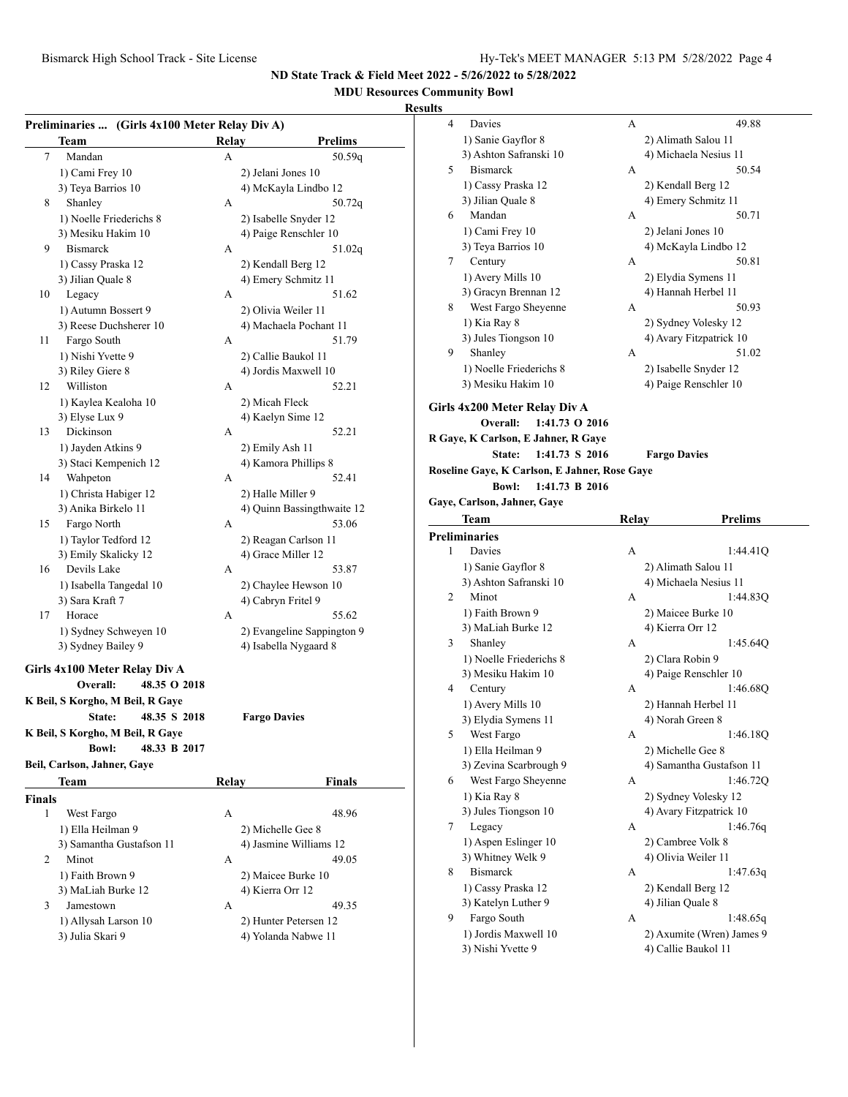## **MDU Resources Community Bowl**

|               | Preliminaries  (Girls 4x100 Meter Relay Div A) |              |                            |
|---------------|------------------------------------------------|--------------|----------------------------|
|               | Team                                           | Relay        | <b>Prelims</b>             |
| 7             | Mandan                                         | А            | 50.59q                     |
|               | 1) Cami Frey 10                                |              | 2) Jelani Jones 10         |
|               | 3) Teya Barrios 10                             |              | 4) McKayla Lindbo 12       |
| 8             | Shanley                                        | A            | 50.72q                     |
|               | 1) Noelle Friederichs 8                        |              | 2) Isabelle Snyder 12      |
|               | 3) Mesiku Hakim 10                             |              | 4) Paige Renschler 10      |
| 9             | <b>Bismarck</b>                                | А            | 51.02q                     |
|               | 1) Cassy Praska 12                             |              | 2) Kendall Berg 12         |
|               | 3) Jilian Quale 8                              |              | 4) Emery Schmitz 11        |
| 10            | Legacy                                         | A            | 51.62                      |
|               | 1) Autumn Bossert 9                            |              | 2) Olivia Weiler 11        |
|               | 3) Reese Duchsherer 10                         |              | 4) Machaela Pochant 11     |
| 11            | Fargo South                                    | А            | 51.79                      |
|               | 1) Nishi Yvette 9                              |              | 2) Callie Baukol 11        |
|               | 3) Riley Giere 8                               |              | 4) Jordis Maxwell 10       |
|               | Williston                                      |              |                            |
| 12            |                                                | А            | 52.21                      |
|               | 1) Kaylea Kealoha 10                           |              | 2) Micah Fleck             |
|               | 3) Elyse Lux 9                                 |              | 4) Kaelyn Sime 12          |
| 13            | Dickinson                                      | А            | 52.21                      |
|               | 1) Jayden Atkins 9                             |              | 2) Emily Ash 11            |
|               | 3) Staci Kempenich 12                          |              | 4) Kamora Phillips 8       |
| 14            | Wahpeton                                       | А            | 52.41                      |
|               | 1) Christa Habiger 12                          |              | 2) Halle Miller 9          |
|               | 3) Anika Birkelo 11                            |              | 4) Quinn Bassingthwaite 12 |
| 15            | Fargo North                                    | А            | 53.06                      |
|               | 1) Taylor Tedford 12                           |              | 2) Reagan Carlson 11       |
|               | 3) Emily Skalicky 12                           |              | 4) Grace Miller 12         |
| 16            | Devils Lake                                    | A            | 53.87                      |
|               | 1) Isabella Tangedal 10                        |              | 2) Chaylee Hewson 10       |
|               | 3) Sara Kraft 7                                |              | 4) Cabryn Fritel 9         |
| 17            | Horace                                         | А            | 55.62                      |
|               | 1) Sydney Schweyen 10                          |              | 2) Evangeline Sappington 9 |
|               | 3) Sydney Bailey 9                             |              | 4) Isabella Nygaard 8      |
|               | Girls 4x100 Meter Relay Div A                  |              |                            |
|               | 48.35 O 2018<br>Overall:                       |              |                            |
|               | K Beil, S Korgho, M Beil, R Gaye               |              |                            |
|               |                                                |              |                            |
|               | State:<br>48.35 S 2018                         |              | <b>Fargo Davies</b>        |
|               | K Beil, S Korgho, M Beil, R Gave               |              |                            |
|               | <b>Bowl:</b><br>48.33 B 2017                   |              |                            |
|               | Beil, Carlson, Jahner, Gaye                    |              |                            |
|               | Team                                           | <b>Relay</b> | <b>Finals</b>              |
| <b>Finals</b> |                                                |              |                            |
| 1             | West Fargo                                     | А            | 48.96                      |
|               | 1) Ella Heilman 9                              |              | 2) Michelle Gee 8          |
|               | 3) Samantha Gustafson 11                       |              | 4) Jasmine Williams 12     |
| 2             | Minot                                          | A            | 49.05                      |
|               | 1) Faith Brown 9                               |              | 2) Maicee Burke 10         |
|               | 3) MaLiah Burke 12                             |              | 4) Kierra Orr 12           |
| 3             | Jamestown                                      | А            | 49.35                      |
|               | 1) Allysah Larson 10                           |              | 2) Hunter Petersen 12      |
|               | 3) Julia Skari 9                               |              | 4) Yolanda Nabwe 11        |
|               |                                                |              |                            |

| uits |                                               |              |                                        |  |
|------|-----------------------------------------------|--------------|----------------------------------------|--|
| 4    | Davies                                        | А            | 49.88                                  |  |
|      | 1) Sanie Gayflor 8                            |              | 2) Alimath Salou 11                    |  |
|      | 3) Ashton Safranski 10                        |              | 4) Michaela Nesius 11                  |  |
| 5    | <b>Bismarck</b>                               | А            | 50.54                                  |  |
|      | 1) Cassy Praska 12                            |              | 2) Kendall Berg 12                     |  |
|      | 3) Jilian Quale 8                             |              | 4) Emery Schmitz 11                    |  |
| 6    | Mandan                                        | A            | 50.71                                  |  |
|      | 1) Cami Frey 10                               |              | 2) Jelani Jones 10                     |  |
|      | 3) Teya Barrios 10                            |              | 4) McKayla Lindbo 12                   |  |
| 7    | Century                                       | A            | 50.81                                  |  |
|      | 1) Avery Mills 10                             |              | 2) Elydia Symens 11                    |  |
|      | 3) Gracyn Brennan 12                          |              | 4) Hannah Herbel 11                    |  |
| 8    | West Fargo Sheyenne                           | А            | 50.93                                  |  |
|      | 1) Kia Ray 8                                  |              | 2) Sydney Volesky 12                   |  |
|      | 3) Jules Tiongson 10                          |              | 4) Avary Fitzpatrick 10                |  |
| 9    | Shanley                                       | А            | 51.02                                  |  |
|      | 1) Noelle Friederichs 8                       |              | 2) Isabelle Snyder 12                  |  |
|      | 3) Mesiku Hakim 10                            |              | 4) Paige Renschler 10                  |  |
|      | Girls 4x200 Meter Relay Div A                 |              |                                        |  |
|      | Overall:<br>1:41.73 O 2016                    |              |                                        |  |
|      | R Gaye, K Carlson, E Jahner, R Gaye           |              |                                        |  |
|      | State:<br>1:41.73 S 2016                      |              | <b>Fargo Davies</b>                    |  |
|      | Roseline Gaye, K Carlson, E Jahner, Rose Gaye |              |                                        |  |
|      | 1:41.73 B 2016<br><b>Bowl:</b>                |              |                                        |  |
|      | Gaye, Carlson, Jahner, Gaye                   |              |                                        |  |
|      | Team                                          | <b>Relay</b> | Prelims                                |  |
|      |                                               |              |                                        |  |
|      |                                               |              |                                        |  |
| 1    | <b>Preliminaries</b>                          |              |                                        |  |
|      | Davies                                        | А            | 1:44.41Q                               |  |
|      | 1) Sanie Gayflor 8                            |              | 2) Alimath Salou 11                    |  |
| 2    | 3) Ashton Safranski 10<br>Minot               | А            | 4) Michaela Nesius 11<br>1:44.83Q      |  |
|      | 1) Faith Brown 9                              |              |                                        |  |
|      |                                               |              | 2) Maicee Burke 10<br>4) Kierra Orr 12 |  |
| 3    | 3) MaLiah Burke 12<br>Shanley                 | A            | 1:45.64Q                               |  |
|      | 1) Noelle Friederichs 8                       |              | 2) Clara Robin 9                       |  |
|      | 3) Mesiku Hakim 10                            |              | 4) Paige Renschler 10                  |  |
| 4    | Century                                       | A            | 1:46.68Q                               |  |
|      | 1) Avery Mills 10                             |              | 2) Hannah Herbel 11                    |  |
|      | 3) Elydia Symens 11                           |              | 4) Norah Green 8                       |  |
| 5    | West Fargo                                    | А            | 1:46.18Q                               |  |
|      | 1) Ella Heilman 9                             |              | 2) Michelle Gee 8                      |  |
|      | 3) Zevina Scarbrough 9                        |              | 4) Samantha Gustafson 11               |  |
| 6    | West Fargo Sheyenne                           | А            | 1:46.720                               |  |
|      | 1) Kia Ray 8                                  |              | 2) Sydney Volesky 12                   |  |
|      | 3) Jules Tiongson 10                          |              | 4) Avary Fitzpatrick 10                |  |
| 7    | Legacy                                        | А            | 1:46.76q                               |  |
|      | 1) Aspen Eslinger 10                          |              | 2) Cambree Volk 8                      |  |
|      | 3) Whitney Welk 9                             |              | 4) Olivia Weiler 11                    |  |
| 8    | <b>Bismarck</b>                               | А            | 1:47.63q                               |  |
|      | 1) Cassy Praska 12                            |              | 2) Kendall Berg 12                     |  |
|      | 3) Katelyn Luther 9                           |              | 4) Jilian Quale 8                      |  |
| 9    | Fargo South                                   | А            | 1:48.65q                               |  |
|      | 1) Jordis Maxwell 10                          |              | 2) Axumite (Wren) James 9              |  |
|      | 3) Nishi Yvette 9                             |              | 4) Callie Baukol 11                    |  |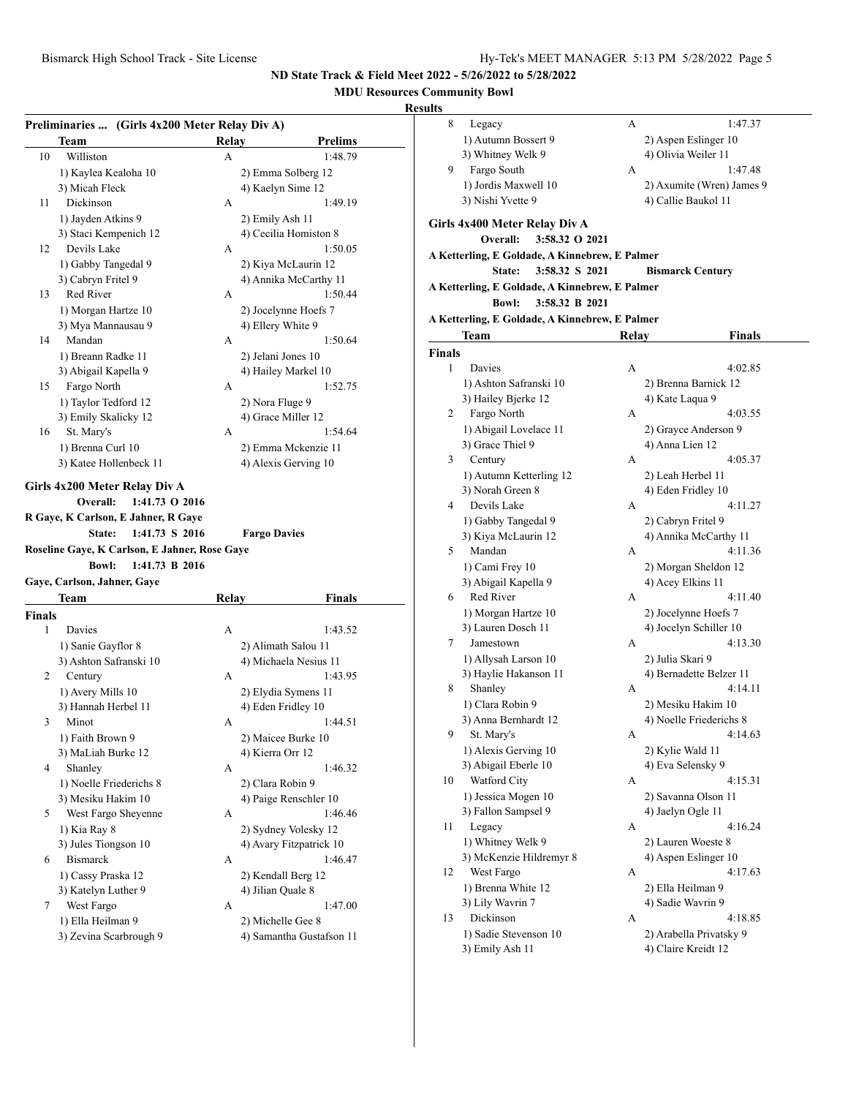## **MDU Resources Community Bowl**

| Preliminaries  (Girls 4x200 Meter Relay Div A) | Team                                                                                                                                             | Relay | <b>Prelims</b>                         |
|------------------------------------------------|--------------------------------------------------------------------------------------------------------------------------------------------------|-------|----------------------------------------|
| 10                                             | Williston                                                                                                                                        | А     | 1:48.79                                |
|                                                | 1) Kaylea Kealoha 10                                                                                                                             |       | 2) Emma Solberg 12                     |
|                                                | 3) Micah Fleck                                                                                                                                   |       | 4) Kaelyn Sime 12                      |
| 11                                             | Dickinson                                                                                                                                        | А     | 1:49.19                                |
|                                                | 1) Jayden Atkins 9                                                                                                                               |       | 2) Emily Ash 11                        |
|                                                | 3) Staci Kempenich 12                                                                                                                            |       | 4) Cecilia Homiston 8                  |
| 12                                             | Devils Lake                                                                                                                                      | А     | 1:50.05                                |
|                                                | 1) Gabby Tangedal 9                                                                                                                              |       | 2) Kiya McLaurin 12                    |
|                                                | 3) Cabryn Fritel 9                                                                                                                               |       | 4) Annika McCarthy 11                  |
| 13                                             | Red River                                                                                                                                        | A     | 1:50.44                                |
|                                                | 1) Morgan Hartze 10                                                                                                                              |       | 2) Jocelynne Hoefs 7                   |
|                                                | 3) Mya Mannausau 9                                                                                                                               |       | 4) Ellery White 9                      |
| 14                                             | Mandan                                                                                                                                           | А     | 1:50.64                                |
|                                                |                                                                                                                                                  |       |                                        |
|                                                | 1) Breann Radke 11                                                                                                                               |       | 2) Jelani Jones 10                     |
|                                                | 3) Abigail Kapella 9                                                                                                                             |       | 4) Hailey Markel 10                    |
| 15                                             | Fargo North                                                                                                                                      | А     | 1:52.75                                |
|                                                | 1) Taylor Tedford 12                                                                                                                             |       | 2) Nora Fluge 9                        |
|                                                | 3) Emily Skalicky 12                                                                                                                             |       | 4) Grace Miller 12                     |
| 16                                             | St. Mary's                                                                                                                                       | А     | 1:54.64                                |
|                                                | 1) Brenna Curl 10                                                                                                                                |       | 2) Emma Mckenzie 11                    |
|                                                | 3) Katee Hollenbeck 11                                                                                                                           |       | 4) Alexis Gerving 10                   |
|                                                | Overall:<br>$1:41.73$ O 2016<br>R Gaye, K Carlson, E Jahner, R Gaye<br>State:<br>1:41.73 S 2016<br>Roseline Gaye, K Carlson, E Jahner, Rose Gaye |       | <b>Fargo Davies</b>                    |
|                                                | 1:41.73 B 2016<br><b>Bowl:</b><br>Gaye, Carlson, Jahner, Gaye                                                                                    |       |                                        |
|                                                | Team                                                                                                                                             | Relay | Finals                                 |
| Finals                                         |                                                                                                                                                  |       |                                        |
| 1                                              | Davies                                                                                                                                           | А     | 1:43.52                                |
|                                                | 1) Sanie Gayflor 8                                                                                                                               |       | 2) Alimath Salou 11                    |
|                                                | 3) Ashton Safranski 10                                                                                                                           |       | 4) Michaela Nesius 11                  |
| 2                                              | Century                                                                                                                                          | А     | 1:43.95                                |
|                                                | 1) Avery Mills 10                                                                                                                                |       | 2) Elydia Symens 11                    |
|                                                | 3) Hannah Herbel 11                                                                                                                              |       | 4) Eden Fridley 10                     |
| 3                                              | Minot                                                                                                                                            | А     | 1:44.51                                |
|                                                | 1) Faith Brown 9                                                                                                                                 |       |                                        |
|                                                | 3) MaLiah Burke 12                                                                                                                               |       | 2) Maicee Burke 10<br>4) Kierra Orr 12 |
| 4                                              | Shanley                                                                                                                                          | А     | 1:46.32                                |
|                                                | 1) Noelle Friederichs 8                                                                                                                          |       | 2) Clara Robin 9                       |
|                                                | 3) Mesiku Hakim 10                                                                                                                               |       | 4) Paige Renschler 10                  |
| 5                                              | West Fargo Sheyenne                                                                                                                              | А     |                                        |
|                                                | 1) Kia Ray 8                                                                                                                                     |       | 1:46.46                                |
|                                                | 3) Jules Tiongson 10                                                                                                                             |       | 2) Sydney Volesky 12                   |
| 6                                              | <b>Bismarck</b>                                                                                                                                  | А     | 4) Avary Fitzpatrick 10<br>1:46.47     |
|                                                | 1) Cassy Praska 12                                                                                                                               |       | 2) Kendall Berg 12                     |
|                                                | 3) Katelyn Luther 9                                                                                                                              |       | 4) Jilian Quale 8                      |
| 7                                              | West Fargo                                                                                                                                       | А     | 1:47.00                                |
|                                                | 1) Ella Heilman 9                                                                                                                                |       | 2) Michelle Gee 8                      |

| ults           |                                                |       |                           |
|----------------|------------------------------------------------|-------|---------------------------|
| 8              | Legacy                                         | А     | 1:47.37                   |
|                | 1) Autumn Bossert 9                            |       | 2) Aspen Eslinger 10      |
|                | 3) Whitney Welk 9                              |       | 4) Olivia Weiler 11       |
| 9              | Fargo South                                    | А     | 1:47.48                   |
|                | 1) Jordis Maxwell 10                           |       | 2) Axumite (Wren) James 9 |
|                | 3) Nishi Yvette 9                              |       | 4) Callie Baukol 11       |
|                |                                                |       |                           |
|                | Girls 4x400 Meter Relay Div A                  |       |                           |
|                | Overall:<br>3:58.32 O 2021                     |       |                           |
|                | A Ketterling, E Goldade, A Kinnebrew, E Palmer |       |                           |
|                | 3:58.32 S 2021<br>State:                       |       | <b>Bismarck Century</b>   |
|                | A Ketterling, E Goldade, A Kinnebrew, E Palmer |       |                           |
|                | 3:58.32 B 2021<br><b>Bowl:</b>                 |       |                           |
|                | A Ketterling, E Goldade, A Kinnebrew, E Palmer |       |                           |
|                | Team                                           | Relay | <b>Finals</b>             |
| <b>Finals</b>  |                                                |       |                           |
| 1              | Davies                                         | A     | 4:02.85                   |
|                | 1) Ashton Safranski 10                         |       | 2) Brenna Barnick 12      |
|                | 3) Hailey Bjerke 12                            |       | 4) Kate Laqua 9           |
| $\overline{2}$ | Fargo North                                    | A     | 4:03.55                   |
|                | 1) Abigail Lovelace 11                         |       | 2) Grayce Anderson 9      |
|                | 3) Grace Thiel 9                               |       | 4) Anna Lien 12           |
| 3              | Century                                        | А     | 4:05.37                   |
|                | 1) Autumn Ketterling 12                        |       | 2) Leah Herbel 11         |
|                | 3) Norah Green 8                               |       | 4) Eden Fridley 10        |
| 4              | Devils Lake                                    | А     | 4:11.27                   |
|                | 1) Gabby Tangedal 9                            |       | 2) Cabryn Fritel 9        |
|                | 3) Kiya McLaurin 12                            |       | 4) Annika McCarthy 11     |
| 5              | Mandan                                         | А     | 4:11.36                   |
|                | 1) Cami Frey 10                                |       | 2) Morgan Sheldon 12      |
|                | 3) Abigail Kapella 9                           |       | 4) Acey Elkins 11         |
| 6              | Red River                                      | А     | 4:11.40                   |
|                | 1) Morgan Hartze 10                            |       | 2) Jocelynne Hoefs 7      |
|                | 3) Lauren Dosch 11                             |       | 4) Jocelyn Schiller 10    |
| 7              | Jamestown                                      | А     | 4:13.30                   |
|                | 1) Allysah Larson 10                           |       | 2) Julia Skari 9          |
|                | 3) Haylie Hakanson 11                          |       | 4) Bernadette Belzer 11   |
| 8              | Shanley                                        | А     | 4:14.11                   |
|                | 1) Clara Robin 9                               |       | 2) Mesiku Hakim 10        |
|                | 3) Anna Bernhardt 12                           |       | 4) Noelle Friederichs 8   |
| 9              | St. Mary's                                     | А     | 4:14.63                   |
|                | 1) Alexis Gerving 10                           |       | 2) Kylie Wald 11          |
|                | 3) Abigail Eberle 10                           |       | 4) Eva Selensky 9         |
| 10             | Watford City                                   | А     | 4:15.31                   |
|                | 1) Jessica Mogen 10                            |       | 2) Savanna Olson 11       |
|                | 3) Fallon Sampsel 9                            |       | 4) Jaelyn Ogle 11         |
| 11             | Legacy                                         | А     | 4:16.24                   |
|                | 1) Whitney Welk 9                              |       | 2) Lauren Woeste 8        |
|                | 3) McKenzie Hildremyr 8                        |       | 4) Aspen Eslinger 10      |
| 12             | West Fargo                                     | А     | 4:17.63                   |
|                | 1) Brenna White 12                             |       | 2) Ella Heilman 9         |
|                | 3) Lily Wavrin 7                               |       | 4) Sadie Wavrin 9         |
| 13             | Dickinson                                      | А     | 4:18.85                   |
|                | 1) Sadie Stevenson 10                          |       | 2) Arabella Privatsky 9   |
|                | 3) Emily Ash 11                                |       | 4) Claire Kreidt 12       |
|                |                                                |       |                           |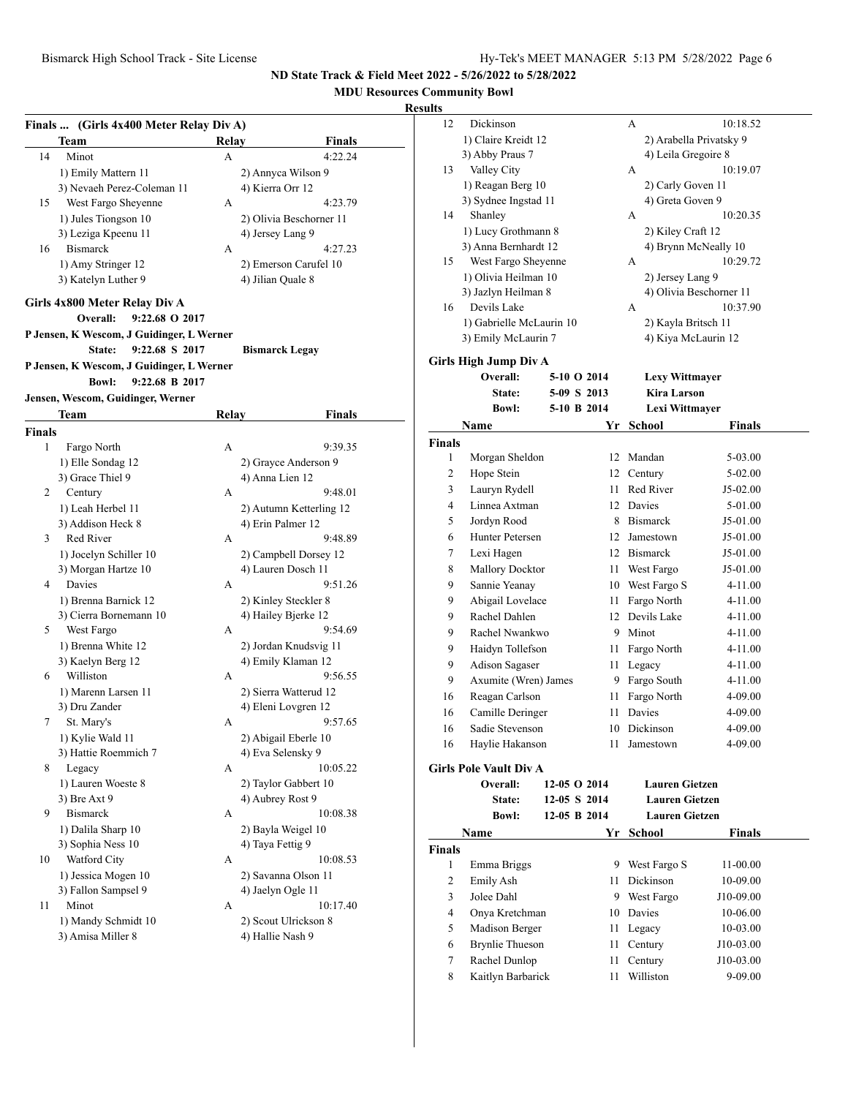**MDU Resources Community Bowl**

|        | Finals  (Girls 4x400 Meter Relay Div A)<br>Team | Relay        | Finals                                      |
|--------|-------------------------------------------------|--------------|---------------------------------------------|
| 14     | Minot                                           | A            | 4:22.24                                     |
|        | 1) Emily Mattern 11                             |              | 2) Annyca Wilson 9                          |
|        | 3) Nevaeh Perez-Coleman 11                      |              | 4) Kierra Orr 12                            |
| 15     | West Fargo Sheyenne                             | A            | 4:23.79                                     |
|        | 1) Jules Tiongson 10                            |              | 2) Olivia Beschorner 11                     |
|        | 3) Leziga Kpeenu 11                             |              | 4) Jersey Lang 9                            |
| 16     | <b>Bismarck</b>                                 | А            | 4:27.23                                     |
|        | 1) Amy Stringer 12                              |              | 2) Emerson Carufel 10                       |
|        | 3) Katelyn Luther 9                             |              | 4) Jilian Quale 8                           |
|        |                                                 |              |                                             |
|        | Girls 4x800 Meter Relay Div A                   |              |                                             |
|        | Overall:<br>9:22.68 O 2017                      |              |                                             |
|        | P Jensen, K Wescom, J Guidinger, L Werner       |              |                                             |
|        | State:<br>9:22.68 S 2017                        |              | <b>Bismarck Legay</b>                       |
|        | P Jensen, K Wescom, J Guidinger, L Werner       |              |                                             |
|        | <b>Bowl:</b><br>9:22.68 B 2017                  |              |                                             |
|        | Jensen, Wescom, Guidinger, Werner               |              |                                             |
|        | Team                                            | <b>Relay</b> | Finals                                      |
| Finals |                                                 |              |                                             |
| 1      | Fargo North                                     | А            | 9:39.35                                     |
|        | 1) Elle Sondag 12                               |              | 2) Grayce Anderson 9                        |
|        | 3) Grace Thiel 9                                |              | 4) Anna Lien 12                             |
| 2      | Century                                         | А            | 9:48.01                                     |
|        | 1) Leah Herbel 11                               |              | 2) Autumn Ketterling 12                     |
|        | 3) Addison Heck 8                               |              | 4) Erin Palmer 12                           |
| 3      | Red River                                       | А            | 9:48.89                                     |
|        |                                                 |              |                                             |
|        | 1) Jocelyn Schiller 10<br>3) Morgan Hartze 10   |              | 2) Campbell Dorsey 12<br>4) Lauren Dosch 11 |
| 4      | Davies                                          | А            | 9:51.26                                     |
|        |                                                 |              |                                             |
|        | 1) Brenna Barnick 12<br>3) Cierra Bornemann 10  |              | 2) Kinley Steckler 8<br>4) Hailey Bjerke 12 |
| 5      | West Fargo                                      | А            | 9:54.69                                     |
|        | 1) Brenna White 12                              |              | 2) Jordan Knudsvig 11                       |
|        | 3) Kaelyn Berg 12                               |              | 4) Emily Klaman 12                          |
| 6      | Williston                                       | А            | 9:56.55                                     |
|        | 1) Marenn Larsen 11                             |              | 2) Sierra Watterud 12                       |
|        | 3) Dru Zander                                   |              | 4) Eleni Lovgren 12                         |
| 7      | St. Mary's                                      | А            | 9:57.65                                     |
|        | 1) Kylie Wald 11                                |              | 2) Abigail Eberle 10                        |
|        | 3) Hattie Roemmich 7                            |              | 4) Eva Selensky 9                           |
| 8      | Legacy                                          | А            | 10:05.22                                    |
|        | 1) Lauren Woeste 8                              |              | 2) Taylor Gabbert 10                        |
|        | 3) Bre Axt 9                                    |              | 4) Aubrey Rost 9                            |
| 9      | <b>Bismarck</b>                                 |              |                                             |
|        |                                                 | А            | 10:08.38                                    |
|        | 1) Dalila Sharp 10                              |              | 2) Bayla Weigel 10                          |
|        | 3) Sophia Ness 10                               |              | 4) Taya Fettig 9                            |
| 10     | Watford City                                    | А            | 10:08.53                                    |
|        | 1) Jessica Mogen 10<br>3) Fallon Sampsel 9      |              | 2) Savanna Olson 11                         |
|        |                                                 |              | 4) Jaelyn Ogle 11                           |
|        |                                                 |              |                                             |
| 11     | Minot                                           | А            | 10:17.40                                    |
|        | 1) Mandy Schmidt 10<br>3) Amisa Miller 8        |              | 2) Scout Ulrickson 8<br>4) Hallie Nash 9    |

| ults          |                               |              |      |                       |                         |  |
|---------------|-------------------------------|--------------|------|-----------------------|-------------------------|--|
| 12            | Dickinson                     |              |      | А                     | 10:18.52                |  |
|               | 1) Claire Kreidt 12           |              |      |                       | 2) Arabella Privatsky 9 |  |
|               | 3) Abby Praus 7               |              |      | 4) Leila Gregoire 8   |                         |  |
| 13            | Valley City                   |              |      | А                     | 10:19.07                |  |
|               | 1) Reagan Berg 10             |              |      | 2) Carly Goven 11     |                         |  |
|               | 3) Sydnee Ingstad 11          |              |      | 4) Greta Goven 9      |                         |  |
| 14            | Shanley                       |              |      | А                     | 10:20.35                |  |
|               | 1) Lucy Grothmann 8           |              |      | 2) Kiley Craft 12     |                         |  |
|               | 3) Anna Bernhardt 12          |              |      |                       | 4) Brynn McNeally 10    |  |
| 15            | West Fargo Sheyenne           |              |      | A                     | 10:29.72                |  |
|               | 1) Olivia Heilman 10          |              |      | 2) Jersey Lang 9      |                         |  |
|               | 3) Jazlyn Heilman 8           |              |      |                       | 4) Olivia Beschorner 11 |  |
| 16            | Devils Lake                   |              |      | А                     | 10:37.90                |  |
|               | 1) Gabrielle McLaurin 10      |              |      | 2) Kayla Britsch 11   |                         |  |
|               | 3) Emily McLaurin 7           |              |      | 4) Kiya McLaurin 12   |                         |  |
|               | <b>Girls High Jump Div A</b>  |              |      |                       |                         |  |
|               | Overall:                      | 5-10 O 2014  |      | <b>Lexy Wittmayer</b> |                         |  |
|               | State:                        | 5-09 S 2013  |      | <b>Kira Larson</b>    |                         |  |
|               | <b>Bowl:</b>                  | 5-10 B 2014  |      | Lexi Wittmayer        |                         |  |
|               | Name                          |              | Yr   | School                | <b>Finals</b>           |  |
| <b>Finals</b> |                               |              |      |                       |                         |  |
| 1             | Morgan Sheldon                |              |      | 12 Mandan             | 5-03.00                 |  |
| 2             | Hope Stein                    |              |      | 12 Century            | 5-02.00                 |  |
| 3             | Lauryn Rydell                 |              |      | 11 Red River          | J5-02.00                |  |
| 4             | Linnea Axtman                 |              |      | 12 Davies             | 5-01.00                 |  |
| 5             | Jordyn Rood                   |              |      | 8 Bismarck            | J5-01.00                |  |
| 6             | Hunter Petersen               |              |      | 12 Jamestown          | J5-01.00                |  |
| 7             | Lexi Hagen                    |              |      | 12 Bismarck           | J5-01.00                |  |
| 8             | Mallory Docktor               |              |      | 11 West Fargo         | J5-01.00                |  |
| 9             | Sannie Yeanay                 |              |      | 10 West Fargo S       | 4-11.00                 |  |
| 9             | Abigail Lovelace              |              | 11 - | Fargo North           | 4-11.00                 |  |
| 9             | Rachel Dahlen                 |              |      | 12 Devils Lake        | 4-11.00                 |  |
| 9             | Rachel Nwankwo                |              |      | 9 Minot               | 4-11.00                 |  |
| 9             | Haidyn Tollefson              |              |      | 11 Fargo North        | 4-11.00                 |  |
| 9             | Adison Sagaser                |              | 11 - | Legacy                | 4-11.00                 |  |
| 9             | Axumite (Wren) James          |              |      | 9 Fargo South         | 4-11.00                 |  |
| 16            | Reagan Carlson                |              | 11   | Fargo North           | 4-09.00                 |  |
| 16            | Camille Deringer              |              |      | 11 Davies             | 4-09.00                 |  |
| 16            | Sadie Stevenson               |              |      | 10 Dickinson          | 4-09.00                 |  |
| 16            | Haylie Hakanson               |              | 11 - | Jamestown             | 4-09.00                 |  |
|               | <b>Girls Pole Vault Div A</b> |              |      |                       |                         |  |
|               | Overall:                      | 12-05 O 2014 |      | <b>Lauren Gietzen</b> |                         |  |
|               | State:                        | 12-05 S 2014 |      | <b>Lauren Gietzen</b> |                         |  |
|               | <b>Bowl:</b>                  | 12-05 B 2014 |      | <b>Lauren Gietzen</b> |                         |  |
|               | Name                          |              | Yr   | <b>School</b>         | <b>Finals</b>           |  |
| <b>Finals</b> |                               |              |      |                       |                         |  |
| 1             | Emma Briggs                   |              |      | 9 West Fargo S        | 11-00.00                |  |
| 2             | Emily Ash                     |              | 11 - | <b>Dickinson</b>      | 10-09.00                |  |
| 3             | Jolee Dahl                    |              |      | 9 West Fargo          | J10-09.00               |  |
| 4             | Onya Kretchman                |              |      | 10 Davies             | 10-06.00                |  |
| 5             | Madison Berger                |              |      | 11 Legacy             | 10-03.00                |  |
| 6             | <b>Brynlie Thueson</b>        |              | 11 - | Century               | J10-03.00               |  |
| 7             | Rachel Dunlop                 |              | 11   | Century               | J10-03.00               |  |
| 8             | Kaitlyn Barbarick             |              | 11   | Williston             | 9-09.00                 |  |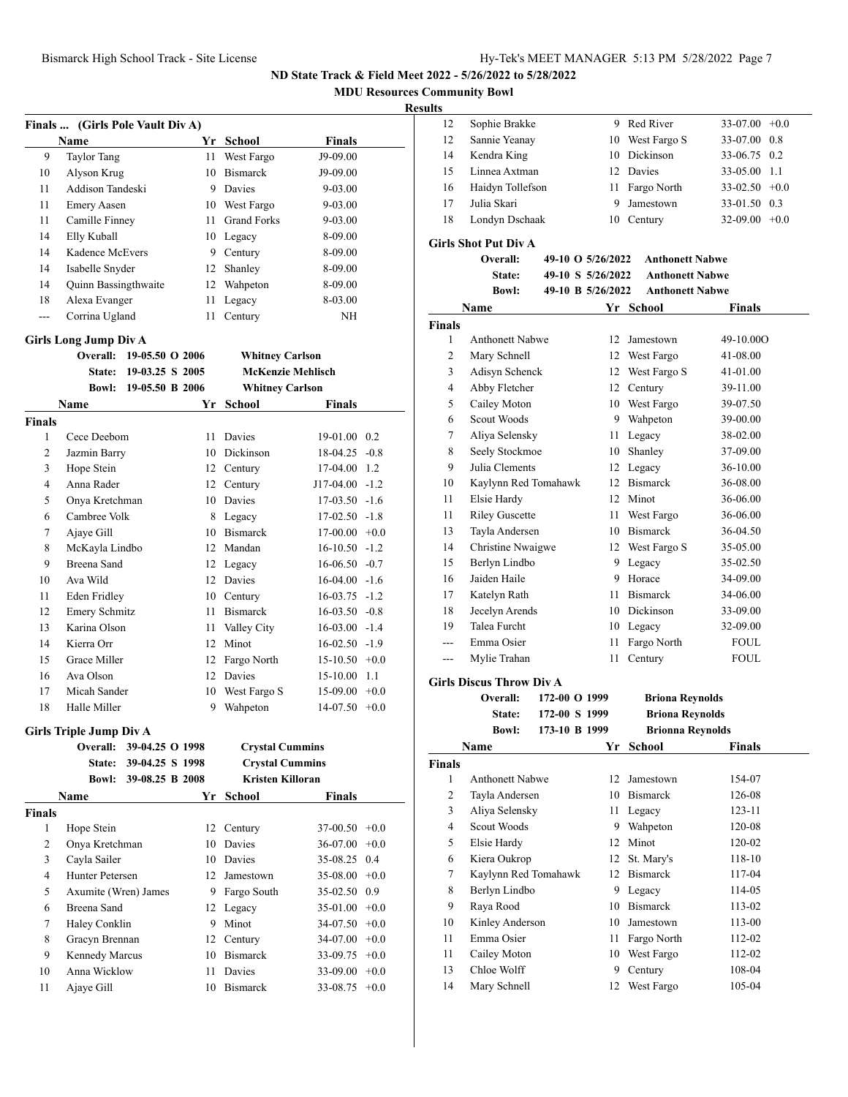**MDU Resources Community Bowl**

#### **Results**

|     | Finals  (Girls Pole Vault Div A) |     |                          |             |
|-----|----------------------------------|-----|--------------------------|-------------|
|     | Name                             | Yr. | School                   | Finals      |
| 9   | <b>Taylor Tang</b>               | 11  | West Fargo               | J9-09.00    |
| 10  | Alyson Krug                      | 10  | <b>Bismarck</b>          | J9-09.00    |
| 11  | Addison Tandeski                 | 9   | Davies                   | 9-03.00     |
| 11  | <b>Emery Aasen</b>               | 10  | West Fargo               | $9 - 03.00$ |
| 11  | Camille Finney                   | 11  | <b>Grand Forks</b>       | 9-03.00     |
| 14  | Elly Kuball                      |     | 10 Legacy                | 8-09.00     |
| 14  | Kadence McEvers                  | 9   | Century                  | 8-09.00     |
| 14  | Isabelle Snyder                  | 12  | Shanley                  | 8-09.00     |
| 14  | <b>Quinn Bassingthwaite</b>      | 12  | Wahpeton                 | 8-09.00     |
| 18  | Alexa Evanger                    | 11  | Legacy                   | 8-03.00     |
| --- | Corrina Ugland                   | 11  | Century                  | NH          |
|     | Girls Long Jump Div A            |     |                          |             |
|     | 19-05.50 O 2006<br>Overall:      |     | <b>Whitney Carlson</b>   |             |
|     | 19-03.25 S 2005<br><b>State:</b> |     | <b>McKenzie Mehlisch</b> |             |

|        | 19-05.50 B 2006<br><b>Bowl:</b> |    | <b>Whitney Carlson</b> |                      |
|--------|---------------------------------|----|------------------------|----------------------|
|        | Name                            | Yr | School                 | <b>Finals</b>        |
| Finals |                                 |    |                        |                      |
| 1      | Cece Deebom                     | 11 | Davies                 | $19-01.00 \quad 0.2$ |
| 2      | Jazmin Barry                    | 10 | Dickinson              | $18-04.25 -0.8$      |
| 3      | Hope Stein                      | 12 | Century                | 17-04.00<br>1.2      |
| 4      | Anna Rader                      | 12 | Century                | $J17-04.00 -1.2$     |
| 5      | Onya Kretchman                  | 10 | Davies                 | $17-03.50 -1.6$      |
| 6      | Cambree Volk                    | 8  | Legacy                 | $17-02.50 -1.8$      |
| 7      | Ajaye Gill                      | 10 | <b>Bismarck</b>        | $17-00.00 + 0.0$     |
| 8      | McKayla Lindbo                  | 12 | Mandan                 | $16-10.50 -1.2$      |
| 9      | Breena Sand                     | 12 | Legacy                 | $16-06.50 -0.7$      |
| 10     | Ava Wild                        | 12 | Davies                 | $16-04.00 -1.6$      |
| 11     | Eden Fridley                    | 10 | Century                | $16-03.75 -1.2$      |
| 12     | <b>Emery Schmitz</b>            | 11 | <b>Bismarck</b>        | $16-03.50 -0.8$      |
| 13     | Karina Olson                    | 11 | Valley City            | $16-03.00 -1.4$      |
| 14     | Kierra Orr                      | 12 | Minot                  | $16-02.50 -1.9$      |
| 15     | Grace Miller                    | 12 | Fargo North            | $15-10.50 +0.0$      |
| 16     | Ava Olson                       | 12 | <b>Davies</b>          | 15-10.00<br>-1.1     |
| 17     | Micah Sander                    | 10 | West Fargo S           | $15-09.00 +0.0$      |
| 18     | Halle Miller                    | 9  | Wahpeton               | $14-07.50 +0.0$      |

#### **Girls Triple Jump Div A**

|        | 39-04.25 O 1998<br>Overall: |     | <b>Crystal Cummins</b>  |                 |  |
|--------|-----------------------------|-----|-------------------------|-----------------|--|
|        | 39-04.25 S 1998<br>State:   |     | <b>Crystal Cummins</b>  |                 |  |
|        | 39-08.25 B 2008<br>Bowl:    |     | <b>Kristen Killoran</b> |                 |  |
|        | Name                        | Yr. | School                  | <b>Finals</b>   |  |
| Finals |                             |     |                         |                 |  |
| 1      | Hope Stein                  |     | 12 Century              | $37-00.50 +0.0$ |  |
| 2      | Onya Kretchman              | 10  | Davies                  | $36-07.00 +0.0$ |  |
| 3      | Cayla Sailer                | 10  | Davies                  | 35-08.25 0.4    |  |
| 4      | Hunter Petersen             | 12  | Jamestown               | $35-08.00 +0.0$ |  |
| 5      | Axumite (Wren) James        | 9   | Fargo South             | 35-02.50 0.9    |  |
| 6      | Breena Sand                 |     | 12 Legacy               | $35-01.00 +0.0$ |  |
| 7      | Haley Conklin               | 9   | Minot                   | $34-07.50 +0.0$ |  |
| 8      | Gracyn Brennan              |     | 12 Century              | $34-07.00 +0.0$ |  |
| 9      | <b>Kennedy Marcus</b>       | 10  | <b>Bismarck</b>         | $33-09.75$ +0.0 |  |
| 10     | Anna Wicklow                | 11  | Davies                  | $33-09.00 +0.0$ |  |
| 11     | Ajaye Gill                  | 10  | <b>Bismarck</b>         | $33-08.75$ +0.0 |  |
|        |                             |     |                         |                 |  |

| 12 | Sophie Brakke    |   | 9 Red River     | $33-07.00 +0.0$  |  |
|----|------------------|---|-----------------|------------------|--|
| 12 | Sannie Yeanay    |   | 10 West Fargo S | 33-07.00 0.8     |  |
| 14 | Kendra King      |   | 10 Dickinson    | 33-06.75 0.2     |  |
| 15 | Linnea Axtman    |   | 12 Davies       | 33-05.00 1.1     |  |
| 16 | Haidyn Tollefson |   | 11 Fargo North  | $33-02.50 + 0.0$ |  |
| 17 | Julia Skari      | 9 | Jamestown       | 33-01.50 0.3     |  |
| 18 | Londyn Dschaak   |   | 10 Century      | $32-09.00 + 0.0$ |  |
|    |                  |   |                 |                  |  |

#### **Girls Shot Put Div A**

|                | Overall:               | 49-10 O 5/26/2022 | <b>Anthonett Nabwe</b> |               |
|----------------|------------------------|-------------------|------------------------|---------------|
|                | State:                 | 49-10 S 5/26/2022 | <b>Anthonett Nabwe</b> |               |
|                | <b>Bowl:</b>           | 49-10 B 5/26/2022 | <b>Anthonett Nabwe</b> |               |
|                | Name                   |                   | Yr School              | <b>Finals</b> |
| <b>Finals</b>  |                        |                   |                        |               |
| 1              | <b>Anthonett Nabwe</b> | 12                | Jamestown              | 49-10.000     |
| $\overline{c}$ | Mary Schnell           | 12                | West Fargo             | 41-08.00      |
| 3              | Adisyn Schenck         | 12                | West Fargo S           | 41-01.00      |
| $\overline{4}$ | Abby Fletcher          | 12                | Century                | 39-11.00      |
| 5              | Cailey Moton           | 10                | West Fargo             | 39-07.50      |
| 6              | Scout Woods            | 9                 | Wahpeton               | 39-00.00      |
| 7              | Aliya Selensky         | 11                | Legacy                 | 38-02.00      |
| 8              | Seely Stockmoe         | 10                | Shanley                | 37-09.00      |
| 9              | Julia Clements         | 12                | Legacy                 | 36-10.00      |
| 10             | Kaylynn Red Tomahawk   | 12                | <b>Bismarck</b>        | 36-08.00      |
| 11             | Elsie Hardy            | 12                | Minot                  | 36-06.00      |
| 11             | <b>Riley Guscette</b>  | 11                | West Fargo             | 36-06.00      |
| 13             | Tayla Andersen         | 10                | <b>Bismarck</b>        | 36-04.50      |
| 14             | Christine Nwaigwe      | 12                | West Fargo S           | 35-05.00      |
| 15             | Berlyn Lindbo          | 9                 | Legacy                 | 35-02.50      |
| 16             | Jaiden Haile           | 9                 | Horace                 | 34-09.00      |
| 17             | Katelyn Rath           | 11                | <b>Bismarck</b>        | 34-06.00      |
| 18             | Jecelyn Arends         | 10                | Dickinson              | 33-09.00      |
| 19             | <b>Talea Furcht</b>    | 10                | Legacy                 | 32-09.00      |
| ---            | Emma Osier             | 11                | Fargo North            | <b>FOUL</b>   |
| ---            | Mylie Trahan           | 11                | Century                | <b>FOUL</b>   |
|                |                        |                   |                        |               |

#### **Girls Discus Throw Div A**

| Overall: | 172-00 O 1999             |
|----------|---------------------------|
| State:   | 172-00 S 1999             |
| Rowl·    | 173 <sub>-10</sub> R 1999 |

|        | <b>Bowl:</b>           | 173-10 B 1999 | <b>Brionna Reynolds</b> |               |
|--------|------------------------|---------------|-------------------------|---------------|
|        | Name                   | Yr            | <b>School</b>           | <b>Finals</b> |
| Finals |                        |               |                         |               |
| 1      | <b>Anthonett Nabwe</b> | 12            | Jamestown               | 154-07        |
| 2      | Tayla Andersen         | 10            | <b>Bismarck</b>         | 126-08        |
| 3      | Aliya Selensky         | 11            | Legacy                  | 123-11        |
| 4      | Scout Woods            | 9             | Wahpeton                | 120-08        |
| 5      | Elsie Hardy            | 12            | Minot                   | 120-02        |
| 6      | Kiera Oukrop           | 12            | St. Mary's              | 118-10        |
| 7      | Kaylynn Red Tomahawk   | 12            | <b>Bismarck</b>         | 117-04        |
| 8      | Berlyn Lindbo          | 9             | Legacy                  | 114-05        |
| 9      | Raya Rood              | 10            | <b>Bismarck</b>         | 113-02        |
| 10     | Kinley Anderson        | 10            | Jamestown               | 113-00        |
| 11     | Emma Osier             | 11            | Fargo North             | 112-02        |
| 11     | Cailey Moton           | 10            | West Fargo              | 112-02        |
| 13     | Chloe Wolff            | 9             | Century                 | 108-04        |
| 14     | Mary Schnell           | 12            | West Fargo              | 105-04        |

 $B$ riona Reynolds **State: 172-00 S 1999 Briona Reynolds**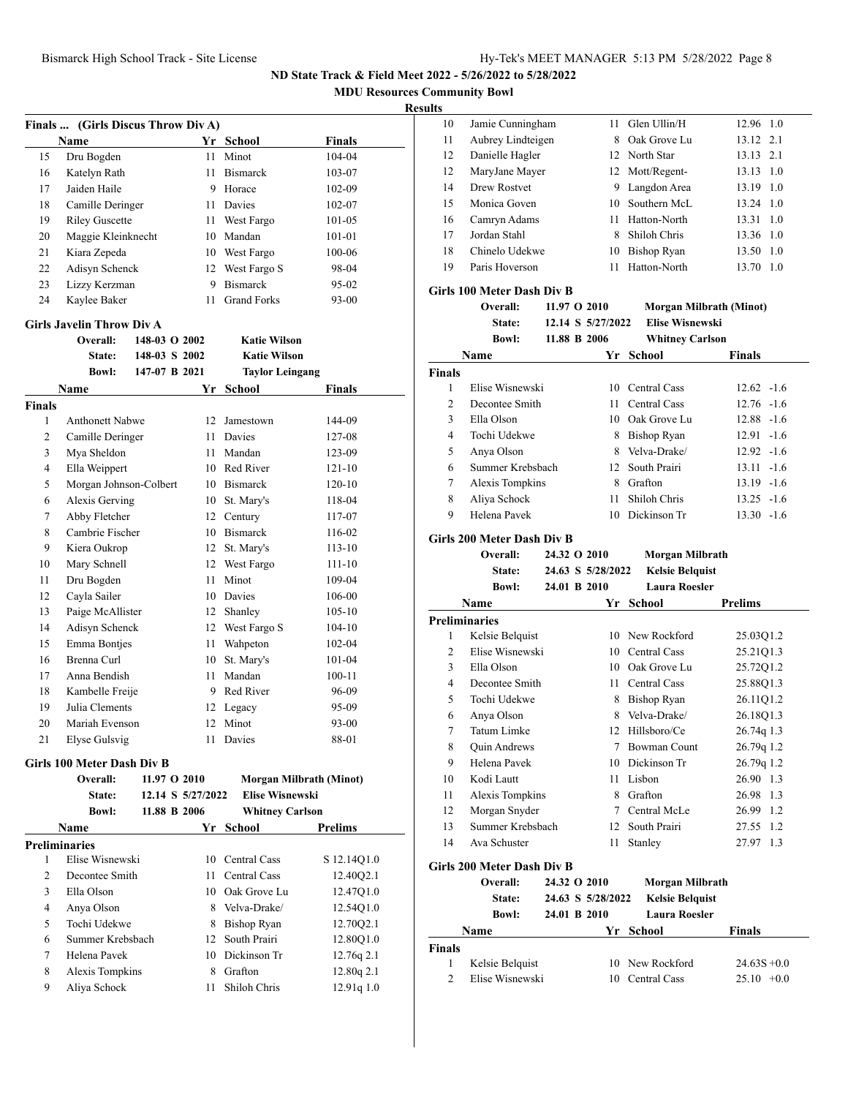**MDU Resources Community Bowl**

|                | Finals  (Girls Discus Throw Div A) |               |                   |                        |                         |
|----------------|------------------------------------|---------------|-------------------|------------------------|-------------------------|
|                | Name                               |               |                   | Yr School              | Finals                  |
| 15             | Dru Bogden                         |               | 11                | Minot                  | 104-04                  |
| 16             | Katelyn Rath                       |               | 11                | <b>Bismarck</b>        | 103-07                  |
| 17             | Jaiden Haile                       |               |                   | 9 Horace               | 102-09                  |
| 18             | Camille Deringer                   |               |                   | 11 Davies              | 102-07                  |
| 19             | <b>Riley Guscette</b>              |               |                   | 11 West Fargo          | 101-05                  |
| 20             | Maggie Kleinknecht                 |               |                   | 10 Mandan              | 101-01                  |
| 21             | Kiara Zepeda                       |               |                   | 10 West Fargo          | 100-06                  |
| 22             | Adisyn Schenck                     |               |                   | 12 West Fargo S        | 98-04                   |
| 23             | Lizzy Kerzman                      |               |                   | 9 Bismarck             | 95-02                   |
| 24             | Kaylee Baker                       |               | 11                | <b>Grand Forks</b>     | 93-00                   |
|                | <b>Girls Javelin Throw Div A</b>   |               |                   |                        |                         |
|                | Overall:                           | 148-03 O 2002 |                   | <b>Katie Wilson</b>    |                         |
|                | State:                             | 148-03 S 2002 |                   | <b>Katie Wilson</b>    |                         |
|                | <b>Bowl:</b>                       | 147-07 B 2021 |                   | <b>Taylor Leingang</b> |                         |
|                | Name                               |               | Yr                | <b>School</b>          | Finals                  |
| <b>Finals</b>  |                                    |               |                   |                        |                         |
| 1              | <b>Anthonett Nabwe</b>             |               |                   | 12 Jamestown           | 144-09                  |
| 2              | Camille Deringer                   |               |                   | 11 Davies              | 127-08                  |
| 3              | Mya Sheldon                        |               |                   | 11 Mandan              | 123-09                  |
| 4              | Ella Weippert                      |               |                   | 10 Red River           | $121 - 10$              |
| 5              | Morgan Johnson-Colbert             |               |                   | 10 Bismarck            | $120 - 10$              |
| 6              | Alexis Gerving                     |               |                   | 10 St. Mary's          | 118-04                  |
| 7              | Abby Fletcher                      |               |                   | 12 Century             | 117-07                  |
| 8              | Cambrie Fischer                    |               |                   | 10 Bismarck            | 116-02                  |
| 9              | Kiera Oukrop                       |               | 12                | St. Mary's             | $113 - 10$              |
| 10             | Mary Schnell                       |               |                   | 12 West Fargo          | 111-10                  |
| 11             | Dru Bogden                         |               | 11                | Minot                  | 109-04                  |
| 12             | Cayla Sailer                       |               |                   | 10 Davies              | 106-00                  |
| 13             | Paige McAllister                   |               | 12                | Shanley                | 105-10                  |
| 14             | Adisyn Schenck                     |               |                   | 12 West Fargo S        | 104-10                  |
| 15             | Emma Bontjes                       |               | 11                | Wahpeton               | 102-04                  |
| 16             | Brenna Curl                        |               |                   | 10 St. Mary's          | 101-04                  |
| 17             | Anna Bendish                       |               | 11 -              | Mandan                 | 100-11                  |
| 18             | Kambelle Freije                    |               |                   | 9 Red River            | 96-09                   |
| 19             | Julia Clements                     |               |                   | 12 Legacy              | 95-09                   |
| 20             | Mariah Evenson                     |               |                   | 12 Minot               | 93-00                   |
| 21             | Elyse Gulsvig                      |               |                   | 11 Davies              | 88-01                   |
|                | Girls 100 Meter Dash Div B         |               |                   |                        |                         |
|                | Overall:                           | 11.97 O 2010  |                   |                        | Morgan Milbrath (Minot) |
|                | State:                             |               | 12.14 S 5/27/2022 | <b>Elise Wisnewski</b> |                         |
|                | <b>Bowl:</b>                       | 11.88 B 2006  |                   | <b>Whitney Carlson</b> |                         |
|                | Name                               |               |                   | Yr School              | Prelims                 |
|                | <b>Preliminaries</b>               |               |                   |                        |                         |
| 1              | Elise Wisnewski                    |               |                   | 10 Central Cass        | S 12.14Q1.0             |
| $\overline{c}$ | Decontee Smith                     |               |                   | 11 Central Cass        | 12.40Q2.1               |
| 3              | Ella Olson                         |               |                   | 10 Oak Grove Lu        | 12.47Q1.0               |
| 4              | Anya Olson                         |               |                   | 8 Velva-Drake/         | 12.54Q1.0               |
| 5              | Tochi Udekwe                       |               |                   | 8 Bishop Ryan          | 12.70Q2.1               |
| 6              | Summer Krebsbach                   |               |                   | 12 South Prairi        | 12.80Q1.0               |
| 7              | Helena Pavek                       |               |                   | 10 Dickinson Tr        | 12.76q 2.1              |
| 8              | Alexis Tompkins                    |               |                   | 8 Grafton              | 12.80q 2.1              |
| 9              | Aliya Schock                       |               | 11 -              | Shiloh Chris           | 12.91q 1.0              |
|                |                                    |               |                   |                        |                         |

| սււծ          |                                                  |              |                   |                                           |                                |
|---------------|--------------------------------------------------|--------------|-------------------|-------------------------------------------|--------------------------------|
| 10            | Jamie Cunningham                                 |              | 11                | Glen Ullin/H                              | 12.96 1.0                      |
| 11            | Aubrey Lindteigen                                |              | 8                 | Oak Grove Lu                              | 2.1<br>13.12                   |
| 12            | Danielle Hagler                                  |              |                   | 12 North Star                             | 2.1<br>13.13                   |
| 12            | MaryJane Mayer                                   |              |                   | 12 Mott/Regent-                           | 13.13 1.0                      |
| 14            | Drew Rostvet                                     |              |                   | 9 Langdon Area                            | 13.19 1.0                      |
| 15            | Monica Goven                                     |              |                   | 10 Southern McL                           | 13.24<br>1.0                   |
| 16            | Camryn Adams                                     |              | 11 -              | Hatton-North                              | 13.31<br>1.0                   |
| 17            | Jordan Stahl                                     |              |                   | 8 Shiloh Chris                            | 13.36 1.0                      |
| 18            | Chinelo Udekwe                                   |              |                   | 10 Bishop Ryan                            | 13.50 1.0                      |
| 19            | Paris Hoverson                                   |              | 11                | Hatton-North                              | 13.70<br>-1.0                  |
|               |                                                  |              |                   |                                           |                                |
|               | <b>Girls 100 Meter Dash Div B</b>                |              |                   |                                           |                                |
|               | Overall:                                         | 11.97 O 2010 |                   |                                           | <b>Morgan Milbrath (Minot)</b> |
|               | State:                                           |              | 12.14 S 5/27/2022 | <b>Elise Wisnewski</b>                    |                                |
|               | <b>Bowl:</b>                                     | 11.88 B 2006 |                   | <b>Whitney Carlson</b>                    |                                |
|               | Name                                             |              | Yr                | School                                    | Finals                         |
| <b>Finals</b> |                                                  |              |                   |                                           |                                |
| 1             | Elise Wisnewski                                  |              |                   | 10 Central Cass                           | $12.62 - 1.6$                  |
| 2             | Decontee Smith                                   |              | 11 -              | Central Cass                              | $12.76 - 1.6$                  |
| 3             | Ella Olson                                       |              |                   | 10 Oak Grove Lu                           | $12.88 - 1.6$                  |
| 4             | Tochi Udekwe                                     |              |                   | 8 Bishop Ryan                             | $12.91 - 1.6$                  |
| 5             | Anya Olson                                       |              |                   | 8 Velva-Drake/                            | $12.92 - 1.6$                  |
| 6             | Summer Krebsbach                                 |              |                   | 12 South Prairi                           | $13.11 - 1.6$                  |
| 7             | <b>Alexis Tompkins</b>                           |              |                   | 8 Grafton                                 | $13.19 - 1.6$                  |
| 8             | Aliya Schock                                     |              | 11                | Shiloh Chris                              | $13.25 - 1.6$                  |
| 9             | Helena Pavek                                     |              |                   | 10 Dickinson Tr                           | $13.30 - 1.6$                  |
|               | Girls 200 Meter Dash Div B<br>Overall:<br>State: | 24.32 O 2010 | 24.63 S 5/28/2022 | Morgan Milbrath<br><b>Kelsie Belquist</b> |                                |
|               | <b>Bowl:</b>                                     | 24.01 B 2010 |                   | <b>Laura Roesler</b>                      |                                |
|               | Name                                             |              |                   | Yr School                                 | <b>Prelims</b>                 |
|               |                                                  |              |                   |                                           |                                |
|               |                                                  |              |                   |                                           |                                |
|               | <b>Preliminaries</b>                             |              |                   |                                           |                                |
| 1             | Kelsie Belquist                                  |              |                   | 10 New Rockford                           | 25.03Q1.2                      |
| 2             | Elise Wisnewski                                  |              |                   | 10 Central Cass                           | 25.21Q1.3                      |
| 3             | Ella Olson                                       |              |                   | 10 Oak Grove Lu                           | 25.72Q1.2                      |
| 4             | Decontee Smith                                   |              |                   | 11 Central Cass                           | 25.88Q1.3                      |
| 5             | Tochi Udekwe                                     |              | 8                 | Bishop Ryan                               | 26.11Q1.2                      |
| 6             | Anya Olson                                       |              |                   | 8 Velva-Drake/                            | 26.18Q1.3                      |
| 7             | Tatum Limke                                      |              |                   | 12 Hillsboro/Ce                           | 26.74q 1.3                     |
| 8             | <b>Quin Andrews</b>                              |              |                   | 7 Bowman Count                            | 26.79q 1.2                     |
| 9             | Helena Pavek                                     |              |                   | 10 Dickinson Tr                           | 26.79q 1.2                     |
| 10            | Kodi Lautt                                       |              |                   | 11 Lisbon                                 | 26.90 1.3                      |
| 11            | Alexis Tompkins                                  |              |                   | 8 Grafton                                 | 26.98 1.3                      |
| 12            | Morgan Snyder                                    |              |                   | 7 Central McLe                            | 26.99 1.2                      |
| 13            | Summer Krebsbach                                 |              |                   | 12 South Prairi                           | 27.55 1.2                      |
| 14            | Ava Schuster                                     |              | 11                | Stanley                                   | 27.97 1.3                      |
|               | Girls 200 Meter Dash Div B                       |              |                   |                                           |                                |
|               | Overall:                                         | 24.32 O 2010 |                   | Morgan Milbrath                           |                                |
|               | <b>State:</b>                                    |              | 24.63 S 5/28/2022 | <b>Kelsie Belquist</b>                    |                                |
|               | <b>Bowl:</b>                                     | 24.01 B 2010 |                   | <b>Laura Roesler</b>                      |                                |
|               | Name                                             |              | Yr                | <b>School</b>                             | Finals                         |
| Finals        |                                                  |              |                   |                                           |                                |
| 1             | Kelsie Belquist                                  |              |                   | 10 New Rockford                           | $24.63S + 0.0$                 |
| 2             | Elise Wisnewski                                  |              |                   | 10 Central Cass                           | $25.10 +0.0$                   |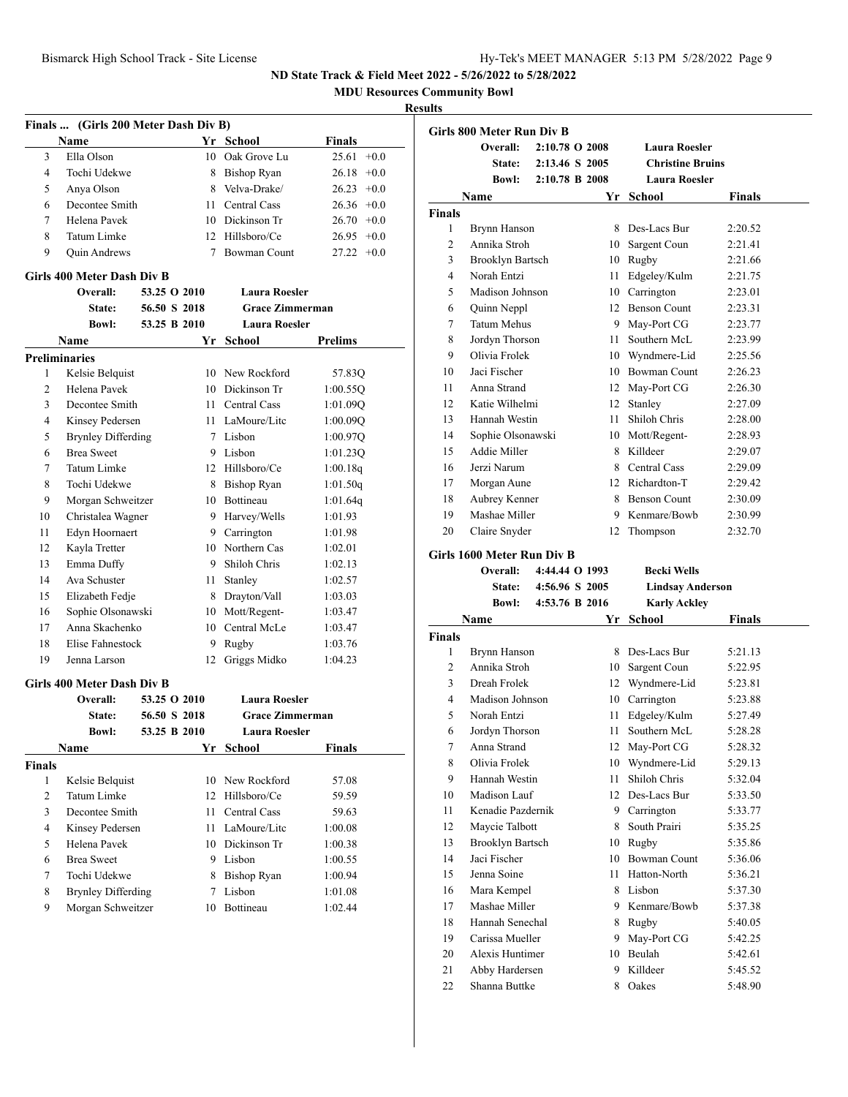**MDU Resources Community Bowl**

|                      | Finals  (Girls 200 Meter Dash Div B) |              |        |                        |                 |  |
|----------------------|--------------------------------------|--------------|--------|------------------------|-----------------|--|
|                      | Name                                 |              |        | Yr School              | <b>Finals</b>   |  |
| 3                    | Ella Olson                           |              |        | 10 Oak Grove Lu        | 25.61<br>$+0.0$ |  |
| 4                    | Tochi Udekwe                         |              |        | 8 Bishop Ryan          | $26.18 + 0.0$   |  |
| 5                    | Anya Olson                           |              |        | 8 Velva-Drake/         | $26.23 +0.0$    |  |
| 6                    | Decontee Smith                       |              | 11     | Central Cass           | $26.36 + 0.0$   |  |
| 7                    | Helena Pavek                         |              |        | 10 Dickinson Tr        | $26.70 +0.0$    |  |
| 8                    | Tatum Limke                          |              |        | 12 Hillsboro/Ce        | $26.95 +0.0$    |  |
| 9                    | <b>Quin Andrews</b>                  |              | $\tau$ | <b>Bowman Count</b>    | $27.22 +0.0$    |  |
|                      | Girls 400 Meter Dash Div B           |              |        |                        |                 |  |
|                      | Overall:                             | 53.25 O 2010 |        | <b>Laura Roesler</b>   |                 |  |
|                      | State:                               | 56.50 S 2018 |        | <b>Grace Zimmerman</b> |                 |  |
|                      | <b>Bowl:</b>                         | 53.25 B 2010 |        | <b>Laura Roesler</b>   |                 |  |
|                      | Name                                 |              | Yr     | School                 | Prelims         |  |
| <b>Preliminaries</b> |                                      |              |        |                        |                 |  |
| 1                    | Kelsie Belquist                      |              |        | 10 New Rockford        | 57.83Q          |  |
| 2                    | Helena Pavek                         |              |        | 10 Dickinson Tr        | 1:00.55Q        |  |
| 3                    | Decontee Smith                       |              | 11.    | Central Cass           | 1:01.09Q        |  |
| 4                    | Kinsey Pedersen                      |              |        | 11 LaMoure/Lite        | 1:00.09Q        |  |
| 5                    | <b>Brynley Differding</b>            |              |        | 7 Lisbon               | 1:00.97Q        |  |
| 6                    | <b>Brea Sweet</b>                    |              |        | 9 Lisbon               | 1:01.23Q        |  |
| 7                    | Tatum Limke                          |              |        | 12 Hillsboro/Ce        | 1:00.18q        |  |
| 8                    | Tochi Udekwe                         |              |        | 8 Bishop Ryan          | 1:01.50q        |  |
| 9                    | Morgan Schweitzer                    |              |        | 10 Bottineau           | 1:01.64q        |  |
| 10                   | Christalea Wagner                    |              |        | 9 Harvey/Wells         | 1:01.93         |  |
| 11                   | Edyn Hoornaert                       |              |        | 9 Carrington           | 1:01.98         |  |
| 12                   | Kayla Tretter                        |              |        | 10 Northern Cas        | 1:02.01         |  |
| 13                   | Emma Duffy                           |              |        | 9 Shiloh Chris         | 1:02.13         |  |
| 14                   | Ava Schuster                         |              | 11 -   | Stanley                | 1:02.57         |  |
| 15                   | Elizabeth Fedje                      |              |        | 8 Drayton/Vall         | 1:03.03         |  |
| 16                   | Sophie Olsonawski                    |              |        | 10 Mott/Regent-        | 1:03.47         |  |
| 17                   | Anna Skachenko                       |              |        | 10 Central McLe        | 1:03.47         |  |
| 18                   | Elise Fahnestock                     |              |        | 9 Rugby                | 1:03.76         |  |
| 19                   | Jenna Larson                         |              | 12     | Griggs Midko           | 1:04.23         |  |
|                      | Girls 400 Meter Dash Div B           |              |        |                        |                 |  |
|                      | Overall:                             | 53.25 O 2010 |        | <b>Laura Roesler</b>   |                 |  |
|                      | State:                               | 56.50 S 2018 |        | <b>Grace Zimmerman</b> |                 |  |
|                      | <b>Bowl:</b>                         | 53.25 B 2010 |        | Laura Roesler          |                 |  |
|                      | Name                                 |              |        |                        | <b>Finals</b>   |  |
|                      |                                      |              | Yr     | <b>School</b>          |                 |  |
| <b>Finals</b><br>1   | Kelsie Belquist                      |              | 10     | New Rockford           | 57.08           |  |
| $\overline{c}$       | Tatum Limke                          |              | 12     | Hillsboro/Ce           | 59.59           |  |
| 3                    | Decontee Smith                       |              | 11     | Central Cass           | 59.63           |  |
| 4                    | Kinsey Pedersen                      |              | 11 -   | LaMoure/Litc           | 1:00.08         |  |
|                      | Helena Pavek                         |              |        | 10 Dickinson Tr        |                 |  |
| 5                    |                                      |              |        |                        | 1:00.38         |  |
| 6                    | <b>Brea Sweet</b>                    |              |        | 9 Lisbon               | 1:00.55         |  |
| 7                    | Tochi Udekwe                         |              | 8      | <b>Bishop Ryan</b>     | 1:00.94         |  |
| 8                    | <b>Brynley Differding</b>            |              | 7      | Lisbon                 | 1:01.08         |  |
| 9                    | Morgan Schweitzer                    |              | 10     | Bottineau              | 1:02.44         |  |

|                | <b>Girls 800 Meter Run Div B</b> |                |      |                         |         |
|----------------|----------------------------------|----------------|------|-------------------------|---------|
|                | Overall:                         | 2:10.78 O 2008 |      | <b>Laura Roesler</b>    |         |
|                | State:                           | 2:13.46 S 2005 |      | <b>Christine Bruins</b> |         |
|                | <b>Bowl:</b>                     | 2:10.78 B 2008 |      | <b>Laura Roesler</b>    |         |
|                | Name                             |                | Yr   | <b>School</b>           | Finals  |
| <b>Finals</b>  |                                  |                |      |                         |         |
| 1              | Brynn Hanson                     |                |      | 8 Des-Lacs Bur          | 2:20.52 |
| 2              | Annika Stroh                     |                |      | 10 Sargent Coun         | 2:21.41 |
| 3              | <b>Brooklyn Bartsch</b>          |                |      | 10 Rugby                | 2:21.66 |
| 4              | Norah Entzi                      |                | 11 - | Edgeley/Kulm            | 2:21.75 |
| 5              | Madison Johnson                  |                |      | 10 Carrington           | 2:23.01 |
| 6              | Quinn Neppl                      |                |      | 12 Benson Count         | 2:23.31 |
| 7              | <b>Tatum Mehus</b>               |                |      | 9 May-Port CG           | 2:23.77 |
| 8              | Jordyn Thorson                   |                |      | 11 Southern McL         | 2:23.99 |
| 9              | Olivia Frolek                    |                |      | 10 Wyndmere-Lid         | 2:25.56 |
| 10             | Jaci Fischer                     |                |      | 10 Bowman Count         | 2:26.23 |
| 11             | Anna Strand                      |                |      | 12 May-Port CG          | 2:26.30 |
| 12             | Katie Wilhelmi                   |                |      | 12 Stanley              | 2:27.09 |
| 13             | Hannah Westin                    |                | 11   | Shiloh Chris            | 2:28.00 |
| 14             | Sophie Olsonawski                |                |      | 10 Mott/Regent-         | 2:28.93 |
| 15             | Addie Miller                     |                |      | 8 Killdeer              | 2:29.07 |
| 16             | Jerzi Narum                      |                |      | 8 Central Cass          | 2:29.09 |
| 17             | Morgan Aune                      |                |      | 12 Richardton-T         | 2:29.42 |
| 18             | Aubrey Kenner                    |                |      | 8 Benson Count          | 2:30.09 |
| 19             | Mashae Miller                    |                |      | 9 Kenmare/Bowb          | 2:30.99 |
| 20             | Claire Snyder                    |                | 12   | Thompson                | 2:32.70 |
|                | Girls 1600 Meter Run Div B       |                |      |                         |         |
|                | Overall:                         | 4:44.44 O 1993 |      | <b>Becki Wells</b>      |         |
|                | <b>State:</b>                    | 4:56.96 S 2005 |      | <b>Lindsay Anderson</b> |         |
|                | <b>Bowl:</b>                     | 4:53.76 B 2016 |      | <b>Karly Ackley</b>     |         |
|                | Name                             |                | Yr   | <b>School</b>           | Finals  |
| <b>Finals</b>  |                                  |                |      |                         |         |
| 1              | Brynn Hanson                     |                |      | 8 Des-Lacs Bur          | 5:21.13 |
| $\overline{2}$ | Annika Stroh                     |                |      | 10 Sargent Coun         | 5:22.95 |
| 3              | Dreah Frolek                     |                |      | 12 Wyndmere-Lid         | 5:23.81 |
| 4              | Madison Johnson                  |                |      | 10 Carrington           | 5:23.88 |
| 5              | Norah Entzi                      |                | 11 - | Edgeley/Kulm            | 5:27.49 |
| 6              | Jordyn Thorson                   |                | 11   | Southern McL            | 5:28.28 |
| 7              | Anna Strand                      |                |      | 12 May-Port CG          | 5:28.32 |
| 8              | Olivia Frolek                    |                | 10   | Wyndmere-Lid            | 5:29.13 |
| 9              | Hannah Westin                    |                | 11   | Shiloh Chris            | 5:32.04 |
| 10             | Madison Lauf                     |                |      | 12 Des-Lacs Bur         | 5:33.50 |
| 11             | Kenadie Pazdernik                |                |      | 9 Carrington            | 5:33.77 |
| 12             | Maycie Talbott                   |                |      | 8 South Prairi          | 5:35.25 |
| 13             | <b>Brooklyn Bartsch</b>          |                |      | 10 Rugby                | 5:35.86 |
| 14             | Jaci Fischer                     |                |      | 10 Bowman Count         | 5:36.06 |
| 15             | Jenna Soine                      |                |      | 11 Hatton-North         | 5:36.21 |
| 16             | Mara Kempel                      |                |      | 8 Lisbon                | 5:37.30 |
| 17             | Mashae Miller                    |                |      | 9 Kenmare/Bowb          | 5:37.38 |
| 18             | Hannah Senechal                  |                | 8    | Rugby                   | 5:40.05 |
| 19             | Carissa Mueller                  |                | 9.   | May-Port CG             | 5:42.25 |
| 20             | Alexis Huntimer                  |                |      | 10 Beulah               | 5:42.61 |
| 21             | Abby Hardersen                   |                |      | 9 Killdeer              | 5:45.52 |
|                | Shanna Buttke                    |                | 8    | Oakes                   | 5:48.90 |
| 22             |                                  |                |      |                         |         |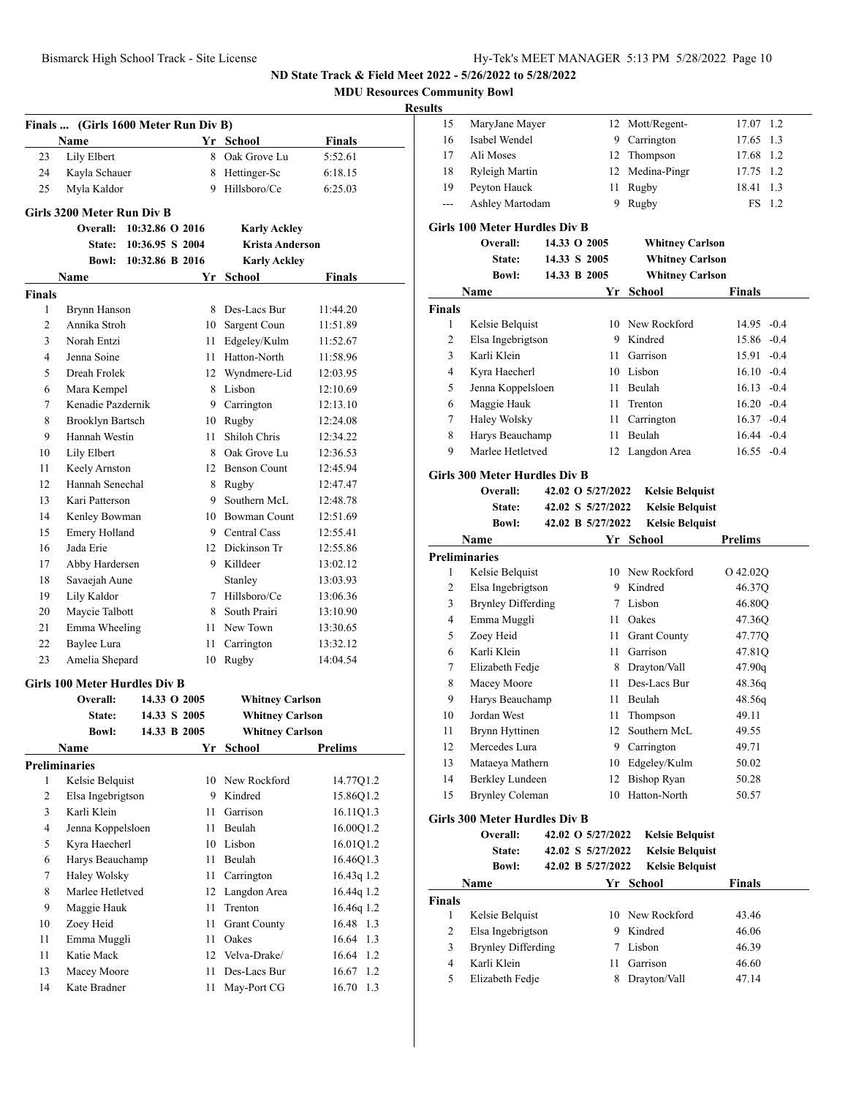| <b>MDU Resources Community Bowl</b> |  |  |
|-------------------------------------|--|--|
|-------------------------------------|--|--|

## **Results**

|               | Finals  (Girls 1600 Meter Run Div B) |                 |    |                        |                |
|---------------|--------------------------------------|-----------------|----|------------------------|----------------|
|               | Name                                 |                 |    | Yr School              | <b>Finals</b>  |
| 23            | Lily Elbert                          |                 |    | 8 Oak Grove Lu         | 5:52.61        |
| 24            | Kayla Schauer                        |                 |    | 8 Hettinger-Sc         | 6:18.15        |
| 25            | Myla Kaldor                          |                 |    | 9 Hillsboro/Ce         | 6:25.03        |
|               |                                      |                 |    |                        |                |
|               | Girls 3200 Meter Run Div B           |                 |    |                        |                |
|               | <b>Overall:</b>                      | 10:32.86 O 2016 |    | <b>Karly Ackley</b>    |                |
|               | <b>State:</b>                        | 10:36.95 S 2004 |    | <b>Krista Anderson</b> |                |
|               | Bowl:                                | 10:32.86 B 2016 |    | <b>Karly Ackley</b>    |                |
|               | Name                                 |                 | Yr | School                 | <b>Finals</b>  |
| <b>Finals</b> |                                      |                 |    |                        |                |
| 1             | Brynn Hanson                         |                 | 8  | Des-Lacs Bur           | 11:44.20       |
| 2             | Annika Stroh                         |                 |    | 10 Sargent Coun        | 11:51.89       |
| 3             | Norah Entzi                          |                 |    | 11 Edgeley/Kulm        | 11:52.67       |
| 4             | Jenna Soine                          |                 |    | 11 Hatton-North        | 11:58.96       |
| 5             | Dreah Frolek                         |                 |    | 12 Wyndmere-Lid        | 12:03.95       |
| 6             | Mara Kempel                          |                 |    | 8 Lisbon               | 12:10.69       |
| 7             | Kenadie Pazdernik                    |                 |    | 9 Carrington           | 12:13.10       |
| 8             | Brooklyn Bartsch                     |                 |    | 10 Rugby               | 12:24.08       |
| 9             | Hannah Westin                        |                 | 11 | Shiloh Chris           | 12:34.22       |
| 10            | Lily Elbert                          |                 |    | 8 Oak Grove Lu         | 12:36.53       |
| 11            | Keely Arnston                        |                 |    | 12 Benson Count        | 12:45.94       |
| 12            | Hannah Senechal                      |                 |    | 8 Rugby                | 12:47.47       |
| 13            | Kari Patterson                       |                 |    | 9 Southern McL         | 12:48.78       |
| 14            | Kenley Bowman                        |                 |    | 10 Bowman Count        | 12:51.69       |
| 15            | Emery Holland                        |                 |    | 9 Central Cass         | 12:55.41       |
| 16            | Jada Erie                            |                 |    | 12 Dickinson Tr        | 12:55.86       |
| 17            | Abby Hardersen                       |                 |    | 9 Killdeer             | 13:02.12       |
| 18            | Savaejah Aune                        |                 |    | Stanley                | 13:03.93       |
| 19            | Lily Kaldor                          |                 |    | 7 Hillsboro/Ce         | 13:06.36       |
| 20            | Maycie Talbott                       |                 |    | 8 South Prairi         | 13:10.90       |
| 21            | Emma Wheeling                        |                 |    | 11 New Town            | 13:30.65       |
| 22            | Baylee Lura                          |                 | 11 | Carrington             | 13:32.12       |
| 23            | Amelia Shepard                       |                 | 10 | Rugby                  | 14:04.54       |
|               | Girls 100 Meter Hurdles Div B        |                 |    |                        |                |
|               | Overall:                             | 14.33 O 2005    |    | <b>Whitney Carlson</b> |                |
|               | State:                               | 14.33 S 2005    |    | <b>Whitney Carlson</b> |                |
|               | <b>Bowl:</b>                         | 14.33 B 2005    |    | <b>Whitney Carlson</b> |                |
|               | Name                                 |                 |    | Yr School              | <b>Prelims</b> |
|               | <b>Preliminaries</b>                 |                 |    |                        |                |
| 1             | Kelsie Belquist                      |                 |    | 10 New Rockford        | 14.77Q1.2      |
| 2             | Elsa Ingebrigtson                    |                 |    | 9 Kindred              | 15.86Q1.2      |
| 3             | Karli Klein                          |                 | 11 | Garrison               | 16.11Q1.3      |
| 4             | Jenna Koppelsloen                    |                 | 11 | Beulah                 | 16.00Q1.2      |
| 5             | Kyra Haecherl                        |                 | 10 | Lisbon                 | 16.01Q1.2      |
| 6             | Harys Beauchamp                      |                 | 11 | Beulah                 | 16.46Q1.3      |
| $\tau$        | Haley Wolsky                         |                 | 11 | Carrington             | 16.43q 1.2     |
| 8             | Marlee Hetletved                     |                 | 12 | Langdon Area           | 16.44q 1.2     |
| 9             | Maggie Hauk                          |                 | 11 | Trenton                | 16.46q 1.2     |
| 10            | Zoey Heid                            |                 | 11 | <b>Grant County</b>    | 16.48 1.3      |
| 11            | Emma Muggli                          |                 | 11 | Oakes                  | 16.64 1.3      |
| 11            | Katie Mack                           |                 | 12 | Velva-Drake/           | 16.64 1.2      |
| 13            | Macey Moore                          |                 | 11 | Des-Lacs Bur           | 16.67<br>1.2   |
| 14            | Kate Bradner                         |                 | 11 | May-Port CG            | 16.70 1.3      |

| ĽS    |                 |   |                 |           |  |
|-------|-----------------|---|-----------------|-----------|--|
| 15    | MaryJane Mayer  |   | 12 Mott/Regent- | 17.07 1.2 |  |
| 16    | Isabel Wendel   |   | 9 Carrington    | 17.65 1.3 |  |
| 17    | Ali Moses       |   | 12 Thompson     | 17.68 1.2 |  |
| 18    | Ryleigh Martin  |   | 12 Medina-Pingr | 17.75 1.2 |  |
| 19    | Peyton Hauck    |   | 11 Rugby        | 18.41 1.3 |  |
| $---$ | Ashley Martodam | 9 | Rugby           | FS 1.2    |  |

### **Girls 100 Meter Hurdles Div B**

|                               | Overall:            | 14.33 O 2005 |    | <b>Whitney Carlson</b> |               |
|-------------------------------|---------------------|--------------|----|------------------------|---------------|
|                               | State:              | 14.33 S 2005 |    | <b>Whitney Carlson</b> |               |
|                               | <b>Bowl:</b>        | 14.33 B 2005 |    | <b>Whitney Carlson</b> |               |
|                               | Name                |              | Yr | School                 | Finals        |
| <b>Finals</b>                 |                     |              |    |                        |               |
| 1                             | Kelsie Belquist     |              |    | 10 New Rockford        | $14.95 - 0.4$ |
| 2                             | Elsa Ingebrigtson   |              | 9  | Kindred                | 15.86 -0.4    |
| 3                             | Karli Klein         |              | 11 | Garrison               | $15.91 - 0.4$ |
| 4                             | Kyra Haecherl       |              | 10 | Lisbon                 | $16.10 - 0.4$ |
| 5                             | Jenna Koppelsloen   |              | 11 | <b>Beulah</b>          | $16.13 - 0.4$ |
| 6                             | Maggie Hauk         |              | 11 | Trenton                | $16.20 -0.4$  |
| 7                             | <b>Haley Wolsky</b> |              | 11 | Carrington             | $16.37 - 0.4$ |
| 8                             | Harys Beauchamp     |              | 11 | Beulah                 | $16.44 - 0.4$ |
| 9                             | Marlee Hetletved    |              |    | 12 Langdon Area        | $16.55 - 0.4$ |
| Girls 300 Meter Hurdles Div B |                     |              |    |                        |               |

## **Overall: 42.02 O 5/27/2022 Kelsie Belquist**

| <b>State:</b> | 42.02 S 5/27/2022 | <b>Kelsie Belquist</b> |
|---------------|-------------------|------------------------|
| Bowl:         | 42.02 B 5/27/2022 | <b>Kelsie Belquist</b> |

|  | <b>TANA D</b> JIAHAVAA | <b>INU</b> |
|--|------------------------|------------|
|  |                        | Vr School  |

|                                                                                          | Name                      | Yr | School              | <b>Prelims</b> |  |  |
|------------------------------------------------------------------------------------------|---------------------------|----|---------------------|----------------|--|--|
|                                                                                          | <b>Preliminaries</b>      |    |                     |                |  |  |
| 1                                                                                        | Kelsie Belquist           | 10 | New Rockford        | O 42.02Q       |  |  |
| 2                                                                                        | Elsa Ingebrigtson         | 9  | Kindred             | 46.37Q         |  |  |
| 3                                                                                        | <b>Brynley Differding</b> | 7  | Lisbon              | 46.80Q         |  |  |
| 4                                                                                        | Emma Muggli               | 11 | Oakes               | 47.36Q         |  |  |
| 5                                                                                        | Zoey Heid                 | 11 | <b>Grant County</b> | 47.77Q         |  |  |
| 6                                                                                        | Karli Klein               | 11 | Garrison            | 47.81Q         |  |  |
| 7                                                                                        | Elizabeth Fedje           | 8  | Drayton/Vall        | 47.90q         |  |  |
| 8                                                                                        | Macey Moore               | 11 | Des-Lacs Bur        | 48.36q         |  |  |
| 9                                                                                        | Harys Beauchamp           | 11 | Beulah              | 48.56g         |  |  |
| 10                                                                                       | Jordan West               | 11 | Thompson            | 49.11          |  |  |
| 11                                                                                       | Brynn Hyttinen            | 12 | Southern McL        | 49.55          |  |  |
| 12                                                                                       | Mercedes Lura             | 9  | Carrington          | 49.71          |  |  |
| 13                                                                                       | Mataeya Mathern           | 10 | Edgeley/Kulm        | 50.02          |  |  |
| 14                                                                                       | Berkley Lundeen           | 12 | <b>Bishop Ryan</b>  | 50.28          |  |  |
| 15                                                                                       | <b>Brynley Coleman</b>    | 10 | Hatton-North        | 50.57          |  |  |
| Girls 300 Meter Hurdles Div B<br>42.02 O 5/27/2022<br>Overall:<br><b>Kelsie Belquist</b> |                           |    |                     |                |  |  |

|               | State:             | 42.02 S 5/27/2022 | <b>Kelsie Belguist</b> |               |
|---------------|--------------------|-------------------|------------------------|---------------|
|               | <b>Bowl:</b>       | 42.02 B 5/27/2022 | <b>Kelsie Belguist</b> |               |
|               | Name               | Yr                | School                 | <b>Finals</b> |
| <b>Finals</b> |                    |                   |                        |               |
|               | Kelsie Belquist    |                   | 10 New Rockford        | 43.46         |
| 2             | Elsa Ingebrigtson  | 9                 | Kindred                | 46.06         |
| 3             | Brynley Differding |                   | Lisbon                 | 46.39         |
| 4             | Karli Klein        | 11                | Garrison               | 46.60         |
| 5             | Elizabeth Fedje    | 8                 | Drayton/Vall           | 47.14         |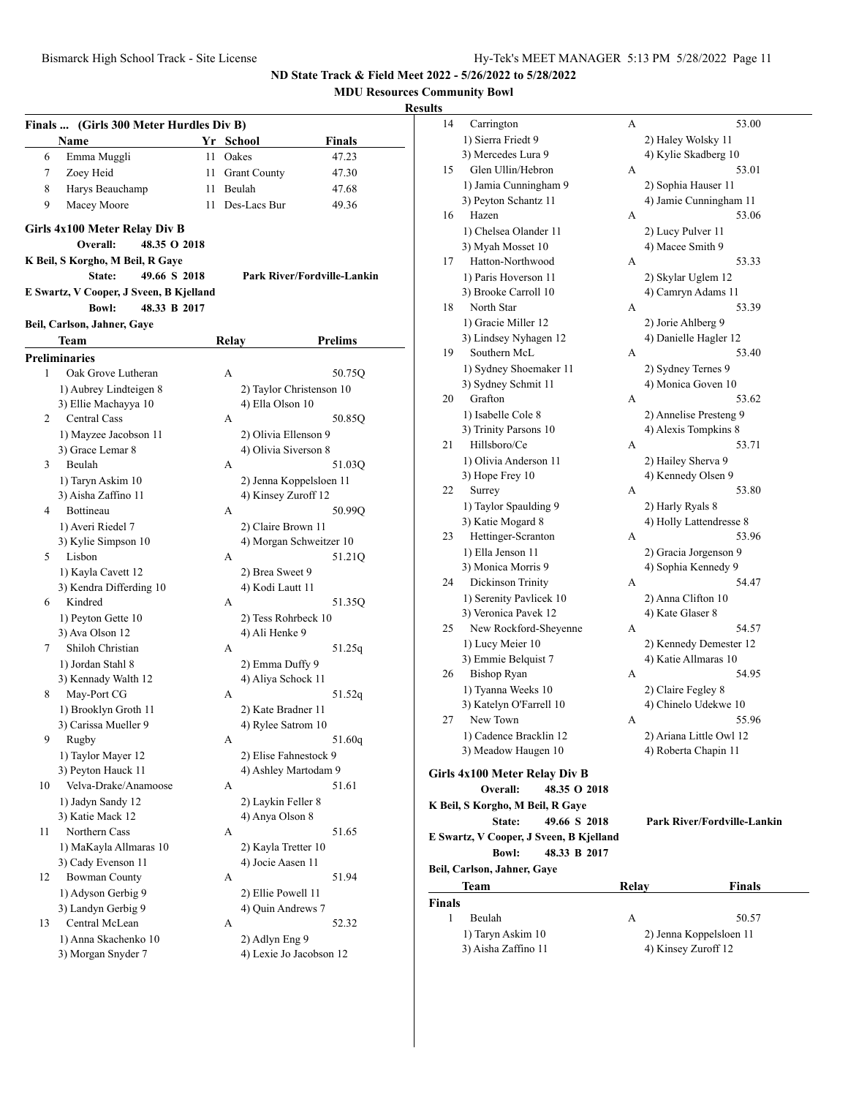**MDU Resources Community Bowl**

|    | Finals  (Girls 300 Meter Hurdles Div B) |     |                          |                                    |
|----|-----------------------------------------|-----|--------------------------|------------------------------------|
|    | Name                                    |     | Yr School                | <b>Finals</b>                      |
| 6  | Emma Muggli                             | 11  | Oakes                    | 47.23                              |
| 7  | Zoey Heid                               | 11  | <b>Grant County</b>      | 47.30                              |
|    |                                         |     | Beulah                   |                                    |
| 8  | Harys Beauchamp                         | 11  |                          | 47.68                              |
| 9  | Macey Moore                             | 11. | Des-Lacs Bur             | 49.36                              |
|    | Girls 4x100 Meter Relay Div B           |     |                          |                                    |
|    | Overall:<br>48.35 O 2018                |     |                          |                                    |
|    | K Beil, S Korgho, M Beil, R Gaye        |     |                          |                                    |
|    | 49.66 S 2018<br>State:                  |     |                          | <b>Park River/Fordville-Lankin</b> |
|    | E Swartz, V Cooper, J Sveen, B Kjelland |     |                          |                                    |
|    | <b>Bowl:</b><br>48.33 B 2017            |     |                          |                                    |
|    | Beil, Carlson, Jahner, Gaye             |     |                          |                                    |
|    |                                         |     |                          |                                    |
|    | Team                                    |     | Relay                    | Prelims                            |
|    | <b>Preliminaries</b>                    |     |                          |                                    |
| 1  | Oak Grove Lutheran                      |     | A                        | 50.75Q                             |
|    | 1) Aubrey Lindteigen 8                  |     | 2) Taylor Christenson 10 |                                    |
|    | 3) Ellie Machayya 10                    |     | 4) Ella Olson 10         |                                    |
| 2  | <b>Central Cass</b>                     |     | А                        | 50.85Q                             |
|    | 1) Mayzee Jacobson 11                   |     | 2) Olivia Ellenson 9     |                                    |
|    | 3) Grace Lemar 8                        |     | 4) Olivia Siverson 8     |                                    |
| 3  | Beulah                                  |     | А                        | 51.03Q                             |
|    | 1) Taryn Askim 10                       |     | 2) Jenna Koppelsloen 11  |                                    |
|    | 3) Aisha Zaffino 11                     |     | 4) Kinsey Zuroff 12      |                                    |
| 4  | Bottineau                               |     | А                        | 50.99Q                             |
|    | 1) Averi Riedel 7                       |     | 2) Claire Brown 11       |                                    |
|    | 3) Kylie Simpson 10                     |     | 4) Morgan Schweitzer 10  |                                    |
| 5  | Lisbon                                  |     | А                        | 51.21Q                             |
|    | 1) Kayla Cavett 12                      |     | 2) Brea Sweet 9          |                                    |
|    | 3) Kendra Differding 10                 |     | 4) Kodi Lautt 11         |                                    |
| 6  | Kindred                                 |     | A                        | 51.35Q                             |
|    | 1) Peyton Gette 10                      |     | 2) Tess Rohrbeck 10      |                                    |
|    | 3) Ava Olson 12                         |     | 4) Ali Henke 9           |                                    |
| 7  | Shiloh Christian                        |     | A                        | 51.25q                             |
|    | 1) Jordan Stahl 8                       |     |                          |                                    |
|    |                                         |     | 2) Emma Duffy 9          |                                    |
|    | 3) Kennady Walth 12                     |     | 4) Aliya Schock 11<br>A  |                                    |
| 8  | May-Port CG                             |     |                          | 51.52q                             |
|    | 1) Brooklyn Groth 11                    |     | 2) Kate Bradner 11       |                                    |
|    | 3) Carissa Mueller 9                    |     | 4) Rylee Satrom 10       |                                    |
| 9  | Rugby                                   |     | А                        | 51.60q                             |
|    | 1) Taylor Mayer 12                      |     | 2) Elise Fahnestock 9    |                                    |
|    | 3) Peyton Hauck 11                      |     | 4) Ashley Martodam 9     |                                    |
| 10 | Velva-Drake/Anamoose                    |     | А                        | 51.61                              |
|    | 1) Jadyn Sandy 12                       |     | 2) Laykin Feller 8       |                                    |
|    | 3) Katie Mack 12                        |     | 4) Anya Olson 8          |                                    |
| 11 | Northern Cass                           |     | А                        | 51.65                              |
|    | 1) MaKayla Allmaras 10                  |     | 2) Kayla Tretter 10      |                                    |
|    | 3) Cady Evenson 11                      |     | 4) Jocie Aasen 11        |                                    |
| 12 | <b>Bowman County</b>                    |     | А                        | 51.94                              |
|    | 1) Adyson Gerbig 9                      |     | 2) Ellie Powell 11       |                                    |
|    | 3) Landyn Gerbig 9                      |     | 4) Quin Andrews 7        |                                    |
| 13 | Central McLean                          |     | А                        | 52.32                              |
|    | 1) Anna Skachenko 10                    |     | 2) Adlyn Eng 9           |                                    |
|    | 3) Morgan Snyder 7                      |     | 4) Lexie Jo Jacobson 12  |                                    |
|    |                                         |     |                          |                                    |

| 14           | Carrington                              | А     | 53.00                       |
|--------------|-----------------------------------------|-------|-----------------------------|
|              | 1) Sierra Friedt 9                      |       | 2) Haley Wolsky 11          |
|              | 3) Mercedes Lura 9                      |       | 4) Kylie Skadberg 10        |
| 15           | Glen Ullin/Hebron                       | А     | 53.01                       |
|              | 1) Jamia Cunningham 9                   |       | 2) Sophia Hauser 11         |
|              | 3) Peyton Schantz 11                    |       | 4) Jamie Cunningham 11      |
| 16           | Hazen                                   | А     | 53.06                       |
|              | 1) Chelsea Olander 11                   |       | 2) Lucy Pulver 11           |
|              | 3) Myah Mosset 10                       |       | 4) Macee Smith 9            |
| 17           | Hatton-Northwood                        | А     | 53.33                       |
|              | 1) Paris Hoverson 11                    |       | 2) Skylar Uglem 12          |
|              | 3) Brooke Carroll 10                    |       | 4) Camryn Adams 11          |
| 18           | North Star                              | А     | 53.39                       |
|              | 1) Gracie Miller 12                     |       | 2) Jorie Ahlberg 9          |
|              | 3) Lindsey Nyhagen 12                   |       | 4) Danielle Hagler 12       |
| 19           | Southern McL                            | A     | 53.40                       |
|              | 1) Sydney Shoemaker 11                  |       | 2) Sydney Ternes 9          |
|              | 3) Sydney Schmit 11                     |       | 4) Monica Goven 10          |
| 20           | Grafton                                 | A     | 53.62                       |
|              | 1) Isabelle Cole 8                      |       | 2) Annelise Presteng 9      |
|              | 3) Trinity Parsons 10                   |       | 4) Alexis Tompkins 8        |
| 21           | Hillsboro/Ce                            | A     | 53.71                       |
|              | 1) Olivia Anderson 11                   |       | 2) Hailey Sherva 9          |
|              | 3) Hope Frey 10                         |       | 4) Kennedy Olsen 9          |
| 22           | Surrey                                  | А     | 53.80                       |
|              | 1) Taylor Spaulding 9                   |       | 2) Harly Ryals 8            |
|              | 3) Katie Mogard 8                       |       | 4) Holly Lattendresse 8     |
| 23           | Hettinger-Scranton                      | A     | 53.96                       |
|              | 1) Ella Jenson 11                       |       | 2) Gracia Jorgenson 9       |
|              | 3) Monica Morris 9                      |       | 4) Sophia Kennedy 9         |
| 24           | Dickinson Trinity                       | А     | 54.47                       |
|              | 1) Serenity Pavlicek 10                 |       | 2) Anna Clifton 10          |
|              | 3) Veronica Pavek 12                    |       | 4) Kate Glaser 8            |
| 25           | New Rockford-Sheyenne                   | А     | 54.57                       |
|              | 1) Lucy Meier 10                        |       | 2) Kennedy Demester 12      |
|              | 3) Emmie Belquist 7                     |       | 4) Katie Allmaras 10        |
| 26           | <b>Bishop Ryan</b>                      | А     | 54.95                       |
|              | 1) Tyanna Weeks 10                      |       | 2) Claire Fegley 8          |
|              | 3) Katelyn O'Farrell 10                 |       | 4) Chinelo Udekwe 10        |
| 27           | New Town                                | А     | 55.96                       |
|              | 1) Cadence Bracklin 12                  |       | 2) Ariana Little Owl 12     |
|              | 3) Meadow Haugen 10                     |       | 4) Roberta Chapin 11        |
|              |                                         |       |                             |
|              | Girls 4x100 Meter Relay Div B           |       |                             |
|              | Overall:<br>48.35 O 2018                |       |                             |
|              | K Beil, S Korgho, M Beil, R Gaye        |       |                             |
|              | 49.66 S 2018<br>State:                  |       | Park River/Fordville-Lankin |
|              | E Swartz, V Cooper, J Sveen, B Kjelland |       |                             |
|              | 48.33 B 2017<br><b>Bowl:</b>            |       |                             |
|              | Beil, Carlson, Jahner, Gaye             |       |                             |
|              | Team                                    | Relay | <b>Finals</b>               |
| Finals       |                                         |       |                             |
| $\mathbf{1}$ | Beulah                                  | А     | 50.57                       |
|              | 1) Taryn Askim 10                       |       | 2) Jenna Koppelsloen 11     |
|              | 3) Aisha Zaffino 11                     |       | 4) Kinsey Zuroff 12         |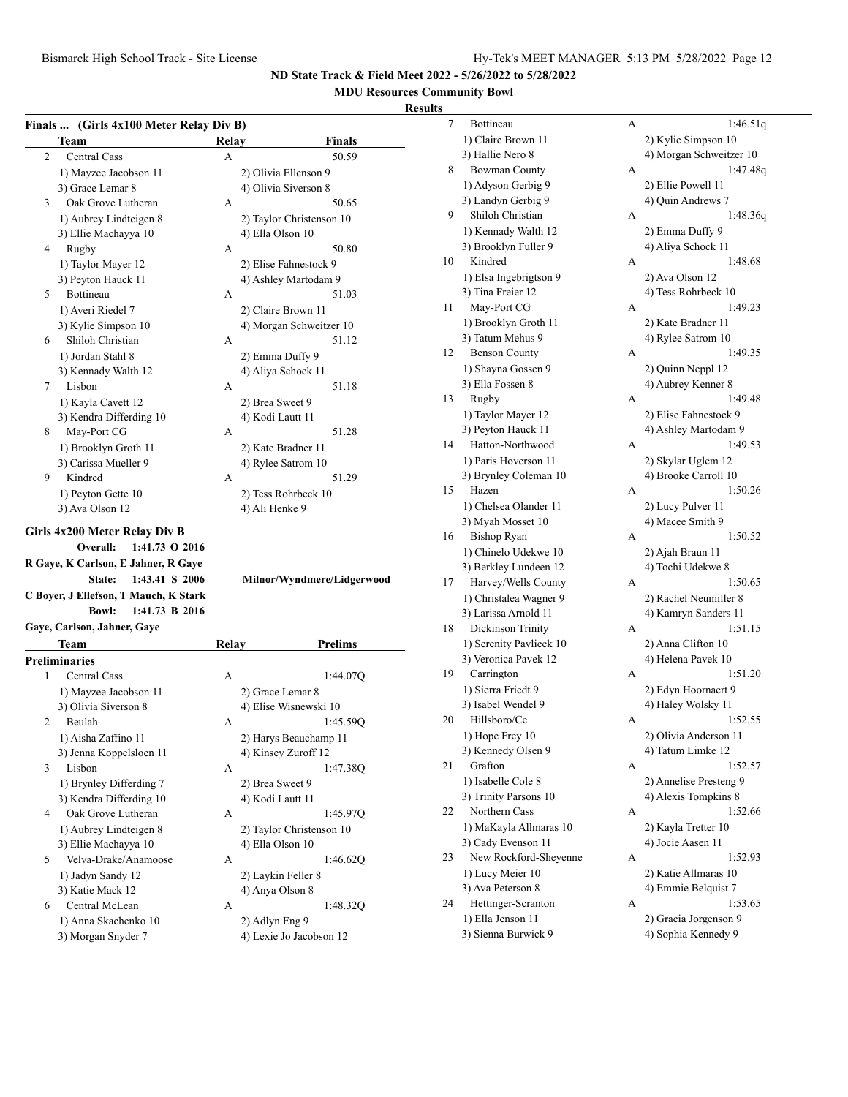#### **MDU Resources Community Bowl**

#### **Results**

| Finals  (Girls 4x100 Meter Relay Div B) |  |  |  |
|-----------------------------------------|--|--|--|
|                                         |  |  |  |

| 50.59                      |
|----------------------------|
|                            |
|                            |
| 50.65                      |
| 2) Taylor Christenson 10   |
|                            |
| 50.80                      |
|                            |
|                            |
| 51.03                      |
|                            |
| 4) Morgan Schweitzer 10    |
| 51.12                      |
|                            |
|                            |
|                            |
| 51.18                      |
|                            |
|                            |
| 51.28                      |
|                            |
|                            |
| 51.29                      |
|                            |
|                            |
| Milnor/Wyndmere/Lidgerwood |
|                            |
|                            |
| <b>Prelims</b>             |
|                            |
| 1:44.07Q                   |
|                            |
|                            |
| 1:45.59Q                   |
| 2) Harys Beauchamp 11      |
|                            |
| 1:47.38Q                   |
|                            |
|                            |
| 1:45.97Q                   |
| 2) Taylor Christenson 10   |
|                            |
| 1:46.62Q                   |
|                            |
|                            |
| 1:48.32Q                   |
|                            |
| 4) Ashley Martodam 9       |

| 7  | Bottineau               | А | 1:46.51q                |
|----|-------------------------|---|-------------------------|
|    | 1) Claire Brown 11      |   | 2) Kylie Simpson 10     |
|    | 3) Hallie Nero 8        |   | 4) Morgan Schweitzer 10 |
| 8  | <b>Bowman County</b>    | А | 1:47.48q                |
|    | 1) Adyson Gerbig 9      |   | 2) Ellie Powell 11      |
|    | 3) Landyn Gerbig 9      |   | 4) Quin Andrews 7       |
| 9  | Shiloh Christian        | А | 1:48.36q                |
|    | 1) Kennady Walth 12     |   | 2) Emma Duffy 9         |
|    | 3) Brooklyn Fuller 9    |   | 4) Aliya Schock 11      |
| 10 | Kindred                 | А | 1:48.68                 |
|    | 1) Elsa Ingebrigtson 9  |   | 2) Ava Olson 12         |
|    | 3) Tina Freier 12       |   | 4) Tess Rohrbeck 10     |
| 11 | May-Port CG             | А | 1:49.23                 |
|    | 1) Brooklyn Groth 11    |   | 2) Kate Bradner 11      |
|    | 3) Tatum Mehus 9        |   | 4) Rylee Satrom 10      |
| 12 | <b>Benson County</b>    | А | 1:49.35                 |
|    | 1) Shayna Gossen 9      |   | 2) Quinn Neppl 12       |
|    | 3) Ella Fossen 8        |   | 4) Aubrey Kenner 8      |
| 13 | Rugby                   | А | 1:49.48                 |
|    | 1) Taylor Mayer 12      |   | 2) Elise Fahnestock 9   |
|    | 3) Peyton Hauck 11      |   | 4) Ashley Martodam 9    |
| 14 | Hatton-Northwood        | А | 1:49.53                 |
|    | 1) Paris Hoverson 11    |   | 2) Skylar Uglem 12      |
|    | 3) Brynley Coleman 10   |   | 4) Brooke Carroll 10    |
| 15 | Hazen                   | А | 1:50.26                 |
|    | 1) Chelsea Olander 11   |   | 2) Lucy Pulver 11       |
|    | 3) Myah Mosset 10       |   | 4) Macee Smith 9        |
| 16 | <b>Bishop Ryan</b>      | А | 1:50.52                 |
|    | 1) Chinelo Udekwe 10    |   | 2) Ajah Braun 11        |
|    | 3) Berkley Lundeen 12   |   | 4) Tochi Udekwe 8       |
| 17 | Harvey/Wells County     | А | 1:50.65                 |
|    | 1) Christalea Wagner 9  |   | 2) Rachel Neumiller 8   |
|    | 3) Larissa Arnold 11    |   | 4) Kamryn Sanders 11    |
| 18 | Dickinson Trinity       | А | 1:51.15                 |
|    | 1) Serenity Pavlicek 10 |   | 2) Anna Clifton 10      |
|    | 3) Veronica Pavek 12    |   | 4) Helena Pavek 10      |
| 19 | Carrington              | А | 1:51.20                 |
|    | 1) Sierra Friedt 9      |   | 2) Edyn Hoornaert 9     |
|    | 3) Isabel Wendel 9      |   | 4) Haley Wolsky 11      |
| 20 | Hillsboro/Ce            | А | 1:52.55                 |
|    | 1) Hope Frey 10         |   | 2) Olivia Anderson 11   |
|    | 3) Kennedy Olsen 9      |   | 4) Tatum Limke 12       |
| 21 | Grafton                 | А | 1:52.57                 |
|    | 1) Isabelle Cole 8      |   | 2) Annelise Presteng 9  |
|    | 3) Trinity Parsons 10   |   | 4) Alexis Tompkins 8    |
| 22 | Northern Cass           | А | 1:52.66                 |
|    | 1) MaKayla Allmaras 10  |   | 2) Kayla Tretter 10     |
|    | 3) Cady Evenson 11      |   | 4) Jocie Aasen 11       |
| 23 | New Rockford-Sheyenne   | А | 1:52.93                 |
|    | 1) Lucy Meier 10        |   | 2) Katie Allmaras 10    |
|    | 3) Ava Peterson 8       |   | 4) Emmie Belquist 7     |
| 24 | Hettinger-Scranton      | А | 1:53.65                 |
|    | 1) Ella Jenson 11       |   |                         |
|    |                         |   | 2) Gracia Jorgenson 9   |
|    | 3) Sienna Burwick 9     |   | 4) Sophia Kennedy 9     |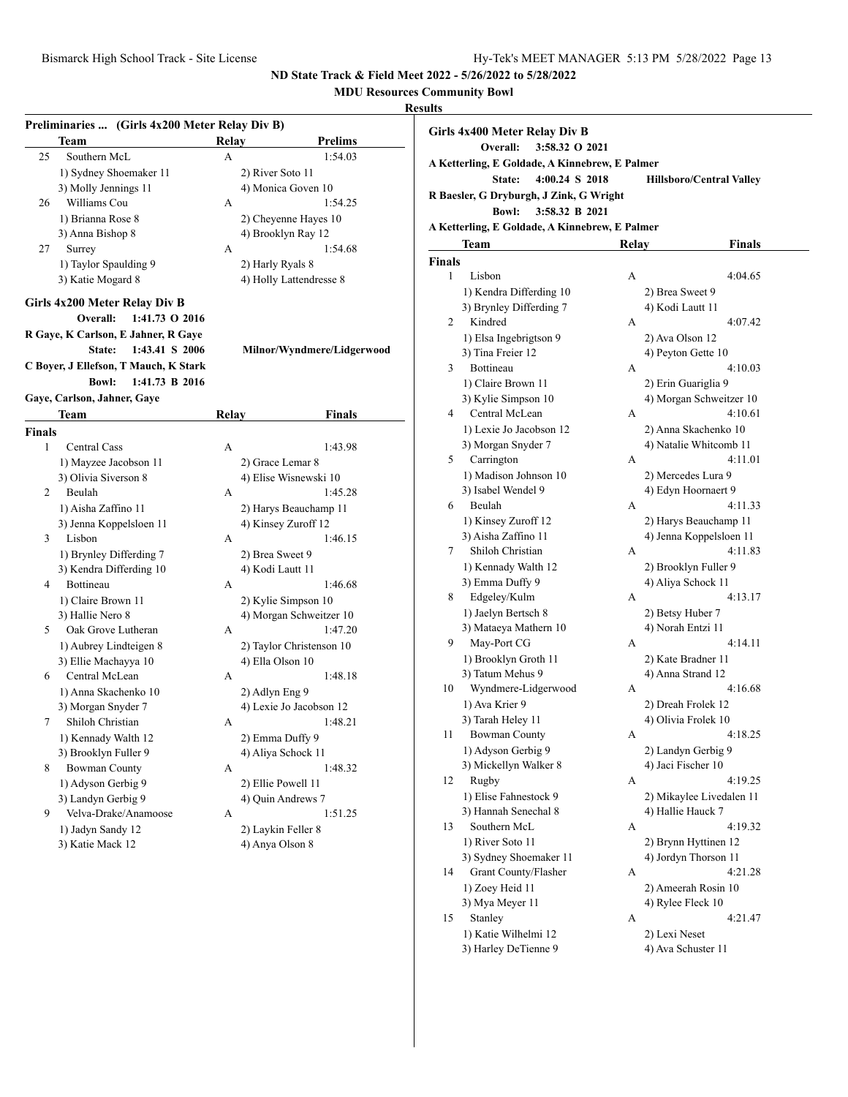## **MDU Resources Community Bowl**

| Preliminaries  (Girls 4x200 Meter Relay Div B) |                                       |              |                            |  |  |  |
|------------------------------------------------|---------------------------------------|--------------|----------------------------|--|--|--|
|                                                | Team                                  | <b>Relay</b> | Prelims                    |  |  |  |
| 25                                             | Southern McL                          | A            | 1:54.03                    |  |  |  |
|                                                | 1) Sydney Shoemaker 11                |              | 2) River Soto 11           |  |  |  |
|                                                | 3) Molly Jennings 11                  |              | 4) Monica Goven 10         |  |  |  |
| 26                                             | Williams Cou                          | А            | 1:54.25                    |  |  |  |
|                                                | 1) Brianna Rose 8                     |              | 2) Cheyenne Hayes 10       |  |  |  |
|                                                | 3) Anna Bishop 8                      |              | 4) Brooklyn Ray 12         |  |  |  |
| 27                                             | Surrey                                | А            | 1:54.68                    |  |  |  |
|                                                | 1) Taylor Spaulding 9                 |              | 2) Harly Ryals 8           |  |  |  |
|                                                | 3) Katie Mogard 8                     |              | 4) Holly Lattendresse 8    |  |  |  |
|                                                | Girls 4x200 Meter Relay Div B         |              |                            |  |  |  |
|                                                | Overall:<br>1:41.73 O 2016            |              |                            |  |  |  |
|                                                | R Gaye, K Carlson, E Jahner, R Gaye   |              |                            |  |  |  |
|                                                | State:<br>1:43.41 S 2006              |              | Milnor/Wyndmere/Lidgerwood |  |  |  |
|                                                | C Boyer, J Ellefson, T Mauch, K Stark |              |                            |  |  |  |
|                                                | <b>Bowl:</b><br>1:41.73 B 2016        |              |                            |  |  |  |
|                                                | Gaye, Carlson, Jahner, Gaye           |              |                            |  |  |  |
|                                                | Team                                  | Relay        | <b>Finals</b>              |  |  |  |
| <b>Finals</b>                                  |                                       |              |                            |  |  |  |
| 1                                              | <b>Central Cass</b>                   | А            | 1:43.98                    |  |  |  |
|                                                | 1) Mayzee Jacobson 11                 |              | 2) Grace Lemar 8           |  |  |  |
|                                                | 3) Olivia Siverson 8                  |              | 4) Elise Wisnewski 10      |  |  |  |
| 2                                              | Beulah                                | A            | 1:45.28                    |  |  |  |
|                                                | 1) Aisha Zaffino 11                   |              | 2) Harys Beauchamp 11      |  |  |  |
|                                                | 3) Jenna Koppelsloen 11               |              | 4) Kinsey Zuroff 12        |  |  |  |
| 3                                              | Lisbon                                | A            | 1:46.15                    |  |  |  |
|                                                | 1) Brynley Differding 7               |              | 2) Brea Sweet 9            |  |  |  |
|                                                | 3) Kendra Differding 10               |              | 4) Kodi Lautt 11           |  |  |  |
| 4                                              | Bottineau                             | А            | 1:46.68                    |  |  |  |
|                                                | 1) Claire Brown 11                    |              | 2) Kylie Simpson 10        |  |  |  |
|                                                | 3) Hallie Nero 8                      |              | 4) Morgan Schweitzer 10    |  |  |  |
| 5                                              | Oak Grove Lutheran                    | А            | 1:47.20                    |  |  |  |
|                                                | 1) Aubrey Lindteigen 8                |              | 2) Taylor Christenson 10   |  |  |  |
|                                                | 3) Ellie Machayya 10                  |              | 4) Ella Olson 10           |  |  |  |
| 6                                              | Central McLean                        | А            | 1:48.18                    |  |  |  |
|                                                | 1) Anna Skachenko 10                  |              | 2) Adlyn Eng 9             |  |  |  |
|                                                | 3) Morgan Snyder 7                    |              | 4) Lexie Jo Jacobson 12    |  |  |  |
| 7                                              | Shiloh Christian                      | А            | 1:48.21                    |  |  |  |
|                                                | 1) Kennady Walth 12                   |              | 2) Emma Duffy 9            |  |  |  |
|                                                | 3) Brooklyn Fuller 9                  |              | 4) Aliya Schock 11         |  |  |  |
| 8                                              | <b>Bowman County</b>                  | А            | 1:48.32                    |  |  |  |
|                                                | 1) Adyson Gerbig 9                    |              | 2) Ellie Powell 11         |  |  |  |
|                                                | 3) Landyn Gerbig 9                    |              | 4) Quin Andrews 7          |  |  |  |
| 9                                              | Velva-Drake/Anamoose                  | А            | 1:51.25                    |  |  |  |
|                                                | 1) Jadyn Sandy 12                     |              | 2) Laykin Feller 8         |  |  |  |
|                                                | 3) Katie Mack 12                      |              | 4) Anya Olson 8            |  |  |  |
|                                                |                                       |              |                            |  |  |  |

|                                                | Girls 4x400 Meter Relay Div B<br>3:58.32 O 2021<br>Overall: |   |                                 |  |  |  |  |  |  |
|------------------------------------------------|-------------------------------------------------------------|---|---------------------------------|--|--|--|--|--|--|
|                                                | A Ketterling, E Goldade, A Kinnebrew, E Palmer              |   |                                 |  |  |  |  |  |  |
|                                                | 4:00.24 S 2018<br>State:                                    |   | <b>Hillsboro/Central Valley</b> |  |  |  |  |  |  |
|                                                | R Baesler, G Dryburgh, J Zink, G Wright                     |   |                                 |  |  |  |  |  |  |
|                                                | <b>Bowl:</b><br>3:58.32 B 2021                              |   |                                 |  |  |  |  |  |  |
|                                                |                                                             |   |                                 |  |  |  |  |  |  |
| A Ketterling, E Goldade, A Kinnebrew, E Palmer |                                                             |   |                                 |  |  |  |  |  |  |
| <b>Relay</b><br>Team<br>Finals                 |                                                             |   |                                 |  |  |  |  |  |  |
| <b>Finals</b>                                  |                                                             |   |                                 |  |  |  |  |  |  |
| 1                                              | Lisbon                                                      | A | 4:04.65                         |  |  |  |  |  |  |
|                                                | 1) Kendra Differding 10                                     |   | 2) Brea Sweet 9                 |  |  |  |  |  |  |
|                                                | 3) Brynley Differding 7                                     |   | 4) Kodi Lautt 11                |  |  |  |  |  |  |
| 2                                              | Kindred                                                     | A | 4:07.42                         |  |  |  |  |  |  |
|                                                | 1) Elsa Ingebrigtson 9                                      |   | 2) Ava Olson 12                 |  |  |  |  |  |  |
|                                                | 3) Tina Freier 12                                           |   | 4) Peyton Gette 10              |  |  |  |  |  |  |
| 3                                              | Bottineau                                                   | A | 4:10.03                         |  |  |  |  |  |  |
|                                                | 1) Claire Brown 11                                          |   | 2) Erin Guariglia 9             |  |  |  |  |  |  |
|                                                | 3) Kylie Simpson 10                                         |   | 4) Morgan Schweitzer 10         |  |  |  |  |  |  |
| 4                                              | Central McLean                                              | А | 4:10.61                         |  |  |  |  |  |  |
|                                                | 1) Lexie Jo Jacobson 12                                     |   | 2) Anna Skachenko 10            |  |  |  |  |  |  |
|                                                | 3) Morgan Snyder 7                                          |   | 4) Natalie Whitcomb 11          |  |  |  |  |  |  |
| 5                                              | Carrington                                                  | А | 4:11.01                         |  |  |  |  |  |  |
|                                                | 1) Madison Johnson 10                                       |   | 2) Mercedes Lura 9              |  |  |  |  |  |  |
|                                                | 3) Isabel Wendel 9                                          |   | 4) Edyn Hoornaert 9             |  |  |  |  |  |  |
| 6                                              | Beulah                                                      | А | 4:11.33                         |  |  |  |  |  |  |
|                                                | 1) Kinsey Zuroff 12                                         |   | 2) Harys Beauchamp 11           |  |  |  |  |  |  |
|                                                | 3) Aisha Zaffino 11                                         |   | 4) Jenna Koppelsloen 11         |  |  |  |  |  |  |
| 7                                              | Shiloh Christian                                            | A | 4:11.83                         |  |  |  |  |  |  |
|                                                | 1) Kennady Walth 12                                         |   | 2) Brooklyn Fuller 9            |  |  |  |  |  |  |
|                                                | 3) Emma Duffy 9                                             |   | 4) Aliya Schock 11              |  |  |  |  |  |  |
| 8                                              | Edgeley/Kulm                                                | А | 4:13.17                         |  |  |  |  |  |  |
|                                                | 1) Jaelyn Bertsch 8                                         |   | 2) Betsy Huber 7                |  |  |  |  |  |  |
|                                                | 3) Mataeya Mathern 10                                       |   | 4) Norah Entzi 11               |  |  |  |  |  |  |
| 9.                                             | May-Port CG                                                 | А | 4:14.11                         |  |  |  |  |  |  |
|                                                | 1) Brooklyn Groth 11                                        |   | 2) Kate Bradner 11              |  |  |  |  |  |  |
|                                                | 3) Tatum Mehus 9                                            |   | 4) Anna Strand 12               |  |  |  |  |  |  |
| 10                                             | Wyndmere-Lidgerwood                                         | А | 4:16.68                         |  |  |  |  |  |  |
|                                                | 1) Ava Krier 9                                              |   | 2) Dreah Frolek 12              |  |  |  |  |  |  |
|                                                | 3) Tarah Heley 11                                           |   | 4) Olivia Frolek 10             |  |  |  |  |  |  |
| 11                                             | Bowman County                                               | А | 4:18.25                         |  |  |  |  |  |  |
|                                                | 1) Adyson Gerbig 9                                          |   | 2) Landyn Gerbig 9              |  |  |  |  |  |  |
|                                                | 3) Mickellyn Walker 8                                       |   | 4) Jaci Fischer 10              |  |  |  |  |  |  |
| 12                                             | Rugby                                                       | А | 4:19.25                         |  |  |  |  |  |  |
|                                                | 1) Elise Fahnestock 9                                       |   | 2) Mikaylee Livedalen 11        |  |  |  |  |  |  |
|                                                | 3) Hannah Senechal 8                                        |   | 4) Hallie Hauck 7               |  |  |  |  |  |  |
| 13                                             | Southern McL                                                | А | 4:19.32                         |  |  |  |  |  |  |
|                                                | 1) River Soto 11                                            |   | 2) Brynn Hyttinen 12            |  |  |  |  |  |  |
|                                                | 3) Sydney Shoemaker 11                                      |   | 4) Jordyn Thorson 11            |  |  |  |  |  |  |
| 14                                             | Grant County/Flasher                                        | А | 4:21.28                         |  |  |  |  |  |  |
|                                                | 1) Zoey Heid 11                                             |   | 2) Ameerah Rosin 10             |  |  |  |  |  |  |
|                                                | 3) Mya Meyer 11                                             |   | 4) Rylee Fleck 10               |  |  |  |  |  |  |
| 15                                             | Stanley                                                     | А | 4:21.47                         |  |  |  |  |  |  |
|                                                | 1) Katie Wilhelmi 12                                        |   | 2) Lexi Neset                   |  |  |  |  |  |  |
|                                                | 3) Harley DeTienne 9                                        |   | 4) Ava Schuster 11              |  |  |  |  |  |  |
|                                                |                                                             |   |                                 |  |  |  |  |  |  |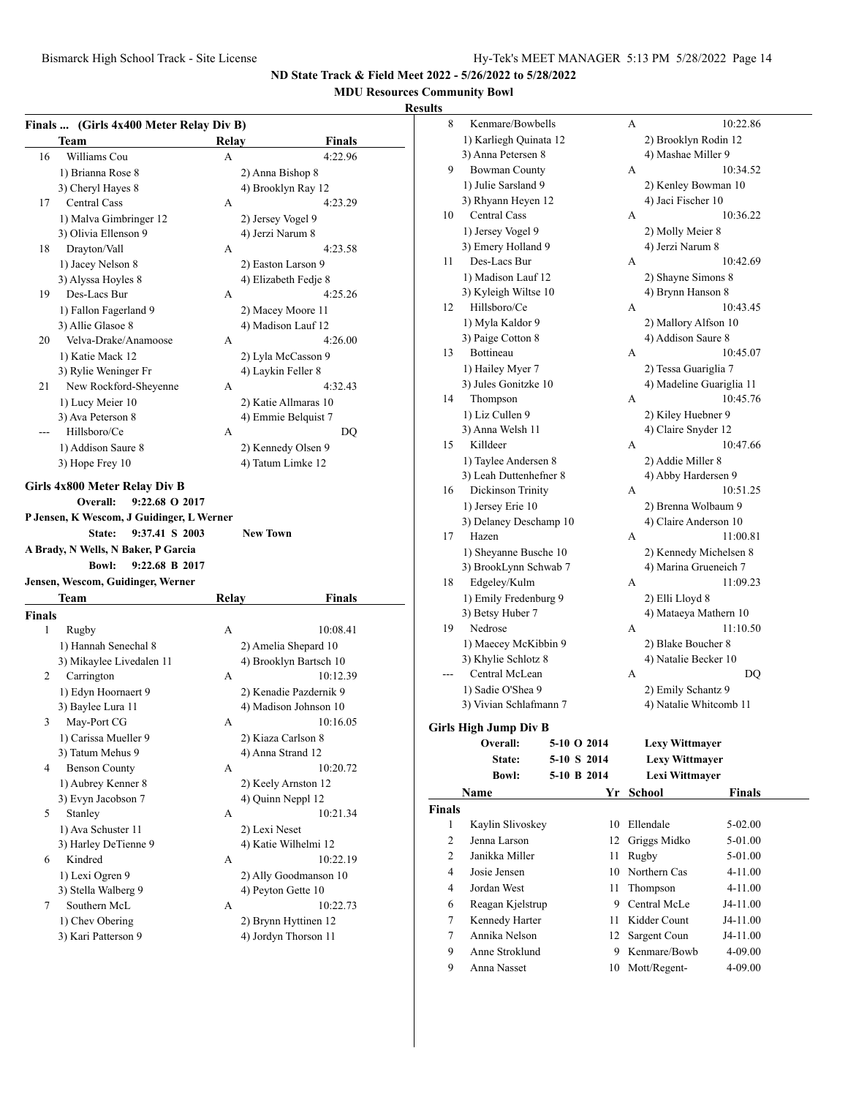## **MDU Resources Community Bowl**

| 16<br>17<br>18<br>19<br>20 | Team<br>Williams Cou<br>1) Brianna Rose 8<br>3) Cheryl Hayes 8<br><b>Central Cass</b><br>1) Malva Gimbringer 12<br>3) Olivia Ellenson 9<br>Drayton/Vall<br>1) Jacey Nelson 8<br>3) Alyssa Hoyles 8<br>Des-Lacs Bur<br>1) Fallon Fagerland 9<br>3) Allie Glasoe 8 | Relay<br>А<br>A<br>A<br>А | Finals<br>4:22.96<br>2) Anna Bishop 8<br>4) Brooklyn Ray 12<br>4:23.29<br>2) Jersey Vogel 9<br>4) Jerzi Narum 8<br>4:23.58<br>2) Easton Larson 9 |
|----------------------------|------------------------------------------------------------------------------------------------------------------------------------------------------------------------------------------------------------------------------------------------------------------|---------------------------|--------------------------------------------------------------------------------------------------------------------------------------------------|
|                            |                                                                                                                                                                                                                                                                  |                           |                                                                                                                                                  |
|                            |                                                                                                                                                                                                                                                                  |                           |                                                                                                                                                  |
|                            |                                                                                                                                                                                                                                                                  |                           |                                                                                                                                                  |
|                            |                                                                                                                                                                                                                                                                  |                           |                                                                                                                                                  |
|                            |                                                                                                                                                                                                                                                                  |                           |                                                                                                                                                  |
|                            |                                                                                                                                                                                                                                                                  |                           |                                                                                                                                                  |
|                            |                                                                                                                                                                                                                                                                  |                           |                                                                                                                                                  |
|                            |                                                                                                                                                                                                                                                                  |                           |                                                                                                                                                  |
|                            |                                                                                                                                                                                                                                                                  |                           |                                                                                                                                                  |
|                            |                                                                                                                                                                                                                                                                  |                           | 4) Elizabeth Fedje 8<br>4:25.26                                                                                                                  |
|                            |                                                                                                                                                                                                                                                                  |                           |                                                                                                                                                  |
|                            |                                                                                                                                                                                                                                                                  |                           | 2) Macey Moore 11                                                                                                                                |
|                            |                                                                                                                                                                                                                                                                  |                           | 4) Madison Lauf 12                                                                                                                               |
|                            | Velva-Drake/Anamoose                                                                                                                                                                                                                                             | А                         | 4:26.00                                                                                                                                          |
|                            | 1) Katie Mack 12                                                                                                                                                                                                                                                 |                           | 2) Lyla McCasson 9                                                                                                                               |
|                            | 3) Rylie Weninger Fr                                                                                                                                                                                                                                             |                           | 4) Laykin Feller 8                                                                                                                               |
| 21                         | New Rockford-Sheyenne                                                                                                                                                                                                                                            | А                         | 4:32.43                                                                                                                                          |
|                            | 1) Lucy Meier 10                                                                                                                                                                                                                                                 |                           | 2) Katie Allmaras 10                                                                                                                             |
|                            | 3) Ava Peterson 8                                                                                                                                                                                                                                                |                           | 4) Emmie Belquist 7                                                                                                                              |
|                            | Hillsboro/Ce                                                                                                                                                                                                                                                     | А                         | DO                                                                                                                                               |
|                            | 1) Addison Saure 8                                                                                                                                                                                                                                               |                           | 2) Kennedy Olsen 9                                                                                                                               |
|                            | 3) Hope Frey 10                                                                                                                                                                                                                                                  |                           | 4) Tatum Limke 12                                                                                                                                |
|                            | <b>Bowl:</b><br>9:22.68 B 2017<br>Jensen, Wescom, Guidinger, Werner                                                                                                                                                                                              |                           |                                                                                                                                                  |
|                            | Team                                                                                                                                                                                                                                                             | Relay                     | Finals                                                                                                                                           |
| <b>Finals</b>              |                                                                                                                                                                                                                                                                  |                           |                                                                                                                                                  |
| 1                          | Rugby                                                                                                                                                                                                                                                            | A                         | 10:08.41                                                                                                                                         |
|                            | 1) Hannah Senechal 8                                                                                                                                                                                                                                             |                           | 2) Amelia Shepard 10                                                                                                                             |
|                            | 3) Mikaylee Livedalen 11                                                                                                                                                                                                                                         |                           |                                                                                                                                                  |
|                            |                                                                                                                                                                                                                                                                  |                           | 4) Brooklyn Bartsch 10                                                                                                                           |
| 2                          | Carrington                                                                                                                                                                                                                                                       | А                         | 10:12.39                                                                                                                                         |
|                            | 1) Edyn Hoornaert 9                                                                                                                                                                                                                                              |                           | 2) Kenadie Pazdernik 9                                                                                                                           |
|                            | 3) Baylee Lura 11                                                                                                                                                                                                                                                |                           | 4) Madison Johnson 10                                                                                                                            |
| 3                          | May-Port CG                                                                                                                                                                                                                                                      | А                         | 10:16.05                                                                                                                                         |
|                            |                                                                                                                                                                                                                                                                  |                           | 2) Kiaza Carlson 8                                                                                                                               |
|                            | 1) Carissa Mueller 9<br>3) Tatum Mehus 9                                                                                                                                                                                                                         |                           | 4) Anna Strand 12                                                                                                                                |
| 4                          | <b>Benson County</b>                                                                                                                                                                                                                                             | А                         |                                                                                                                                                  |
|                            |                                                                                                                                                                                                                                                                  |                           |                                                                                                                                                  |
|                            | 1) Aubrey Kenner 8<br>3) Evyn Jacobson 7                                                                                                                                                                                                                         |                           | 2) Keely Arnston 12<br>4) Quinn Neppl 12                                                                                                         |
| 5                          | Stanley                                                                                                                                                                                                                                                          | А                         |                                                                                                                                                  |
|                            |                                                                                                                                                                                                                                                                  |                           | 2) Lexi Neset                                                                                                                                    |
|                            | 1) Ava Schuster 11                                                                                                                                                                                                                                               |                           | 10:20.72                                                                                                                                         |
| 6                          | 3) Harley DeTienne 9<br>Kindred                                                                                                                                                                                                                                  | А                         | 4) Katie Wilhelmi 12                                                                                                                             |
|                            |                                                                                                                                                                                                                                                                  |                           | 2) Ally Goodmanson 10                                                                                                                            |
|                            | 1) Lexi Ogren 9                                                                                                                                                                                                                                                  |                           | 4) Peyton Gette 10                                                                                                                               |
| 7                          | 3) Stella Walberg 9<br>Southern McL                                                                                                                                                                                                                              | А                         | 10:22.73                                                                                                                                         |
|                            | 1) Chev Obering                                                                                                                                                                                                                                                  |                           | 10:21.34<br>10:22.19<br>2) Brynn Hyttinen 12                                                                                                     |

| 8             | Kenmare/Bowbells             |             | А |                          | 10:22.86      |  |
|---------------|------------------------------|-------------|---|--------------------------|---------------|--|
|               | 1) Karliegh Quinata 12       |             |   | 2) Brooklyn Rodin 12     |               |  |
|               | 3) Anna Petersen 8           |             |   | 4) Mashae Miller 9       |               |  |
| 9             | <b>Bowman County</b>         |             | А |                          | 10:34.52      |  |
|               | 1) Julie Sarsland 9          |             |   | 2) Kenley Bowman 10      |               |  |
|               | 3) Rhyann Heyen 12           |             |   | 4) Jaci Fischer 10       |               |  |
| 10            | <b>Central Cass</b>          |             | А |                          | 10:36.22      |  |
|               | 1) Jersey Vogel 9            |             |   | 2) Molly Meier 8         |               |  |
|               | 3) Emery Holland 9           |             |   | 4) Jerzi Narum 8         |               |  |
| 11            | Des-Lacs Bur                 |             | А |                          | 10:42.69      |  |
|               | 1) Madison Lauf 12           |             |   | 2) Shayne Simons 8       |               |  |
|               | 3) Kyleigh Wiltse 10         |             |   | 4) Brynn Hanson 8        |               |  |
| 12            | Hillsboro/Ce                 |             | А |                          | 10:43.45      |  |
|               | 1) Myla Kaldor 9             |             |   | 2) Mallory Alfson 10     |               |  |
|               | 3) Paige Cotton 8            |             |   | 4) Addison Saure 8       |               |  |
| 13            | Bottineau                    |             | А |                          | 10:45.07      |  |
|               | 1) Hailey Myer 7             |             |   | 2) Tessa Guariglia 7     |               |  |
|               | 3) Jules Gonitzke 10         |             |   | 4) Madeline Guariglia 11 |               |  |
| 14            | Thompson                     |             | А |                          | 10:45.76      |  |
|               | 1) Liz Cullen 9              |             |   | 2) Kiley Huebner 9       |               |  |
|               | 3) Anna Welsh 11             |             |   | 4) Claire Snyder 12      |               |  |
| 15            | Killdeer                     |             | А |                          | 10:47.66      |  |
|               | 1) Taylee Andersen 8         |             |   | 2) Addie Miller 8        |               |  |
|               | 3) Leah Duttenhefner 8       |             |   | 4) Abby Hardersen 9      |               |  |
| 16            | Dickinson Trinity            |             | А |                          | 10:51.25      |  |
|               | 1) Jersey Erie 10            |             |   | 2) Brenna Wolbaum 9      |               |  |
|               | 3) Delaney Deschamp 10       |             |   | 4) Claire Anderson 10    |               |  |
| 17            | Hazen                        |             | А |                          | 11:00.81      |  |
|               | 1) Sheyanne Busche 10        |             |   | 2) Kennedy Michelsen 8   |               |  |
|               | 3) BrookLynn Schwab 7        |             |   | 4) Marina Grueneich 7    |               |  |
| 18            | Edgeley/Kulm                 |             | А | 11:09.23                 |               |  |
|               | 1) Emily Fredenburg 9        |             |   | 2) Elli Lloyd 8          |               |  |
|               | 3) Betsy Huber 7             |             |   | 4) Mataeya Mathern 10    |               |  |
| 19            | Nedrose                      |             | A | 11:10.50                 |               |  |
|               | 1) Maecey McKibbin 9         |             |   | 2) Blake Boucher 8       |               |  |
|               | 3) Khylie Schlotz 8          |             |   | 4) Natalie Becker 10     |               |  |
| $---$         | Central McLean               |             | А | DQ                       |               |  |
|               | 1) Sadie O'Shea 9            |             |   | 2) Emily Schantz 9       |               |  |
|               | 3) Vivian Schlafmann 7       |             |   | 4) Natalie Whitcomb 11   |               |  |
|               | <b>Girls High Jump Div B</b> |             |   |                          |               |  |
|               | Overall:                     | 5-10 O 2014 |   | <b>Lexy Wittmayer</b>    |               |  |
|               | State:                       | 5-10 S 2014 |   | <b>Lexy Wittmayer</b>    |               |  |
|               | <b>Bowl:</b>                 | 5-10 B 2014 |   | Lexi Wittmayer           |               |  |
|               | Name                         | Yr          |   | <b>School</b>            | <b>Finals</b> |  |
| <b>Finals</b> |                              |             |   |                          |               |  |
| 1             | Kaylin Slivoskey             | 10          |   | Ellendale                | 5-02.00       |  |
| 2             | Jenna Larson                 | 12          |   | Griggs Midko             | 5-01.00       |  |
| 2             | Janikka Miller               | 11          |   | Rugby                    | 5-01.00       |  |
| 4             | Josie Jensen                 | 10          |   | Northern Cas             | 4-11.00       |  |
| 4             | Jordan West                  | 11          |   | Thompson                 | 4-11.00       |  |
| 6             | Reagan Kjelstrup             | 9           |   | Central McLe             | J4-11.00      |  |
| $\tau$        | Kennedy Harter               | 11          |   | Kidder Count             | J4-11.00      |  |
| $\tau$        | Annika Nelson                |             |   |                          |               |  |
|               |                              | 12          |   | Sargent Coun             | J4-11.00      |  |
| 9             | Anne Stroklund               | 9           |   | Kenmare/Bowb             | 4-09.00       |  |
| 9             | Anna Nasset                  | 10          |   | Mott/Regent-             | 4-09.00       |  |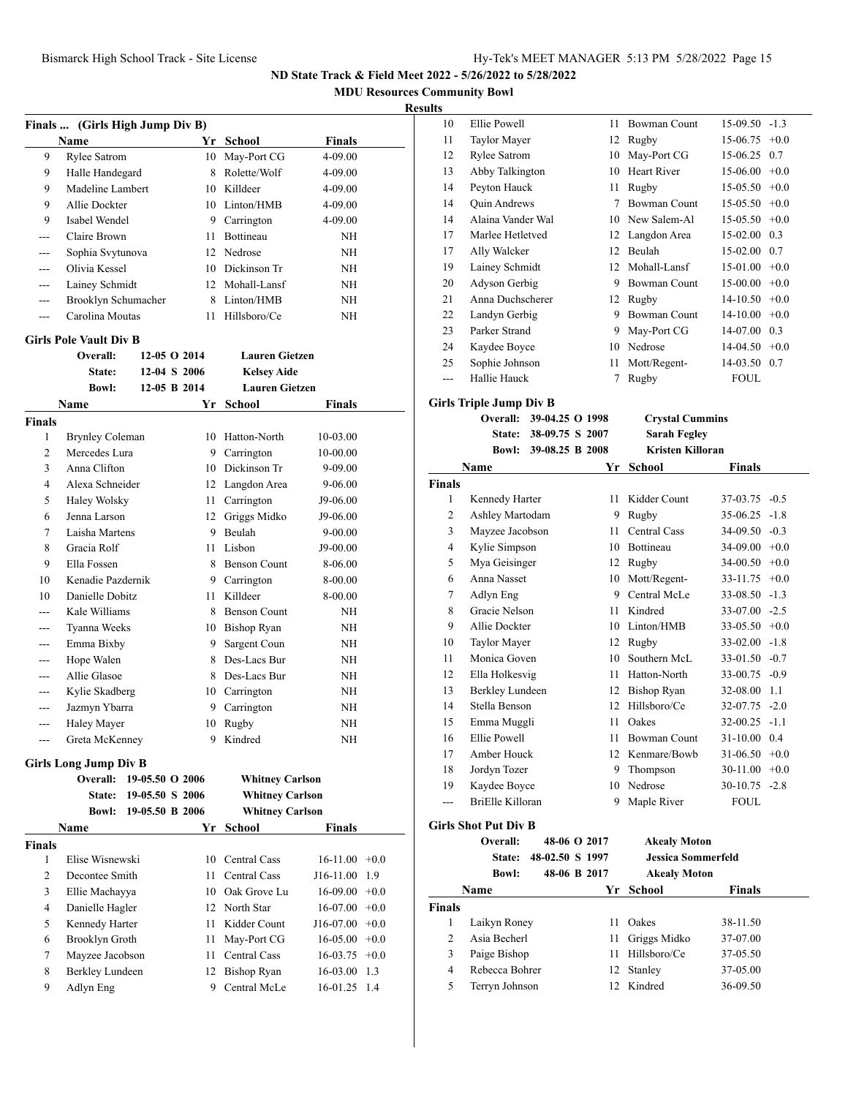**MDU Resources Community Bowl**

#### **Results**

| Finals  (Girls High Jump Div B) |                                          |                                    |              |                                                  |               |        |  |  |
|---------------------------------|------------------------------------------|------------------------------------|--------------|--------------------------------------------------|---------------|--------|--|--|
|                                 | Name                                     |                                    |              | Yr School                                        | <b>Finals</b> |        |  |  |
| 9                               | <b>Rylee Satrom</b>                      |                                    | 10           | May-Port CG                                      | 4-09.00       |        |  |  |
| 9                               | Halle Handegard                          |                                    | 8.           | Rolette/Wolf                                     | 4-09.00       |        |  |  |
| 9                               | Madeline Lambert                         |                                    |              | 10 Killdeer                                      | 4-09.00       |        |  |  |
| 9                               | Allie Dockter                            |                                    |              | 10 Linton/HMB                                    | 4-09.00       |        |  |  |
| 9                               | Isabel Wendel                            |                                    |              | 9 Carrington                                     | 4-09.00       |        |  |  |
| $- - -$                         | Claire Brown                             |                                    |              | 11 Bottineau                                     | NH            |        |  |  |
| $---$                           | Sophia Svytunova                         |                                    |              | 12 Nedrose                                       | NH            |        |  |  |
| ---                             | Olivia Kessel                            |                                    |              | 10 Dickinson Tr                                  | NΗ            |        |  |  |
| $---$                           | Lainey Schmidt                           |                                    |              | 12 Mohall-Lansf                                  | <b>NH</b>     |        |  |  |
| ---                             | Brooklyn Schumacher                      |                                    |              | 8 Linton/HMB                                     | NΗ            |        |  |  |
| $---$                           | Carolina Moutas                          |                                    | 11.          | Hillsboro/Ce                                     | <b>NH</b>     |        |  |  |
|                                 | <b>Girls Pole Vault Div B</b>            |                                    |              |                                                  |               |        |  |  |
|                                 | Overall:                                 |                                    | 12-05 O 2014 | <b>Lauren Gietzen</b>                            |               |        |  |  |
|                                 | State:                                   |                                    | 12-04 S 2006 | <b>Kelsey Aide</b>                               |               |        |  |  |
|                                 | <b>Bowl:</b>                             |                                    | 12-05 B 2014 | <b>Lauren Gietzen</b>                            |               |        |  |  |
|                                 | Name                                     |                                    |              | Yr School                                        | Finals        |        |  |  |
| <b>Finals</b>                   |                                          |                                    |              |                                                  |               |        |  |  |
| 1                               | <b>Brynley Coleman</b>                   |                                    |              | 10 Hatton-North                                  | 10-03.00      |        |  |  |
| $\overline{c}$                  | Mercedes Lura                            |                                    |              | 9 Carrington                                     | 10-00.00      |        |  |  |
| 3                               | Anna Clifton                             |                                    |              | 10 Dickinson Tr                                  | 9-09.00       |        |  |  |
| $\overline{4}$                  | Alexa Schneider                          |                                    |              | 12 Langdon Area                                  | 9-06.00       |        |  |  |
| 5                               | Haley Wolsky                             |                                    |              | 11 Carrington                                    | J9-06.00      |        |  |  |
| 6                               | Jenna Larson                             |                                    |              | 12 Griggs Midko                                  | J9-06.00      |        |  |  |
| 7                               | Laisha Martens                           |                                    |              | 9 Beulah                                         | 9-00.00       |        |  |  |
| 8                               | Gracia Rolf                              |                                    |              | 11 Lisbon                                        | J9-00.00      |        |  |  |
| 9                               | Ella Fossen                              |                                    |              | 8 Benson Count                                   | 8-06.00       |        |  |  |
| 10                              | Kenadie Pazdernik                        |                                    |              | 9 Carrington                                     | 8-00.00       |        |  |  |
| 10                              | Danielle Dobitz                          |                                    | 11.          | Killdeer                                         | 8-00.00       |        |  |  |
| ---                             | Kale Williams                            |                                    |              | 8 Benson Count                                   | NH            |        |  |  |
|                                 |                                          |                                    |              |                                                  |               |        |  |  |
| ---                             | Tyanna Weeks                             |                                    |              | 10 Bishop Ryan                                   | NΗ            |        |  |  |
| ---                             | Emma Bixby                               |                                    | 9.           | Sargent Coun                                     | NH            |        |  |  |
| ---                             | Hope Walen                               |                                    |              | 8 Des-Lacs Bur                                   | NΗ            |        |  |  |
| ---                             | Allie Glasoe                             |                                    |              | 8 Des-Lacs Bur                                   | NΗ            |        |  |  |
| ---                             | Kylie Skadberg                           |                                    |              | 10 Carrington                                    | NΗ            |        |  |  |
| ---                             | Jazmyn Ybarra                            |                                    |              | 9 Carrington                                     | NΗ            |        |  |  |
| $---$                           | Haley Mayer                              |                                    |              | 10 Rugby                                         | ΝH            |        |  |  |
|                                 | Greta McKenney                           |                                    |              | 9 Kindred                                        | NΗ            |        |  |  |
|                                 | <b>Girls Long Jump Div B</b><br>Overall: |                                    |              |                                                  |               |        |  |  |
|                                 | State:                                   | 19-05.50 O 2006<br>19-05.50 S 2006 |              | <b>Whitney Carlson</b><br><b>Whitney Carlson</b> |               |        |  |  |
|                                 | <b>Bowl:</b>                             |                                    |              |                                                  |               |        |  |  |
|                                 |                                          | 19-05.50 B 2006                    |              | <b>Whitney Carlson</b>                           |               |        |  |  |
|                                 | Name                                     |                                    |              | Yr School                                        | <b>Finals</b> |        |  |  |
| <b>Finals</b>                   |                                          |                                    |              |                                                  |               |        |  |  |
| 1                               | Elise Wisnewski                          |                                    | 10           | Central Cass                                     | 16-11.00      | $+0.0$ |  |  |
| 2                               | Decontee Smith                           |                                    | 11           | Central Cass                                     | J16-11.00     | 1.9    |  |  |
| 3                               | Ellie Machayya                           |                                    |              | 10 Oak Grove Lu                                  | 16-09.00      | $+0.0$ |  |  |
| 4                               | Danielle Hagler                          |                                    |              | 12 North Star                                    | 16-07.00      | $+0.0$ |  |  |
| 5                               | Kennedy Harter                           |                                    | 11           | Kidder Count                                     | J16-07.00     | $+0.0$ |  |  |
| 6                               | Brooklyn Groth                           |                                    | 11           | May-Port CG                                      | 16-05.00      | $+0.0$ |  |  |
| 7                               | Mayzee Jacobson                          |                                    | 11           | Central Cass                                     | 16-03.75      | $+0.0$ |  |  |
| 8                               | Berkley Lundeen                          |                                    | 12           | <b>Bishop Ryan</b>                               | 16-03.00      | 1.3    |  |  |
| 9                               | Adlyn Eng                                |                                    | 9            | Central McLe                                     | 16-01.25      | 1.4    |  |  |

| пs  |                         |    |                     |                  |     |
|-----|-------------------------|----|---------------------|------------------|-----|
| 10  | Ellie Powell            | 11 | <b>Bowman Count</b> | $15-09.50 -1.3$  |     |
| 11  | Taylor Mayer            | 12 | Rugby               | $15-06.75 +0.0$  |     |
| 12  | <b>Rylee Satrom</b>     | 10 | May-Port CG         | 15-06.25 0.7     |     |
| 13  | Abby Talkington         | 10 | Heart River         | $15-06.00 + 0.0$ |     |
| 14  | Peyton Hauck            | 11 | Rugby               | $15-05.50 +0.0$  |     |
| 14  | <b>Quin Andrews</b>     | 7  | <b>Bowman Count</b> | $15-05.50 +0.0$  |     |
| 14  | Alaina Vander Wal       |    | 10 New Salem-Al     | $15-05.50 +0.0$  |     |
| 17  | Marlee Hetletved        | 12 | Langdon Area        | $15-02.00$ 0.3   |     |
| 17  | Ally Walcker            | 12 | Beulah              | 15-02.00 0.7     |     |
| 19  | Lainey Schmidt          | 12 | Mohall-Lansf        | $15-01.00 +0.0$  |     |
| 20  | Adyson Gerbig           | 9  | <b>Bowman Count</b> | $15-00.00 + 0.0$ |     |
| 21  | Anna Duchscherer        | 12 | Rugby               | $14-10.50 +0.0$  |     |
| 22  | Landyn Gerbig           | 9  | <b>Bowman Count</b> | $14-10.00 +0.0$  |     |
| 23  | Parker Strand           | 9  | May-Port CG         | 14-07.00         | 0.3 |
| 24  | Kaydee Boyce            | 10 | Nedrose             | $14-04.50 +0.0$  |     |
| 25  | Sophie Johnson          | 11 | Mott/Regent-        | 14-03.50 0.7     |     |
| --- | Hallie Hauck            | 7  | Rugby               | <b>FOUL</b>      |     |
|     | Girls Triple Jump Div B |    |                     |                  |     |

|                | Overall:         | 39-04.25 O 1998 |    | <b>Crystal Cummins</b>  |                  |        |
|----------------|------------------|-----------------|----|-------------------------|------------------|--------|
|                | State:           | 38-09.75 S 2007 |    | <b>Sarah Fegley</b>     |                  |        |
|                | <b>Bowl:</b>     | 39-08.25 B 2008 |    | <b>Kristen Killoran</b> |                  |        |
|                | Name             |                 | Yr | <b>School</b>           | <b>Finals</b>    |        |
| <b>Finals</b>  |                  |                 |    |                         |                  |        |
| 1              | Kennedy Harter   |                 | 11 | Kidder Count            | 37-03.75         | $-0.5$ |
| $\overline{c}$ | Ashley Martodam  |                 | 9  | Rugby                   | 35-06.25         | $-1.8$ |
| 3              | Mayzee Jacobson  |                 | 11 | Central Cass            | 34-09.50         | $-0.3$ |
| 4              | Kylie Simpson    |                 | 10 | <b>Bottineau</b>        | $34-09.00 +0.0$  |        |
| 5              | Mya Geisinger    |                 | 12 | Rugby                   | 34-00.50         | $+0.0$ |
| 6              | Anna Nasset      |                 | 10 | Mott/Regent-            | 33-11.75         | $+0.0$ |
| 7              | Adlyn Eng        |                 | 9  | Central McLe            | 33-08.50         | $-1.3$ |
| 8              | Gracie Nelson    |                 | 11 | Kindred                 | $33-07.00 -2.5$  |        |
| 9              | Allie Dockter    |                 | 10 | Linton/HMB              | 33-05.50         | $+0.0$ |
| 10             | Taylor Mayer     |                 | 12 | Rugby                   | $33-02.00 -1.8$  |        |
| 11             | Monica Goven     |                 | 10 | Southern McL            | $33-01.50 -0.7$  |        |
| 12             | Ella Holkesvig   |                 | 11 | Hatton-North            | $33-00.75 -0.9$  |        |
| 13             | Berkley Lundeen  |                 | 12 | <b>Bishop Ryan</b>      | 32-08.00         | 1.1    |
| 14             | Stella Benson    |                 | 12 | Hillsboro/Ce            | $32-07.75 - 2.0$ |        |
| 15             | Emma Muggli      |                 | 11 | Oakes                   | $32-00.25 -1.1$  |        |
| 16             | Ellie Powell     |                 | 11 | <b>Bowman Count</b>     | 31-10.00 0.4     |        |
| 17             | Amber Houck      |                 | 12 | Kenmare/Bowb            | $31-06.50 +0.0$  |        |
| 18             | Jordyn Tozer     |                 | 9  | Thompson                | $30-11.00 +0.0$  |        |
| 19             | Kaydee Boyce     |                 | 10 | Nedrose                 | $30-10.75 - 2.8$ |        |
| ---            | BriElle Killoran |                 | 9  | Maple River             | <b>FOUL</b>      |        |

### **Girls Shot Put Div B**

|                | Overall:<br><b>State:</b> | 48-06 O 2017<br>48-02.50 S 1997 |    | <b>Akealy Moton</b><br>Jessica Sommerfeld |               |
|----------------|---------------------------|---------------------------------|----|-------------------------------------------|---------------|
|                | <b>Bowl:</b>              | 48-06 B 2017                    |    | <b>Akealy Moton</b>                       |               |
|                | Name                      |                                 | Yr | School                                    | <b>Finals</b> |
| <b>Finals</b>  |                           |                                 |    |                                           |               |
| 1              | Laikyn Roney              |                                 | 11 | Oakes                                     | 38-11.50      |
| $\mathfrak{D}$ | Asia Becherl              |                                 | 11 | Griggs Midko                              | 37-07.00      |
| 3              | Paige Bishop              |                                 | 11 | Hillsboro/Ce                              | 37-05.50      |
| 4              | Rebecca Bohrer            |                                 | 12 | Stanley                                   | 37-05.00      |
| 5              | Terryn Johnson            |                                 |    | 12 Kindred                                | 36-09.50      |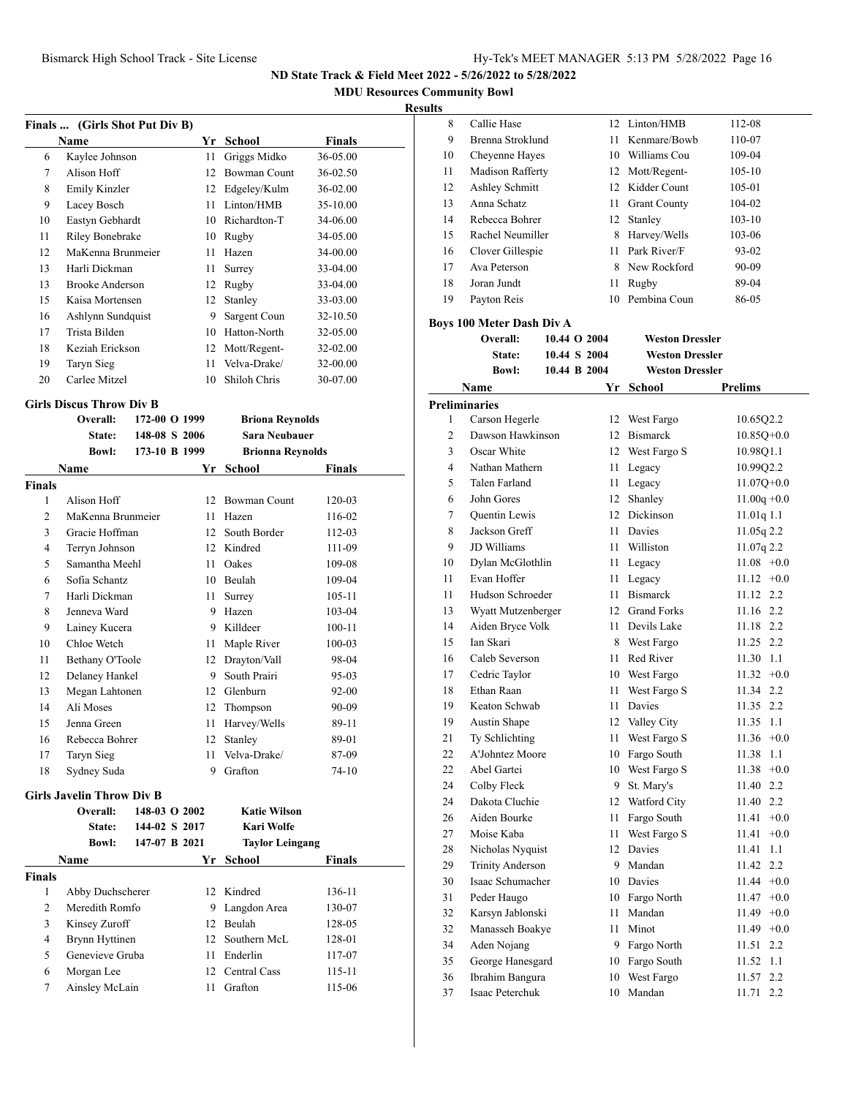**MDU Resources Community Bowl**

#### **Result**

| Finals  (Girls Shot Put Div B) |                   |    |                     |               |  |  |  |  |
|--------------------------------|-------------------|----|---------------------|---------------|--|--|--|--|
|                                | Name              | Yr | School              | <b>Finals</b> |  |  |  |  |
| 6                              | Kaylee Johnson    | 11 | Griggs Midko        | 36-05.00      |  |  |  |  |
| 7                              | Alison Hoff       | 12 | <b>Bowman Count</b> | 36-02.50      |  |  |  |  |
| 8                              | Emily Kinzler     | 12 | Edgeley/Kulm        | $36 - 02.00$  |  |  |  |  |
| 9                              | Lacey Bosch       | 11 | Linton/HMB          | 35-10.00      |  |  |  |  |
| 10                             | Eastyn Gebhardt   | 10 | Richardton-T        | 34-06.00      |  |  |  |  |
| 11                             | Riley Bonebrake   | 10 | Rugby               | 34-05.00      |  |  |  |  |
| 12                             | MaKenna Brunmeier | 11 | Hazen               | 34-00.00      |  |  |  |  |
| 13                             | Harli Dickman     | 11 | Surrey              | $33 - 04.00$  |  |  |  |  |
| 13                             | Brooke Anderson   | 12 | Rugby               | 33-04.00      |  |  |  |  |
| 15                             | Kaisa Mortensen   | 12 | Stanley             | 33-03.00      |  |  |  |  |
| 16                             | Ashlynn Sundquist | 9  | Sargent Coun        | 32-10.50      |  |  |  |  |
| 17                             | Trista Bilden     | 10 | Hatton-North        | 32-05.00      |  |  |  |  |
| 18                             | Keziah Erickson   | 12 | Mott/Regent-        | 32-02.00      |  |  |  |  |
| 19                             | Taryn Sieg        | 11 | Velva-Drake/        | 32-00.00      |  |  |  |  |
| 20                             | Carlee Mitzel     | 10 | Shiloh Chris        | 30-07.00      |  |  |  |  |

#### **Girls Discus Throw Div B**

|                | Overall:                         | 172-00 O 1999 |    | <b>Briona Reynolds</b>  |               |
|----------------|----------------------------------|---------------|----|-------------------------|---------------|
|                | State:                           | 148-08 S 2006 |    | <b>Sara Neubauer</b>    |               |
|                | <b>Bowl:</b>                     | 173-10 B 1999 |    | <b>Brionna Reynolds</b> |               |
|                | Name                             |               | Yr | School                  | <b>Finals</b> |
| <b>Finals</b>  |                                  |               |    |                         |               |
| 1              | Alison Hoff                      |               | 12 | <b>Bowman Count</b>     | 120-03        |
| $\overline{c}$ | MaKenna Brunmeier                |               | 11 | Hazen                   | 116-02        |
| 3              | Gracie Hoffman                   |               | 12 | South Border            | 112-03        |
| $\overline{4}$ | Terryn Johnson                   |               |    | 12 Kindred              | 111-09        |
| 5              | Samantha Meehl                   |               | 11 | Oakes                   | 109-08        |
| 6              | Sofia Schantz                    |               | 10 | Beulah                  | 109-04        |
| 7              | Harli Dickman                    |               | 11 | Surrey                  | 105-11        |
| 8              | Jenneva Ward                     |               | 9  | Hazen                   | 103-04        |
| 9              | Lainey Kucera                    |               | 9  | Killdeer                | $100 - 11$    |
| 10             | Chloe Wetch                      |               | 11 | Maple River             | $100 - 03$    |
| 11             | Bethany O'Toole                  |               |    | 12 Drayton/Vall         | 98-04         |
| 12             | Delaney Hankel                   |               | 9  | South Prairi            | 95-03         |
| 13             | Megan Lahtonen                   |               | 12 | Glenburn                | $92 - 00$     |
| 14             | Ali Moses                        |               | 12 | Thompson                | 90-09         |
| 15             | Jenna Green                      |               | 11 | Harvey/Wells            | 89-11         |
| 16             | Rebecca Bohrer                   |               | 12 | Stanley                 | 89-01         |
| 17             | Taryn Sieg                       |               | 11 | Velva-Drake/            | 87-09         |
| 18             | Sydney Suda                      |               | 9  | Grafton                 | $74-10$       |
|                | <b>Girls Javelin Throw Div B</b> |               |    |                         |               |
|                | Overall:                         | 148-03 O 2002 |    | <b>Katie Wilson</b>     |               |
|                | State:                           | 144-02 S 2017 |    | Kari Wolfe              |               |
|                | <b>Bowl:</b>                     | 147-07 B 2021 |    | <b>Taylor Leingang</b>  |               |
|                | <b>Name</b>                      |               | Yr | <b>School</b>           | <b>Finals</b> |
| <b>Finals</b>  |                                  |               |    |                         |               |
| 1              | Abby Duchscherer                 |               | 12 | Kindred                 | 136-11        |
| $\overline{c}$ | Meredith Romfo                   |               | 9  | Langdon Area            | 130-07        |
| 3              | Kinsey Zuroff                    |               | 12 | Beulah                  | 128-05        |

 Brynn Hyttinen 12 Southern McL 128-01 5 Genevieve Gruba 11 Enderlin 117-07 Morgan Lee 12 Central Cass 115-11 Ainsley McLain 11 Grafton 115-06

| lts |                                             |              |                     |            |
|-----|---------------------------------------------|--------------|---------------------|------------|
| 8   | Callie Hase                                 |              | 12 Linton/HMB       | 112-08     |
| 9   | Brenna Stroklund                            | 11           | Kenmare/Bowb        | 110-07     |
| 10  | Cheyenne Hayes                              | 10           | Williams Cou        | 109-04     |
| 11  | <b>Madison Rafferty</b>                     |              | 12 Mott/Regent-     | $105 - 10$ |
| 12  | Ashley Schmitt                              |              | 12 Kidder Count     | 105-01     |
| 13  | Anna Schatz                                 | 11           | <b>Grant County</b> | 104-02     |
| 14  | Rebecca Bohrer                              | 12           | Stanley             | $103 - 10$ |
| 15  | Rachel Neumiller                            | 8            | Harvey/Wells        | 103-06     |
| 16  | Clover Gillespie                            | 11           | Park River/F        | 93-02      |
| 17  | Ava Peterson                                | 8            | New Rockford        | 90-09      |
| 18  | Joran Jundt                                 | 11           | Rugby               | 89-04      |
| 19  | Payton Reis                                 | 10           | Pembina Coun        | 86-05      |
|     | Boys 100 Meter Dash Div A<br><b>Overall</b> | 10 44 O 2004 | Weston Dressler     |            |

|                | Оуеган.                 | 10.44 V 4004 | eston diessi           |                 |
|----------------|-------------------------|--------------|------------------------|-----------------|
|                | State:                  | 10.44 S 2004 | <b>Weston Dressler</b> |                 |
|                | <b>Bowl:</b>            | 10.44 B 2004 | <b>Weston Dressler</b> |                 |
|                | Name                    | Yr           | <b>School</b>          | Prelims         |
|                | <b>Preliminaries</b>    |              |                        |                 |
| 1              | Carson Hegerle          |              | 12 West Fargo          | 10.65Q2.2       |
| $\overline{c}$ | Dawson Hawkinson        |              | 12 Bismarck            | $10.85Q+0.0$    |
| 3              | Oscar White             |              | 12 West Fargo S        | 10.98Q1.1       |
| $\overline{4}$ | Nathan Mathern          | 11 -         | Legacy                 | 10.99Q2.2       |
| 5              | Talen Farland           | 11 -         | Legacy                 | $11.07Q+0.0$    |
| 6              | John Gores              |              | 12 Shanley             | $11.00q + 0.0$  |
| 7              | Quentin Lewis           |              | 12 Dickinson           | $11.01q$ 1.1    |
| 8              | Jackson Greff           |              | 11 Davies              | $11.05q$ 2.2    |
| 9              | JD Williams             | 11           | Williston              | $11.07q$ 2.2    |
| 10             | Dylan McGlothlin        |              | 11 Legacy              | $11.08 +0.0$    |
| 11             | Evan Hoffer             |              | 11 Legacy              | $11.12 +0.0$    |
| 11             | Hudson Schroeder        |              | 11 Bismarck            | 11.12 2.2       |
| 13             | Wyatt Mutzenberger      |              | 12 Grand Forks         | 11.16 2.2       |
| 14             | Aiden Bryce Volk        |              | 11 Devils Lake         | 11.18 2.2       |
| 15             | Ian Skari               |              | 8 West Fargo           | 11.25 2.2       |
| 16             | Caleb Severson          | 11           | Red River              | 11.30 1.1       |
| 17             | Cedric Taylor           |              | 10 West Fargo          | $11.32 +0.0$    |
| 18             | Ethan Raan              |              | 11 West Fargo S        | 11.34 2.2       |
| 19             | Keaton Schwab           | 11           | Davies                 | 11.35 2.2       |
| 19             | Austin Shape            |              | 12 Valley City         | 11.35<br>1.1    |
| 21             | Ty Schlichting          | 11 -         | West Fargo S           | $11.36 +0.0$    |
| 22             | A'Johntez Moore         |              | 10 Fargo South         | 11.38<br>1.1    |
| 22             | Abel Gartei             |              | 10 West Fargo S        | $11.38 + 0.0$   |
| 24             | Colby Fleck             |              | 9 St. Mary's           | 11.40 2.2       |
| 24             | Dakota Cluchie          |              | 12 Watford City        | 11.40 2.2       |
| 26             | Aiden Bourke            | 11           | Fargo South            | $11.41 + 0.0$   |
| 27             | Moise Kaba              | 11           | West Fargo S           | $+0.0$<br>11.41 |
| 28             | Nicholas Nyquist        | 12           | Davies                 | 1.1<br>11.41    |
| 29             | <b>Trinity Anderson</b> |              | 9 Mandan               | 2.2<br>11.42    |
| 30             | Isaac Schumacher        |              | 10 Davies              | $11.44 + 0.0$   |
| 31             | Peder Haugo             |              | 10 Fargo North         | $11.47 +0.0$    |
| 32             | Karsyn Jablonski        | 11 -         | Mandan                 | $11.49 + 0.0$   |
| 32             | Manasseh Boakye         | 11           | Minot                  | $11.49 + 0.0$   |
| 34             | Aden Nojang             |              | 9 Fargo North          | 11.51<br>2.2    |
| 35             | George Hanesgard        |              | 10 Fargo South         | 1.1<br>11.52    |
| 36             | Ibrahim Bangura         | 10           | West Fargo             | 2.2<br>11.57    |
| 37             | Isaac Peterchuk         |              | 10 Mandan              | 11.71 2.2       |
|                |                         |              |                        |                 |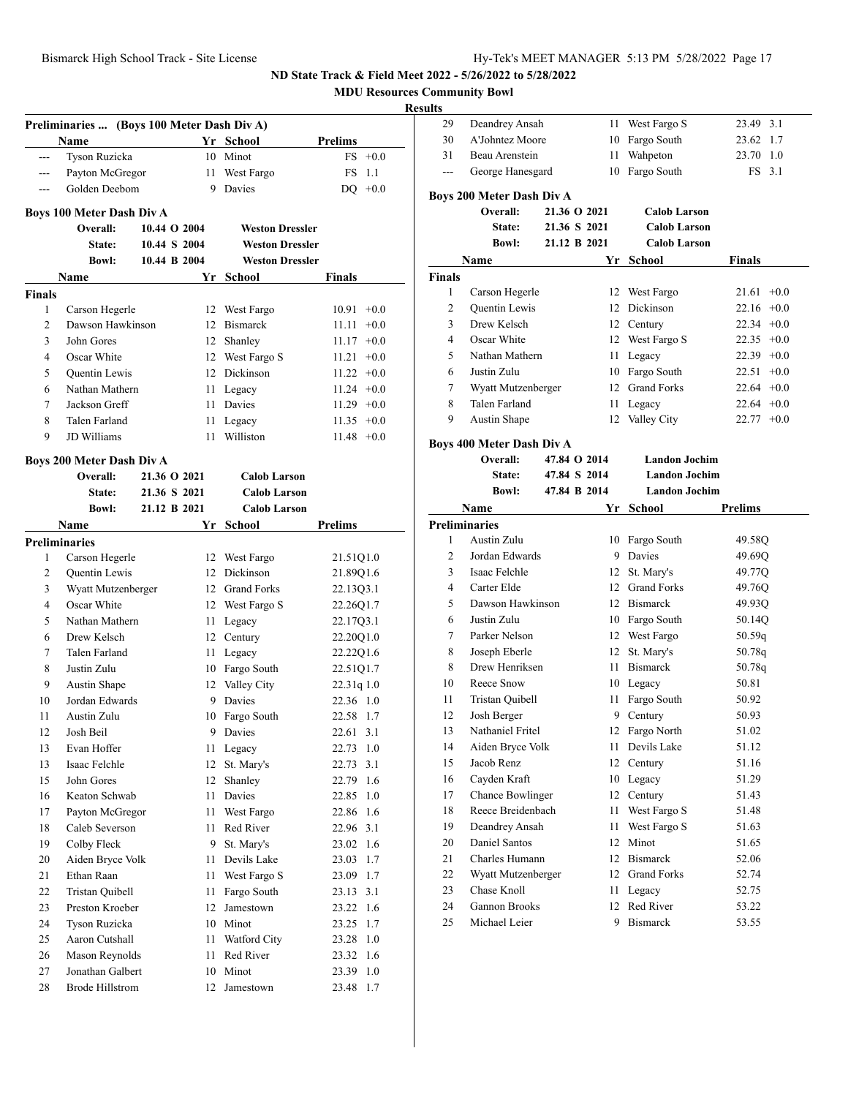**MDU Resources Community Bowl**

|                    | Preliminaries  (Boys 100 Meter Dash Div A) |              |                               |                  |
|--------------------|--------------------------------------------|--------------|-------------------------------|------------------|
|                    | Name                                       |              | Yr School                     | <b>Prelims</b>   |
| ---                | Tyson Ruzicka                              |              | 10 Minot                      | $FS$ +0.0        |
| $---$              | Payton McGregor                            | 11           | West Fargo                    | FS.<br>1.1       |
| ---                | Golden Deebom                              | 9            | Davies                        | $DO + 0.0$       |
|                    |                                            |              |                               |                  |
|                    | <b>Boys 100 Meter Dash Div A</b>           |              |                               |                  |
|                    | Overall:                                   | 10.44 O 2004 | <b>Weston Dressler</b>        |                  |
|                    | State:                                     | 10.44 S 2004 | <b>Weston Dressler</b>        |                  |
|                    | <b>Bowl:</b>                               | 10.44 B 2004 | <b>Weston Dressler</b>        |                  |
|                    | Name                                       | Yr           | School                        | Finals           |
| <b>Finals</b><br>1 | Carson Hegerle                             | 12           | West Fargo                    | $10.91 + 0.0$    |
| 2                  | Dawson Hawkinson                           |              | 12 Bismarck                   | 11.11<br>$+0.0$  |
| 3                  | John Gores                                 |              |                               |                  |
| 4                  | Oscar White                                |              | 12 Shanley<br>12 West Fargo S | $11.17 +0.0$     |
|                    |                                            |              | 12 Dickinson                  | $11.21 +0.0$     |
| 5                  | Quentin Lewis<br>Nathan Mathern            |              |                               | $11.22 +0.0$     |
| 6                  |                                            | 11           | Legacy                        | $11.24 +0.0$     |
| 7                  | Jackson Greff                              | 11           | Davies                        | $11.29 +0.0$     |
| 8                  | Talen Farland                              | 11           | Legacy                        | $11.35 +0.0$     |
| 9                  | <b>JD</b> Williams                         | 11           | Williston                     | $11.48 + 0.0$    |
|                    | Boys 200 Meter Dash Div A                  |              |                               |                  |
|                    | Overall:                                   | 21.36 O 2021 | <b>Calob Larson</b>           |                  |
|                    | State:                                     | 21.36 S 2021 | <b>Calob Larson</b>           |                  |
|                    | <b>Bowl:</b>                               | 21.12 B 2021 | <b>Calob Larson</b>           |                  |
|                    | Name                                       |              | Yr School                     | <b>Prelims</b>   |
|                    | <b>Preliminaries</b>                       |              |                               |                  |
| 1                  | Carson Hegerle                             |              | 12 West Fargo                 | 21.51Q1.0        |
| 2                  | <b>Ouentin Lewis</b>                       |              | 12 Dickinson                  | 21.89Q1.6        |
| 3                  | Wyatt Mutzenberger                         |              | 12 Grand Forks                | 22.13Q3.1        |
| 4                  | Oscar White                                |              | 12 West Fargo S               | 22.26Q1.7        |
| 5                  | Nathan Mathern                             | 11           | Legacy                        | 22.17Q3.1        |
| 6                  | Drew Kelsch                                |              | 12 Century                    | 22.20Q1.0        |
| 7                  | Talen Farland                              | 11           | Legacy                        | 22.22Q1.6        |
| 8                  | Justin Zulu                                |              | 10 Fargo South                | 22.51Q1.7        |
| 9                  | Austin Shape                               |              | 12 Valley City                | 22.31q1.0        |
| 10                 | Jordan Edwards                             | 9            | Davies                        | 22.36 1.0        |
| 11                 | Austin Zulu                                |              | 10 Fargo South                | 22.58 1.7        |
| 12                 | Josh Beil                                  |              | 9 Davies                      | 22.61 3.1        |
| 13                 | Evan Hoffer                                | 11           | Legacy                        | 22.73<br>1.0     |
| 13                 | Isaac Felchle                              | 12           | St. Mary's                    | 22.73<br>3.1     |
| 15                 | John Gores                                 | 12           | Shanley                       | 22.79<br>1.6     |
| 16                 | Keaton Schwab                              | 11           | Davies                        | 22.85<br>$1.0\,$ |
| 17                 | Payton McGregor                            | 11           | West Fargo                    | 22.86<br>1.6     |
| 18                 | Caleb Severson                             | 11           | Red River                     | 3.1<br>22.96     |
| 19                 | Colby Fleck                                | 9            | St. Mary's                    | 23.02<br>1.6     |
| 20                 | Aiden Bryce Volk                           | 11           | Devils Lake                   | 1.7<br>23.03     |
| 21                 | Ethan Raan                                 | 11           | West Fargo S                  | 23.09<br>1.7     |
| 22                 | Tristan Quibell                            | 11           | Fargo South                   | 3.1<br>23.13     |
| 23                 | Preston Kroeber                            | 12           | Jamestown                     | 23.22<br>1.6     |
| 24                 | Tyson Ruzicka                              | 10           | Minot                         | 1.7<br>23.25     |
| 25                 | Aaron Cutshall                             | 11           | Watford City                  | 23.28<br>1.0     |
| 26                 | Mason Reynolds                             | 11           | Red River                     | 23.32<br>1.6     |
| 27                 | Jonathan Galbert                           | 10           | Minot                         | 23.39<br>$1.0\,$ |
| 28                 | <b>Brode Hillstrom</b>                     | 12           | Jamestown                     | 23.48<br>1.7     |

| 29             | Deandrey Ansah                   |                              | 11   | West Fargo S         | 23.49 3.1      |
|----------------|----------------------------------|------------------------------|------|----------------------|----------------|
| 30             | A'Johntez Moore                  |                              |      | 10 Fargo South       | 23.62 1.7      |
| 31             | Beau Arenstein                   |                              | 11 - | Wahpeton             | 23.70 1.0      |
| ---            | George Hanesgard                 |                              |      | 10 Fargo South       | FS 3.1         |
|                | <b>Boys 200 Meter Dash Div A</b> |                              |      |                      |                |
|                | Overall:                         | 21.36 O 2021                 |      | <b>Calob Larson</b>  |                |
|                | State:                           | 21.36 S 2021                 |      | <b>Calob Larson</b>  |                |
|                | <b>Bowl:</b>                     | 21.12 B 2021                 |      | <b>Calob Larson</b>  |                |
|                | Name                             |                              | Yr   | School               | Finals         |
| <b>Finals</b>  |                                  |                              |      |                      |                |
| 1              | Carson Hegerle                   |                              |      | 12 West Fargo        | $21.61 + 0.0$  |
| 2              | <b>Quentin Lewis</b>             |                              |      | 12 Dickinson         | $22.16 + 0.0$  |
| 3              | Drew Kelsch                      |                              |      | 12 Century           | $22.34 +0.0$   |
| 4              | Oscar White                      |                              |      | 12 West Fargo S      | $22.35 +0.0$   |
| 5              | Nathan Mathern                   |                              | 11 - | Legacy               | $22.39 +0.0$   |
| 6              | Justin Zulu                      |                              |      | 10 Fargo South       | $22.51 + 0.0$  |
| 7              | Wyatt Mutzenberger               |                              |      | 12 Grand Forks       | $22.64 + 0.0$  |
| 8              | Talen Farland                    |                              | 11 - | Legacy               | $22.64 + 0.0$  |
| 9              | Austin Shape                     |                              | 12   | Valley City          | $22.77 +0.0$   |
|                |                                  |                              |      |                      |                |
|                | <b>Boys 400 Meter Dash Div A</b> |                              |      | <b>Landon Jochim</b> |                |
|                | Overall:                         | 47.84 O 2014                 |      | <b>Landon Jochim</b> |                |
|                | State:<br><b>Bowl:</b>           | 47.84 S 2014<br>47.84 B 2014 |      | <b>Landon Jochim</b> |                |
|                | Name                             |                              | Yr   | <b>School</b>        | <b>Prelims</b> |
|                | <b>Preliminaries</b>             |                              |      |                      |                |
| 1              | Austin Zulu                      |                              |      | 10 Fargo South       | 49.58Q         |
| $\overline{c}$ | Jordan Edwards                   |                              |      | 9 Davies             | 49.69Q         |
| 3              | Isaac Felchle                    |                              |      | 12 St. Mary's        | 49.77Q         |
| 4              | Carter Elde                      |                              |      | 12 Grand Forks       | 49.76Q         |
| 5              | Dawson Hawkinson                 |                              |      | 12 Bismarck          | 49.93Q         |
| 6              | Justin Zulu                      |                              |      | 10 Fargo South       | 50.14Q         |
| 7              | Parker Nelson                    |                              |      | 12 West Fargo        | 50.59q         |
| 8              | Joseph Eberle                    |                              |      | 12 St. Mary's        | 50.78q         |
| 8              | Drew Henriksen                   |                              |      | 11 Bismarck          | 50.78q         |
| 10             | Reece Snow                       |                              |      | 10 Legacy            | 50.81          |
| 11             | Tristan Quibell                  |                              |      | 11 Fargo South       | 50.92          |
| 12             | Josh Berger                      |                              |      | 9 Century            | 50.93          |
| 13             | Nathaniel Fritel                 |                              | 12   | Fargo North          | 51.02          |
| 14             | Aiden Bryce Volk                 |                              | 11 - | Devils Lake          | 51.12          |
| 15             | Jacob Renz                       |                              | 12   | Century              | 51.16          |
| 16             | Cayden Kraft                     |                              |      | 10 Legacy            | 51.29          |
| 17             | Chance Bowlinger                 |                              | 12   | Century              | 51.43          |
| 18             | Reece Breidenbach                |                              | 11   | West Fargo S         | 51.48          |
| 19             | Deandrey Ansah                   |                              | 11   | West Fargo S         | 51.63          |
| 20             | Daniel Santos                    |                              |      | 12 Minot             | 51.65          |
| 21             | Charles Humann                   |                              |      | 12 Bismarck          | 52.06          |
| 22             | Wyatt Mutzenberger               |                              |      | 12 Grand Forks       | 52.74          |
| 23             | Chase Knoll                      |                              |      | 11 Legacy            | 52.75          |
| 24             | Gannon Brooks                    |                              |      | 12 Red River         | 53.22          |
| 25             | Michael Leier                    |                              |      | 9 Bismarck           | 53.55          |
|                |                                  |                              |      |                      |                |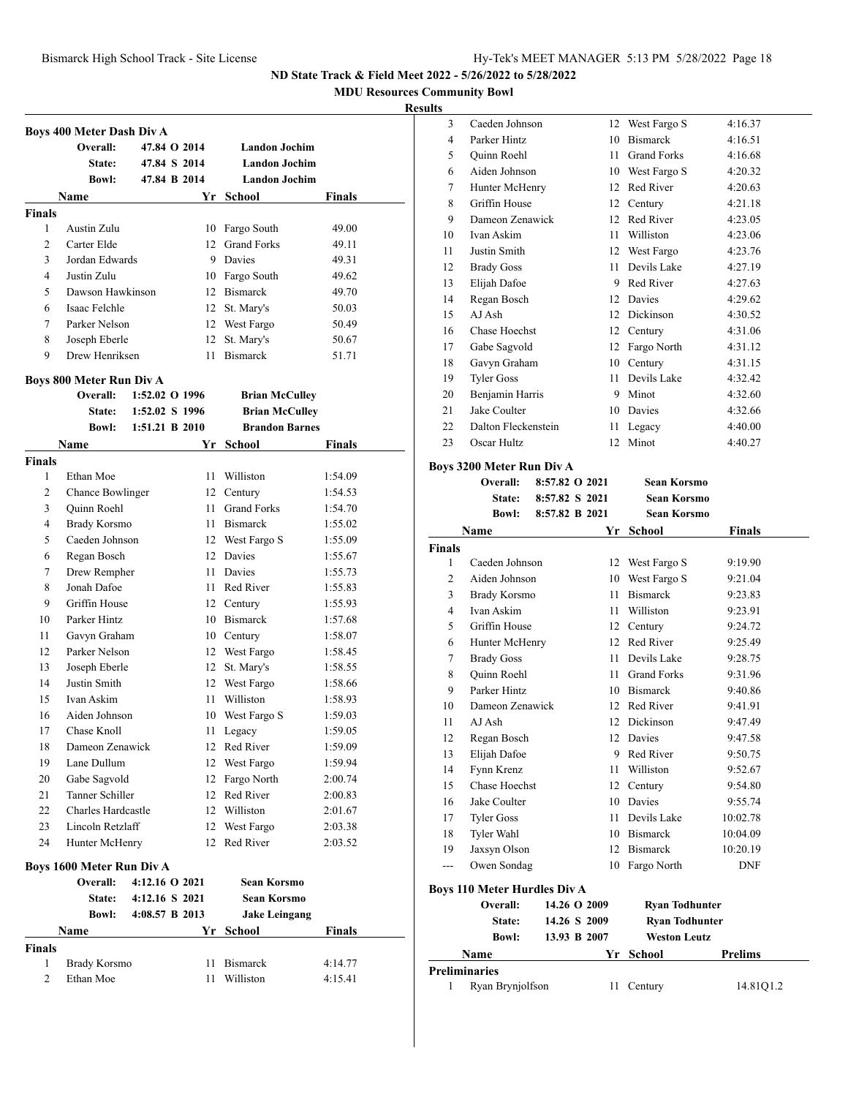**MDU Resources Community Bowl**

#### **Results**

|               | Boys 400 Meter Dash Div A        |                                  |    |                                                |               |
|---------------|----------------------------------|----------------------------------|----|------------------------------------------------|---------------|
|               | Overall:                         | 47.84 O 2014                     |    | <b>Landon Jochim</b>                           |               |
|               | <b>State:</b>                    | 47.84 S 2014                     |    | <b>Landon Jochim</b>                           |               |
|               | <b>Bowl:</b>                     | 47.84 B 2014                     |    | <b>Landon Jochim</b>                           |               |
|               | Name                             |                                  | Yr | School                                         | Finals        |
| <b>Finals</b> |                                  |                                  |    |                                                |               |
| 1             | Austin Zulu                      |                                  | 10 | Fargo South                                    | 49.00         |
| 2             | Carter Elde                      |                                  | 12 | <b>Grand Forks</b>                             | 49.11         |
| 3             | Jordan Edwards                   |                                  | 9  | Davies                                         | 49.31         |
| 4             | Justin Zulu                      |                                  |    | 10 Fargo South                                 | 49.62         |
| 5             | Dawson Hawkinson                 |                                  | 12 | <b>Bismarck</b>                                | 49.70         |
| 6             | Isaac Felchle                    |                                  | 12 | St. Mary's                                     | 50.03         |
| 7             | Parker Nelson                    |                                  | 12 | West Fargo                                     | 50.49         |
| 8             | Joseph Eberle                    |                                  | 12 | St. Mary's                                     | 50.67         |
| 9             | Drew Henriksen                   |                                  | 11 | <b>Bismarck</b>                                | 51.71         |
|               |                                  |                                  |    |                                                |               |
|               | Boys 800 Meter Run Div A         |                                  |    |                                                |               |
|               | Overall:                         | 1:52.02 O 1996                   |    | <b>Brian McCulley</b>                          |               |
|               | <b>State:</b><br><b>Bowl:</b>    | 1:52.02 S 1996<br>1:51.21 B 2010 |    | <b>Brian McCulley</b><br><b>Brandon Barnes</b> |               |
|               |                                  |                                  |    |                                                |               |
| <b>Finals</b> | Name                             |                                  |    | Yr School                                      | Finals        |
| 1             | Ethan Moe                        |                                  | 11 | Williston                                      | 1:54.09       |
| 2             | <b>Chance Bowlinger</b>          |                                  | 12 | Century                                        | 1:54.53       |
| 3             | Quinn Roehl                      |                                  | 11 | <b>Grand Forks</b>                             | 1:54.70       |
| 4             | Brady Korsmo                     |                                  | 11 | <b>Bismarck</b>                                | 1:55.02       |
| 5             | Caeden Johnson                   |                                  | 12 | West Fargo S                                   | 1:55.09       |
| 6             | Regan Bosch                      |                                  | 12 | Davies                                         | 1:55.67       |
| 7             | Drew Rempher                     |                                  | 11 | Davies                                         | 1:55.73       |
| 8             | Jonah Dafoe                      |                                  | 11 | Red River                                      | 1:55.83       |
| 9             | Griffin House                    |                                  | 12 | Century                                        | 1:55.93       |
| 10            | Parker Hintz                     |                                  |    | 10 Bismarck                                    | 1:57.68       |
| 11            | Gavyn Graham                     |                                  |    | 10 Century                                     | 1:58.07       |
| 12            | Parker Nelson                    |                                  |    | 12 West Fargo                                  | 1:58.45       |
| 13            | Joseph Eberle                    |                                  | 12 | St. Mary's                                     | 1:58.55       |
| 14            | Justin Smith                     |                                  | 12 | West Fargo                                     | 1:58.66       |
| 15            | Ivan Askim                       |                                  | 11 | Williston                                      | 1:58.93       |
| 16            | Aiden Johnson                    |                                  |    | 10 West Fargo S                                | 1:59.03       |
| 17            | Chase Knoll                      |                                  | 11 | Legacy                                         | 1:59.05       |
| 18            | Dameon Zenawick                  |                                  | 12 | Red River                                      | 1:59.09       |
| 19            | Lane Dullum                      |                                  | 12 | West Fargo                                     | 1:59.94       |
| 20            | Gabe Sagvold                     |                                  | 12 | Fargo North                                    | 2:00.74       |
| 21            | Tanner Schiller                  |                                  | 12 | Red River                                      | 2:00.83       |
| 22            | Charles Hardcastle               |                                  |    | 12 Williston                                   | 2:01.67       |
| 23            | Lincoln Retzlaff                 |                                  | 12 | West Fargo                                     | 2:03.38       |
| 24            | Hunter McHenry                   |                                  | 12 | Red River                                      | 2:03.52       |
|               | <b>Boys 1600 Meter Run Div A</b> |                                  |    |                                                |               |
|               | <b>Overall:</b>                  | 4:12.16 O 2021                   |    | <b>Sean Korsmo</b>                             |               |
|               | <b>State:</b>                    | 4:12.16 S 2021                   |    | <b>Sean Korsmo</b>                             |               |
|               | Bowl:                            | 4:08.57 B 2013                   |    | <b>Jake Leingang</b>                           |               |
|               | Name                             |                                  | Yr | <b>School</b>                                  | <b>Finals</b> |
| Finals        |                                  |                                  |    |                                                |               |
| 1             | Brady Korsmo                     |                                  | 11 | <b>Bismarck</b>                                | 4:14.77       |
| 2             | Ethan Moe                        |                                  | 11 | Williston                                      | 4:15.41       |
|               |                                  |                                  |    |                                                |               |

| s  |                     |    |                    |         |
|----|---------------------|----|--------------------|---------|
| 3  | Caeden Johnson      |    | 12 West Fargo S    | 4:16.37 |
| 4  | Parker Hintz        | 10 | <b>Bismarck</b>    | 4:16.51 |
| 5  | Quinn Roehl         | 11 | <b>Grand Forks</b> | 4:16.68 |
| 6  | Aiden Johnson       | 10 | West Fargo S       | 4:20.32 |
| 7  | Hunter McHenry      | 12 | Red River          | 4:20.63 |
| 8  | Griffin House       | 12 | Century            | 4:21.18 |
| 9  | Dameon Zenawick     | 12 | Red River          | 4:23.05 |
| 10 | Ivan Askim          | 11 | Williston          | 4:23.06 |
| 11 | Justin Smith        | 12 | West Fargo         | 4:23.76 |
| 12 | <b>Brady Goss</b>   | 11 | Devils Lake        | 4:27.19 |
| 13 | Elijah Dafoe        | 9  | Red River          | 4:27.63 |
| 14 | Regan Bosch         | 12 | Davies             | 4:29.62 |
| 15 | AJ Ash              | 12 | Dickinson          | 4:30.52 |
| 16 | Chase Hoechst       | 12 | Century            | 4:31.06 |
| 17 | Gabe Sagvold        | 12 | Fargo North        | 4:31.12 |
| 18 | Gavyn Graham        | 10 | Century            | 4:31.15 |
| 19 | <b>Tyler Goss</b>   | 11 | Devils Lake        | 4:32.42 |
| 20 | Benjamin Harris     | 9  | Minot              | 4:32.60 |
| 21 | Jake Coulter        | 10 | Davies             | 4:32.66 |
| 22 | Dalton Fleckenstein | 11 | Legacy             | 4:40.00 |
| 23 | Oscar Hultz         | 12 | Minot              | 4:40.27 |
|    |                     |    |                    |         |

#### **Boys 3200 Meter Run Div A Overall: 8:57.82 O 2021 Sean Korsmo**

|                | State:                              | 8:57.82 S 2021 |              | <b>Sean Korsmo</b>    |                |
|----------------|-------------------------------------|----------------|--------------|-----------------------|----------------|
|                | <b>Bowl:</b>                        | 8:57.82 B 2021 |              | <b>Sean Korsmo</b>    |                |
|                | Name                                |                | Yr           | School                | Finals         |
| <b>Finals</b>  |                                     |                |              |                       |                |
| 1              | Caeden Johnson                      |                |              | 12 West Fargo S       | 9:19.90        |
| $\overline{2}$ | Aiden Johnson                       |                |              | 10 West Fargo S       | 9:21.04        |
| 3              | Brady Korsmo                        |                | 11.          | <b>Bismarck</b>       | 9:23.83        |
| 4              | Ivan Askim                          |                | 11           | Williston             | 9:23.91        |
| 5              | Griffin House                       |                |              | 12 Century            | 9:24.72        |
| 6              | Hunter McHenry                      |                |              | 12 Red River          | 9:25.49        |
| 7              | <b>Brady Goss</b>                   |                | 11.          | Devils Lake           | 9:28.75        |
| 8              | <b>Quinn Roehl</b>                  |                | 11           | <b>Grand Forks</b>    | 9:31.96        |
| 9              | Parker Hintz                        |                |              | 10 Bismarck           | 9:40.86        |
| 10             | Dameon Zenawick                     |                |              | 12 Red River          | 9:41.91        |
| 11             | AJ Ash                              |                |              | 12 Dickinson          | 9:47.49        |
| 12             | Regan Bosch                         |                |              | 12 Davies             | 9:47.58        |
| 13             | Elijah Dafoe                        |                | 9            | Red River             | 9:50.75        |
| 14             | Fynn Krenz                          |                | 11           | Williston             | 9:52.67        |
| 15             | Chase Hoechst                       |                |              | 12 Century            | 9:54.80        |
| 16             | Jake Coulter                        |                |              | 10 Davies             | 9:55.74        |
| 17             | <b>Tyler Goss</b>                   |                | 11           | Devils Lake           | 10:02.78       |
| 18             | Tyler Wahl                          |                |              | 10 Bismarck           | 10:04.09       |
| 19             | Jaxsyn Olson                        |                |              | 12 Bismarck           | 10:20.19       |
| ---            | Owen Sondag                         |                |              | 10 Fargo North        | <b>DNF</b>     |
|                | <b>Boys 110 Meter Hurdles Div A</b> |                |              |                       |                |
|                | Overall:                            |                | 14.26 O 2009 | <b>Ryan Todhunter</b> |                |
|                | State:                              |                | 14.26 S 2009 | <b>Ryan Todhunter</b> |                |
|                | <b>Bowl:</b>                        |                | 13.93 B 2007 | <b>Weston Leutz</b>   |                |
|                | Name                                |                | Yr           | School                | <b>Prelims</b> |
|                | <b>Preliminaries</b>                |                |              |                       |                |
| 1              | Ryan Brynjolfson                    |                | 11           | Century               | 14.81Q1.2      |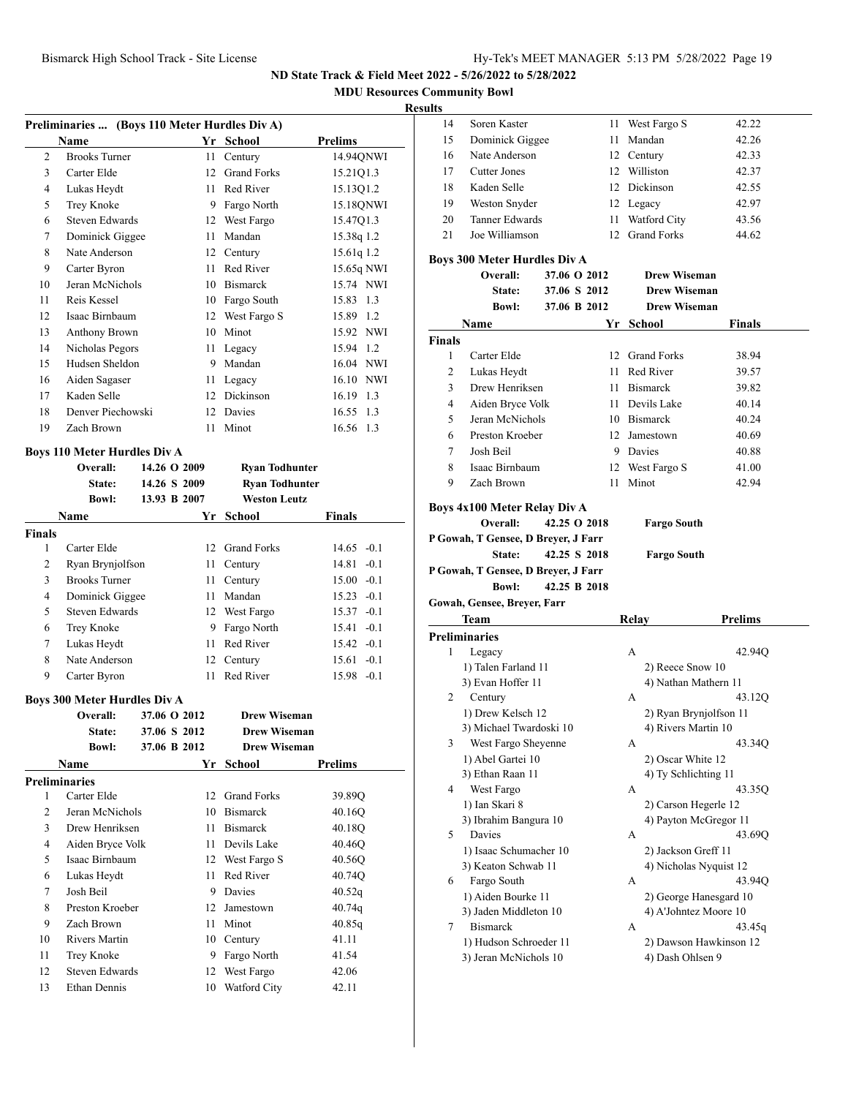**MDU Resources Community Bowl**

#### **Results**

|                | Preliminaries  (Boys 110 Meter Hurdles Div A) |    |                    |              |
|----------------|-----------------------------------------------|----|--------------------|--------------|
|                | Name                                          |    | Yr School          | Prelims      |
| $\overline{c}$ | <b>Brooks Turner</b>                          | 11 | Century            | 14.94QNWI    |
| 3              | Carter Elde                                   | 12 | <b>Grand Forks</b> | 15.21Q1.3    |
| 4              | Lukas Heydt                                   | 11 | Red River          | 15.13Q1.2    |
| 5              | Trey Knoke                                    | 9  | Fargo North        | 15.18QNWI    |
| 6              | Steven Edwards                                | 12 | West Fargo         | 15.47Q1.3    |
| 7              | Dominick Giggee                               | 11 | Mandan             | 15.38q 1.2   |
| 8              | Nate Anderson                                 | 12 | Century            | 15.61q 1.2   |
| 9              | Carter Byron                                  | 11 | Red River          | 15.65q NWI   |
| 10             | Jeran McNichols                               | 10 | <b>Bismarck</b>    | 15.74 NWI    |
| 11             | Reis Kessel                                   | 10 | Fargo South        | 15.83 1.3    |
| 12             | Isaac Birnbaum                                | 12 | West Fargo S       | 15.89 1.2    |
| 13             | Anthony Brown                                 | 10 | Minot              | 15.92 NWI    |
| 14             | Nicholas Pegors                               | 11 | Legacy             | 15.94<br>1.2 |
| 15             | Hudsen Sheldon                                | 9  | Mandan             | 16.04 NWI    |
| 16             | Aiden Sagaser                                 | 11 | Legacy             | 16.10 NWI    |
| 17             | Kaden Selle                                   | 12 | Dickinson          | 16.19<br>1.3 |
| 18             | Denver Piechowski                             | 12 | Davies             | 16.55 1.3    |
| 19             | Zach Brown                                    | 11 | Minot              | 16.56 1.3    |
|                |                                               |    |                    |              |

#### **Boys 110 Meter Hurdles Div A**

|               | Overall:<br>State:<br><b>Bowl:</b> | 14.26 O 2009<br>14.26 S 2009<br>13.93 B 2007 | <b>Ryan Todhunter</b><br><b>Ryan Todhunter</b><br>Weston Leutz |               |
|---------------|------------------------------------|----------------------------------------------|----------------------------------------------------------------|---------------|
|               | <b>Name</b>                        | Yr -                                         | School                                                         | <b>Finals</b> |
| <b>Finals</b> |                                    |                                              |                                                                |               |
| 1             | Carter Elde                        | 12.                                          | <b>Grand Forks</b>                                             | $14.65 - 0.1$ |
| 2             | Ryan Brynjolfson                   | 11                                           | Century                                                        | 14.81 -0.1    |
| 3             | <b>Brooks Turner</b>               | 11                                           | Century                                                        | $15.00 - 0.1$ |
| 4             | Dominick Giggee                    | 11                                           | Mandan                                                         | $15.23 - 0.1$ |
| 5             | Steven Edwards                     |                                              | 12 West Fargo                                                  | $15.37 -0.1$  |
| 6             | Trey Knoke                         | 9                                            | Fargo North                                                    | $15.41 - 0.1$ |
| 7             | Lukas Heydt                        | 11                                           | Red River                                                      | $15.42 - 0.1$ |
| 8             | Nate Anderson                      |                                              | 12 Century                                                     | $15.61 - 0.1$ |
| 9             | Carter Byron                       | 11                                           | Red River                                                      | $15.98 - 0.1$ |

#### **Boys 300 Meter Hurdles Div A**

|    | Overall:         | 37.06 O 2012 | <b>Drew Wiseman</b> |         |
|----|------------------|--------------|---------------------|---------|
|    | State:           | 37.06 S 2012 | <b>Drew Wiseman</b> |         |
|    | <b>Bowl:</b>     | 37.06 B 2012 | <b>Drew Wiseman</b> |         |
|    | Name             | Yr           | School              | Prelims |
|    | Preliminaries    |              |                     |         |
| 1  | Carter Elde      | 12           | <b>Grand Forks</b>  | 39.89Q  |
| 2  | Jeran McNichols  | 10           | <b>Bismarck</b>     | 40.16O  |
| 3  | Drew Henriksen   | 11           | <b>Bismarck</b>     | 40.18Q  |
| 4  | Aiden Bryce Volk | 11           | Devils Lake         | 40.46Q  |
| 5  | Isaac Birnbaum   | 12           | West Fargo S        | 40.56Q  |
| 6  | Lukas Heydt      | 11           | Red River           | 40.74Q  |
| 7  | Josh Beil        | 9            | Davies              | 40.52q  |
| 8  | Preston Kroeber  | 12           | Jamestown           | 40.74q  |
| 9  | Zach Brown       | 11           | Minot               | 40.85q  |
| 10 | Rivers Martin    | 10           | Century             | 41.11   |
| 11 | Trey Knoke       | 9            | Fargo North         | 41.54   |
| 12 | Steven Edwards   | 12           | West Fargo          | 42.06   |
| 13 | Ethan Dennis     | 10           | <b>Watford City</b> | 42.11   |

| 14<br>15<br>16 | Soren Kaster                                        |              |                           |                        |
|----------------|-----------------------------------------------------|--------------|---------------------------|------------------------|
|                |                                                     | 11           | West Fargo S              | 42.22                  |
|                | Dominick Giggee                                     | 11           | Mandan                    | 42.26                  |
|                | Nate Anderson                                       |              | 12 Century                | 42.33                  |
| 17             | <b>Cutter Jones</b>                                 |              | 12 Williston              | 42.37                  |
| 18             | Kaden Selle                                         |              | 12 Dickinson              | 42.55                  |
| 19             | Weston Snyder                                       |              | 12 Legacy                 | 42.97                  |
| 20             | <b>Tanner Edwards</b>                               |              | 11 Watford City           | 43.56                  |
| 21             | Joe Williamson                                      | 12           | <b>Grand Forks</b>        | 44.62                  |
|                |                                                     |              |                           |                        |
|                | Boys 300 Meter Hurdles Div A                        |              |                           |                        |
|                | Overall:                                            | 37.06 O 2012 | <b>Drew Wiseman</b>       |                        |
|                | State:                                              | 37.06 S 2012 | <b>Drew Wiseman</b>       |                        |
|                | <b>Bowl:</b>                                        | 37.06 B 2012 | <b>Drew Wiseman</b>       |                        |
|                | Name                                                | Yr           | School                    | Finals                 |
| Finals         |                                                     |              |                           |                        |
| 1              | Carter Elde                                         |              | 12 Grand Forks            | 38.94                  |
| 2              | Lukas Heydt                                         |              | 11 Red River              | 39.57                  |
| 3              | Drew Henriksen                                      |              | 11 Bismarck               | 39.82                  |
| 4              | Aiden Bryce Volk                                    |              | 11 Devils Lake            | 40.14                  |
| 5              | Jeran McNichols                                     |              | 10 Bismarck               | 40.24                  |
| 6              | Preston Kroeber                                     |              | 12 Jamestown              | 40.69                  |
| 7              | Josh Beil                                           |              | 9 Davies                  | 40.88                  |
| 8              | Isaac Birnbaum                                      |              | 12 West Fargo S           | 41.00                  |
| 9              | Zach Brown                                          | 11           | Minot                     | 42.94                  |
|                | State:                                              | 42.25 S 2018 | <b>Fargo South</b>        |                        |
|                | P Gowah, T Gensee, D Breyer, J Farr<br><b>Bowl:</b> | 42.25 B 2018 |                           |                        |
|                | Gowah, Gensee, Breyer, Farr                         |              |                           |                        |
|                | Team                                                |              | Relay                     | <b>Prelims</b>         |
| 1              | <b>Preliminaries</b>                                |              | A                         | 42.94Q                 |
|                | Legacy                                              |              |                           |                        |
|                | 1) Talen Farland 11                                 |              | 2) Reece Snow 10          |                        |
| 2              | 3) Evan Hoffer 11<br>Century                        |              | 4) Nathan Mathern 11<br>A | 43.12Q                 |
|                | 1) Drew Kelsch 12                                   |              | 2) Ryan Brynjolfson 11    |                        |
|                | 3) Michael Twardoski 10                             |              | 4) Rivers Martin 10       |                        |
| 3              | West Fargo Sheyenne                                 |              | А                         | 43.34Q                 |
|                | 1) Abel Gartei 10                                   |              | 2) Oscar White 12         |                        |
|                | 3) Ethan Raan 11                                    |              | 4) Ty Schlichting 11      |                        |
| 4              | West Fargo                                          |              | А                         | 43.35Q                 |
|                | 1) Ian Skari 8                                      |              | 2) Carson Hegerle 12      |                        |
|                | 3) Ibrahim Bangura 10                               |              | 4) Payton McGregor 11     |                        |
| 5              | Davies                                              |              | А                         | 43.69Q                 |
|                | 1) Isaac Schumacher 10                              |              | 2) Jackson Greff 11       |                        |
|                | 3) Keaton Schwab 11                                 |              | 4) Nicholas Nyquist 12    |                        |
| 6              | Fargo South                                         |              | А                         | 43.94Q                 |
|                | 1) Aiden Bourke 11                                  |              |                           | 2) George Hanesgard 10 |
|                | 3) Jaden Middleton 10                               |              | 4) A'Johntez Moore 10     |                        |
| 7              | <b>Bismarck</b>                                     |              | А                         | 43.45 <sub>q</sub>     |
|                | 1) Hudson Schroeder 11                              |              |                           | 2) Dawson Hawkinson 12 |
|                | 3) Jeran McNichols 10                               |              | 4) Dash Ohlsen 9          |                        |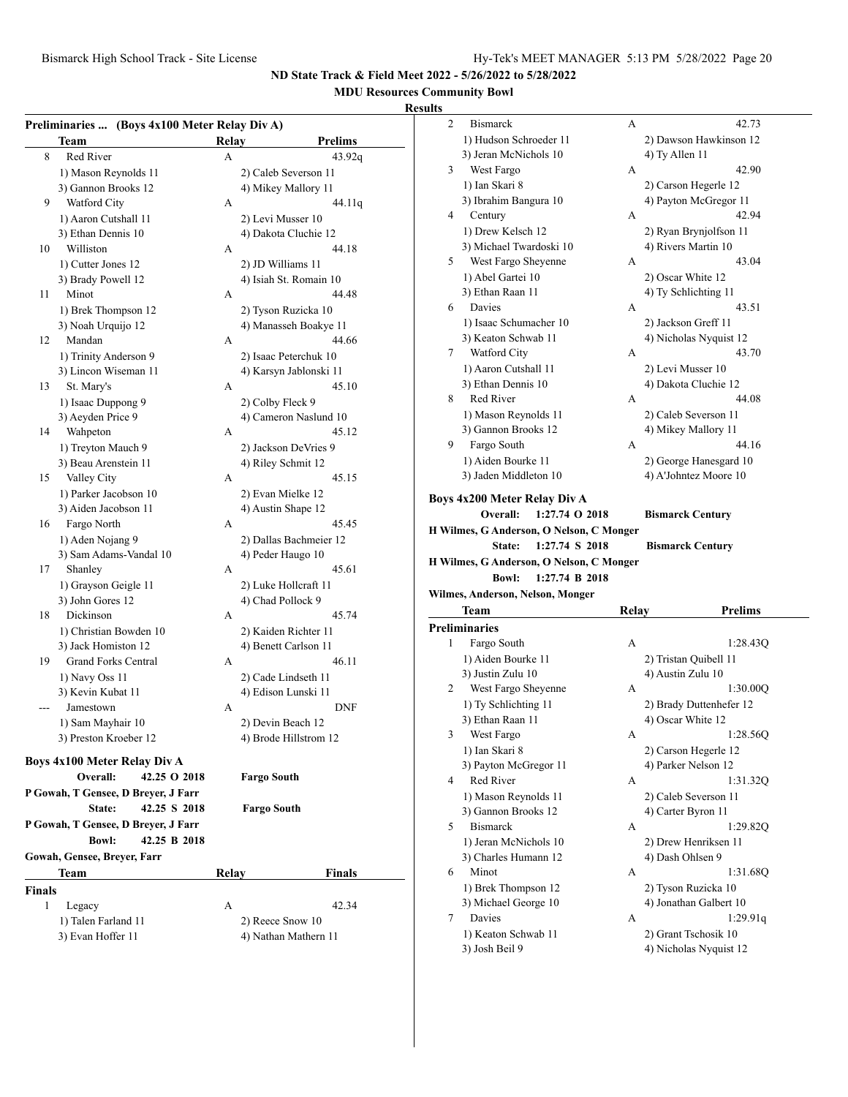## **MDU Resources Community Bowl**

## **Resul**

|               | Preliminaries  (Boys 4x100 Meter Relay Div A)<br><b>Team</b> | Relay | <b>Prelims</b>         |
|---------------|--------------------------------------------------------------|-------|------------------------|
| 8             | Red River                                                    | А     | 43.92q                 |
|               | 1) Mason Reynolds 11                                         |       | 2) Caleb Severson 11   |
|               | 3) Gannon Brooks 12                                          |       | 4) Mikey Mallory 11    |
| 9             | Watford City                                                 | А     | 44.11q                 |
|               | 1) Aaron Cutshall 11                                         |       | 2) Levi Musser 10      |
|               | 3) Ethan Dennis 10                                           |       | 4) Dakota Cluchie 12   |
| 10            | Williston                                                    | А     | 44.18                  |
|               | 1) Cutter Jones 12                                           |       | 2) JD Williams 11      |
|               | 3) Brady Powell 12                                           |       | 4) Isiah St. Romain 10 |
| 11            | Minot                                                        | А     | 44.48                  |
|               | 1) Brek Thompson 12                                          |       | 2) Tyson Ruzicka 10    |
|               | 3) Noah Urquijo 12                                           |       | 4) Manasseh Boakye 11  |
| 12            | Mandan                                                       | А     | 44.66                  |
|               | 1) Trinity Anderson 9                                        |       | 2) Isaac Peterchuk 10  |
|               | 3) Lincon Wiseman 11                                         |       | 4) Karsyn Jablonski 11 |
| 13            | St. Mary's                                                   | А     | 45.10                  |
|               | 1) Isaac Duppong 9                                           |       | 2) Colby Fleck 9       |
|               | 3) Aeyden Price 9                                            |       | 4) Cameron Naslund 10  |
| 14            | Wahpeton                                                     | А     | 45.12                  |
|               | 1) Treyton Mauch 9                                           |       | 2) Jackson DeVries 9   |
|               | 3) Beau Arenstein 11                                         |       | 4) Riley Schmit 12     |
| 15            | Valley City                                                  | А     | 45.15                  |
|               | 1) Parker Jacobson 10                                        |       | 2) Evan Mielke 12      |
|               | 3) Aiden Jacobson 11                                         |       | 4) Austin Shape 12     |
| 16            | Fargo North                                                  | А     | 45.45                  |
|               | 1) Aden Nojang 9                                             |       | 2) Dallas Bachmeier 12 |
|               | 3) Sam Adams-Vandal 10                                       |       | 4) Peder Haugo 10      |
| 17            | Shanley                                                      | A     | 45.61                  |
|               | 1) Grayson Geigle 11                                         |       | 2) Luke Hollcraft 11   |
|               | 3) John Gores 12                                             |       | 4) Chad Pollock 9      |
| 18            | Dickinson                                                    | А     | 45.74                  |
|               | 1) Christian Bowden 10                                       |       | 2) Kaiden Richter 11   |
|               | 3) Jack Homiston 12                                          |       | 4) Benett Carlson 11   |
| 19            | <b>Grand Forks Central</b>                                   | А     | 46.11                  |
|               | 1) Navy Oss 11                                               |       | 2) Cade Lindseth 11    |
|               | 3) Kevin Kubat 11                                            |       | 4) Edison Lunski 11    |
|               | Jamestown                                                    | А     | DNF                    |
|               | 1) Sam Mayhair 10                                            |       | 2) Devin Beach 12      |
|               | 3) Preston Kroeber 12                                        |       | 4) Brode Hillstrom 12  |
|               |                                                              |       |                        |
|               | Boys 4x100 Meter Relay Div A                                 |       |                        |
|               | Overall:<br>42.25 O 2018                                     |       | <b>Fargo South</b>     |
|               | P Gowah, T Gensee, D Breyer, J Farr                          |       |                        |
|               | 42.25 S 2018<br>State:                                       |       | <b>Fargo South</b>     |
|               | P Gowah, T Gensee, D Breyer, J Farr                          |       |                        |
|               | 42.25 B 2018<br><b>Bowl:</b>                                 |       |                        |
|               | Gowah, Gensee, Breyer, Farr                                  |       |                        |
|               | Team                                                         | Relay | <b>Finals</b>          |
| <b>Finals</b> |                                                              |       |                        |
| 1             | Legacy                                                       | А     | 42.34                  |
|               | 1) Talen Farland 11                                          |       | 2) Reece Snow 10       |
|               | 3) Evan Hoffer 11                                            |       | 4) Nathan Mathern 11   |

| ults |                                          |       |                                                |  |
|------|------------------------------------------|-------|------------------------------------------------|--|
| 2    | <b>Bismarck</b>                          | А     | 42.73                                          |  |
|      | 1) Hudson Schroeder 11                   |       | 2) Dawson Hawkinson 12                         |  |
|      | 3) Jeran McNichols 10                    |       | 4) Ty Allen 11                                 |  |
| 3    | West Fargo                               | А     | 42.90                                          |  |
|      | 1) Ian Skari 8                           |       | 2) Carson Hegerle 12                           |  |
|      | 3) Ibrahim Bangura 10                    |       | 4) Payton McGregor 11                          |  |
| 4    | Century                                  | А     | 42.94                                          |  |
|      | 1) Drew Kelsch 12                        |       | 2) Ryan Brynjolfson 11                         |  |
|      | 3) Michael Twardoski 10                  |       | 4) Rivers Martin 10                            |  |
| 5    | West Fargo Sheyenne                      | А     | 43.04                                          |  |
|      | 1) Abel Gartei 10                        |       | 2) Oscar White 12                              |  |
|      | 3) Ethan Raan 11                         |       | 4) Ty Schlichting 11                           |  |
| 6    | Davies                                   | А     | 43.51                                          |  |
|      | 1) Isaac Schumacher 10                   |       | 2) Jackson Greff 11                            |  |
|      | 3) Keaton Schwab 11                      |       | 4) Nicholas Nyquist 12                         |  |
| 7    | Watford City                             | А     | 43.70                                          |  |
|      | 1) Aaron Cutshall 11                     |       | 2) Levi Musser 10                              |  |
|      | 3) Ethan Dennis 10                       |       | 4) Dakota Cluchie 12                           |  |
| 8    | Red River                                | А     | 44.08                                          |  |
|      | 1) Mason Reynolds 11                     |       | 2) Caleb Severson 11                           |  |
|      | 3) Gannon Brooks 12                      |       | 4) Mikey Mallory 11                            |  |
| 9    | Fargo South                              | А     | 44.16                                          |  |
|      | 1) Aiden Bourke 11                       |       | 2) George Hanesgard 10                         |  |
|      | 3) Jaden Middleton 10                    |       | 4) A'Johntez Moore 10                          |  |
|      |                                          |       |                                                |  |
|      |                                          |       |                                                |  |
|      | Boys 4x200 Meter Relay Div A             |       |                                                |  |
|      | Overall:<br>1:27.74 O 2018               |       | <b>Bismarck Century</b>                        |  |
|      | H Wilmes, G Anderson, O Nelson, C Monger |       |                                                |  |
|      | 1:27.74 S 2018<br>State:                 |       | <b>Bismarck Century</b>                        |  |
|      | H Wilmes, G Anderson, O Nelson, C Monger |       |                                                |  |
|      | <b>Bowl:</b><br>1:27.74 B 2018           |       |                                                |  |
|      | Wilmes, Anderson, Nelson, Monger         |       |                                                |  |
|      | Team                                     | Relay | <b>Prelims</b>                                 |  |
|      | <b>Preliminaries</b>                     |       |                                                |  |
| 1    | Fargo South                              | А     | 1:28.43Q                                       |  |
|      | 1) Aiden Bourke 11                       |       | 2) Tristan Quibell 11                          |  |
|      | 3) Justin Zulu 10                        |       | 4) Austin Zulu 10                              |  |
| 2    | West Fargo Sheyenne                      | А     | 1:30.00Q                                       |  |
|      | 1) Ty Schlichting 11                     |       | 2) Brady Duttenhefer 12                        |  |
|      | 3) Ethan Raan 11                         |       | 4) Oscar White 12                              |  |
| 3    | West Fargo                               | А     | 1:28.56Q                                       |  |
|      | 1) Ian Skari 8                           |       | 2) Carson Hegerle 12                           |  |
|      | 3) Payton McGregor 11                    |       | 4) Parker Nelson 12                            |  |
| 4    | <b>Red River</b>                         | А     | 1:31.32Q                                       |  |
|      | 1) Mason Reynolds 11                     |       | 2) Caleb Severson 11                           |  |
|      | 3) Gannon Brooks 12                      |       | 4) Carter Byron 11                             |  |
| 5    | <b>Bismarck</b>                          | А     | 1:29.82Q                                       |  |
|      | 1) Jeran McNichols 10                    |       | 2) Drew Henriksen 11                           |  |
|      | 3) Charles Humann 12                     |       | 4) Dash Ohlsen 9                               |  |
| 6    | Minot                                    | А     | 1:31.68Q                                       |  |
|      | 1) Brek Thompson 12                      |       | 2) Tyson Ruzicka 10                            |  |
|      | 3) Michael George 10                     |       | 4) Jonathan Galbert 10                         |  |
| 7    | Davies                                   | А     | 1:29.91q                                       |  |
|      | 1) Keaton Schwab 11<br>3) Josh Beil 9    |       | 2) Grant Tschosik 10<br>4) Nicholas Nyquist 12 |  |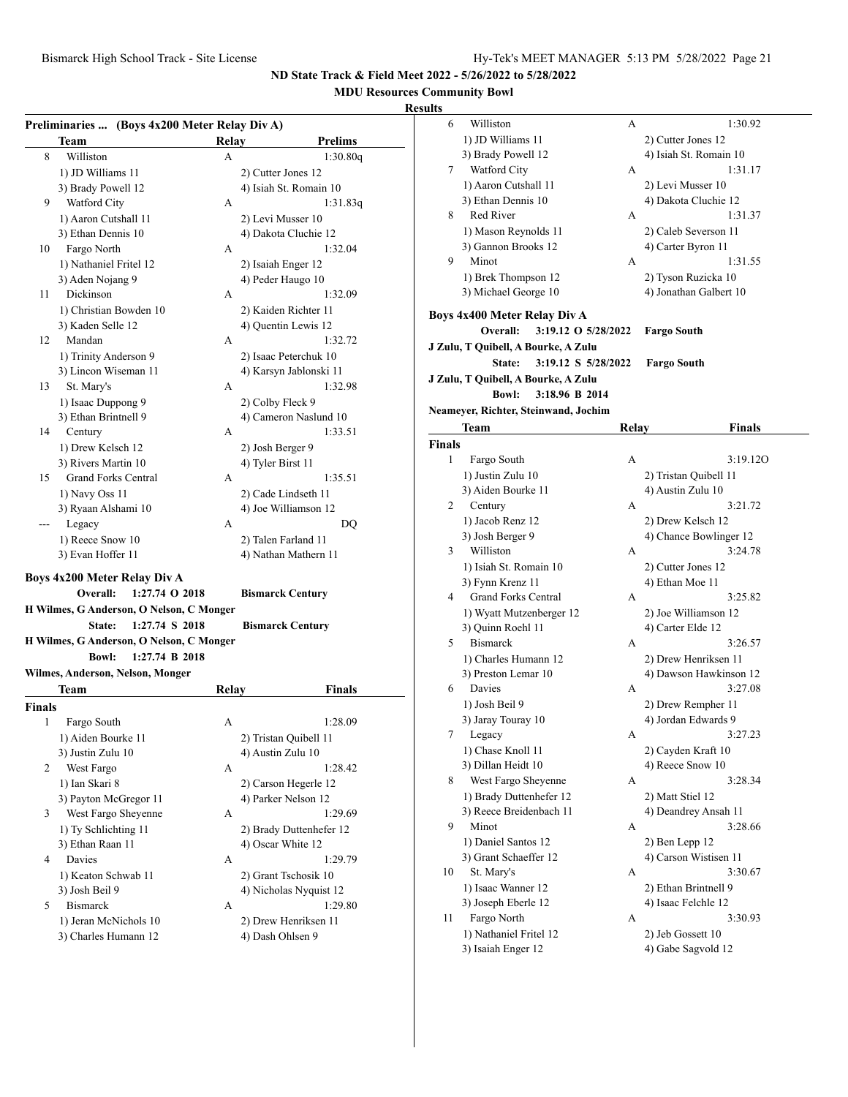## **MDU Resources Community Bowl**

|        | Team                                                                 | Preliminaries  (Boys 4x200 Meter Relay Div A)<br>Relay | <b>Prelims</b>                           |
|--------|----------------------------------------------------------------------|--------------------------------------------------------|------------------------------------------|
| 8      | Williston                                                            | A                                                      | 1:30.80q                                 |
|        | 1) JD Williams 11                                                    |                                                        | 2) Cutter Jones 12                       |
|        | 3) Brady Powell 12                                                   |                                                        | 4) Isiah St. Romain 10                   |
| 9      | Watford City                                                         | А                                                      | 1:31.83q                                 |
|        | 1) Aaron Cutshall 11                                                 |                                                        | 2) Levi Musser 10                        |
|        | 3) Ethan Dennis 10                                                   |                                                        | 4) Dakota Cluchie 12                     |
| 10     | Fargo North                                                          | A                                                      | 1:32.04                                  |
|        | 1) Nathaniel Fritel 12                                               |                                                        | 2) Isaiah Enger 12                       |
|        | 3) Aden Nojang 9                                                     |                                                        | 4) Peder Haugo 10                        |
| 11     | Dickinson                                                            | А                                                      | 1:32.09                                  |
|        | 1) Christian Bowden 10                                               |                                                        | 2) Kaiden Richter 11                     |
|        |                                                                      |                                                        |                                          |
|        | 3) Kaden Selle 12                                                    |                                                        | 4) Quentin Lewis 12                      |
| 12     | Mandan                                                               | А                                                      | 1:32.72                                  |
|        | 1) Trinity Anderson 9                                                |                                                        | 2) Isaac Peterchuk 10                    |
|        | 3) Lincon Wiseman 11                                                 |                                                        | 4) Karsyn Jablonski 11                   |
| 13     | St. Mary's                                                           | А                                                      | 1:32.98                                  |
|        | 1) Isaac Duppong 9                                                   |                                                        | 2) Colby Fleck 9                         |
|        | 3) Ethan Brintnell 9                                                 |                                                        | 4) Cameron Naslund 10                    |
| 14     | Century                                                              | А                                                      | 1:33.51                                  |
|        | 1) Drew Kelsch 12                                                    |                                                        | 2) Josh Berger 9                         |
|        | 3) Rivers Martin 10                                                  |                                                        | 4) Tyler Birst 11                        |
| 15     | <b>Grand Forks Central</b>                                           | А                                                      | 1:35.51                                  |
|        | 1) Navy Oss 11                                                       |                                                        | 2) Cade Lindseth 11                      |
|        | 3) Ryaan Alshami 10                                                  |                                                        | 4) Joe Williamson 12                     |
| ---    | Legacy                                                               | А                                                      | DO                                       |
|        | 1) Reece Snow 10                                                     |                                                        | 2) Talen Farland 11                      |
|        | 3) Evan Hoffer 11                                                    |                                                        | 4) Nathan Mathern 11                     |
|        |                                                                      |                                                        |                                          |
|        |                                                                      |                                                        |                                          |
|        | Boys 4x200 Meter Relay Div A<br>Overall:<br>1:27.74 O 2018           |                                                        |                                          |
|        |                                                                      |                                                        | <b>Bismarck Century</b>                  |
|        | H Wilmes, G Anderson, O Nelson, C Monger<br>1:27.74 S 2018<br>State: |                                                        |                                          |
|        |                                                                      |                                                        | <b>Bismarck Century</b>                  |
|        | H Wilmes, G Anderson, O Nelson, C Monger                             |                                                        |                                          |
|        | <b>Bowl:</b><br>1:27.74 B 2018                                       |                                                        |                                          |
|        | Wilmes, Anderson, Nelson, Monger                                     |                                                        |                                          |
|        | Team                                                                 | Relay                                                  | Finals                                   |
|        |                                                                      |                                                        |                                          |
| 1      | Fargo South                                                          | А                                                      | 1:28.09                                  |
|        | 1) Aiden Bourke 11                                                   |                                                        | 2) Tristan Quibell 11                    |
|        | 3) Justin Zulu 10                                                    |                                                        | 4) Austin Zulu 10                        |
| 2      | West Fargo                                                           | А                                                      | 1:28.42                                  |
|        | 1) Ian Skari 8                                                       |                                                        | 2) Carson Hegerle 12                     |
|        | 3) Payton McGregor 11                                                |                                                        | 4) Parker Nelson 12                      |
| 3      | West Fargo Sheyenne                                                  | А                                                      | 1:29.69                                  |
|        | 1) Ty Schlichting 11                                                 |                                                        | 2) Brady Duttenhefer 12                  |
|        | 3) Ethan Raan 11                                                     |                                                        | 4) Oscar White 12                        |
| 4      | Davies                                                               | A                                                      | 1:29.79                                  |
|        | 1) Keaton Schwab 11                                                  |                                                        | 2) Grant Tschosik 10                     |
|        | 3) Josh Beil 9                                                       |                                                        | 4) Nicholas Nyquist 12                   |
| 5      | <b>Bismarck</b>                                                      | А                                                      | 1:29.80                                  |
| Finals | 1) Jeran McNichols 10<br>3) Charles Humann 12                        |                                                        | 2) Drew Henriksen 11<br>4) Dash Ohlsen 9 |

| ults   |                                      |       |                                   |
|--------|--------------------------------------|-------|-----------------------------------|
| 6      | Williston                            | А     | 1:30.92                           |
|        | 1) JD Williams 11                    |       | 2) Cutter Jones 12                |
|        | 3) Brady Powell 12                   |       | 4) Isiah St. Romain 10            |
| 7      | Watford City                         | А     | 1:31.17                           |
|        | 1) Aaron Cutshall 11                 |       | 2) Levi Musser 10                 |
|        | 3) Ethan Dennis 10                   |       | 4) Dakota Cluchie 12              |
| 8      | <b>Red River</b>                     | А     | 1:31.37                           |
|        | 1) Mason Reynolds 11                 |       | 2) Caleb Severson 11              |
|        | 3) Gannon Brooks 12                  |       | 4) Carter Byron 11                |
| 9      | Minot                                | А     | 1:31.55                           |
|        |                                      |       |                                   |
|        | 1) Brek Thompson 12                  |       | 2) Tyson Ruzicka 10               |
|        | 3) Michael George 10                 |       | 4) Jonathan Galbert 10            |
|        | Boys 4x400 Meter Relay Div A         |       |                                   |
|        | Overall:<br>3:19.12 O 5/28/2022      |       | <b>Fargo South</b>                |
|        | J Zulu, T Quibell, A Bourke, A Zulu  |       |                                   |
|        | State:<br>3:19.12 S 5/28/2022        |       | <b>Fargo South</b>                |
|        | J Zulu, T Quibell, A Bourke, A Zulu  |       |                                   |
|        | <b>Bowl:</b><br>3:18.96 B 2014       |       |                                   |
|        | Neameyer, Richter, Steinwand, Jochim |       |                                   |
|        | Team                                 | Relav | Finals                            |
| Finals |                                      |       |                                   |
| 1      | Fargo South                          | А     | 3:19.12O                          |
|        | 1) Justin Zulu 10                    |       | 2) Tristan Quibell 11             |
|        | 3) Aiden Bourke 11                   |       | 4) Austin Zulu 10                 |
| 2      | Century                              | А     | 3:21.72                           |
|        | 1) Jacob Renz 12                     |       | 2) Drew Kelsch 12                 |
|        | 3) Josh Berger 9                     |       | 4) Chance Bowlinger 12            |
| 3      | Williston                            | А     | 3:24.78                           |
|        | 1) Isiah St. Romain 10               |       | 2) Cutter Jones 12                |
|        | 3) Fynn Krenz 11                     |       | 4) Ethan Moe 11                   |
| 4      | <b>Grand Forks Central</b>           | A     | 3:25.82                           |
|        | 1) Wyatt Mutzenberger 12             |       | 2) Joe Williamson 12              |
|        | 3) Quinn Roehl 11                    |       | 4) Carter Elde 12                 |
| 5      | <b>Bismarck</b>                      | А     | 3:26.57                           |
|        |                                      |       |                                   |
|        | 1) Charles Humann 12                 |       | 2) Drew Henriksen 11              |
| 6      | 3) Preston Lemar 10<br>Davies        | A     | 4) Dawson Hawkinson 12<br>3:27.08 |
|        |                                      |       |                                   |
|        | 1) Josh Beil 9                       |       | 2) Drew Rempher 11                |
|        | 3) Jaray Touray 10                   |       | 4) Jordan Edwards 9               |
| 7      | Legacy                               | А     | 3:27.23                           |
|        | 1) Chase Knoll 11                    |       | 2) Cayden Kraft 10                |
|        | 3) Dillan Heidt 10                   |       | 4) Reece Snow 10                  |
| 8      | West Fargo Sheyenne                  | А     | 3:28.34                           |
|        | 1) Brady Duttenhefer 12              |       | 2) Matt Stiel 12                  |
|        | 3) Reece Breidenbach 11              |       | 4) Deandrey Ansah 11              |
| 9      | Minot                                | А     | 3:28.66                           |
|        | 1) Daniel Santos 12                  |       | 2) Ben Lepp 12                    |
|        | 3) Grant Schaeffer 12                |       | 4) Carson Wistisen 11             |
| 10     | St. Mary's                           | А     | 3:30.67                           |
|        | 1) Isaac Wanner 12                   |       | 2) Ethan Brintnell 9              |
|        | 3) Joseph Eberle 12                  |       | 4) Isaac Felchle 12               |
| 11     | Fargo North                          | А     | 3:30.93                           |
|        | 1) Nathaniel Fritel 12               |       | 2) Jeb Gossett 10                 |
|        | 3) Isaiah Enger 12                   |       | 4) Gabe Sagvold 12                |
|        |                                      |       |                                   |
|        |                                      |       |                                   |
|        |                                      |       |                                   |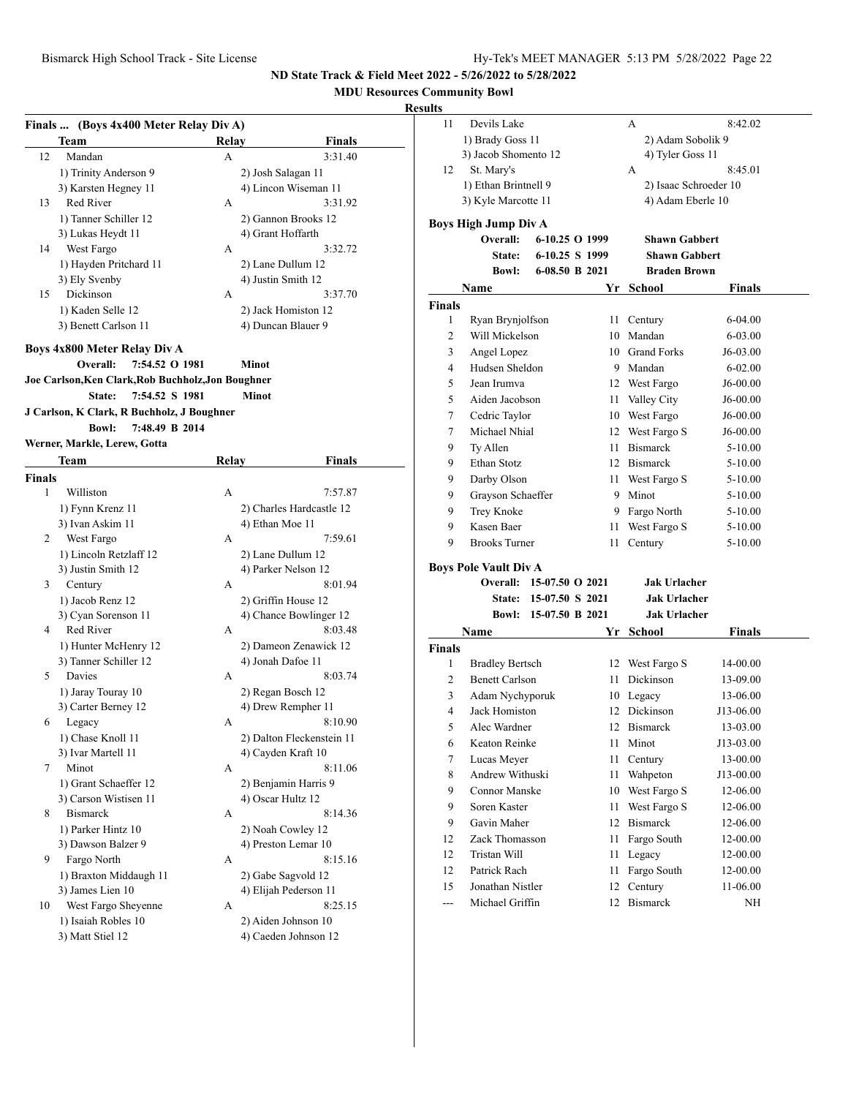## **MDU Resources Community Bowl**

|               | Finals  (Boys 4x400 Meter Relay Div A)             |       |                           |
|---------------|----------------------------------------------------|-------|---------------------------|
|               | Team                                               | Relay | Finals                    |
| 12            | Mandan                                             | А     | 3:31.40                   |
|               | 1) Trinity Anderson 9                              |       | 2) Josh Salagan 11        |
|               | 3) Karsten Hegney 11                               |       | 4) Lincon Wiseman 11      |
| 13            | Red River                                          | А     | 3:31.92                   |
|               | 1) Tanner Schiller 12                              |       | 2) Gannon Brooks 12       |
|               | 3) Lukas Heydt 11                                  |       | 4) Grant Hoffarth         |
| 14            | West Fargo                                         | A     | 3:32.72                   |
|               | 1) Hayden Pritchard 11                             |       | 2) Lane Dullum 12         |
|               | 3) Ely Svenby                                      |       | 4) Justin Smith 12        |
| 15            | Dickinson                                          | А     | 3:37.70                   |
|               | 1) Kaden Selle 12                                  |       | 2) Jack Homiston 12       |
|               | 3) Benett Carlson 11                               |       | 4) Duncan Blauer 9        |
|               | Boys 4x800 Meter Relay Div A                       |       |                           |
|               | Overall:<br>7:54.52 O 1981                         |       | Minot                     |
|               | Joe Carlson, Ken Clark, Rob Buchholz, Jon Boughner |       |                           |
|               | 7:54.52 S 1981<br>State:                           |       | <b>Minot</b>              |
|               | J Carlson, K Clark, R Buchholz, J Boughner         |       |                           |
|               | <b>Bowl:</b><br>7:48.49 B 2014                     |       |                           |
|               | Werner, Markle, Lerew, Gotta                       |       |                           |
|               | Team                                               | Relay | <b>Finals</b>             |
| <b>Finals</b> |                                                    |       |                           |
| 1             | Williston                                          | А     | 7:57.87                   |
|               | 1) Fynn Krenz 11                                   |       | 2) Charles Hardcastle 12  |
|               | 3) Ivan Askim 11                                   |       | 4) Ethan Moe 11           |
| 2             | West Fargo                                         | А     | 7:59.61                   |
|               | 1) Lincoln Retzlaff 12                             |       | 2) Lane Dullum 12         |
|               | 3) Justin Smith 12                                 |       | 4) Parker Nelson 12       |
| 3             | Century                                            | А     | 8:01.94                   |
|               | 1) Jacob Renz 12                                   |       | 2) Griffin House 12       |
|               | 3) Cyan Sorenson 11                                |       | 4) Chance Bowlinger 12    |
| 4             | Red River                                          | A     | 8:03.48                   |
|               | 1) Hunter McHenry 12                               |       | 2) Dameon Zenawick 12     |
|               | 3) Tanner Schiller 12                              |       | 4) Jonah Dafoe 11         |
| 5             | Davies                                             | А     | 8:03.74                   |
|               | 1) Jaray Touray 10                                 |       | 2) Regan Bosch 12         |
|               | 3) Carter Berney 12                                |       | 4) Drew Rempher 11        |
| 6             | Legacy                                             | А     | 8:10.90                   |
|               | 1) Chase Knoll 11                                  |       | 2) Dalton Fleckenstein 11 |
|               | 3) Ivar Martell 11                                 |       | 4) Cayden Kraft 10        |
| 7             | Minot                                              | А     | 8:11.06                   |
|               | 1) Grant Schaeffer 12                              |       | 2) Benjamin Harris 9      |
|               | 3) Carson Wistisen 11                              |       | 4) Oscar Hultz 12         |
| 8             | <b>Bismarck</b>                                    | A     | 8:14.36                   |
|               | 1) Parker Hintz 10                                 |       | 2) Noah Cowley 12         |
|               | 3) Dawson Balzer 9                                 |       | 4) Preston Lemar 10       |
| 9             | Fargo North                                        | А     | 8:15.16                   |
|               | 1) Braxton Middaugh 11                             |       | 2) Gabe Sagvold 12        |
|               | 3) James Lien 10                                   |       | 4) Elijah Pederson 11     |
| 10            | West Fargo Sheyenne                                | А     | 8:25.15                   |
|               | 1) Isaiah Robles 10                                |       | 2) Aiden Johnson 10       |
|               | 3) Matt Stiel 12                                   |       | 4) Caeden Johnson 12      |

| 11            | Devils Lake                  |                   |      | А                     | 8:42.02           |  |  |
|---------------|------------------------------|-------------------|------|-----------------------|-------------------|--|--|
|               |                              | 1) Brady Goss 11  |      |                       | 2) Adam Sobolik 9 |  |  |
|               | 3) Jacob Shomento 12         |                   |      | 4) Tyler Goss 11      |                   |  |  |
| 12            | St. Mary's                   |                   |      | A                     | 8:45.01           |  |  |
|               | 1) Ethan Brintnell 9         |                   |      | 2) Isaac Schroeder 10 |                   |  |  |
|               | 3) Kyle Marcotte 11          |                   |      | 4) Adam Eberle 10     |                   |  |  |
|               | <b>Boys High Jump Div A</b>  |                   |      |                       |                   |  |  |
|               | Overall:                     | 6-10.25 O 1999    |      | <b>Shawn Gabbert</b>  |                   |  |  |
|               | State:                       | 6-10.25 S 1999    |      | <b>Shawn Gabbert</b>  |                   |  |  |
|               | <b>Bowl:</b>                 | 6-08.50 B 2021    |      | <b>Braden Brown</b>   |                   |  |  |
|               | Name                         |                   | Yr   | <b>School</b>         | <b>Finals</b>     |  |  |
| Finals        |                              |                   |      |                       |                   |  |  |
| 1             | Ryan Brynjolfson             |                   | 11   | Century               | 6-04.00           |  |  |
| 2             | Will Mickelson               |                   | 10   | Mandan                | 6-03.00           |  |  |
| 3             | Angel Lopez                  |                   |      | 10 Grand Forks        | J6-03.00          |  |  |
| 4             | Hudsen Sheldon               |                   |      | 9 Mandan              | 6-02.00           |  |  |
| 5             | Jean Irumva                  |                   | 12   | West Fargo            | J6-00.00          |  |  |
| 5             | Aiden Jacobson               |                   | 11   | Valley City           | J6-00.00          |  |  |
| 7             | Cedric Taylor                |                   |      | 10 West Fargo         | J6-00.00          |  |  |
| 7             | Michael Nhial                |                   |      | 12 West Fargo S       | J6-00.00          |  |  |
| 9             | Ty Allen                     |                   | 11 - | <b>Bismarck</b>       | 5-10.00           |  |  |
| 9             | Ethan Stotz                  |                   |      | 12 Bismarck           | 5-10.00           |  |  |
| 9             | Darby Olson<br>11 -          |                   |      | West Fargo S          | 5-10.00           |  |  |
| 9             | Grayson Schaeffer            |                   |      | 9 Minot               | 5-10.00           |  |  |
| 9             | Trey Knoke                   |                   | 9.   | Fargo North           | 5-10.00           |  |  |
| 9             | Kasen Baer                   |                   | 11   | West Fargo S          | 5-10.00           |  |  |
| 9             | <b>Brooks Turner</b><br>11   |                   |      | Century               | 5-10.00           |  |  |
|               | <b>Boys Pole Vault Div A</b> |                   |      |                       |                   |  |  |
|               | Overall:                     | $15-07.50$ O 2021 |      | <b>Jak Urlacher</b>   |                   |  |  |
|               | <b>State:</b>                | 15-07.50 S 2021   |      | <b>Jak Urlacher</b>   |                   |  |  |
|               | <b>Bowl:</b>                 | 15-07.50 B 2021   |      | <b>Jak Urlacher</b>   |                   |  |  |
|               | Name                         |                   | Yr   | School                | <b>Finals</b>     |  |  |
| <b>Finals</b> |                              |                   |      |                       |                   |  |  |
| 1             | <b>Bradley Bertsch</b>       |                   | 12   | West Fargo S          | 14-00.00          |  |  |
| 2             | <b>Benett Carlson</b>        |                   | 11   | <b>Dickinson</b>      | 13-09.00          |  |  |
| 3             | Adam Nychyporuk              |                   |      | 10 Legacy             | 13-06.00          |  |  |
| 4             | Jack Homiston                |                   | 12   | Dickinson             | J13-06.00         |  |  |
| 5             | Alec Wardner                 |                   |      | 12 Bismarck           | 13-03.00          |  |  |
| 6             | Keaton Reinke                |                   | 11   | Minot                 | J13-03.00         |  |  |
| 7             | Lucas Meyer                  |                   | 11   | Century               | 13-00.00          |  |  |
| 8             | Andrew Withuski              |                   | 11   | Wahpeton              | J13-00.00         |  |  |
| 9             | <b>Connor Manske</b>         |                   | 10   | West Fargo S          | 12-06.00          |  |  |
| 9             | Soren Kaster                 |                   | 11   | West Fargo S          | 12-06.00          |  |  |
| 9             | Gavin Maher                  |                   | 12   | <b>Bismarck</b>       | 12-06.00          |  |  |
| 12            | Zack Thomasson               |                   | 11   | Fargo South           | 12-00.00          |  |  |
| 12            | Tristan Will                 |                   | 11   | Legacy                | 12-00.00          |  |  |
| 12            | Patrick Rach                 |                   | 11   | Fargo South           | 12-00.00          |  |  |
| 15            | Jonathan Nistler             |                   | 12   | Century               | 11-06.00          |  |  |
| ---           | Michael Griffin              |                   | 12   | <b>Bismarck</b>       | NH                |  |  |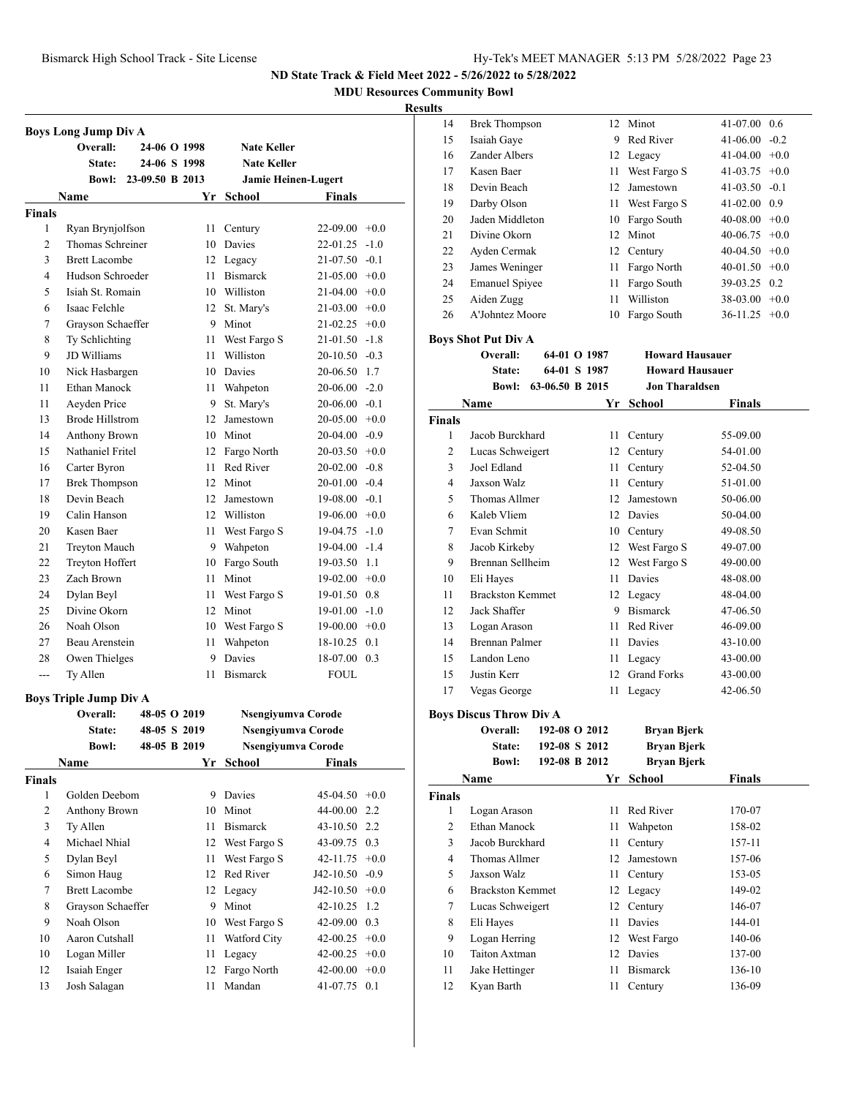**MDU Resources Community Bowl**

|               | <b>Boys Long Jump Div A</b>      |                 |                 |                            |                                  |        |
|---------------|----------------------------------|-----------------|-----------------|----------------------------|----------------------------------|--------|
|               | Overall:                         | 24-06 O 1998    |                 | <b>Nate Keller</b>         |                                  |        |
|               | State:                           | 24-06 S 1998    |                 | <b>Nate Keller</b>         |                                  |        |
|               | <b>Bowl:</b>                     | 23-09.50 B 2013 |                 |                            | <b>Jamie Heinen-Lugert</b>       |        |
|               | Name                             |                 |                 | Yr School                  | Finals                           |        |
| <b>Finals</b> |                                  |                 |                 |                            |                                  |        |
| 1             | Ryan Brynjolfson                 |                 | 11              | Century                    | $22-09.00 +0.0$                  |        |
| 2             | Thomas Schreiner                 |                 |                 | 10 Davies                  | 22-01.25                         | $-1.0$ |
| 3             | <b>Brett Lacombe</b>             |                 |                 | 12 Legacy                  | 21-07.50                         | $-0.1$ |
| 4             | Hudson Schroeder                 |                 | 11 -            | <b>Bismarck</b>            | $21-05.00 +0.0$                  |        |
| 5             | Isiah St. Romain                 |                 |                 | 10 Williston               | $21-04.00 +0.0$                  |        |
| 6             | Isaac Felchle                    |                 |                 | 12 St. Mary's              | $21-03.00 +0.0$                  |        |
| 7             | Grayson Schaeffer                |                 |                 | 9 Minot                    | $21-02.25 +0.0$                  |        |
| 8             | Ty Schlichting                   |                 | 11 -            | West Fargo S               | $21-01.50 -1.8$                  |        |
| 9             | JD Williams                      |                 | 11              | Williston                  | $20-10.50 -0.3$                  |        |
| 10            | Nick Hasbargen                   |                 |                 | 10 Davies                  | 20-06.50 1.7                     |        |
| 11            | Ethan Manock                     |                 | 11 -            | Wahpeton                   | $20-06.00 -2.0$                  |        |
| 11            | Aeyden Price                     |                 | 9.              | St. Mary's                 | $20-06.00 -0.1$                  |        |
| 13            | <b>Brode Hillstrom</b>           |                 | 12 <sup>1</sup> | Jamestown                  | $20-05.00 +0.0$                  |        |
| 14            | <b>Anthony Brown</b>             |                 |                 | 10 Minot                   | $20-04.00 -0.9$                  |        |
| 15            | Nathaniel Fritel                 |                 |                 | 12 Fargo North             | $20-03.50 +0.0$                  |        |
| 16            | Carter Byron                     |                 | 11              | Red River                  | $20-02.00 -0.8$                  |        |
| 17            | <b>Brek Thompson</b>             |                 |                 | 12 Minot                   | $20-01.00 -0.4$                  |        |
| 18            | Devin Beach                      |                 |                 | 12 Jamestown               | $19-08.00 -0.1$                  |        |
| 19            | Calin Hanson                     |                 |                 | 12 Williston               | $19-06.00 + 0.0$                 |        |
| 20            | Kasen Baer                       |                 | 11 -            |                            | $19-04.75 -1.0$                  |        |
| 21            |                                  |                 |                 | West Fargo S<br>9 Wahpeton | $19-04.00 -1.4$                  |        |
| 22            | Treyton Mauch<br>Treyton Hoffert |                 |                 |                            |                                  |        |
| 23            | Zach Brown                       |                 |                 | 10 Fargo South<br>Minot    | 19-03.50 1.1<br>$19-02.00 + 0.0$ |        |
| 24            |                                  |                 | 11 -            |                            |                                  |        |
| 25            | Dylan Beyl<br>Divine Okorn       |                 | 11 -            | West Fargo S               | 19-01.50 0.8                     |        |
|               |                                  |                 |                 | 12 Minot                   | $19-01.00 -1.0$                  |        |
| 26            | Noah Olson                       |                 |                 | 10 West Fargo S            | $19-00.00 + 0.0$                 |        |
| 27            | Beau Arenstein                   |                 | 11 -<br>9       | Wahpeton<br>Davies         | 18-10.25                         | 0.1    |
| 28            | Owen Thielges                    |                 |                 |                            | 18-07.00 0.3                     |        |
| ---           | Ty Allen                         |                 | 11              | <b>Bismarck</b>            | <b>FOUL</b>                      |        |
|               | <b>Boys Triple Jump Div A</b>    |                 |                 |                            |                                  |        |
|               | Overall:                         | 48-05 O 2019    |                 |                            | Nsengiyumva Corode               |        |
|               | State:                           | 48-05 S 2019    |                 |                            | Nsengiyumva Corode               |        |
|               | <b>Bowl:</b>                     | 48-05 B 2019    |                 |                            | Nsengiyumva Corode               |        |
|               | <b>Name</b>                      |                 | Yr              | <b>School</b>              | <b>Finals</b>                    |        |
| <b>Finals</b> |                                  |                 |                 |                            |                                  |        |
| 1             | Golden Deebom                    |                 |                 | 9 Davies                   | 45-04.50                         | $+0.0$ |
| 2             | Anthony Brown                    |                 | 10              | Minot                      | 44-00.00                         | 2.2    |
| 3             | Ty Allen                         |                 | 11 -            | <b>Bismarck</b>            | 43-10.50                         | 2.2    |
| 4             | Michael Nhial                    |                 | 12              | West Fargo S               | 43-09.75                         | 0.3    |
| 5             | Dylan Beyl                       |                 | 11              | West Fargo S               | 42-11.75                         | $+0.0$ |
| 6             | Simon Haug                       |                 |                 | 12 Red River               | J42-10.50                        | $-0.9$ |
| 7             | <b>Brett Lacombe</b>             |                 |                 | 12 Legacy                  | J42-10.50                        | $+0.0$ |
| 8             | Grayson Schaeffer                |                 |                 | 9 Minot                    | 42-10.25                         | 1.2    |
| 9             | Noah Olson                       |                 |                 | 10 West Fargo S            | 42-09.00 0.3                     |        |
| 10            | Aaron Cutshall                   |                 | 11              | Watford City               | 42-00.25                         | $+0.0$ |
| 10            | Logan Miller                     |                 | 11              | Legacy                     | 42-00.25                         | $+0.0$ |
| 12            | Isaiah Enger                     |                 | 12              | Fargo North                | 42-00.00                         | $+0.0$ |
| 13            | Josh Salagan                     |                 | 11              | Mandan                     | 41-07.75                         | 0.1    |

| ,,,,,,         |                                |                 |              |                        |                  |        |
|----------------|--------------------------------|-----------------|--------------|------------------------|------------------|--------|
| 14             | <b>Brek Thompson</b>           |                 |              | 12 Minot               | 41-07.00 0.6     |        |
| 15             | Isaiah Gaye                    |                 |              | 9 Red River            | 41-06.00         | $-0.2$ |
| 16             | Zander Albers                  |                 |              | 12 Legacy              | $41-04.00 +0.0$  |        |
| 17             | Kasen Baer                     |                 |              | 11 West Fargo S        | 41-03.75         | $+0.0$ |
| 18             | Devin Beach                    |                 |              | 12 Jamestown           | $41-03.50 -0.1$  |        |
| 19             | Darby Olson                    |                 |              | 11 West Fargo S        | 41-02.00 0.9     |        |
| 20             | Jaden Middleton                |                 |              | 10 Fargo South         | $40-08.00 + 0.0$ |        |
| 21             | Divine Okorn                   |                 |              | 12 Minot               | $40-06.75$ +0.0  |        |
| 22             | Ayden Cermak                   |                 |              | 12 Century             | $40-04.50 +0.0$  |        |
| 23             | James Weninger                 |                 |              | 11 Fargo North         | $40-01.50 +0.0$  |        |
| 24             | <b>Emanuel Spiyee</b>          |                 |              | 11 Fargo South         | 39-03.25 0.2     |        |
| 25             | Aiden Zugg                     |                 |              | 11 Williston           | $38-03.00 +0.0$  |        |
| 26             | A'Johntez Moore                |                 |              | 10 Fargo South         | $36-11.25 +0.0$  |        |
|                | <b>Boys Shot Put Div A</b>     |                 |              |                        |                  |        |
|                | Overall:                       |                 | 64-01 O 1987 | <b>Howard Hausauer</b> |                  |        |
|                | State:                         |                 | 64-01 S 1987 | <b>Howard Hausauer</b> |                  |        |
|                | <b>Bowl:</b>                   | 63-06.50 B 2015 |              | <b>Jon Tharaldsen</b>  |                  |        |
|                | Name                           |                 | Yr           | School                 | Finals           |        |
| <b>Finals</b>  |                                |                 |              |                        |                  |        |
| 1              | Jacob Burckhard                |                 |              | 11 Century             | 55-09.00         |        |
| $\overline{c}$ | Lucas Schweigert               |                 |              | 12 Century             | 54-01.00         |        |
| 3              | Joel Edland                    |                 |              | 11 Century             | 52-04.50         |        |
| $\overline{4}$ | Jaxson Walz                    |                 | 11 -         | Century                | 51-01.00         |        |
| 5              | Thomas Allmer                  |                 |              | 12 Jamestown           | 50-06.00         |        |
| 6              | Kaleb Vliem                    |                 |              | 12 Davies              | 50-04.00         |        |
| 7              | Evan Schmit                    |                 |              | 10 Century             | 49-08.50         |        |
| 8              | Jacob Kirkeby                  |                 |              | 12 West Fargo S        | 49-07.00         |        |
| 9              | Brennan Sellheim               |                 |              | 12 West Fargo S        | 49-00.00         |        |
| 10             | Eli Hayes                      |                 |              | 11 Davies              | 48-08.00         |        |
| 11             | <b>Brackston Kemmet</b>        |                 |              | 12 Legacy              | 48-04.00         |        |
| 12             | Jack Shaffer                   |                 |              | 9 Bismarck             | 47-06.50         |        |
| 13             | Logan Arason                   |                 |              | 11 Red River           | 46-09.00         |        |
| 14             | <b>Brennan Palmer</b>          |                 |              | 11 Davies              | 43-10.00         |        |
| 15             | Landon Leno                    |                 |              | 11 Legacy              | 43-00.00         |        |
| 15             | Justin Kerr                    |                 |              | 12 Grand Forks         | 43-00.00         |        |
| 17             | Vegas George                   |                 | 11           | Legacy                 | 42-06.50         |        |
|                | <b>Boys Discus Throw Div A</b> |                 |              |                        |                  |        |
|                | Overall: 192-08 O 2012         |                 |              | Bryan Bjerk            |                  |        |
|                | State:                         | 192-08 S 2012   |              | <b>Bryan Bjerk</b>     |                  |        |
|                | <b>Bowl:</b>                   | 192-08 B 2012   |              | <b>Bryan Bjerk</b>     |                  |        |
|                | Name                           |                 |              | Yr School              | Finals           |        |
| Finals         |                                |                 |              |                        |                  |        |
| 1              | Logan Arason                   |                 | 11           | Red River              | 170-07           |        |
| 2              | <b>Ethan Manock</b>            |                 | 11           | Wahpeton               | 158-02           |        |
| 3              | Jacob Burckhard                |                 | 11           | Century                | 157-11           |        |
| 4              | Thomas Allmer                  |                 | 12           | Jamestown              | 157-06           |        |
| 5              | <b>Jaxson Walz</b>             |                 | 11           | Century                | 153-05           |        |
| 6              | <b>Brackston Kemmet</b>        |                 |              | 12 Legacy              | 149-02           |        |
| 7              | Lucas Schweigert               |                 |              | 12 Century             | 146-07           |        |
| 8              | Eli Hayes                      |                 | 11           | Davies                 | 144-01           |        |
| 9              | Logan Herring                  |                 |              | 12 West Fargo          | 140-06           |        |
| 10             | Taiton Axtman                  |                 |              | 12 Davies              | 137-00           |        |
| 11             | Jake Hettinger                 |                 | 11           | <b>Bismarck</b>        | 136-10           |        |
| 12             | Kyan Barth                     |                 | 11           | Century                | 136-09           |        |
|                |                                |                 |              |                        |                  |        |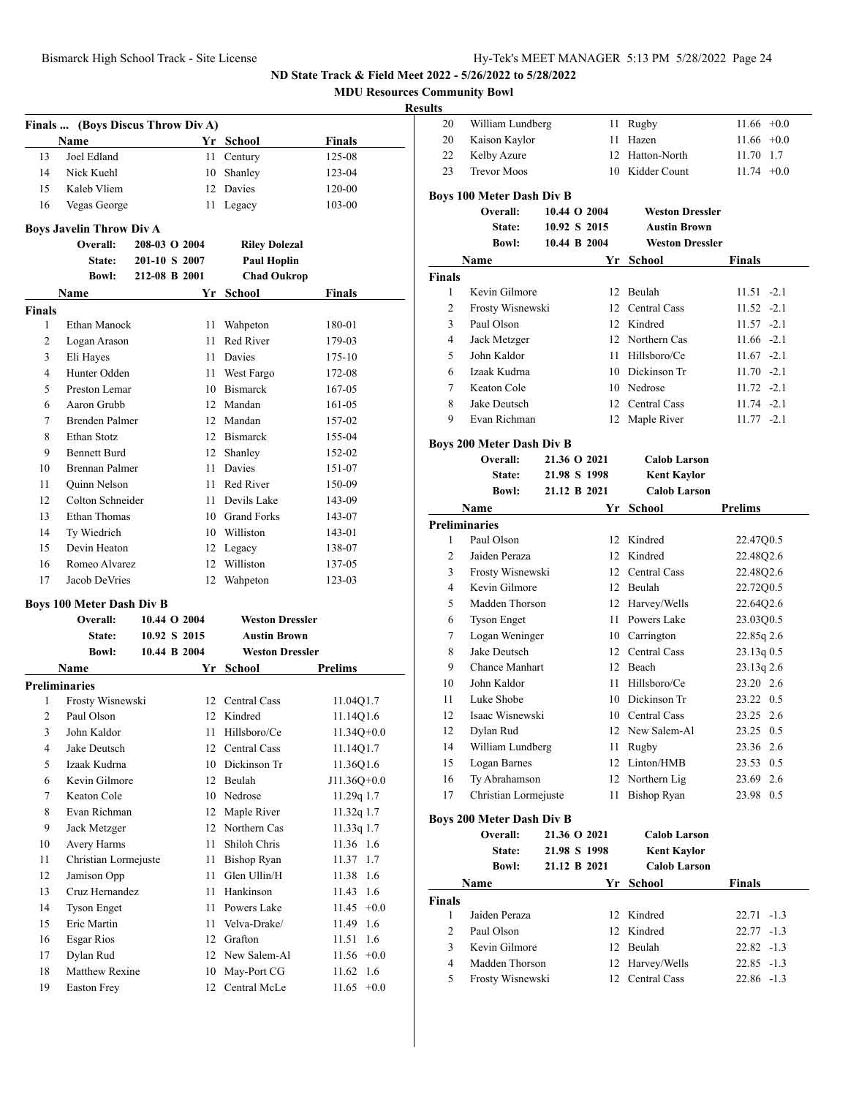**MDU Resources Community Bowl**

#### **Resul**

|                | Finals  (Boys Discus Throw Div A) |               |              |                        |                 |
|----------------|-----------------------------------|---------------|--------------|------------------------|-----------------|
|                | Name                              |               |              | Yr School              | <b>Finals</b>   |
| 13             | Joel Edland                       |               | 11 -         | Century                | 125-08          |
| 14             | Nick Kuehl                        |               | 10           | Shanley                | 123-04          |
| 15             | Kaleb Vliem                       |               |              | 12 Davies              | 120-00          |
| 16             | Vegas George                      |               | 11 -         | Legacy                 | 103-00          |
|                | <b>Boys Javelin Throw Div A</b>   |               |              |                        |                 |
|                | Overall:                          | 208-03 O 2004 |              | <b>Riley Dolezal</b>   |                 |
|                | State:                            | 201-10 S 2007 |              | <b>Paul Hoplin</b>     |                 |
|                | <b>Bowl:</b>                      | 212-08 B 2001 |              | <b>Chad Oukrop</b>     |                 |
|                | Name                              |               | Yr           | School                 | Finals          |
| <b>Finals</b>  |                                   |               |              |                        |                 |
| 1              | Ethan Manock                      |               | 11 -         | Wahpeton               | 180-01          |
| 2              | Logan Arason                      |               | 11.          | Red River              | 179-03          |
| 3              | Eli Hayes                         |               |              | 11 Davies              | 175-10          |
| 4              | Hunter Odden                      |               |              | 11 West Fargo          | 172-08          |
| 5              | Preston Lemar                     |               |              | 10 Bismarck            | 167-05          |
| 6              | Aaron Grubb                       |               |              | 12 Mandan              | 161-05          |
| 7              | Brenden Palmer                    |               |              | 12 Mandan              | 157-02          |
| 8              | Ethan Stotz                       |               |              | 12 Bismarck            | 155-04          |
| 9              | <b>Bennett Burd</b>               |               | 12           | Shanley                | 152-02          |
| 10             | Brennan Palmer                    |               | 11 -         | Davies                 | 151-07          |
| 11             | Quinn Nelson                      |               | 11.          | Red River              | 150-09          |
| 12             | Colton Schneider                  |               | 11 -         | Devils Lake            | 143-09          |
| 13             | Ethan Thomas                      |               |              | 10 Grand Forks         | 143-07          |
| 14             | Ty Wiedrich                       |               |              | 10 Williston           | 143-01          |
| 15             | Devin Heaton                      |               |              | 12 Legacy              | 138-07          |
| 16             | Romeo Alvarez                     |               |              | 12 Williston           | 137-05          |
| 17             | Jacob DeVries                     |               |              | 12 Wahpeton            | 123-03          |
|                |                                   |               |              |                        |                 |
|                | <b>Boys 100 Meter Dash Div B</b>  |               |              |                        |                 |
|                | Overall:                          |               | 10.44 O 2004 | <b>Weston Dressler</b> |                 |
|                | <b>State:</b>                     |               | 10.92 S 2015 | <b>Austin Brown</b>    |                 |
|                | <b>Bowl:</b>                      |               | 10.44 B 2004 | <b>Weston Dressler</b> |                 |
|                | Name                              |               |              | Yr School              | Prelims         |
|                | <b>Preliminaries</b>              |               |              |                        |                 |
| 1              | Frosty Wisnewski                  |               |              | 12 Central Cass        | 11.04Q1.7       |
| 2              | Paul Olson                        |               |              | 12 Kindred             | 11.14Q1.6       |
| 3 <sup>7</sup> | John Kaldor                       |               |              | 11 Hillsboro/Ce        | $11.34Q + 0.0$  |
| 4              | Jake Deutsch                      |               |              | 12 Central Cass        | 11.14Q1.7       |
| 5              | Izaak Kudrna                      |               |              | 10 Dickinson Tr        | 11.36Q1.6       |
| 6              | Kevin Gilmore                     |               |              | 12 Beulah              | J11.36Q+0.0     |
| 7              | Keaton Cole                       |               |              | 10 Nedrose             | 11.29q 1.7      |
| 8              | Evan Richman                      |               | 12           | Maple River            | 11.32q 1.7      |
| 9              | Jack Metzger                      |               | 12           | Northern Cas           | 11.33q 1.7      |
| 10             | Avery Harms                       |               | 11           | Shiloh Chris           | 11.36 1.6       |
| 11             | Christian Lormejuste              |               | 11           | <b>Bishop Ryan</b>     | 11.37<br>1.7    |
| 12             | Jamison Opp                       |               | 11           | Glen Ullin/H           | 11.38<br>1.6    |
| 13             | Cruz Hernandez                    |               | 11           | Hankinson              | 1.6<br>11.43    |
| 14             | <b>Tyson Enget</b>                |               | 11           | Powers Lake            | 11.45<br>$+0.0$ |
| 15             | Eric Martin                       |               | 11           | Velva-Drake/           | 1.6<br>11.49    |
| 16             | Esgar Rios                        |               |              | 12 Grafton             | 11.51<br>1.6    |
| 17             | Dylan Rud                         |               |              | 12 New Salem-Al        | 11.56<br>$+0.0$ |
| 18             | Matthew Rexine                    |               | 10           | May-Port CG            | 1.6<br>11.62    |
| 19             | <b>Easton Frey</b>                |               | 12           | Central McLe           | $+0.0$<br>11.65 |

| sults         |                                    |              |          |                              |                            |
|---------------|------------------------------------|--------------|----------|------------------------------|----------------------------|
| 20            | William Lundberg                   |              |          | 11 Rugby                     | $11.66 + 0.0$              |
| 20            | Kaison Kaylor                      |              | 11       | Hazen                        | 11.66<br>$+0.0$            |
| 22            | Kelby Azure                        |              | 12       | Hatton-North                 | 11.70<br>1.7               |
| 23            | <b>Trevor Moos</b>                 |              |          | 10 Kidder Count              | $11.74 +0.0$               |
|               |                                    |              |          |                              |                            |
|               | <b>Boys 100 Meter Dash Div B</b>   |              |          |                              |                            |
|               | Overall:                           | 10.44 O 2004 |          | <b>Weston Dressler</b>       |                            |
|               | <b>State:</b>                      | 10.92 S 2015 |          | <b>Austin Brown</b>          |                            |
|               | <b>Bowl:</b>                       | 10.44 B 2004 |          | <b>Weston Dressler</b>       |                            |
|               | Name                               |              | Yr       | School                       | Finals                     |
| <b>Finals</b> |                                    |              |          |                              |                            |
| $\mathbf{1}$  | Kevin Gilmore                      |              |          | 12 Beulah                    | $11.51 -2.1$               |
| 2             | Frosty Wisnewski                   |              |          | 12 Central Cass              | $11.52 -2.1$               |
| 3             | Paul Olson                         |              |          | 12 Kindred                   | $11.57 - 2.1$              |
| 4             | Jack Metzger                       |              |          | 12 Northern Cas              | $11.66 -2.1$               |
| 5             | John Kaldor                        |              |          | 11 Hillsboro/Ce              | $11.67 -2.1$               |
| 6             | Izaak Kudrna                       |              |          | 10 Dickinson Tr              | $11.70 -2.1$               |
| 7             | Keaton Cole                        |              |          | 10 Nedrose                   | $11.72 -2.1$               |
| 8             | Jake Deutsch                       |              |          | 12 Central Cass              | $11.74 - 2.1$              |
| 9             | Evan Richman                       |              |          | 12 Maple River               | $11.77 - 2.1$              |
|               | <b>Boys 200 Meter Dash Div B</b>   |              |          |                              |                            |
|               | Overall:                           | 21.36 O 2021 |          | <b>Calob Larson</b>          |                            |
|               | State:                             | 21.98 S 1998 |          | <b>Kent Kaylor</b>           |                            |
|               | <b>Bowl:</b>                       | 21.12 B 2021 |          | <b>Calob Larson</b>          |                            |
|               | Name                               |              |          | Yr School                    | <b>Prelims</b>             |
|               | <b>Preliminaries</b>               |              |          |                              |                            |
| 1             | Paul Olson                         |              |          | 12 Kindred                   | 22.47Q0.5                  |
| 2             | Jaiden Peraza                      |              |          | 12 Kindred                   | 22.48Q2.6                  |
| 3             | Frosty Wisnewski                   |              |          | 12 Central Cass              | 22.48Q2.6                  |
| 4             | Kevin Gilmore                      |              |          | 12 Beulah                    | 22.72Q0.5                  |
| 5             | Madden Thorson                     |              |          | 12 Harvey/Wells              | 22.64Q2.6                  |
| 6             | <b>Tyson Enget</b>                 |              |          | 11 Powers Lake               | 23.03Q0.5                  |
| 7             | Logan Weninger                     |              |          | 10 Carrington                | 22.85q 2.6                 |
| 8             | Jake Deutsch                       |              |          | 12 Central Cass              | 23.13q 0.5                 |
| 9             | <b>Chance Manhart</b>              |              |          | 12 Beach                     | 23.13q 2.6                 |
| 10            | John Kaldor                        |              |          | 11 Hillsboro/Ce              | 23.20 2.6                  |
| 11            | Luke Shobe                         |              |          | 10 Dickinson Tr              | 23.22 0.5                  |
| 12            | Isaac Wisnewski                    |              |          | 10 Central Cass              | 23.25 2.6                  |
| 12            | Dylan Rud                          |              |          | 12 New Salem-Al              | 23.25 0.5                  |
| 14            | William Lundberg                   |              | 11       | Rugby                        | 23.36 2.6                  |
| 15            | Logan Barnes                       |              | 12       | Linton/HMB                   | 23.53 0.5                  |
| 16            | Ty Abrahamson                      |              | 12       | Northern Lig                 | 23.69<br>2.6               |
| 17            | Christian Lormejuste               |              | 11       | Bishop Ryan                  | 23.98 0.5                  |
|               |                                    |              |          |                              |                            |
|               | <b>Boys 200 Meter Dash Div B</b>   |              |          |                              |                            |
|               | Overall:                           | 21.36 O 2021 |          | <b>Calob Larson</b>          |                            |
|               | State:                             | 21.98 S 1998 |          | <b>Kent Kaylor</b>           |                            |
|               | <b>Bowl:</b>                       | 21.12 B 2021 |          | <b>Calob Larson</b>          |                            |
|               | Name                               |              | Yr       | School                       | Finals                     |
| Finals        |                                    |              |          |                              |                            |
| $\mathbf{1}$  | Jaiden Peraza                      |              |          | 12 Kindred                   | 22.71 -1.3                 |
| 2             | Paul Olson                         |              | 12       | Kindred                      | $22.77 - 1.3$              |
| 3             | Kevin Gilmore                      |              | 12       | Beulah                       | $22.82 -1.3$               |
| 4<br>5        | Madden Thorson<br>Frosty Wisnewski |              | 12<br>12 | Harvey/Wells<br>Central Cass | $22.85 -1.3$<br>22.86 -1.3 |
|               |                                    |              |          |                              |                            |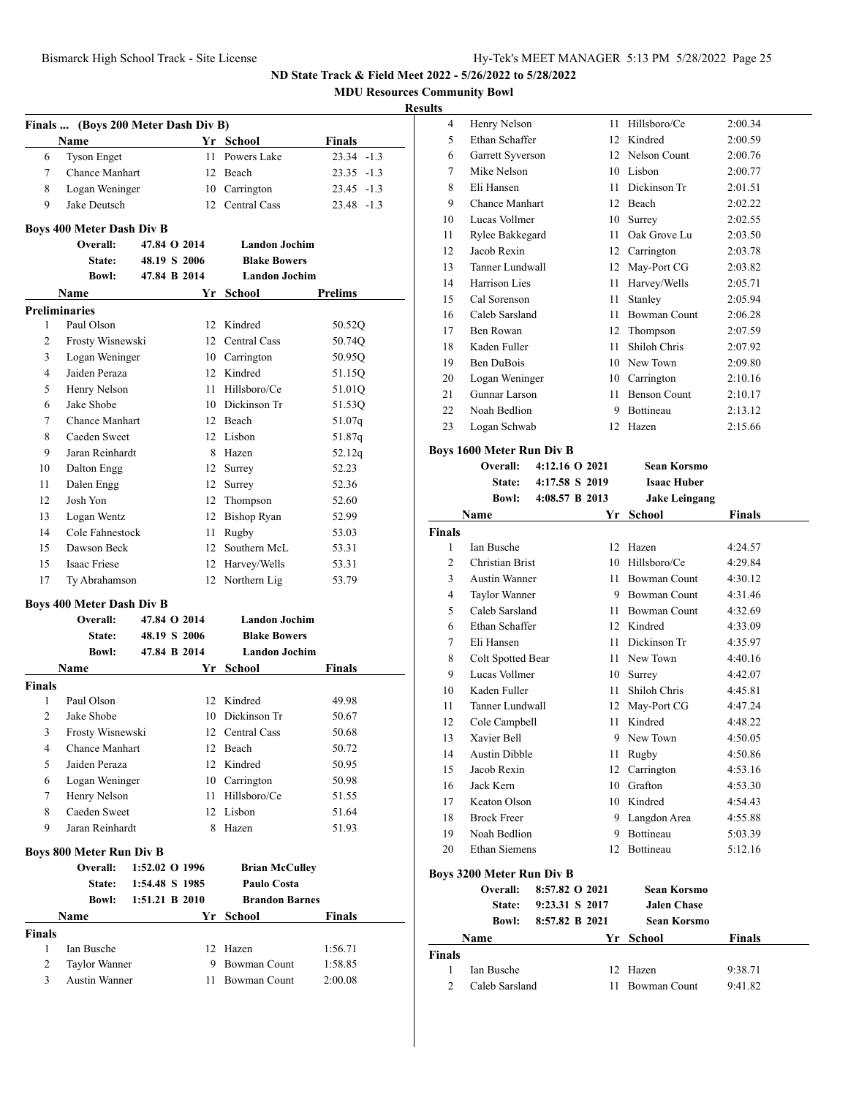**MDU Resources Community Bowl**

#### **Results**

| Finals  (Boys 200 Meter Dash Div B)<br>Yr School<br>Name<br>Finals<br>Powers Lake<br>$23.34 -1.3$<br>6<br><b>Tyson Enget</b><br>11<br>7<br>Chance Manhart<br>12 Beach<br>23.35 -1.3<br>8<br>Logan Weninger<br>10 Carrington<br>$23.45 -1.3$<br>9<br>Jake Deutsch<br>12 Central Cass<br>$23.48 - 1.3$<br><b>Boys 400 Meter Dash Div B</b><br>47.84 O 2014<br><b>Landon Jochim</b><br>Overall:<br>48.19 S 2006<br>State:<br><b>Blake Bowers</b><br><b>Landon Jochim</b><br><b>Bowl:</b><br>47.84 B 2014<br>School<br><b>Prelims</b><br>Name<br>Yr<br><b>Preliminaries</b><br>Paul Olson<br>12 Kindred<br>1<br>50.52Q<br>2<br>Frosty Wisnewski<br>12 Central Cass<br>50.74Q<br>3<br>Logan Weninger<br>10 Carrington<br>50.95Q<br>4<br>Jaiden Peraza<br>12 Kindred<br>51.15Q<br>5<br>Henry Nelson<br>11<br>Hillsboro/Ce<br>51.01Q<br>Jake Shobe<br>10 Dickinson Tr<br>6<br>51.53Q<br>Chance Manhart<br>7<br>12 Beach<br>51.07q<br>Caeden Sweet<br>12 Lisbon<br>8<br>51.87q<br>9<br>Jaran Reinhardt<br>8 Hazen<br>52.12q<br>52.23<br>10<br>Dalton Engg<br>12 Surrey<br>11<br>Dalen Engg<br>12<br>52.36<br>Surrey<br>Josh Yon<br>12<br>12 Thompson<br>52.60<br>13<br>Logan Wentz<br>12 Bishop Ryan<br>52.99<br>Cole Fahnestock<br>14<br>Rugby<br>11 -<br>53.03<br>15<br>Dawson Beck<br>Southern McL<br>53.31<br>12<br><b>Isaac Friese</b><br>15<br>12 Harvey/Wells<br>53.31<br>17<br>12 Northern Lig<br>53.79<br>Ty Abrahamson<br><b>Boys 400 Meter Dash Div B</b><br><b>Landon Jochim</b><br>Overall:<br>47.84 O 2014<br>48.19 S 2006<br><b>Blake Bowers</b><br>State:<br>47.84 B 2014<br><b>Landon Jochim</b><br><b>Bowl:</b><br><b>Name</b><br>Yr<br>School<br>Finals<br>Paul Olson<br>Kindred<br>1<br>49.98<br>12<br>$\overline{c}$<br>Jake Shobe<br>10 Dickinson Tr<br>50.67<br>3<br>Frosty Wisnewski<br>12<br>Central Cass<br>50.68<br><b>Chance Manhart</b><br>4<br>12<br>Beach<br>50.72<br>5<br>Jaiden Peraza<br>12 Kindred<br>50.95<br>Logan Weninger<br>10 Carrington<br>6<br>50.98<br>Henry Nelson<br>11 Hillsboro/Ce<br>7<br>51.55<br>Caeden Sweet<br>8<br>12 Lisbon<br>51.64<br>9<br>Jaran Reinhardt<br>8 Hazen<br>51.93<br><b>Boys 800 Meter Run Div B</b><br>1:52.02 O 1996<br>Overall:<br><b>Brian McCulley</b><br>1:54.48 S 1985<br>Paulo Costa<br>State:<br><b>Brandon Barnes</b><br><b>Bowl:</b><br>1:51.21 B 2010<br>Name<br>Yr<br>School<br>Finals<br>Finals<br>1:56.71<br>1<br>Ian Busche<br>12 Hazen<br>2<br><b>Bowman Count</b><br>Taylor Wanner<br>9.<br>1:58.85<br><b>Austin Wanner</b><br><b>Bowman Count</b><br>3<br>2:00.08<br>11 - |               |  |  |  |
|------------------------------------------------------------------------------------------------------------------------------------------------------------------------------------------------------------------------------------------------------------------------------------------------------------------------------------------------------------------------------------------------------------------------------------------------------------------------------------------------------------------------------------------------------------------------------------------------------------------------------------------------------------------------------------------------------------------------------------------------------------------------------------------------------------------------------------------------------------------------------------------------------------------------------------------------------------------------------------------------------------------------------------------------------------------------------------------------------------------------------------------------------------------------------------------------------------------------------------------------------------------------------------------------------------------------------------------------------------------------------------------------------------------------------------------------------------------------------------------------------------------------------------------------------------------------------------------------------------------------------------------------------------------------------------------------------------------------------------------------------------------------------------------------------------------------------------------------------------------------------------------------------------------------------------------------------------------------------------------------------------------------------------------------------------------------------------------------------------------------------------------------------------------------------------------------------------------------------------------------------------------------------------------------------------------------------------------------------------------------------------------------------------------------------------------------------------------------------------------------------------------------------------------------------------|---------------|--|--|--|
|                                                                                                                                                                                                                                                                                                                                                                                                                                                                                                                                                                                                                                                                                                                                                                                                                                                                                                                                                                                                                                                                                                                                                                                                                                                                                                                                                                                                                                                                                                                                                                                                                                                                                                                                                                                                                                                                                                                                                                                                                                                                                                                                                                                                                                                                                                                                                                                                                                                                                                                                                            |               |  |  |  |
|                                                                                                                                                                                                                                                                                                                                                                                                                                                                                                                                                                                                                                                                                                                                                                                                                                                                                                                                                                                                                                                                                                                                                                                                                                                                                                                                                                                                                                                                                                                                                                                                                                                                                                                                                                                                                                                                                                                                                                                                                                                                                                                                                                                                                                                                                                                                                                                                                                                                                                                                                            |               |  |  |  |
|                                                                                                                                                                                                                                                                                                                                                                                                                                                                                                                                                                                                                                                                                                                                                                                                                                                                                                                                                                                                                                                                                                                                                                                                                                                                                                                                                                                                                                                                                                                                                                                                                                                                                                                                                                                                                                                                                                                                                                                                                                                                                                                                                                                                                                                                                                                                                                                                                                                                                                                                                            |               |  |  |  |
|                                                                                                                                                                                                                                                                                                                                                                                                                                                                                                                                                                                                                                                                                                                                                                                                                                                                                                                                                                                                                                                                                                                                                                                                                                                                                                                                                                                                                                                                                                                                                                                                                                                                                                                                                                                                                                                                                                                                                                                                                                                                                                                                                                                                                                                                                                                                                                                                                                                                                                                                                            |               |  |  |  |
|                                                                                                                                                                                                                                                                                                                                                                                                                                                                                                                                                                                                                                                                                                                                                                                                                                                                                                                                                                                                                                                                                                                                                                                                                                                                                                                                                                                                                                                                                                                                                                                                                                                                                                                                                                                                                                                                                                                                                                                                                                                                                                                                                                                                                                                                                                                                                                                                                                                                                                                                                            |               |  |  |  |
|                                                                                                                                                                                                                                                                                                                                                                                                                                                                                                                                                                                                                                                                                                                                                                                                                                                                                                                                                                                                                                                                                                                                                                                                                                                                                                                                                                                                                                                                                                                                                                                                                                                                                                                                                                                                                                                                                                                                                                                                                                                                                                                                                                                                                                                                                                                                                                                                                                                                                                                                                            |               |  |  |  |
|                                                                                                                                                                                                                                                                                                                                                                                                                                                                                                                                                                                                                                                                                                                                                                                                                                                                                                                                                                                                                                                                                                                                                                                                                                                                                                                                                                                                                                                                                                                                                                                                                                                                                                                                                                                                                                                                                                                                                                                                                                                                                                                                                                                                                                                                                                                                                                                                                                                                                                                                                            |               |  |  |  |
|                                                                                                                                                                                                                                                                                                                                                                                                                                                                                                                                                                                                                                                                                                                                                                                                                                                                                                                                                                                                                                                                                                                                                                                                                                                                                                                                                                                                                                                                                                                                                                                                                                                                                                                                                                                                                                                                                                                                                                                                                                                                                                                                                                                                                                                                                                                                                                                                                                                                                                                                                            |               |  |  |  |
|                                                                                                                                                                                                                                                                                                                                                                                                                                                                                                                                                                                                                                                                                                                                                                                                                                                                                                                                                                                                                                                                                                                                                                                                                                                                                                                                                                                                                                                                                                                                                                                                                                                                                                                                                                                                                                                                                                                                                                                                                                                                                                                                                                                                                                                                                                                                                                                                                                                                                                                                                            |               |  |  |  |
|                                                                                                                                                                                                                                                                                                                                                                                                                                                                                                                                                                                                                                                                                                                                                                                                                                                                                                                                                                                                                                                                                                                                                                                                                                                                                                                                                                                                                                                                                                                                                                                                                                                                                                                                                                                                                                                                                                                                                                                                                                                                                                                                                                                                                                                                                                                                                                                                                                                                                                                                                            |               |  |  |  |
|                                                                                                                                                                                                                                                                                                                                                                                                                                                                                                                                                                                                                                                                                                                                                                                                                                                                                                                                                                                                                                                                                                                                                                                                                                                                                                                                                                                                                                                                                                                                                                                                                                                                                                                                                                                                                                                                                                                                                                                                                                                                                                                                                                                                                                                                                                                                                                                                                                                                                                                                                            |               |  |  |  |
|                                                                                                                                                                                                                                                                                                                                                                                                                                                                                                                                                                                                                                                                                                                                                                                                                                                                                                                                                                                                                                                                                                                                                                                                                                                                                                                                                                                                                                                                                                                                                                                                                                                                                                                                                                                                                                                                                                                                                                                                                                                                                                                                                                                                                                                                                                                                                                                                                                                                                                                                                            |               |  |  |  |
|                                                                                                                                                                                                                                                                                                                                                                                                                                                                                                                                                                                                                                                                                                                                                                                                                                                                                                                                                                                                                                                                                                                                                                                                                                                                                                                                                                                                                                                                                                                                                                                                                                                                                                                                                                                                                                                                                                                                                                                                                                                                                                                                                                                                                                                                                                                                                                                                                                                                                                                                                            |               |  |  |  |
|                                                                                                                                                                                                                                                                                                                                                                                                                                                                                                                                                                                                                                                                                                                                                                                                                                                                                                                                                                                                                                                                                                                                                                                                                                                                                                                                                                                                                                                                                                                                                                                                                                                                                                                                                                                                                                                                                                                                                                                                                                                                                                                                                                                                                                                                                                                                                                                                                                                                                                                                                            |               |  |  |  |
|                                                                                                                                                                                                                                                                                                                                                                                                                                                                                                                                                                                                                                                                                                                                                                                                                                                                                                                                                                                                                                                                                                                                                                                                                                                                                                                                                                                                                                                                                                                                                                                                                                                                                                                                                                                                                                                                                                                                                                                                                                                                                                                                                                                                                                                                                                                                                                                                                                                                                                                                                            |               |  |  |  |
|                                                                                                                                                                                                                                                                                                                                                                                                                                                                                                                                                                                                                                                                                                                                                                                                                                                                                                                                                                                                                                                                                                                                                                                                                                                                                                                                                                                                                                                                                                                                                                                                                                                                                                                                                                                                                                                                                                                                                                                                                                                                                                                                                                                                                                                                                                                                                                                                                                                                                                                                                            |               |  |  |  |
|                                                                                                                                                                                                                                                                                                                                                                                                                                                                                                                                                                                                                                                                                                                                                                                                                                                                                                                                                                                                                                                                                                                                                                                                                                                                                                                                                                                                                                                                                                                                                                                                                                                                                                                                                                                                                                                                                                                                                                                                                                                                                                                                                                                                                                                                                                                                                                                                                                                                                                                                                            |               |  |  |  |
|                                                                                                                                                                                                                                                                                                                                                                                                                                                                                                                                                                                                                                                                                                                                                                                                                                                                                                                                                                                                                                                                                                                                                                                                                                                                                                                                                                                                                                                                                                                                                                                                                                                                                                                                                                                                                                                                                                                                                                                                                                                                                                                                                                                                                                                                                                                                                                                                                                                                                                                                                            |               |  |  |  |
|                                                                                                                                                                                                                                                                                                                                                                                                                                                                                                                                                                                                                                                                                                                                                                                                                                                                                                                                                                                                                                                                                                                                                                                                                                                                                                                                                                                                                                                                                                                                                                                                                                                                                                                                                                                                                                                                                                                                                                                                                                                                                                                                                                                                                                                                                                                                                                                                                                                                                                                                                            |               |  |  |  |
|                                                                                                                                                                                                                                                                                                                                                                                                                                                                                                                                                                                                                                                                                                                                                                                                                                                                                                                                                                                                                                                                                                                                                                                                                                                                                                                                                                                                                                                                                                                                                                                                                                                                                                                                                                                                                                                                                                                                                                                                                                                                                                                                                                                                                                                                                                                                                                                                                                                                                                                                                            |               |  |  |  |
|                                                                                                                                                                                                                                                                                                                                                                                                                                                                                                                                                                                                                                                                                                                                                                                                                                                                                                                                                                                                                                                                                                                                                                                                                                                                                                                                                                                                                                                                                                                                                                                                                                                                                                                                                                                                                                                                                                                                                                                                                                                                                                                                                                                                                                                                                                                                                                                                                                                                                                                                                            |               |  |  |  |
|                                                                                                                                                                                                                                                                                                                                                                                                                                                                                                                                                                                                                                                                                                                                                                                                                                                                                                                                                                                                                                                                                                                                                                                                                                                                                                                                                                                                                                                                                                                                                                                                                                                                                                                                                                                                                                                                                                                                                                                                                                                                                                                                                                                                                                                                                                                                                                                                                                                                                                                                                            |               |  |  |  |
|                                                                                                                                                                                                                                                                                                                                                                                                                                                                                                                                                                                                                                                                                                                                                                                                                                                                                                                                                                                                                                                                                                                                                                                                                                                                                                                                                                                                                                                                                                                                                                                                                                                                                                                                                                                                                                                                                                                                                                                                                                                                                                                                                                                                                                                                                                                                                                                                                                                                                                                                                            |               |  |  |  |
|                                                                                                                                                                                                                                                                                                                                                                                                                                                                                                                                                                                                                                                                                                                                                                                                                                                                                                                                                                                                                                                                                                                                                                                                                                                                                                                                                                                                                                                                                                                                                                                                                                                                                                                                                                                                                                                                                                                                                                                                                                                                                                                                                                                                                                                                                                                                                                                                                                                                                                                                                            |               |  |  |  |
|                                                                                                                                                                                                                                                                                                                                                                                                                                                                                                                                                                                                                                                                                                                                                                                                                                                                                                                                                                                                                                                                                                                                                                                                                                                                                                                                                                                                                                                                                                                                                                                                                                                                                                                                                                                                                                                                                                                                                                                                                                                                                                                                                                                                                                                                                                                                                                                                                                                                                                                                                            |               |  |  |  |
|                                                                                                                                                                                                                                                                                                                                                                                                                                                                                                                                                                                                                                                                                                                                                                                                                                                                                                                                                                                                                                                                                                                                                                                                                                                                                                                                                                                                                                                                                                                                                                                                                                                                                                                                                                                                                                                                                                                                                                                                                                                                                                                                                                                                                                                                                                                                                                                                                                                                                                                                                            |               |  |  |  |
|                                                                                                                                                                                                                                                                                                                                                                                                                                                                                                                                                                                                                                                                                                                                                                                                                                                                                                                                                                                                                                                                                                                                                                                                                                                                                                                                                                                                                                                                                                                                                                                                                                                                                                                                                                                                                                                                                                                                                                                                                                                                                                                                                                                                                                                                                                                                                                                                                                                                                                                                                            |               |  |  |  |
|                                                                                                                                                                                                                                                                                                                                                                                                                                                                                                                                                                                                                                                                                                                                                                                                                                                                                                                                                                                                                                                                                                                                                                                                                                                                                                                                                                                                                                                                                                                                                                                                                                                                                                                                                                                                                                                                                                                                                                                                                                                                                                                                                                                                                                                                                                                                                                                                                                                                                                                                                            |               |  |  |  |
|                                                                                                                                                                                                                                                                                                                                                                                                                                                                                                                                                                                                                                                                                                                                                                                                                                                                                                                                                                                                                                                                                                                                                                                                                                                                                                                                                                                                                                                                                                                                                                                                                                                                                                                                                                                                                                                                                                                                                                                                                                                                                                                                                                                                                                                                                                                                                                                                                                                                                                                                                            |               |  |  |  |
|                                                                                                                                                                                                                                                                                                                                                                                                                                                                                                                                                                                                                                                                                                                                                                                                                                                                                                                                                                                                                                                                                                                                                                                                                                                                                                                                                                                                                                                                                                                                                                                                                                                                                                                                                                                                                                                                                                                                                                                                                                                                                                                                                                                                                                                                                                                                                                                                                                                                                                                                                            |               |  |  |  |
|                                                                                                                                                                                                                                                                                                                                                                                                                                                                                                                                                                                                                                                                                                                                                                                                                                                                                                                                                                                                                                                                                                                                                                                                                                                                                                                                                                                                                                                                                                                                                                                                                                                                                                                                                                                                                                                                                                                                                                                                                                                                                                                                                                                                                                                                                                                                                                                                                                                                                                                                                            |               |  |  |  |
|                                                                                                                                                                                                                                                                                                                                                                                                                                                                                                                                                                                                                                                                                                                                                                                                                                                                                                                                                                                                                                                                                                                                                                                                                                                                                                                                                                                                                                                                                                                                                                                                                                                                                                                                                                                                                                                                                                                                                                                                                                                                                                                                                                                                                                                                                                                                                                                                                                                                                                                                                            |               |  |  |  |
|                                                                                                                                                                                                                                                                                                                                                                                                                                                                                                                                                                                                                                                                                                                                                                                                                                                                                                                                                                                                                                                                                                                                                                                                                                                                                                                                                                                                                                                                                                                                                                                                                                                                                                                                                                                                                                                                                                                                                                                                                                                                                                                                                                                                                                                                                                                                                                                                                                                                                                                                                            |               |  |  |  |
|                                                                                                                                                                                                                                                                                                                                                                                                                                                                                                                                                                                                                                                                                                                                                                                                                                                                                                                                                                                                                                                                                                                                                                                                                                                                                                                                                                                                                                                                                                                                                                                                                                                                                                                                                                                                                                                                                                                                                                                                                                                                                                                                                                                                                                                                                                                                                                                                                                                                                                                                                            |               |  |  |  |
|                                                                                                                                                                                                                                                                                                                                                                                                                                                                                                                                                                                                                                                                                                                                                                                                                                                                                                                                                                                                                                                                                                                                                                                                                                                                                                                                                                                                                                                                                                                                                                                                                                                                                                                                                                                                                                                                                                                                                                                                                                                                                                                                                                                                                                                                                                                                                                                                                                                                                                                                                            | <b>Finals</b> |  |  |  |
|                                                                                                                                                                                                                                                                                                                                                                                                                                                                                                                                                                                                                                                                                                                                                                                                                                                                                                                                                                                                                                                                                                                                                                                                                                                                                                                                                                                                                                                                                                                                                                                                                                                                                                                                                                                                                                                                                                                                                                                                                                                                                                                                                                                                                                                                                                                                                                                                                                                                                                                                                            |               |  |  |  |
|                                                                                                                                                                                                                                                                                                                                                                                                                                                                                                                                                                                                                                                                                                                                                                                                                                                                                                                                                                                                                                                                                                                                                                                                                                                                                                                                                                                                                                                                                                                                                                                                                                                                                                                                                                                                                                                                                                                                                                                                                                                                                                                                                                                                                                                                                                                                                                                                                                                                                                                                                            |               |  |  |  |
|                                                                                                                                                                                                                                                                                                                                                                                                                                                                                                                                                                                                                                                                                                                                                                                                                                                                                                                                                                                                                                                                                                                                                                                                                                                                                                                                                                                                                                                                                                                                                                                                                                                                                                                                                                                                                                                                                                                                                                                                                                                                                                                                                                                                                                                                                                                                                                                                                                                                                                                                                            |               |  |  |  |
|                                                                                                                                                                                                                                                                                                                                                                                                                                                                                                                                                                                                                                                                                                                                                                                                                                                                                                                                                                                                                                                                                                                                                                                                                                                                                                                                                                                                                                                                                                                                                                                                                                                                                                                                                                                                                                                                                                                                                                                                                                                                                                                                                                                                                                                                                                                                                                                                                                                                                                                                                            |               |  |  |  |
|                                                                                                                                                                                                                                                                                                                                                                                                                                                                                                                                                                                                                                                                                                                                                                                                                                                                                                                                                                                                                                                                                                                                                                                                                                                                                                                                                                                                                                                                                                                                                                                                                                                                                                                                                                                                                                                                                                                                                                                                                                                                                                                                                                                                                                                                                                                                                                                                                                                                                                                                                            |               |  |  |  |
|                                                                                                                                                                                                                                                                                                                                                                                                                                                                                                                                                                                                                                                                                                                                                                                                                                                                                                                                                                                                                                                                                                                                                                                                                                                                                                                                                                                                                                                                                                                                                                                                                                                                                                                                                                                                                                                                                                                                                                                                                                                                                                                                                                                                                                                                                                                                                                                                                                                                                                                                                            |               |  |  |  |
|                                                                                                                                                                                                                                                                                                                                                                                                                                                                                                                                                                                                                                                                                                                                                                                                                                                                                                                                                                                                                                                                                                                                                                                                                                                                                                                                                                                                                                                                                                                                                                                                                                                                                                                                                                                                                                                                                                                                                                                                                                                                                                                                                                                                                                                                                                                                                                                                                                                                                                                                                            |               |  |  |  |
|                                                                                                                                                                                                                                                                                                                                                                                                                                                                                                                                                                                                                                                                                                                                                                                                                                                                                                                                                                                                                                                                                                                                                                                                                                                                                                                                                                                                                                                                                                                                                                                                                                                                                                                                                                                                                                                                                                                                                                                                                                                                                                                                                                                                                                                                                                                                                                                                                                                                                                                                                            |               |  |  |  |
|                                                                                                                                                                                                                                                                                                                                                                                                                                                                                                                                                                                                                                                                                                                                                                                                                                                                                                                                                                                                                                                                                                                                                                                                                                                                                                                                                                                                                                                                                                                                                                                                                                                                                                                                                                                                                                                                                                                                                                                                                                                                                                                                                                                                                                                                                                                                                                                                                                                                                                                                                            |               |  |  |  |
|                                                                                                                                                                                                                                                                                                                                                                                                                                                                                                                                                                                                                                                                                                                                                                                                                                                                                                                                                                                                                                                                                                                                                                                                                                                                                                                                                                                                                                                                                                                                                                                                                                                                                                                                                                                                                                                                                                                                                                                                                                                                                                                                                                                                                                                                                                                                                                                                                                                                                                                                                            |               |  |  |  |
|                                                                                                                                                                                                                                                                                                                                                                                                                                                                                                                                                                                                                                                                                                                                                                                                                                                                                                                                                                                                                                                                                                                                                                                                                                                                                                                                                                                                                                                                                                                                                                                                                                                                                                                                                                                                                                                                                                                                                                                                                                                                                                                                                                                                                                                                                                                                                                                                                                                                                                                                                            |               |  |  |  |
|                                                                                                                                                                                                                                                                                                                                                                                                                                                                                                                                                                                                                                                                                                                                                                                                                                                                                                                                                                                                                                                                                                                                                                                                                                                                                                                                                                                                                                                                                                                                                                                                                                                                                                                                                                                                                                                                                                                                                                                                                                                                                                                                                                                                                                                                                                                                                                                                                                                                                                                                                            |               |  |  |  |
|                                                                                                                                                                                                                                                                                                                                                                                                                                                                                                                                                                                                                                                                                                                                                                                                                                                                                                                                                                                                                                                                                                                                                                                                                                                                                                                                                                                                                                                                                                                                                                                                                                                                                                                                                                                                                                                                                                                                                                                                                                                                                                                                                                                                                                                                                                                                                                                                                                                                                                                                                            |               |  |  |  |
|                                                                                                                                                                                                                                                                                                                                                                                                                                                                                                                                                                                                                                                                                                                                                                                                                                                                                                                                                                                                                                                                                                                                                                                                                                                                                                                                                                                                                                                                                                                                                                                                                                                                                                                                                                                                                                                                                                                                                                                                                                                                                                                                                                                                                                                                                                                                                                                                                                                                                                                                                            |               |  |  |  |
|                                                                                                                                                                                                                                                                                                                                                                                                                                                                                                                                                                                                                                                                                                                                                                                                                                                                                                                                                                                                                                                                                                                                                                                                                                                                                                                                                                                                                                                                                                                                                                                                                                                                                                                                                                                                                                                                                                                                                                                                                                                                                                                                                                                                                                                                                                                                                                                                                                                                                                                                                            |               |  |  |  |
|                                                                                                                                                                                                                                                                                                                                                                                                                                                                                                                                                                                                                                                                                                                                                                                                                                                                                                                                                                                                                                                                                                                                                                                                                                                                                                                                                                                                                                                                                                                                                                                                                                                                                                                                                                                                                                                                                                                                                                                                                                                                                                                                                                                                                                                                                                                                                                                                                                                                                                                                                            |               |  |  |  |
|                                                                                                                                                                                                                                                                                                                                                                                                                                                                                                                                                                                                                                                                                                                                                                                                                                                                                                                                                                                                                                                                                                                                                                                                                                                                                                                                                                                                                                                                                                                                                                                                                                                                                                                                                                                                                                                                                                                                                                                                                                                                                                                                                                                                                                                                                                                                                                                                                                                                                                                                                            |               |  |  |  |
|                                                                                                                                                                                                                                                                                                                                                                                                                                                                                                                                                                                                                                                                                                                                                                                                                                                                                                                                                                                                                                                                                                                                                                                                                                                                                                                                                                                                                                                                                                                                                                                                                                                                                                                                                                                                                                                                                                                                                                                                                                                                                                                                                                                                                                                                                                                                                                                                                                                                                                                                                            |               |  |  |  |
|                                                                                                                                                                                                                                                                                                                                                                                                                                                                                                                                                                                                                                                                                                                                                                                                                                                                                                                                                                                                                                                                                                                                                                                                                                                                                                                                                                                                                                                                                                                                                                                                                                                                                                                                                                                                                                                                                                                                                                                                                                                                                                                                                                                                                                                                                                                                                                                                                                                                                                                                                            |               |  |  |  |

| 4  | Henry Nelson     | 11 | Hillsboro/Ce        | 2:00.34 |
|----|------------------|----|---------------------|---------|
| 5  | Ethan Schaffer   | 12 | Kindred             | 2:00.59 |
| 6  | Garrett Syverson | 12 | Nelson Count        | 2:00.76 |
| 7  | Mike Nelson      | 10 | Lisbon              | 2:00.77 |
| 8  | Eli Hansen       | 11 | Dickinson Tr        | 2:01.51 |
| 9  | Chance Manhart   | 12 | <b>Beach</b>        | 2:02.22 |
| 10 | Lucas Vollmer    | 10 | Surrey              | 2:02.55 |
| 11 | Rylee Bakkegard  | 11 | Oak Grove Lu        | 2:03.50 |
| 12 | Jacob Rexin      | 12 | Carrington          | 2:03.78 |
| 13 | Tanner Lundwall  | 12 | May-Port CG         | 2:03.82 |
| 14 | Harrison Lies    | 11 | Harvey/Wells        | 2:05.71 |
| 15 | Cal Sorenson     | 11 | Stanley             | 2:05.94 |
| 16 | Caleb Sarsland   | 11 | <b>Bowman Count</b> | 2:06.28 |
| 17 | Ben Rowan        | 12 | Thompson            | 2:07.59 |
| 18 | Kaden Fuller     | 11 | Shiloh Chris        | 2:07.92 |
| 19 | Ben DuBois       | 10 | New Town            | 2:09.80 |
| 20 | Logan Weninger   | 10 | Carrington          | 2:10.16 |
| 21 | Gunnar Larson    | 11 | <b>Benson Count</b> | 2:10.17 |
| 22 | Noah Bedlion     | 9  | <b>Bottineau</b>    | 2:13.12 |
| 23 | Logan Schwab     | 12 | Hazen               | 2:15.66 |
|    |                  |    |                     |         |

## **Boys 1600 Meter Run Div B**

**Overall: 4:12.16 O 2021 Sean Korsmo State: 4:17.58 S 2019 Isaac Huber**

|                | <b>Bowl:</b>                     | 4:08.57 B 2013 | <b>Jake Leingang</b> |               |
|----------------|----------------------------------|----------------|----------------------|---------------|
|                | Name                             | Yr             | School               | <b>Finals</b> |
| <b>Finals</b>  |                                  |                |                      |               |
| 1              | Ian Busche                       | 12             | Hazen                | 4:24.57       |
| $\overline{c}$ | Christian Brist                  | 10             | Hillsboro/Ce         | 4:29.84       |
| 3              | Austin Wanner                    | 11             | <b>Bowman Count</b>  | 4:30.12       |
| $\overline{4}$ | Taylor Wanner                    | 9              | <b>Bowman Count</b>  | 4:31.46       |
| 5              | Caleb Sarsland                   | 11             | <b>Bowman Count</b>  | 4:32.69       |
| 6              | Ethan Schaffer                   | 12             | Kindred              | 4:33.09       |
| 7              | Eli Hansen                       | 11             | Dickinson Tr         | 4:35.97       |
| 8              | Colt Spotted Bear                | 11             | New Town             | 4:40.16       |
| 9              | Lucas Vollmer                    | 10             | Surrey               | 4:42.07       |
| 10             | Kaden Fuller                     | 11             | Shiloh Chris         | 4:45.81       |
| 11             | Tanner Lundwall                  | 12             | May-Port CG          | 4:47.24       |
| 12             | Cole Campbell                    | 11             | Kindred              | 4:48.22       |
| 13             | Xavier Bell                      | 9              | New Town             | 4:50.05       |
| 14             | <b>Austin Dibble</b>             | 11             | Rugby                | 4:50.86       |
| 15             | Jacob Rexin                      | 12             | Carrington           | 4:53.16       |
| 16             | Jack Kern                        | 10             | Grafton              | 4:53.30       |
| 17             | Keaton Olson                     | 10             | Kindred              | 4:54.43       |
| 18             | <b>Brock Freer</b>               | 9              | Langdon Area         | 4:55.88       |
| 19             | Noah Bedlion                     | 9              | <b>Bottineau</b>     | 5:03.39       |
| 20             | <b>Ethan Siemens</b>             | 12             | Bottineau            | 5:12.16       |
|                | <b>Boys 3200 Meter Run Div B</b> |                |                      |               |
|                | Overall:                         | 8:57.82 O 2021 | <b>Sean Korsmo</b>   |               |
|                | State:                           | 9:23.31 S 2017 | <b>Jalen Chase</b>   |               |
|                | Rowl∙                            | 8.5782R2021    | Sean Korsmo          |               |

| <b>Bowl:</b>  |                | 8:57.82 B 2021 | <b>Sean Korsmo</b> |               |
|---------------|----------------|----------------|--------------------|---------------|
|               | Name           |                | Yr School          | <b>Finals</b> |
| <b>Finals</b> |                |                |                    |               |
|               | Ian Busche     |                | 12 Hazen           | 9:38.71       |
|               | Caleb Sarsland |                | Bowman Count       | 9:41.82       |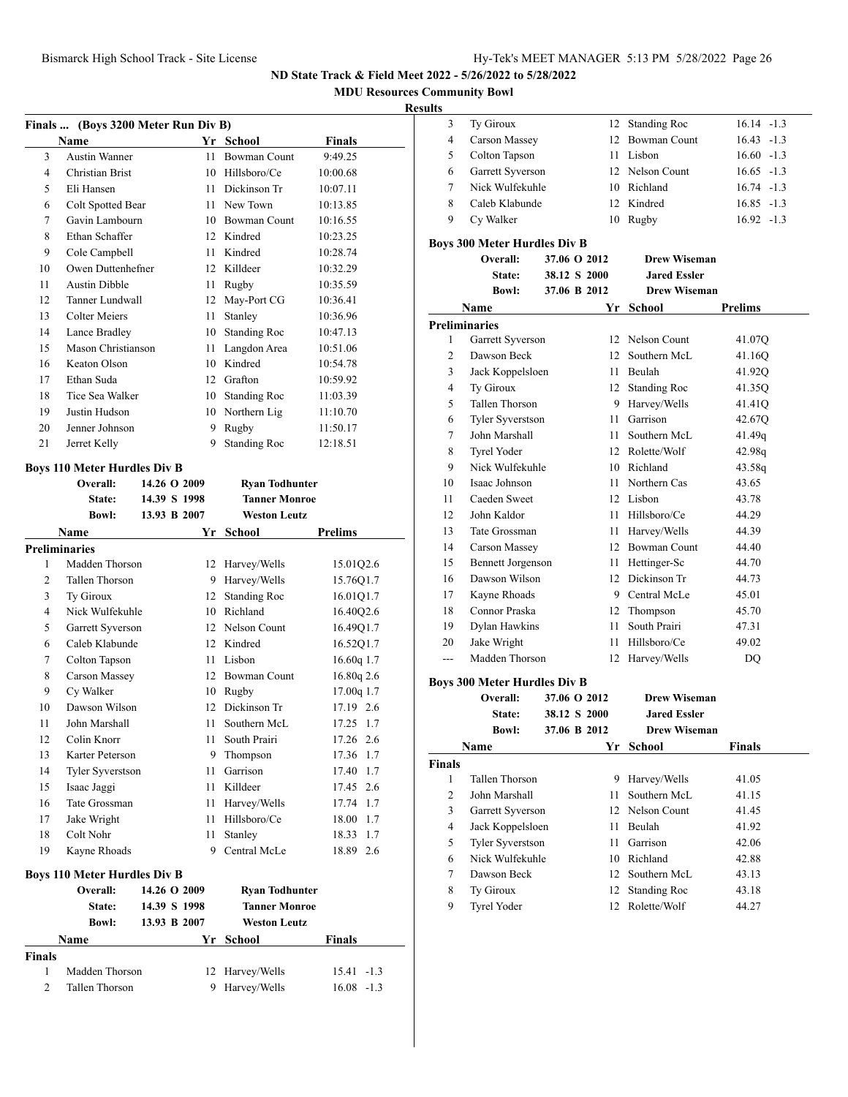**MDU Resources Community Bowl**

#### **Resu**

| Finals  (Boys 3200 Meter Run Div B) |                                     |              |    |                       |                |  |
|-------------------------------------|-------------------------------------|--------------|----|-----------------------|----------------|--|
|                                     | <b>Name</b>                         |              |    | Yr School             | Finals         |  |
| 3                                   | <b>Austin Wanner</b>                |              | 11 | <b>Bowman Count</b>   | 9:49.25        |  |
| 4                                   | Christian Brist                     |              |    | 10 Hillsboro/Ce       | 10:00.68       |  |
| 5                                   | Eli Hansen                          |              |    | 11 Dickinson Tr       | 10:07.11       |  |
| 6                                   | Colt Spotted Bear                   |              |    | 11 New Town           | 10:13.85       |  |
| 7                                   | Gavin Lambourn                      |              |    | 10 Bowman Count       | 10:16.55       |  |
| 8                                   | Ethan Schaffer                      |              |    | 12 Kindred            | 10:23.25       |  |
| 9                                   | Cole Campbell                       |              |    | 11 Kindred            | 10:28.74       |  |
| 10                                  | Owen Duttenhefner                   |              |    | 12 Killdeer           | 10:32.29       |  |
| 11                                  | <b>Austin Dibble</b>                |              |    | 11 Rugby              | 10:35.59       |  |
| 12                                  | Tanner Lundwall                     |              |    | 12 May-Port CG        | 10:36.41       |  |
| 13                                  | <b>Colter Meiers</b>                |              | 11 | Stanley               | 10:36.96       |  |
| 14                                  | Lance Bradley                       |              | 10 | <b>Standing Roc</b>   | 10:47.13       |  |
| 15                                  | Mason Christianson                  |              | 11 | Langdon Area          | 10:51.06       |  |
| 16                                  | Keaton Olson                        |              |    | 10 Kindred            | 10:54.78       |  |
| 17                                  | Ethan Suda                          |              |    | 12 Grafton            | 10:59.92       |  |
| 18                                  | Tice Sea Walker                     |              |    | 10 Standing Roc       | 11:03.39       |  |
| 19                                  | Justin Hudson                       |              |    | 10 Northern Lig       | 11:10.70       |  |
| 20                                  | Jenner Johnson                      |              | 9  | Rugby                 | 11:50.17       |  |
| 21                                  | Jerret Kelly                        |              | 9  | <b>Standing Roc</b>   | 12:18.51       |  |
|                                     | <b>Boys 110 Meter Hurdles Div B</b> |              |    |                       |                |  |
|                                     | Overall:                            | 14.26 O 2009 |    | <b>Ryan Todhunter</b> |                |  |
|                                     | State:                              | 14.39 S 1998 |    | <b>Tanner Monroe</b>  |                |  |
|                                     | <b>Bowl:</b>                        | 13.93 B 2007 |    | <b>Weston Leutz</b>   |                |  |
|                                     | Name                                |              |    | Yr School             | <b>Prelims</b> |  |
|                                     | <b>Preliminaries</b>                |              |    |                       |                |  |
| 1                                   | Madden Thorson                      |              |    | 12 Harvey/Wells       | 15.01Q2.6      |  |
| $\overline{c}$                      | Tallen Thorson                      |              | 9  | Harvey/Wells          | 15.76Q1.7      |  |
| 3                                   | Ty Giroux                           |              | 12 | <b>Standing Roc</b>   | 16.01Q1.7      |  |
| 4                                   | Nick Wulfekuhle                     |              |    | 10 Richland           | 16.40Q2.6      |  |
| 5                                   | Garrett Syverson                    |              |    | 12 Nelson Count       | 16.49Q1.7      |  |
| 6                                   | Caleb Klabunde                      |              |    | 12 Kindred            | 16.52Q1.7      |  |
| 7                                   | Colton Tapson                       |              |    | 11 Lisbon             | 16.60q 1.7     |  |
| 8                                   | <b>Carson Massey</b>                |              |    | 12 Bowman Count       | 16.80q 2.6     |  |
| 9                                   | Cy Walker                           |              |    | 10 Rugby              | 17.00q 1.7     |  |
| 10                                  | Dawson Wilson                       |              |    | 12 Dickinson Tr       | 17.19 2.6      |  |
| 11                                  | John Marshall                       |              |    | 11 Southern McL       | 17.25<br>1.7   |  |
| 12                                  | Colin Knorr                         |              |    | 11 South Prairi       | 17.26 2.6      |  |
| 13                                  | Karter Peterson                     |              |    | 9 Thompson            | 17.36 1.7      |  |
| 14                                  | <b>Tyler Syverstson</b>             |              | 11 | Garrison              | 17.40 1.7      |  |
| 15                                  | Isaac Jaggi                         |              | 11 | Killdeer              | 17.45 2.6      |  |
| 16                                  | Tate Grossman                       |              |    | 11 Harvey/Wells       | 17.74 1.7      |  |
| 17                                  | Jake Wright                         |              | 11 | Hillsboro/Ce          | 18.00 1.7      |  |
| 18                                  | Colt Nohr                           |              | 11 | Stanley               | 1.7<br>18.33   |  |
| 19                                  | Kayne Rhoads                        |              | 9  | Central McLe          | 18.89 2.6      |  |
|                                     |                                     |              |    |                       |                |  |
|                                     | <b>Boys 110 Meter Hurdles Div B</b> |              |    |                       |                |  |
|                                     | Overall:                            | 14.26 O 2009 |    | <b>Ryan Todhunter</b> |                |  |
|                                     | State:                              | 14.39 S 1998 |    | <b>Tanner Monroe</b>  |                |  |
|                                     | <b>Bowl:</b>                        | 13.93 B 2007 |    | <b>Weston Leutz</b>   |                |  |
|                                     | Name                                |              |    | Yr School             | Finals         |  |
| Finals                              |                                     |              |    |                       |                |  |
| $\mathbf{1}$                        | Madden Thorson                      |              | 12 | Harvey/Wells          | 15.41 -1.3     |  |
| 2                                   | Tallen Thorson                      |              | 9  | Harvey/Wells          | 16.08 -1.3     |  |

| ılts           |                                     |              |                     |                |
|----------------|-------------------------------------|--------------|---------------------|----------------|
| 3              | Ty Giroux                           | 12           | <b>Standing Roc</b> | $16.14 - 1.3$  |
| 4              | <b>Carson Massey</b>                | 12           | Bowman Count        | $16.43 - 1.3$  |
| 5              | Colton Tapson                       |              | 11 Lisbon           | $16.60 -1.3$   |
| 6              | Garrett Syverson                    |              | 12 Nelson Count     | $16.65 - 1.3$  |
| 7              | Nick Wulfekuhle                     |              | 10 Richland         | $16.74 - 1.3$  |
| 8              | Caleb Klabunde                      |              | 12 Kindred          | $16.85 - 1.3$  |
| 9              | Cy Walker                           |              | 10 Rugby            | $16.92 - 1.3$  |
|                | <b>Boys 300 Meter Hurdles Div B</b> |              |                     |                |
|                | Overall:                            | 37.06 O 2012 | <b>Drew Wiseman</b> |                |
|                | State:                              | 38.12 S 2000 | <b>Jared Essler</b> |                |
|                | <b>Bowl:</b>                        | 37.06 B 2012 | <b>Drew Wiseman</b> |                |
|                | <b>Name</b>                         |              | Yr School           | <b>Prelims</b> |
|                | <b>Preliminaries</b>                |              |                     |                |
| 1              | Garrett Syverson                    |              | 12 Nelson Count     | 41.07Q         |
| $\overline{c}$ | Dawson Beck                         |              | 12 Southern McL     | 41.16Q         |
| 3              | Jack Koppelsloen                    |              | 11 Beulah           | 41.92Q         |
| 4              | Ty Giroux                           |              | 12 Standing Roc     | 41.35Q         |
| 5              | Tallen Thorson                      |              | 9 Harvey/Wells      | 41.41Q         |
| 6              | Tyler Syverstson                    |              | 11 Garrison         | 42.67Q         |
| 7              | John Marshall                       |              | 11 Southern McL     | 41.49q         |
| 8              | <b>Tyrel Yoder</b>                  |              | 12 Rolette/Wolf     | 42.98q         |
| 9              | Nick Wulfekuhle                     |              | 10 Richland         | 43.58q         |
| 10             | Isaac Johnson                       |              | 11 Northern Cas     | 43.65          |
| 11             | Caeden Sweet                        |              | 12 Lisbon           | 43.78          |
| 12             | John Kaldor                         |              | 11 Hillsboro/Ce     | 44.29          |
| 13             | Tate Grossman                       | 11           | Harvey/Wells        | 44.39          |
| 14             | Carson Massey                       |              | 12 Bowman Count     | 44.40          |
| 15             | <b>Bennett Jorgenson</b>            |              | 11 Hettinger-Sc     | 44.70          |
| 16             | Dawson Wilson                       |              | 12 Dickinson Tr     | 44.73          |
| 17             | Kayne Rhoads                        |              | 9 Central McLe      | 45.01          |
| 18             | Connor Praska                       |              | 12 Thompson         | 45.70          |
| 19             | Dylan Hawkins                       | 11           | South Prairi        | 47.31          |
| 20             | Jake Wright                         | 11           | Hillsboro/Ce        | 49.02          |
| ---            | Madden Thorson                      | 12           | Harvey/Wells        | DQ             |
|                | Boys 300 Meter Hurdles Div B        |              |                     |                |
|                | Overall:                            | 37.06 O 2012 | <b>Drew Wiseman</b> |                |
|                | State:                              | 38.12 S 2000 | <b>Jared Essler</b> |                |
|                | <b>Bowl:</b>                        | 37.06 B 2012 | <b>Drew Wiseman</b> |                |
|                | Name                                | Yr           | School              | Finals         |
| <b>Finals</b>  |                                     |              |                     |                |
| 1              | Tallen Thorson                      | 9            | Harvey/Wells        | 41.05          |
| 2              | John Marshall                       | 11           | Southern McL        | 41.15          |
| 3              | Garrett Syverson                    |              | 12 Nelson Count     | 41.45          |
| 4              | Jack Koppelsloen                    | 11           | Beulah              | 41.92          |
| 5              | <b>Tyler Syverstson</b>             | 11           | Garrison            | 42.06          |
| 6              | Nick Wulfekuhle                     |              | 10 Richland         | 42.88          |
| 7              | Dawson Beck                         | 12           | Southern McL        | 43.13          |
| 8              | Ty Giroux                           | 12           | <b>Standing Roc</b> | 43.18          |
| 9              | Tyrel Yoder                         | 12           | Rolette/Wolf        | 44.27          |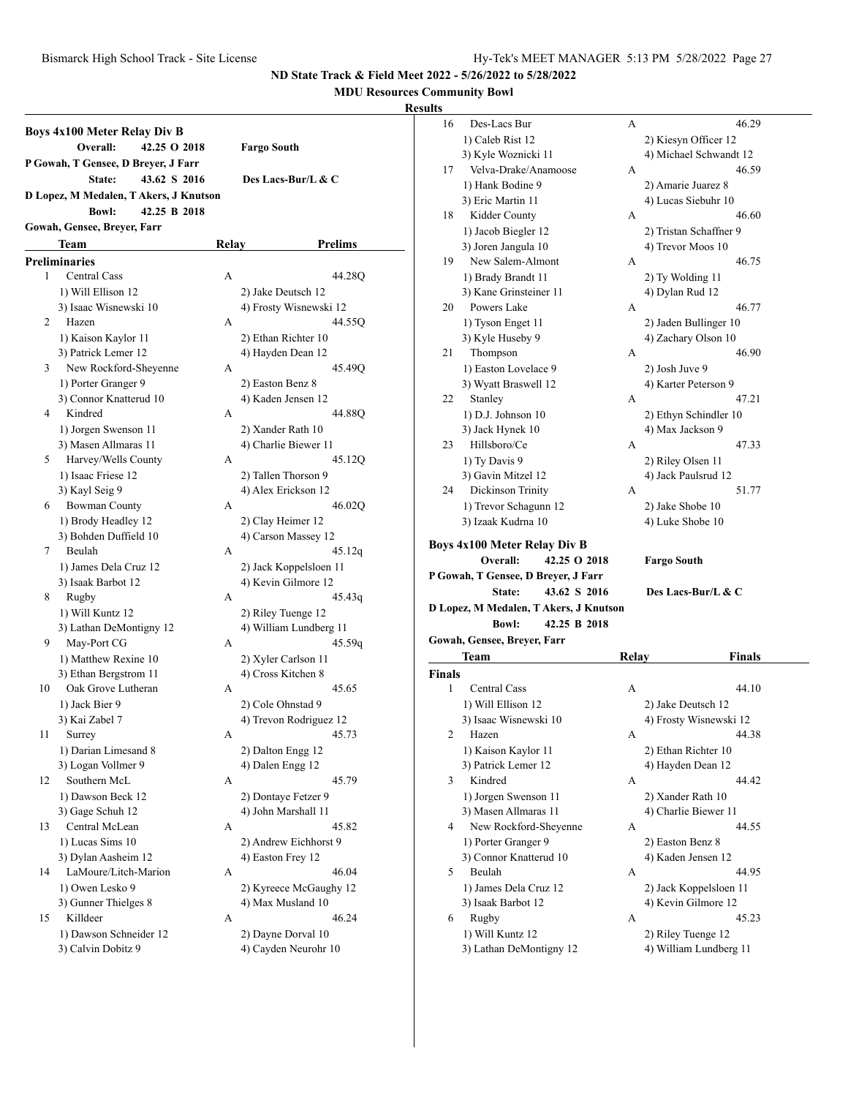**MDU Resources Community Bowl**

|    | <b>Boys 4x100 Meter Relay Div B</b><br>Overall:<br>42.25 O 2018 |              | <b>Fargo South</b>                         |
|----|-----------------------------------------------------------------|--------------|--------------------------------------------|
|    | P Gowah, T Gensee, D Breyer, J Farr                             |              |                                            |
|    | 43.62 S 2016<br>State:                                          |              | Des Lacs-Bur/L & C                         |
|    | D Lopez, M Medalen, T Akers, J Knutson                          |              |                                            |
|    | 42.25 B 2018<br><b>Bowl:</b>                                    |              |                                            |
|    | Gowah, Gensee, Breyer, Farr                                     |              |                                            |
|    | Team                                                            | <b>Relay</b> | Prelims                                    |
|    | <b>Preliminaries</b>                                            |              |                                            |
| 1  | <b>Central Cass</b>                                             | A            | 44.28Q                                     |
|    | 1) Will Ellison 12                                              |              | 2) Jake Deutsch 12                         |
|    | 3) Isaac Wisnewski 10                                           |              | 4) Frosty Wisnewski 12                     |
| 2  | Hazen                                                           | А            | 44.55Q                                     |
|    | 1) Kaison Kaylor 11                                             |              | 2) Ethan Richter 10                        |
|    | 3) Patrick Lemer 12                                             |              | 4) Hayden Dean 12                          |
| 3  | New Rockford-Sheyenne                                           | А            | 45.49Q                                     |
|    | 1) Porter Granger 9                                             |              | 2) Easton Benz 8                           |
|    | 3) Connor Knatterud 10                                          |              | 4) Kaden Jensen 12                         |
| 4  | Kindred                                                         | A            | 44.88Q                                     |
|    | 1) Jorgen Swenson 11                                            |              | 2) Xander Rath 10                          |
|    | 3) Masen Allmaras 11                                            |              | 4) Charlie Biewer 11                       |
| 5  | Harvey/Wells County                                             | A            | 45.12Q                                     |
|    | 1) Isaac Friese 12                                              |              | 2) Tallen Thorson 9                        |
|    | 3) Kayl Seig 9                                                  |              | 4) Alex Erickson 12                        |
| 6  | <b>Bowman County</b>                                            | А            | 46.02Q                                     |
|    | 1) Brody Headley 12                                             |              | 2) Clay Heimer 12                          |
|    | 3) Bohden Duffield 10                                           |              | 4) Carson Massey 12                        |
| 7  | Beulah                                                          | A            | 45.12q                                     |
|    | 1) James Dela Cruz 12                                           |              | 2) Jack Koppelsloen 11                     |
|    | 3) Isaak Barbot 12                                              |              | 4) Kevin Gilmore 12                        |
| 8  | Rugby                                                           | A            | 45.43q                                     |
|    | 1) Will Kuntz 12                                                |              | 2) Riley Tuenge 12                         |
|    | 3) Lathan DeMontigny 12                                         |              | 4) William Lundberg 11                     |
| 9  | May-Port CG                                                     | A            | 45.59q                                     |
|    | 1) Matthew Rexine 10                                            |              | 2) Xyler Carlson 11                        |
|    | 3) Ethan Bergstrom 11                                           |              | 4) Cross Kitchen 8                         |
| 10 | Oak Grove Lutheran                                              | А            | 45.65                                      |
|    | 1) Jack Bier 9                                                  |              | 2) Cole Ohnstad 9                          |
|    | 3) Kai Zabel 7                                                  |              | 4) Trevon Rodriguez 12                     |
| 11 | Surrey                                                          | А            | 45.73                                      |
|    | 1) Darian Limesand 8                                            |              | 2) Dalton Engg 12                          |
| 12 | 3) Logan Vollmer 9<br>Southern McL                              | А            | 4) Dalen Engg 12<br>45.79                  |
|    | 1) Dawson Beck 12                                               |              |                                            |
|    | 3) Gage Schuh 12                                                |              | 2) Dontaye Fetzer 9<br>4) John Marshall 11 |
| 13 | Central McLean                                                  | А            | 45.82                                      |
|    | 1) Lucas Sims 10                                                |              | 2) Andrew Eichhorst 9                      |
|    | 3) Dylan Aasheim 12                                             |              | 4) Easton Frey 12                          |
| 14 | LaMoure/Litch-Marion                                            | А            | 46.04                                      |
|    | 1) Owen Lesko 9                                                 |              | 2) Kyreece McGaughy 12                     |
|    | 3) Gunner Thielges 8                                            |              | 4) Max Musland 10                          |
| 15 | Killdeer                                                        | А            | 46.24                                      |
|    | 1) Dawson Schneider 12                                          |              | 2) Dayne Dorval 10                         |
|    | 3) Calvin Dobitz 9                                              |              | 4) Cayden Neurohr 10                       |
|    |                                                                 |              |                                            |

| ults          |                                             |       |                                              |  |
|---------------|---------------------------------------------|-------|----------------------------------------------|--|
| 16            | Des-Lacs Bur                                | A     | 46.29                                        |  |
|               | 1) Caleb Rist 12                            |       | 2) Kiesyn Officer 12                         |  |
|               | 3) Kyle Woznicki 11                         |       | 4) Michael Schwandt 12                       |  |
| 17            | Velva-Drake/Anamoose                        | А     | 46.59                                        |  |
|               | 1) Hank Bodine 9                            |       | 2) Amarie Juarez 8                           |  |
|               | 3) Eric Martin 11                           |       | 4) Lucas Siebuhr 10                          |  |
| 18            | Kidder County                               | А     | 46.60                                        |  |
|               | 1) Jacob Biegler 12                         |       | 2) Tristan Schaffner 9                       |  |
|               | 3) Joren Jangula 10                         |       | 4) Trevor Moos 10                            |  |
| 19            | New Salem-Almont                            | А     | 46.75                                        |  |
|               | 1) Brady Brandt 11                          |       | 2) Ty Wolding 11                             |  |
|               | 3) Kane Grinsteiner 11                      |       | 4) Dylan Rud 12                              |  |
| 20            | Powers Lake                                 | А     | 46.77                                        |  |
|               | 1) Tyson Enget 11                           |       | 2) Jaden Bullinger 10                        |  |
|               | 3) Kyle Huseby 9                            |       | 4) Zachary Olson 10                          |  |
| 21            | Thompson                                    | А     | 46.90                                        |  |
|               | 1) Easton Lovelace 9                        |       | 2) Josh Juve 9                               |  |
|               | 3) Wyatt Braswell 12                        |       | 4) Karter Peterson 9                         |  |
| 22            | Stanley                                     | А     | 47.21                                        |  |
|               | 1) D.J. Johnson 10                          |       | 2) Ethyn Schindler 10                        |  |
|               | 3) Jack Hynek 10                            |       | 4) Max Jackson 9                             |  |
| 23            | Hillsboro/Ce                                | А     | 47.33                                        |  |
|               | 1) Ty Davis 9                               |       | 2) Riley Olsen 11                            |  |
|               | 3) Gavin Mitzel 12                          |       | 4) Jack Paulsrud 12                          |  |
| 24            | Dickinson Trinity                           | A     | 51.77                                        |  |
|               | 1) Trevor Schagunn 12                       |       | 2) Jake Shobe 10                             |  |
|               | 3) Izaak Kudrna 10                          |       | 4) Luke Shobe 10                             |  |
|               | <b>Boys 4x100 Meter Relay Div B</b>         |       |                                              |  |
|               | Overall:<br>42.25 O 2018                    |       | <b>Fargo South</b>                           |  |
|               | P Gowah, T Gensee, D Breyer, J Farr         |       |                                              |  |
|               | 43.62 S 2016<br>State:                      |       | Des Lacs-Bur/L & C                           |  |
|               | D Lopez, M Medalen, T Akers, J Knutson      |       |                                              |  |
|               | 42.25 B 2018<br><b>Bowl:</b>                |       |                                              |  |
|               |                                             |       |                                              |  |
|               |                                             |       |                                              |  |
|               | Gowah, Gensee, Breyer, Farr                 |       |                                              |  |
|               | Team                                        | Relay | Finals                                       |  |
| <b>Finals</b> |                                             |       |                                              |  |
| 1             | <b>Central Cass</b>                         | А     | 44.10                                        |  |
|               | 1) Will Ellison 12                          |       | 2) Jake Deutsch 12                           |  |
|               | 3) Isaac Wisnewski 10                       |       | 4) Frosty Wisnewski 12                       |  |
| 2             | Hazen                                       | А     | 44.38                                        |  |
|               | 1) Kaison Kaylor 11                         |       | 2) Ethan Richter 10                          |  |
|               | 3) Patrick Lemer 12                         |       | 4) Hayden Dean 12                            |  |
| 3             | Kindred                                     | А     | 44.42                                        |  |
|               | 1) Jorgen Swenson 11                        |       | 2) Xander Rath 10                            |  |
|               | 3) Masen Allmaras 11                        |       | 4) Charlie Biewer 11                         |  |
| 4             | New Rockford-Sheyenne                       | А     | 44.55                                        |  |
|               | 1) Porter Granger 9                         |       | 2) Easton Benz 8                             |  |
|               | 3) Connor Knatterud 10                      |       | 4) Kaden Jensen 12                           |  |
| 5             | Beulah                                      | А     | 44.95                                        |  |
|               | 1) James Dela Cruz 12                       |       | 2) Jack Koppelsloen 11                       |  |
|               | 3) Isaak Barbot 12                          |       | 4) Kevin Gilmore 12                          |  |
| 6             | Rugby                                       | А     | 45.23                                        |  |
|               | 1) Will Kuntz 12<br>3) Lathan DeMontigny 12 |       | 2) Riley Tuenge 12<br>4) William Lundberg 11 |  |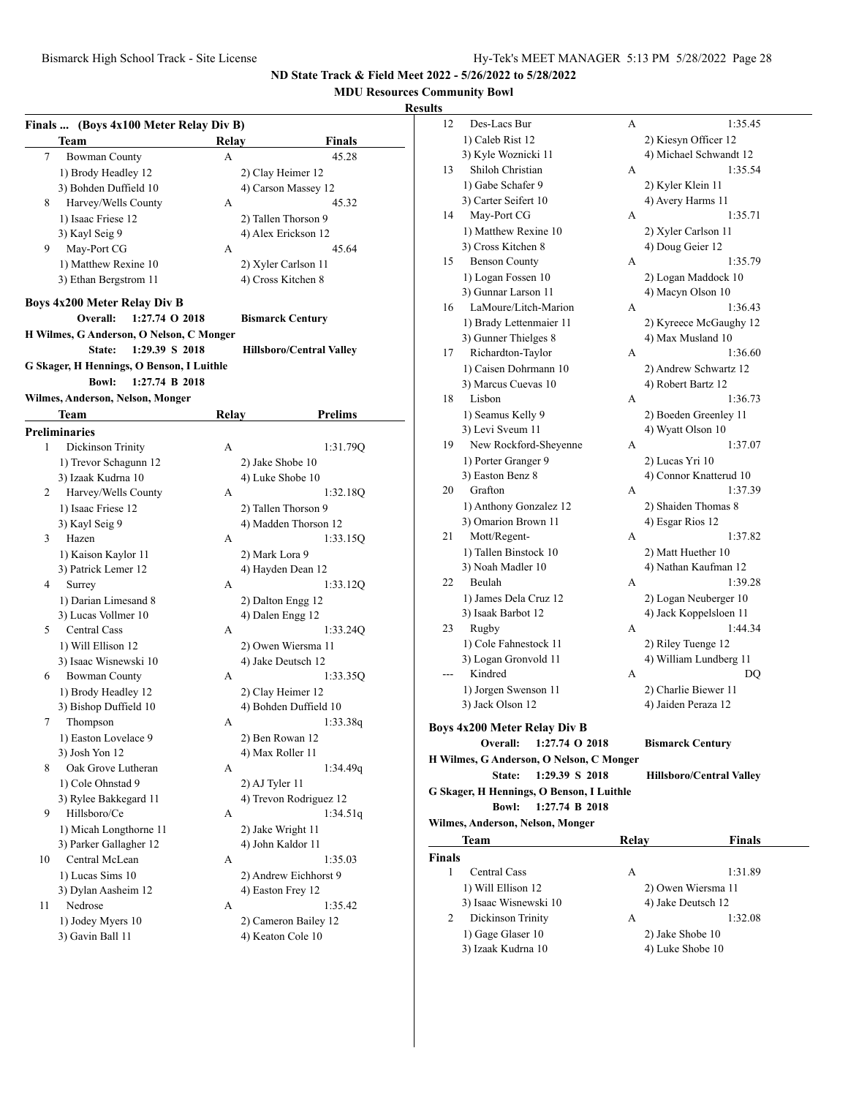## **MDU Resources Community Bowl**

#### **Results**

|    | Finals  (Boys 4x100 Meter Relay Div B)    |                |              |                                 |  |  |  |
|----|-------------------------------------------|----------------|--------------|---------------------------------|--|--|--|
|    | Team                                      |                | Relay        | <b>Finals</b>                   |  |  |  |
| 7  | <b>Bowman County</b>                      |                | А            | 45.28                           |  |  |  |
|    | 1) Brody Headley 12                       |                |              | 2) Clay Heimer 12               |  |  |  |
|    | 3) Bohden Duffield 10                     |                |              | 4) Carson Massey 12             |  |  |  |
| 8  | Harvey/Wells County                       |                | А            | 45.32                           |  |  |  |
|    | 1) Isaac Friese 12                        |                |              | 2) Tallen Thorson 9             |  |  |  |
|    | 3) Kayl Seig 9                            |                |              | 4) Alex Erickson 12             |  |  |  |
| 9. | May-Port CG                               |                | А            | 45.64                           |  |  |  |
|    | 1) Matthew Rexine 10                      |                |              | 2) Xyler Carlson 11             |  |  |  |
|    | 3) Ethan Bergstrom 11                     |                |              | 4) Cross Kitchen 8              |  |  |  |
|    |                                           |                |              |                                 |  |  |  |
|    | Boys 4x200 Meter Relay Div B              |                |              |                                 |  |  |  |
|    | Overall:                                  | 1:27.74 O 2018 |              | <b>Bismarck Century</b>         |  |  |  |
|    | H Wilmes, G Anderson, O Nelson, C Monger  |                |              |                                 |  |  |  |
|    | State:                                    | 1:29.39 S 2018 |              | <b>Hillsboro/Central Valley</b> |  |  |  |
|    | G Skager, H Hennings, O Benson, I Luithle |                |              |                                 |  |  |  |
|    | <b>Bowl:</b>                              | 1:27.74 B 2018 |              |                                 |  |  |  |
|    | Wilmes, Anderson, Nelson, Monger          |                |              |                                 |  |  |  |
|    | Team                                      |                | <b>Relay</b> | <b>Prelims</b>                  |  |  |  |
|    | <b>Preliminaries</b>                      |                |              |                                 |  |  |  |
| 1  | Dickinson Trinity                         |                | A            | 1:31.79Q                        |  |  |  |
|    | 1) Trevor Schagunn 12                     |                |              | 2) Jake Shobe 10                |  |  |  |
|    | 3) Izaak Kudrna 10                        |                |              | 4) Luke Shobe 10                |  |  |  |
| 2  | Harvey/Wells County                       |                | A            | 1:32.18O                        |  |  |  |
|    | 1) Isaac Friese 12                        |                |              | 2) Tallen Thorson 9             |  |  |  |
|    | 3) Kayl Seig 9                            |                |              | 4) Madden Thorson 12            |  |  |  |
| 3  | Hazen                                     |                | A            | 1:33.15Q                        |  |  |  |
|    | 1) Kaison Kaylor 11                       |                |              | 2) Mark Lora 9                  |  |  |  |
|    | 3) Patrick Lemer 12                       |                |              | 4) Hayden Dean 12               |  |  |  |
| 4  | Surrey                                    |                | A            | 1:33.12Q                        |  |  |  |
|    | 1) Darian Limesand 8                      |                |              |                                 |  |  |  |
|    |                                           |                |              | 2) Dalton Engg 12               |  |  |  |
|    | 3) Lucas Vollmer 10                       |                |              | 4) Dalen Engg 12                |  |  |  |
| 5  | Central Cass                              |                | А            | 1:33.24Q                        |  |  |  |
|    | 1) Will Ellison 12                        |                |              | 2) Owen Wiersma 11              |  |  |  |
|    | 3) Isaac Wisnewski 10                     |                |              | 4) Jake Deutsch 12              |  |  |  |
| 6  | <b>Bowman County</b>                      |                | А            | 1:33.35O                        |  |  |  |
|    | 1) Brody Headley 12                       |                |              | 2) Clay Heimer 12               |  |  |  |
|    | 3) Bishop Duffield 10                     |                |              | 4) Bohden Duffield 10           |  |  |  |
| 7  | Thompson                                  |                | А            | 1:33.38q                        |  |  |  |
|    | 1) Easton Lovelace 9                      |                |              | 2) Ben Rowan 12                 |  |  |  |
|    | 3) Josh Yon 12                            |                |              | 4) Max Roller 11                |  |  |  |
| 8  | Oak Grove Lutheran                        |                | А            | 1:34.49q                        |  |  |  |
|    | 1) Cole Ohnstad 9                         |                |              | 2) AJ Tyler 11                  |  |  |  |
|    | 3) Rylee Bakkegard 11                     |                |              | 4) Trevon Rodriguez 12          |  |  |  |
| 9  | Hillsboro/Ce                              |                | А            | 1:34.51q                        |  |  |  |
|    | 1) Micah Longthorne 11                    |                |              | 2) Jake Wright 11               |  |  |  |
|    | 3) Parker Gallagher 12                    |                |              | 4) John Kaldor 11               |  |  |  |
| 10 | Central McLean                            |                | А            | 1:35.03                         |  |  |  |
|    | 1) Lucas Sims 10                          |                |              | 2) Andrew Eichhorst 9           |  |  |  |
|    | 3) Dylan Aasheim 12                       |                |              | 4) Easton Frey 12               |  |  |  |
| 11 | Nedrose                                   |                | А            | 1:35.42                         |  |  |  |
|    | 1) Jodey Myers 10                         |                |              | 2) Cameron Bailey 12            |  |  |  |
|    | 3) Gavin Ball 11                          |                |              | 4) Keaton Cole 10               |  |  |  |
|    |                                           |                |              |                                 |  |  |  |
|    |                                           |                |              |                                 |  |  |  |

| uns           |                                           |              |                                 |
|---------------|-------------------------------------------|--------------|---------------------------------|
| 12            | Des-Lacs Bur                              | А            | 1:35.45                         |
|               | 1) Caleb Rist 12                          |              | 2) Kiesyn Officer 12            |
|               | 3) Kyle Woznicki 11                       |              | 4) Michael Schwandt 12          |
| 13            | Shiloh Christian                          | А            | 1:35.54                         |
|               | 1) Gabe Schafer 9                         |              | 2) Kyler Klein 11               |
|               | 3) Carter Seifert 10                      |              | 4) Avery Harms 11               |
| 14            | May-Port CG                               | А            | 1:35.71                         |
|               | 1) Matthew Rexine 10                      |              | 2) Xyler Carlson 11             |
|               | 3) Cross Kitchen 8                        |              |                                 |
| 15            | <b>Benson County</b>                      | A            | 4) Doug Geier 12<br>1:35.79     |
|               |                                           |              |                                 |
|               | 1) Logan Fossen 10                        |              | 2) Logan Maddock 10             |
|               | 3) Gunnar Larson 11                       |              | 4) Macyn Olson 10               |
| 16            | LaMoure/Litch-Marion                      | А            | 1:36.43                         |
|               | 1) Brady Lettenmaier 11                   |              | 2) Kyreece McGaughy 12          |
|               | 3) Gunner Thielges 8                      |              | 4) Max Musland 10               |
| 17            | Richardton-Taylor                         | А            | 1:36.60                         |
|               | 1) Caisen Dohrmann 10                     |              | 2) Andrew Schwartz 12           |
|               | 3) Marcus Cuevas 10                       |              | 4) Robert Bartz 12              |
| 18            | Lisbon                                    | А            | 1:36.73                         |
|               | 1) Seamus Kelly 9                         |              | 2) Boeden Greenley 11           |
|               | 3) Levi Sveum 11                          |              | 4) Wyatt Olson 10               |
| 19            | New Rockford-Sheyenne                     | А            | 1:37.07                         |
|               | 1) Porter Granger 9                       |              | 2) Lucas Yri 10                 |
|               | 3) Easton Benz 8                          |              | 4) Connor Knatterud 10          |
| 20            | Grafton                                   | A            | 1:37.39                         |
|               | 1) Anthony Gonzalez 12                    |              | 2) Shaiden Thomas 8             |
|               | 3) Omarion Brown 11                       |              | 4) Esgar Rios 12                |
| 21            | Mott/Regent-                              | A            | 1:37.82                         |
|               | 1) Tallen Binstock 10                     |              | 2) Matt Huether 10              |
|               | 3) Noah Madler 10                         |              | 4) Nathan Kaufman 12            |
| 22            | Beulah                                    | А            | 1:39.28                         |
|               | 1) James Dela Cruz 12                     |              | 2) Logan Neuberger 10           |
|               | 3) Isaak Barbot 12                        |              | 4) Jack Koppelsloen 11          |
| 23            | Rugby                                     | А            | 1:44.34                         |
|               | 1) Cole Fahnestock 11                     |              | 2) Riley Tuenge 12              |
|               | 3) Logan Gronvold 11                      |              | 4) William Lundberg 11          |
|               | Kindred                                   | А            | DO                              |
|               | 1) Jorgen Swenson 11                      |              | 2) Charlie Biewer 11            |
|               | 3) Jack Olson 12                          |              | 4) Jaiden Peraza 12             |
|               |                                           |              |                                 |
|               | <b>Boys 4x200 Meter Relay Div B</b>       |              |                                 |
|               | Overall: 1:27.74 O 2018                   |              | <b>Bismarck Century</b>         |
|               | H Wilmes, G Anderson, O Nelson, C Monger  |              |                                 |
|               | State:<br>1:29.39 S 2018                  |              | <b>Hillsboro/Central Valley</b> |
|               | G Skager, H Hennings, O Benson, I Luithle |              |                                 |
|               | <b>Bowl:</b><br>1:27.74 B 2018            |              |                                 |
|               | Wilmes, Anderson, Nelson, Monger          |              |                                 |
|               | Team                                      | <b>Relay</b> | <b>Finals</b>                   |
| <b>Finals</b> |                                           |              |                                 |
| 1             | Central Cass                              | А            | 1:31.89                         |
|               | 1) Will Ellison 12                        |              | 2) Owen Wiersma 11              |
|               | 3) Isaac Wisnewski 10                     |              | 4) Jake Deutsch 12              |
|               |                                           |              |                                 |
| 2             | Dickinson Trinity                         | А            | 1:32.08                         |
|               | 1) Gage Glaser 10                         |              | 2) Jake Shobe 10                |

3) Izaak Kudrna 10 4) Luke Shobe 10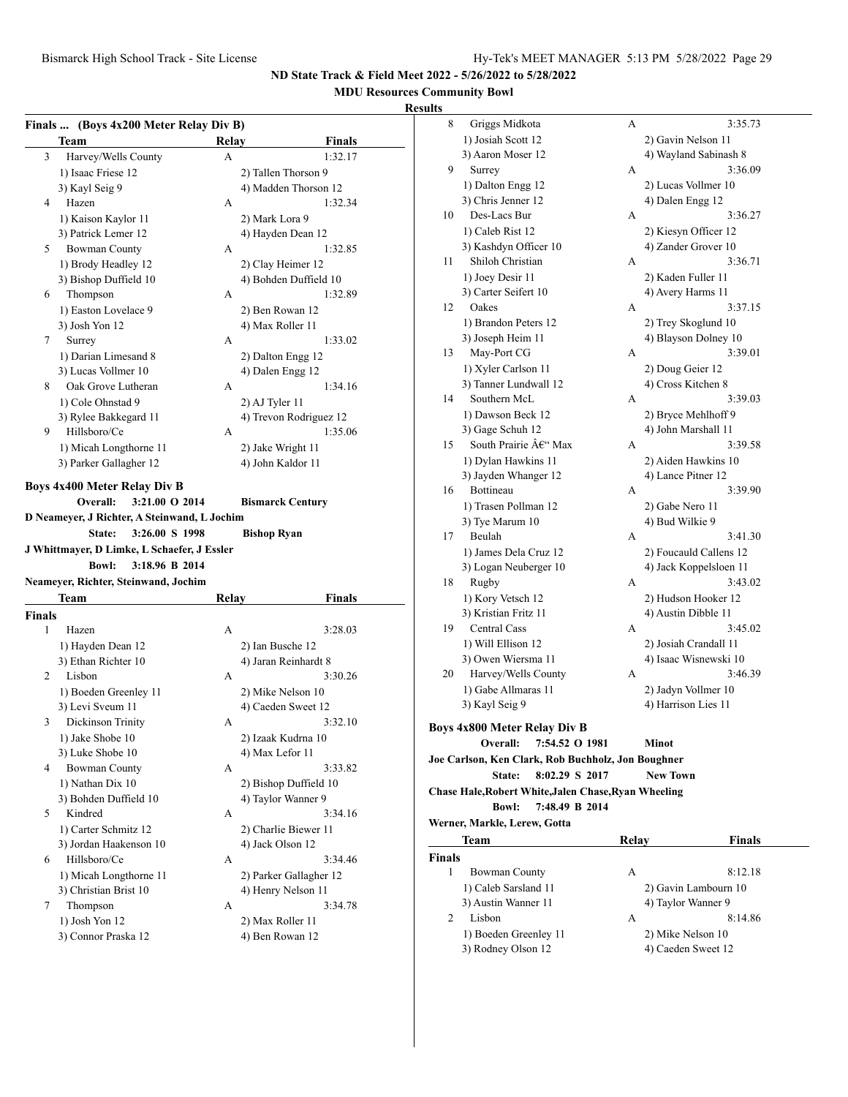## **MDU Resources Community Bowl**

|        |                                                                               | Finals  (Boys 4x200 Meter Relay Div B) |                                     |
|--------|-------------------------------------------------------------------------------|----------------------------------------|-------------------------------------|
|        | Team                                                                          | Relav                                  | <b>Finals</b>                       |
| 3      | Harvey/Wells County                                                           | A                                      | 1:32.17                             |
|        | 1) Isaac Friese 12                                                            |                                        | 2) Tallen Thorson 9                 |
|        | 3) Kayl Seig 9                                                                |                                        | 4) Madden Thorson 12                |
| 4      | Hazen                                                                         | А                                      | 1:32.34                             |
|        | 1) Kaison Kaylor 11                                                           |                                        | 2) Mark Lora 9                      |
|        | 3) Patrick Lemer 12                                                           |                                        | 4) Hayden Dean 12                   |
| 5      | <b>Bowman County</b>                                                          | А                                      | 1:32.85                             |
|        | 1) Brody Headley 12                                                           |                                        | 2) Clay Heimer 12                   |
|        | 3) Bishop Duffield 10                                                         |                                        | 4) Bohden Duffield 10               |
| 6      | Thompson                                                                      | А                                      | 1:32.89                             |
|        | 1) Easton Lovelace 9                                                          |                                        | 2) Ben Rowan 12                     |
|        | 3) Josh Yon 12                                                                |                                        | 4) Max Roller 11                    |
| 7      | Surrey                                                                        | A                                      | 1:33.02                             |
|        | 1) Darian Limesand 8                                                          |                                        | 2) Dalton Engg 12                   |
|        |                                                                               |                                        |                                     |
|        | 3) Lucas Vollmer 10                                                           |                                        | 4) Dalen Engg 12                    |
| 8      | Oak Grove Lutheran                                                            | A                                      | 1:34.16                             |
|        | 1) Cole Ohnstad 9                                                             |                                        | 2) AJ Tyler 11                      |
|        | 3) Rylee Bakkegard 11                                                         |                                        | 4) Trevon Rodriguez 12              |
| 9      | Hillsboro/Ce                                                                  | A                                      | 1:35.06                             |
|        | 1) Micah Longthorne 11                                                        |                                        | 2) Jake Wright 11                   |
|        | 3) Parker Gallagher 12                                                        |                                        | 4) John Kaldor 11                   |
|        |                                                                               |                                        | <b>Bishop Ryan</b>                  |
|        | J Whittmayer, D Limke, L Schaefer, J Essler<br>3:18.96 B 2014<br><b>Bowl:</b> |                                        |                                     |
|        | Neameyer, Richter, Steinwand, Jochim                                          |                                        |                                     |
|        | Team                                                                          | <b>Relay</b>                           | <b>Finals</b>                       |
|        |                                                                               |                                        |                                     |
| 1      | Hazen                                                                         | А                                      | 3:28.03                             |
|        | 1) Hayden Dean 12                                                             |                                        | 2) Ian Busche 12                    |
|        | 3) Ethan Richter 10                                                           |                                        | 4) Jaran Reinhardt 8                |
| 2      | Lisbon                                                                        | А                                      | 3:30.26                             |
|        | 1) Boeden Greenley 11                                                         |                                        | 2) Mike Nelson 10                   |
|        | 3) Levi Sveum 11                                                              |                                        | 4) Caeden Sweet 12                  |
| 3      | Dickinson Trinity                                                             | А                                      | 3:32.10                             |
|        | 1) Jake Shobe 10                                                              |                                        | 2) Izaak Kudrna 10                  |
|        | 3) Luke Shobe 10                                                              |                                        | 4) Max Lefor 11                     |
| 4      | <b>Bowman County</b>                                                          | А                                      | 3:33.82                             |
|        | 1) Nathan Dix 10                                                              |                                        | 2) Bishop Duffield 10               |
|        | 3) Bohden Duffield 10                                                         |                                        | 4) Taylor Wanner 9                  |
| 5      | Kindred                                                                       | А                                      | 3:34.16                             |
|        | 1) Carter Schmitz 12                                                          |                                        | 2) Charlie Biewer 11                |
|        | 3) Jordan Haakenson 10                                                        |                                        | 4) Jack Olson 12                    |
| 6      | Hillsboro/Ce                                                                  | A                                      | 3:34.46                             |
|        |                                                                               |                                        |                                     |
|        | 1) Micah Longthorne 11                                                        |                                        | 2) Parker Gallagher 12              |
| 7      | 3) Christian Brist 10                                                         | А                                      | 4) Henry Nelson 11<br>3:34.78       |
| Finals | Thompson<br>1) Josh Yon 12                                                    |                                        |                                     |
|        | 3) Connor Praska 12                                                           |                                        | 2) Max Roller 11<br>4) Ben Rowan 12 |

| 8             | Griggs Midkota                                       | А     | 3:35.73                |
|---------------|------------------------------------------------------|-------|------------------------|
|               | 1) Josiah Scott 12                                   |       | 2) Gavin Nelson 11     |
|               | 3) Aaron Moser 12                                    |       | 4) Wayland Sabinash 8  |
| 9             | Surrey                                               | А     | 3:36.09                |
|               | 1) Dalton Engg 12                                    |       | 2) Lucas Vollmer 10    |
|               | 3) Chris Jenner 12                                   |       | 4) Dalen Engg 12       |
| 10            | Des-Lacs Bur                                         | А     | 3:36.27                |
|               | 1) Caleb Rist 12                                     |       | 2) Kiesyn Officer 12   |
|               | 3) Kashdyn Officer 10                                |       | 4) Zander Grover 10    |
| 11            | Shiloh Christian                                     | А     | 3:36.71                |
|               | 1) Joey Desir 11                                     |       | 2) Kaden Fuller 11     |
|               | 3) Carter Seifert 10                                 |       | 4) Avery Harms 11      |
| 12            | Oakes                                                | А     | 3:37.15                |
|               | 1) Brandon Peters 12                                 |       | 2) Trey Skoglund 10    |
|               | 3) Joseph Heim 11                                    |       | 4) Blayson Dolney 10   |
| 13            | May-Port CG                                          | А     | 3:39.01                |
|               | 1) Xyler Carlson 11                                  |       | 2) Doug Geier 12       |
|               | 3) Tanner Lundwall 12                                |       | 4) Cross Kitchen 8     |
| 14            | Southern McL                                         | А     | 3:39.03                |
|               | 1) Dawson Beck 12                                    |       | 2) Bryce Mehlhoff 9    |
|               | 3) Gage Schuh 12                                     |       | 4) John Marshall 11    |
| 15            | South Prairie $\hat{A} \in W^*$ Max                  | А     | 3:39.58                |
|               | 1) Dylan Hawkins 11                                  |       | 2) Aiden Hawkins 10    |
|               | 3) Jayden Whanger 12                                 |       | 4) Lance Pitner 12     |
| 16            | <b>Bottineau</b>                                     | А     | 3:39.90                |
|               | 1) Trasen Pollman 12                                 |       | 2) Gabe Nero 11        |
|               | 3) Tye Marum 10                                      |       | 4) Bud Wilkie 9        |
| 17            | Beulah                                               | А     | 3:41.30                |
|               | 1) James Dela Cruz 12                                |       | 2) Foucauld Callens 12 |
|               | 3) Logan Neuberger 10                                |       | 4) Jack Koppelsloen 11 |
| 18            | Rugby                                                | А     | 3:43.02                |
|               | 1) Kory Vetsch 12                                    |       | 2) Hudson Hooker 12    |
|               | 3) Kristian Fritz 11                                 |       | 4) Austin Dibble 11    |
| 19            | Central Cass                                         | А     | 3:45.02                |
|               | 1) Will Ellison 12                                   |       | 2) Josiah Crandall 11  |
|               | 3) Owen Wiersma 11                                   |       | 4) Isaac Wisnewski 10  |
| 20            | Harvey/Wells County                                  | А     | 3:46.39                |
|               | 1) Gabe Allmaras 11                                  |       | 2) Jadyn Vollmer 10    |
|               | 3) Kayl Seig 9                                       |       | 4) Harrison Lies 11    |
|               | <b>Boys 4x800 Meter Relay Div B</b>                  |       |                        |
|               | Overall:<br>7:54.52 O 1981                           |       | Minot                  |
|               | Joe Carlson, Ken Clark, Rob Buchholz, Jon Boughner   |       |                        |
|               | 8:02.29 S 2017<br>State:                             |       | <b>New Town</b>        |
|               | Chase Hale, Robert White, Jalen Chase, Ryan Wheeling |       |                        |
|               | 7:48.49 B 2014<br><b>Bowl:</b>                       |       |                        |
|               | Werner, Markle, Lerew, Gotta                         |       |                        |
|               | Team                                                 | Relay | <b>Finals</b>          |
| <b>Finals</b> |                                                      |       |                        |

| nals |                       |                      |  |
|------|-----------------------|----------------------|--|
|      | Bowman County         | 8:12.18<br>А         |  |
|      | 1) Caleb Sarsland 11  | 2) Gavin Lambourn 10 |  |
|      | 3) Austin Wanner 11   | 4) Taylor Wanner 9   |  |
|      | Lisbon                | 8:14.86<br>А         |  |
|      | 1) Boeden Greenley 11 | 2) Mike Nelson 10    |  |
|      | 3) Rodney Olson 12    | 4) Caeden Sweet 12   |  |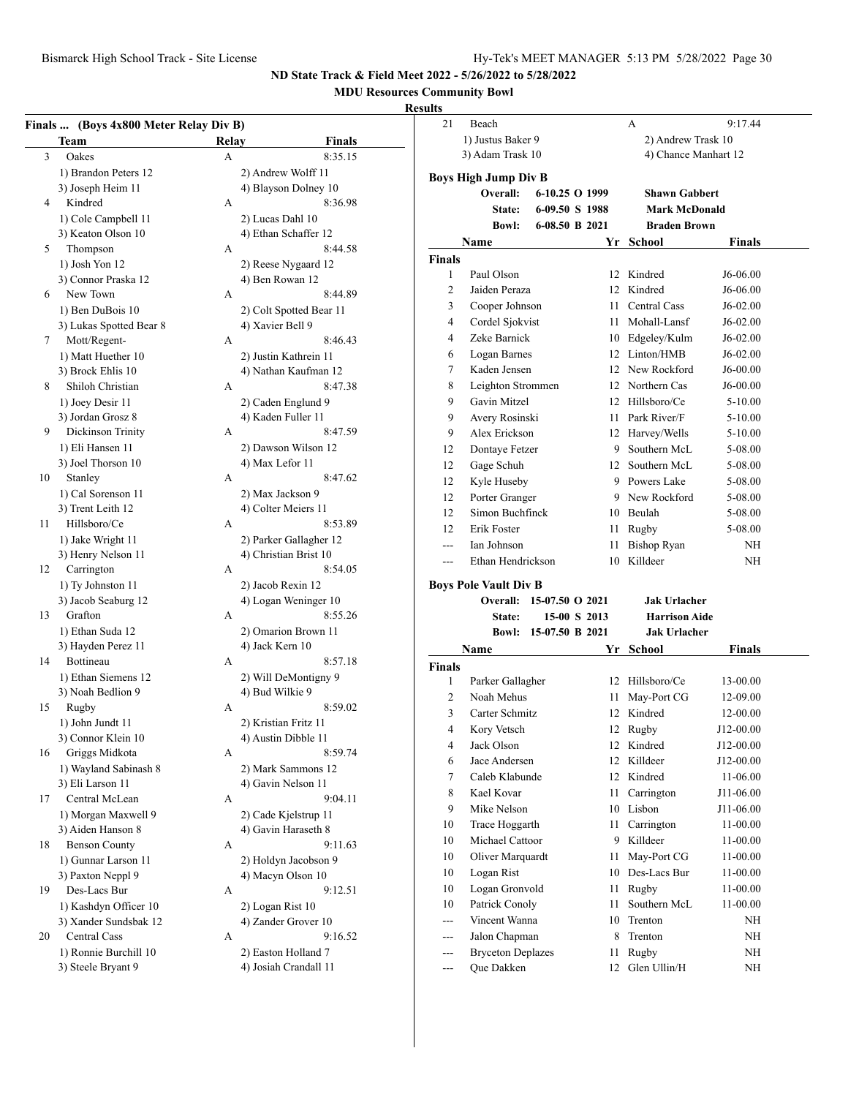## **MDU Resources Community Bowl**

## **Resu**

|    | Team                    | Relay | <b>Finals</b>           |
|----|-------------------------|-------|-------------------------|
|    | Oakes                   | А     | 8:35.15                 |
|    | 1) Brandon Peters 12    |       | 2) Andrew Wolff 11      |
|    | 3) Joseph Heim 11       |       | 4) Blayson Dolney 10    |
| 4  | Kindred                 | A     | 8:36.98                 |
|    | 1) Cole Campbell 11     |       | 2) Lucas Dahl 10        |
|    | 3) Keaton Olson 10      |       | 4) Ethan Schaffer 12    |
| 5  | Thompson                | А     | 8:44.58                 |
|    | 1) Josh Yon 12          |       | 2) Reese Nygaard 12     |
|    | 3) Connor Praska 12     |       | 4) Ben Rowan 12         |
| 6  | New Town                | А     | 8:44.89                 |
|    | 1) Ben DuBois 10        |       | 2) Colt Spotted Bear 11 |
|    | 3) Lukas Spotted Bear 8 |       | 4) Xavier Bell 9        |
| 7  | Mott/Regent-            | A     | 8:46.43                 |
|    | 1) Matt Huether 10      |       | 2) Justin Kathrein 11   |
|    | 3) Brock Ehlis 10       |       | 4) Nathan Kaufman 12    |
| 8  | Shiloh Christian        | A     | 8:47.38                 |
|    | 1) Joey Desir 11        |       | 2) Caden Englund 9      |
|    | 3) Jordan Grosz 8       |       | 4) Kaden Fuller 11      |
| 9  | Dickinson Trinity       | A     | 8:47.59                 |
|    | 1) Eli Hansen 11        |       | 2) Dawson Wilson 12     |
|    | 3) Joel Thorson 10      |       | 4) Max Lefor 11         |
| 10 | Stanley                 | A     | 8:47.62                 |
|    | 1) Cal Sorenson 11      |       | 2) Max Jackson 9        |
|    | 3) Trent Leith 12       |       | 4) Colter Meiers 11     |
| 11 | Hillsboro/Ce            | A     | 8:53.89                 |
|    | 1) Jake Wright 11       |       | 2) Parker Gallagher 12  |
|    | 3) Henry Nelson 11      |       | 4) Christian Brist 10   |
| 12 | Carrington              | A     | 8:54.05                 |
|    | 1) Ty Johnston 11       |       | 2) Jacob Rexin 12       |
|    | 3) Jacob Seaburg 12     |       | 4) Logan Weninger 10    |
| 13 | Grafton                 | A     | 8:55.26                 |
|    | 1) Ethan Suda 12        |       | 2) Omarion Brown 11     |
|    | 3) Hayden Perez 11      |       | 4) Jack Kern 10         |
| 14 | Bottineau               | A     | 8:57.18                 |
|    | 1) Ethan Siemens 12     |       | 2) Will DeMontigny 9    |
|    | 3) Noah Bedlion 9       |       | 4) Bud Wilkie 9         |
| 15 | Rugby                   | А     | 8:59.02                 |
|    | 1) John Jundt 11        |       | 2) Kristian Fritz 11    |
|    | 3) Connor Klein 10      |       | 4) Austin Dibble 11     |
| 16 | Griggs Midkota          | А     | 8:59.74                 |
|    | 1) Wayland Sabinash 8   |       | 2) Mark Sammons 12      |
|    | 3) Eli Larson 11        |       | 4) Gavin Nelson 11      |
| 17 | Central McLean          | А     | 9:04.11                 |
|    | 1) Morgan Maxwell 9     |       | 2) Cade Kjelstrup 11    |
|    | 3) Aiden Hanson 8       |       | 4) Gavin Haraseth 8     |
| 18 | <b>Benson County</b>    | А     | 9:11.63                 |
|    | 1) Gunnar Larson 11     |       | 2) Holdyn Jacobson 9    |
|    | 3) Paxton Neppl 9       |       | 4) Macyn Olson 10       |
| 19 | Des-Lacs Bur            | А     | 9:12.51                 |
|    | 1) Kashdyn Officer 10   |       | 2) Logan Rist 10        |
|    | 3) Xander Sundsbak 12   |       | 4) Zander Grover 10     |
| 20 | Central Cass            | А     | 9:16.52                 |
|    | 1) Ronnie Burchill 10   |       | 2) Easton Holland 7     |
|    | 3) Steele Bryant 9      |       | 4) Josiah Crandall 11   |

| ults           |                                  |                 |  |                  |                                |               |  |
|----------------|----------------------------------|-----------------|--|------------------|--------------------------------|---------------|--|
| 21             | Beach                            |                 |  |                  | А                              | 9:17.44       |  |
|                | 1) Justus Baker 9                |                 |  |                  | 2) Andrew Trask 10             |               |  |
|                | 3) Adam Trask 10                 |                 |  |                  | 4) Chance Manhart 12           |               |  |
|                | <b>Boys High Jump Div B</b>      |                 |  |                  |                                |               |  |
|                | Overall:                         | 6-10.25 O 1999  |  |                  | <b>Shawn Gabbert</b>           |               |  |
|                | State:                           | 6-09.50 S 1988  |  |                  | <b>Mark McDonald</b>           |               |  |
|                | <b>Bowl:</b>                     | 6-08.50 B 2021  |  |                  | <b>Braden Brown</b>            |               |  |
|                | Name                             |                 |  |                  | Yr School                      | <b>Finals</b> |  |
| <b>Finals</b>  |                                  |                 |  |                  |                                |               |  |
| 1              | Paul Olson                       |                 |  | 12 <sup>12</sup> | Kindred                        | J6-06.00      |  |
| 2              | Jaiden Peraza                    |                 |  |                  | 12 Kindred                     | J6-06.00      |  |
| 3              | Cooper Johnson                   |                 |  |                  | 11 Central Cass                | J6-02.00      |  |
| 4              | Cordel Sjokvist                  |                 |  |                  | 11 Mohall-Lansf                | J6-02.00      |  |
| 4              | Zeke Barnick                     |                 |  |                  | 10 Edgeley/Kulm                | J6-02.00      |  |
| 6              | Logan Barnes                     |                 |  |                  | 12 Linton/HMB                  | J6-02.00      |  |
| 7              | Kaden Jensen                     |                 |  |                  | 12 New Rockford                | J6-00.00      |  |
| 8              | Leighton Strommen                |                 |  |                  | 12 Northern Cas                | J6-00.00      |  |
| 9              | Gavin Mitzel                     |                 |  |                  | 12 Hillsboro/Ce                | 5-10.00       |  |
| 9              | Avery Rosinski                   |                 |  |                  | 11 Park River/F                | 5-10.00       |  |
| 9              | Alex Erickson                    |                 |  |                  | 12 Harvey/Wells                | 5-10.00       |  |
| 12             | Dontaye Fetzer                   |                 |  |                  | 9 Southern McL                 | 5-08.00       |  |
| 12             | Gage Schuh                       |                 |  |                  | 12 Southern McL                | 5-08.00       |  |
| 12             | Kyle Huseby                      |                 |  |                  | 9 Powers Lake                  | 5-08.00       |  |
| 12             | Porter Granger                   |                 |  |                  | 9 New Rockford                 | 5-08.00       |  |
| 12             | Simon Buchfinck                  |                 |  |                  | 10 Beulah                      | 5-08.00       |  |
| 12             | Erik Foster                      |                 |  | 11               | Rugby                          | 5-08.00       |  |
| $\overline{a}$ | Ian Johnson<br>Ethan Hendrickson |                 |  | 11<br>10         | <b>Bishop Ryan</b><br>Killdeer | NH            |  |
|                |                                  |                 |  |                  |                                | ΝH            |  |
|                | <b>Boys Pole Vault Div B</b>     |                 |  |                  |                                |               |  |
|                | Overall: 15-07.50 O 2021         |                 |  |                  | <b>Jak Urlacher</b>            |               |  |
|                | <b>State:</b>                    | 15-00 S 2013    |  |                  | <b>Harrison Aide</b>           |               |  |
|                | Bowl:                            | 15-07.50 B 2021 |  |                  | <b>Jak Urlacher</b>            |               |  |
|                | Name                             |                 |  |                  | Yr School                      | <b>Finals</b> |  |
| Finals         |                                  |                 |  |                  |                                |               |  |
| 1              | Parker Gallagher                 |                 |  | 12               | Hillsboro/Ce                   | 13-00.00      |  |
| 2              | Noah Mehus                       |                 |  | 11               | May-Port CG                    | 12-09.00      |  |
| 3              | Carter Schmitz                   |                 |  |                  | 12 Kindred                     | 12-00.00      |  |
| 4              | Kory Vetsch                      |                 |  | 12               | Rugby                          | J12-00.00     |  |
| 4              | Jack Olson                       |                 |  | 12               | Kindred                        | J12-00.00     |  |
| 6              | Jace Andersen                    |                 |  | 12               | Killdeer                       | J12-00.00     |  |
| 7              | Caleb Klabunde                   |                 |  | 12               | Kindred                        | 11-06.00      |  |
| 8              | Kael Kovar                       |                 |  | 11               | Carrington                     | J11-06.00     |  |
| 9              | Mike Nelson                      |                 |  | 10               | Lisbon                         | J11-06.00     |  |
| 10             | Trace Hoggarth                   |                 |  | 11               | Carrington                     | $11 - 00.00$  |  |
| 10             | Michael Cattoor                  |                 |  | 9                | Killdeer                       | 11-00.00      |  |
| 10             | Oliver Marquardt                 |                 |  | 11               | May-Port CG                    | 11-00.00      |  |
| 10             | Logan Rist                       |                 |  | 10               | Des-Lacs Bur                   | 11-00.00      |  |
| 10             | Logan Gronvold                   |                 |  | 11               | Rugby                          | 11-00.00      |  |
| 10             | Patrick Conoly<br>Vincent Wanna  |                 |  | 11               | Southern McL                   | 11-00.00      |  |
| $---$          | Jalon Chapman                    |                 |  | 10<br>8          | Trenton                        | NΗ            |  |
| ---<br>---     | <b>Bryceton Deplazes</b>         |                 |  | 11               | Trenton<br>Rugby               | NΗ            |  |
| ---            | Que Dakken                       |                 |  | 12               | Glen Ullin/H                   | NΗ<br>NΗ      |  |
|                |                                  |                 |  |                  |                                |               |  |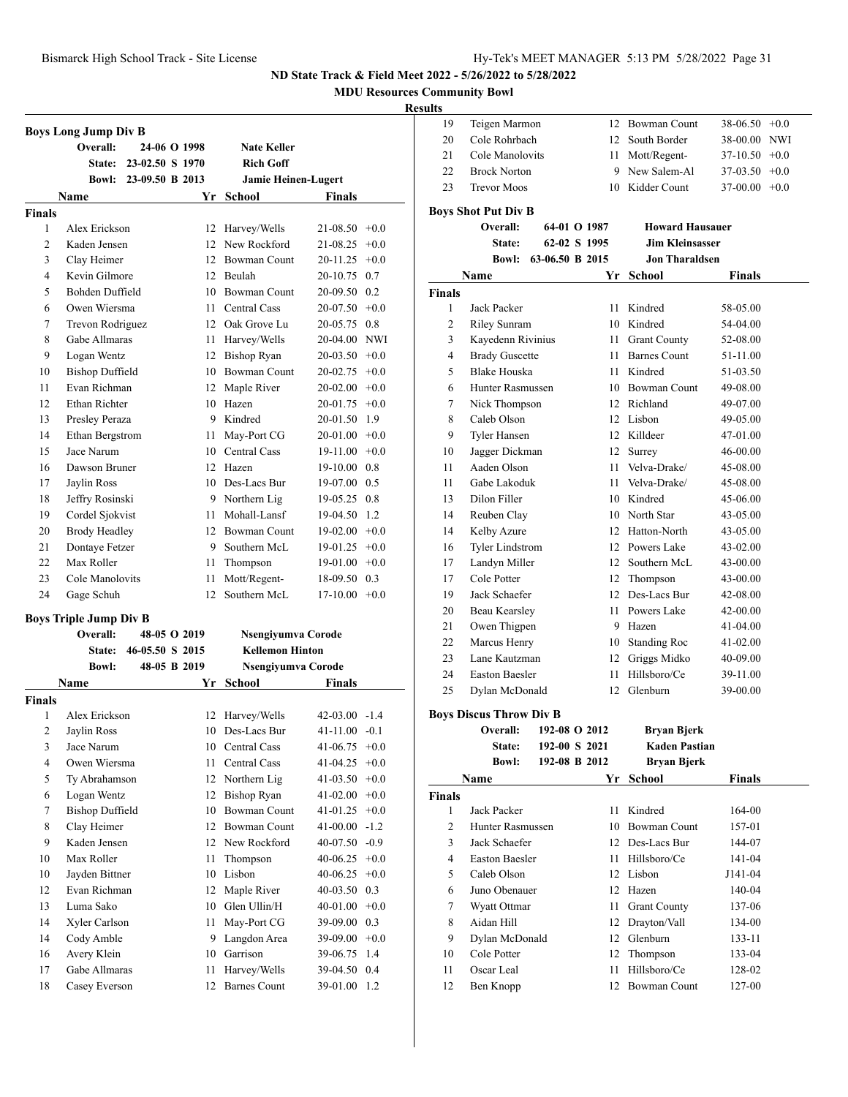**MDU Resources Community Bowl**

**Resul** 

|                    | <b>Boys Long Jump Div B</b><br>Overall: | 24-06 O 1998    |    | <b>Nate Keller</b>                 |                                 |        |
|--------------------|-----------------------------------------|-----------------|----|------------------------------------|---------------------------------|--------|
|                    | State:                                  | 23-02.50 S 1970 |    | <b>Rich Goff</b>                   |                                 |        |
|                    | Bowl:                                   | 23-09.50 B 2013 |    | <b>Jamie Heinen-Lugert</b>         |                                 |        |
|                    |                                         |                 |    |                                    |                                 |        |
|                    | Name                                    |                 | Yr | School                             | Finals                          |        |
| <b>Finals</b><br>1 | Alex Erickson                           |                 |    | 12 Harvey/Wells                    | $21-08.50 +0.0$                 |        |
| 2                  | Kaden Jensen                            |                 |    | 12 New Rockford                    |                                 |        |
|                    |                                         |                 |    | 12 Bowman Count                    | 21-08.25<br>20-11.25            | $+0.0$ |
| 3                  | Clay Heimer                             |                 |    |                                    |                                 | $+0.0$ |
| 4                  | Kevin Gilmore                           |                 |    | 12 Beulah                          | 20-10.75 0.7                    |        |
| 5                  | Bohden Duffield<br>Owen Wiersma         |                 |    | 10 Bowman Count<br>11 Central Cass | 20-09.50 0.2<br>$20-07.50 +0.0$ |        |
| 6                  |                                         |                 |    |                                    |                                 |        |
| 7                  | Trevon Rodriguez                        |                 |    | 12 Oak Grove Lu                    | 20-05.75                        | 0.8    |
| 8                  | Gabe Allmaras                           |                 |    | 11 Harvey/Wells                    | 20-04.00 NWI                    |        |
| 9                  | Logan Wentz                             |                 |    | 12 Bishop Ryan                     | $20-03.50 +0.0$                 |        |
| 10                 | <b>Bishop Duffield</b>                  |                 |    | 10 Bowman Count                    | $20-02.75$ +0.0                 |        |
| 11                 | Evan Richman                            |                 |    | 12 Maple River                     | $20-02.00 +0.0$                 |        |
| 12                 | Ethan Richter                           |                 |    | 10 Hazen                           | $20-01.75$ +0.0                 |        |
| 13                 | Presley Peraza                          |                 |    | 9 Kindred                          | 20-01.50 1.9                    |        |
| 14                 | Ethan Bergstrom                         |                 |    | 11 May-Port CG                     | $20-01.00 +0.0$                 |        |
| 15                 | Jace Narum                              |                 |    | 10 Central Cass                    | $19-11.00 +0.0$                 |        |
| 16                 | Dawson Bruner                           |                 |    | 12 Hazen                           | 19-10.00 0.8                    |        |
| 17                 | Jaylin Ross                             |                 |    | 10 Des-Lacs Bur                    | 19-07.00 0.5                    |        |
| 18                 | Jeffry Rosinski                         |                 |    | 9 Northern Lig                     | 19-05.25 0.8                    |        |
| 19                 | Cordel Sjokvist                         |                 |    | 11 Mohall-Lansf                    | 19-04.50 1.2                    |        |
| 20                 | <b>Brody Headley</b>                    |                 |    | 12 Bowman Count                    | $19-02.00 + 0.0$                |        |
| 21                 | Dontaye Fetzer                          |                 |    | 9 Southern McL                     | $19-01.25 +0.0$                 |        |
| 22                 | Max Roller                              |                 | 11 | Thompson                           | $19-01.00 +0.0$                 |        |
| 23                 | Cole Manolovits                         |                 | 11 | Mott/Regent-                       | 18-09.50 0.3                    |        |
| 24                 | Gage Schuh                              |                 | 12 | Southern McL                       | $17-10.00 + 0.0$                |        |
|                    | <b>Boys Triple Jump Div B</b>           |                 |    |                                    |                                 |        |
|                    | Overall:                                | 48-05 O 2019    |    | Nsengiyumva Corode                 |                                 |        |
|                    | <b>State:</b>                           | 46-05.50 S 2015 |    | <b>Kellemon Hinton</b>             |                                 |        |
|                    | <b>Bowl:</b>                            | 48-05 B 2019    |    | Nsengiyumva Corode                 |                                 |        |
|                    | Name                                    |                 | Yr | School                             | Finals                          |        |
| <b>Finals</b>      |                                         |                 |    |                                    |                                 |        |
| 1                  | Alex Erickson                           |                 | 12 | Harvey/Wells                       | $42-03.00 -1.4$                 |        |
| 2                  | Jaylin Ross                             |                 | 10 | Des-Lacs Bur                       | 41-11.00                        | $-0.1$ |
| 3                  | Jace Narum                              |                 | 10 | Central Cass                       | 41-06.75                        | $+0.0$ |
| $\overline{4}$     | Owen Wiersma                            |                 | 11 | Central Cass                       | 41-04.25                        | $+0.0$ |
| 5                  | Ty Abrahamson                           |                 | 12 | Northern Lig                       | 41-03.50                        | $+0.0$ |
| 6                  | Logan Wentz                             |                 | 12 | <b>Bishop Ryan</b>                 | 41-02.00                        | $+0.0$ |
| 7                  | <b>Bishop Duffield</b>                  |                 | 10 | <b>Bowman Count</b>                | 41-01.25                        | $+0.0$ |
| 8                  | Clay Heimer                             |                 | 12 | Bowman Count                       | 41-00.00                        | $-1.2$ |
| 9                  | Kaden Jensen                            |                 |    | 12 New Rockford                    | 40-07.50                        | $-0.9$ |
| 10                 | Max Roller                              |                 | 11 | Thompson                           | 40-06.25                        | $+0.0$ |
| 10                 | Jayden Bittner                          |                 | 10 | Lisbon                             | 40-06.25                        | $+0.0$ |
| 12                 | Evan Richman                            |                 | 12 | Maple River                        | 40-03.50                        | 0.3    |
| 13                 | Luma Sako                               |                 | 10 | Glen Ullin/H                       | 40-01.00                        | $+0.0$ |
| 14                 | Xyler Carlson                           |                 | 11 | May-Port CG                        | 39-09.00                        | 0.3    |
| 14                 | Cody Amble                              |                 | 9  | Langdon Area                       | 39-09.00                        | $+0.0$ |
| 16                 | Avery Klein                             |                 | 10 | Garrison                           | 39-06.75                        | 1.4    |
| 17                 | Gabe Allmaras                           |                 | 11 | Harvey/Wells                       | 39-04.50                        | 0.4    |
|                    |                                         |                 |    |                                    |                                 |        |
| 18                 | Casey Everson                           |                 | 12 | <b>Barnes Count</b>                | 39-01.00                        | 1.2    |

| ults           |                                |                 |               |                        |                 |        |
|----------------|--------------------------------|-----------------|---------------|------------------------|-----------------|--------|
| 19             | Teigen Marmon                  |                 |               | 12 Bowman Count        | $38-06.50 +0.0$ |        |
| 20             | Cole Rohrbach                  |                 |               | 12 South Border        | 38-00.00 NWI    |        |
| 21             | Cole Manolovits                |                 |               | 11 Mott/Regent-        | $37-10.50 +0.0$ |        |
| 22             | <b>Brock Norton</b>            |                 |               | 9 New Salem-Al         | $37-03.50 +0.0$ |        |
| 23             | <b>Trevor Moos</b>             |                 |               | 10 Kidder Count        | 37-00.00        | $+0.0$ |
|                | <b>Boys Shot Put Div B</b>     |                 |               |                        |                 |        |
|                | Overall:                       |                 | 64-01 O 1987  | <b>Howard Hausauer</b> |                 |        |
|                | State:                         |                 | 62-02 S 1995  | <b>Jim Kleinsasser</b> |                 |        |
|                | <b>Bowl:</b>                   | 63-06.50 B 2015 |               | <b>Jon Tharaldsen</b>  |                 |        |
|                | Name                           |                 | Yr            | School                 | <b>Finals</b>   |        |
| <b>Finals</b>  |                                |                 |               |                        |                 |        |
| 1              | Jack Packer                    |                 |               | 11 Kindred             | 58-05.00        |        |
| 2              | <b>Riley Sunram</b>            |                 |               | 10 Kindred             | 54-04.00        |        |
| 3              | Kayedenn Rivinius              |                 | 11 -          | <b>Grant County</b>    | 52-08.00        |        |
| 4              | <b>Brady Guscette</b>          |                 | 11 -          | <b>Barnes Count</b>    | 51-11.00        |        |
| 5              | <b>Blake Houska</b>            |                 |               | 11 Kindred             | 51-03.50        |        |
| 6              | Hunter Rasmussen               |                 |               | 10 Bowman Count        | 49-08.00        |        |
| 7              | Nick Thompson                  |                 |               | 12 Richland            | 49-07.00        |        |
| 8              | Caleb Olson                    |                 |               | 12 Lisbon              | 49-05.00        |        |
| 9              | Tyler Hansen                   |                 |               | 12 Killdeer            | 47-01.00        |        |
| 10             | Jagger Dickman                 |                 | 12            | Surrey                 | 46-00.00        |        |
| 11             | Aaden Olson                    |                 | 11            | Velva-Drake/           | 45-08.00        |        |
| 11             | Gabe Lakoduk                   |                 | 11            | Velva-Drake/           | 45-08.00        |        |
| 13             | Dilon Filler                   |                 |               | 10 Kindred             | 45-06.00        |        |
| 14             | Reuben Clay                    |                 |               | 10 North Star          | 43-05.00        |        |
| 14             | Kelby Azure                    |                 |               | 12 Hatton-North        | 43-05.00        |        |
| 16             | <b>Tyler Lindstrom</b>         |                 |               | 12 Powers Lake         | 43-02.00        |        |
| 17             | Landyn Miller                  |                 |               | 12 Southern McL        | 43-00.00        |        |
| 17             | Cole Potter                    |                 |               | 12 Thompson            | 43-00.00        |        |
| 19             | Jack Schaefer                  |                 |               | 12 Des-Lacs Bur        | 42-08.00        |        |
| 20             | <b>Beau Kearsley</b>           |                 |               | 11 Powers Lake         | 42-00.00        |        |
| 21             | Owen Thigpen                   |                 |               | 9 Hazen                | 41-04.00        |        |
| 22             | Marcus Henry                   |                 |               | 10 Standing Roc        | 41-02.00        |        |
| 23             | Lane Kautzman                  |                 | 12            | Griggs Midko           | 40-09.00        |        |
| 24             | <b>Easton Baesler</b>          |                 | 11 -          | Hillsboro/Ce           | 39-11.00        |        |
| 25             | Dylan McDonald                 |                 |               | 12 Glenburn            | 39-00.00        |        |
|                | <b>Boys Discus Throw Div B</b> |                 |               |                        |                 |        |
|                | Overall:                       |                 | 192-08 O 2012 | Bryan Bjerk            |                 |        |
|                | State:                         |                 | 192-00 S 2021 | <b>Kaden Pastian</b>   |                 |        |
|                | <b>Bowl:</b>                   |                 | 192-08 B 2012 | Bryan Bjerk            |                 |        |
|                | Name                           |                 | Yr            | School                 | <b>Finals</b>   |        |
| Finals         |                                |                 |               |                        |                 |        |
| $\mathbf{1}$   | Jack Packer                    |                 | 11            | Kindred                | 164-00          |        |
| $\overline{c}$ | Hunter Rasmussen               |                 |               | 10 Bowman Count        | 157-01          |        |
| 3              | Jack Schaefer                  |                 |               | 12 Des-Lacs Bur        | 144-07          |        |
| 4              | <b>Easton Baesler</b>          |                 |               | 11 Hillsboro/Ce        | 141-04          |        |
| 5              | Caleb Olson                    |                 |               | 12 Lisbon              | J141-04         |        |
| 6              | Juno Obenauer                  |                 |               | 12 Hazen               | 140-04          |        |
| 7              | Wyatt Ottmar                   |                 | 11            | <b>Grant County</b>    | 137-06          |        |
| 8              | Aidan Hill                     |                 | 12            | Drayton/Vall           | 134-00          |        |
| 9              | Dylan McDonald                 |                 |               | 12 Glenburn            | 133-11          |        |
| 10             | Cole Potter                    |                 |               | 12 Thompson            | 133-04          |        |
| 11             | Oscar Leal                     |                 | 11            | Hillsboro/Ce           | 128-02          |        |
| 12             | Ben Knopp                      |                 | 12            | Bowman Count           | 127-00          |        |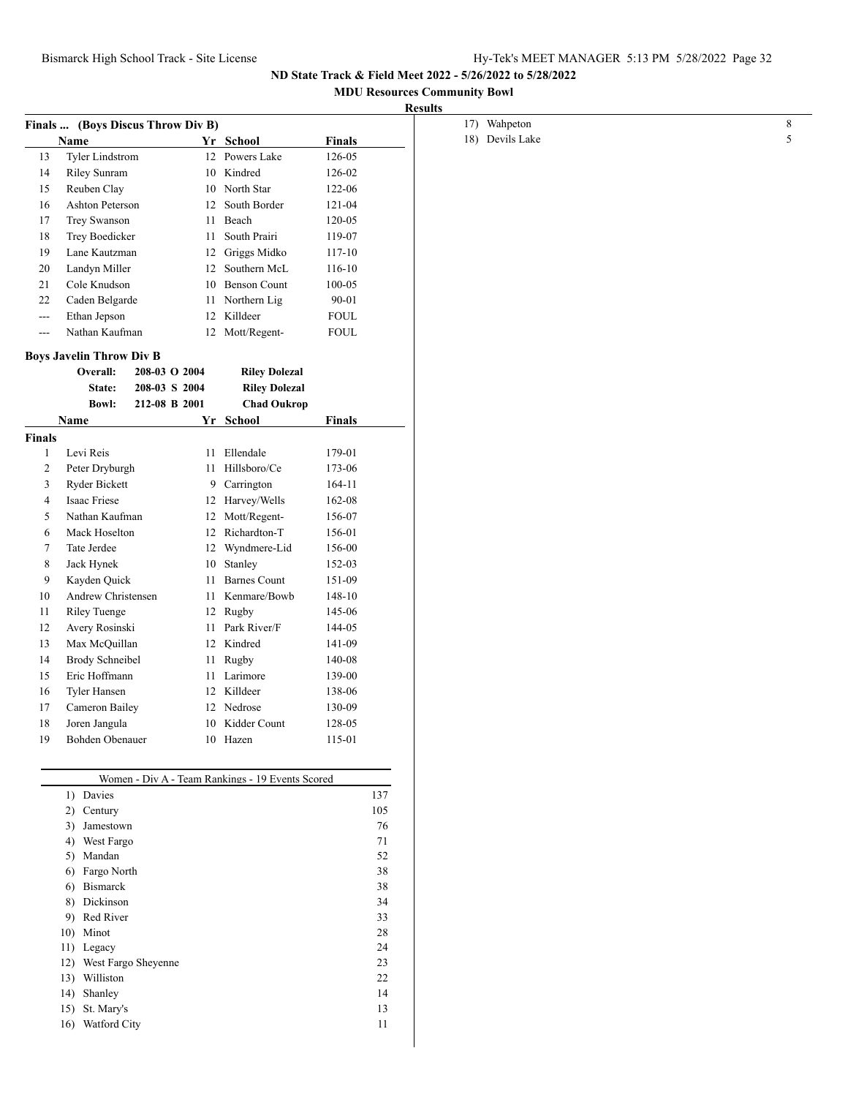## **MDU Resources Community Bowl**

| <b>Results</b> |
|----------------|
|----------------|

|                      |                                 | Finals  (Boys Discus Throw Div B) |                                                  |               |        |
|----------------------|---------------------------------|-----------------------------------|--------------------------------------------------|---------------|--------|
|                      | Name                            |                                   | Yr School                                        | <b>Finals</b> |        |
| 13                   | Tyler Lindstrom                 |                                   | 12 Powers Lake                                   | 126-05        |        |
|                      | 14<br>Riley Sunram              |                                   | 10 Kindred                                       | 126-02        |        |
| 15                   | Reuben Clay                     |                                   | 10 North Star                                    | 122-06        |        |
| 16                   | Ashton Peterson                 |                                   | 12 South Border                                  | 121-04        |        |
| 17                   | Trey Swanson                    |                                   | 11 Beach                                         | 120-05        |        |
| 18                   | Trey Boedicker                  |                                   | 11 South Prairi                                  | 119-07        |        |
| 19                   | Lane Kautzman                   |                                   | 12 Griggs Midko                                  | $117 - 10$    |        |
| 20                   | Landyn Miller                   |                                   | 12 Southern McL                                  | $116 - 10$    |        |
| 21<br>Cole Knudson   |                                 |                                   | 10 Benson Count                                  | 100-05        |        |
| 22<br>Caden Belgarde |                                 |                                   | 11 Northern Lig                                  | $90 - 01$     |        |
| $--$                 | Ethan Jepson                    |                                   | 12 Killdeer                                      | <b>FOUL</b>   |        |
| $---$                | Nathan Kaufman                  |                                   | 12 Mott/Regent-                                  | <b>FOUL</b>   |        |
|                      |                                 |                                   |                                                  |               |        |
|                      | <b>Boys Javelin Throw Div B</b> |                                   |                                                  |               |        |
|                      | Overall:                        | 208-03 O 2004                     | <b>Riley Dolezal</b>                             |               |        |
|                      | State:                          | 208-03 S 2004                     | <b>Riley Dolezal</b>                             |               |        |
|                      | <b>Bowl:</b>                    | 212-08 B 2001                     | <b>Chad Oukrop</b>                               |               |        |
|                      | <b>Name</b>                     |                                   | Yr School                                        | <b>Finals</b> |        |
| <b>Finals</b>        |                                 |                                   |                                                  |               |        |
| $\mathbf{1}$         | Levi Reis                       |                                   | 11 Ellendale                                     | 179-01        |        |
| $\overline{c}$       | Peter Dryburgh                  |                                   | 11 Hillsboro/Ce                                  | 173-06        |        |
| 3                    | <b>Ryder Bickett</b>            |                                   | 9 Carrington                                     | 164-11        |        |
| 4                    | Isaac Friese                    |                                   | 12 Harvey/Wells                                  | 162-08        |        |
| Nathan Kaufman<br>5  |                                 |                                   | 12 Mott/Regent-                                  | 156-07        |        |
| 6                    | Mack Hoselton                   |                                   | 12 Richardton-T                                  | 156-01        |        |
| 7                    | Tate Jerdee                     |                                   | 12 Wyndmere-Lid                                  | 156-00        |        |
| 8                    | Jack Hynek                      |                                   | 10 Stanley                                       | 152-03        |        |
| 9                    | Kayden Quick                    |                                   | 11 Barnes Count                                  | 151-09        |        |
| 10                   | Andrew Christensen              |                                   | 11 Kenmare/Bowb                                  | 148-10        |        |
| 11                   | <b>Riley Tuenge</b>             |                                   | 12 Rugby                                         | 145-06        |        |
| 12                   | Avery Rosinski                  |                                   | 11 Park River/F                                  | 144-05        |        |
| 13                   | Max McQuillan                   |                                   | 12 Kindred                                       | 141-09        |        |
| 14                   | <b>Brody Schneibel</b>          |                                   | 11 Rugby                                         | 140-08        |        |
| 15                   | Eric Hoffmann                   |                                   | 11 Larimore                                      | 139-00        |        |
| 16                   | Tyler Hansen                    |                                   | 12 Killdeer                                      | 138-06        |        |
| 17                   | Cameron Bailey                  |                                   | 12 Nedrose                                       | 130-09        |        |
| 18                   | Joren Jangula                   |                                   | 10 Kidder Count                                  | 128-05        |        |
| 19                   | Bohden Obenauer                 |                                   | 10 Hazen                                         | 115-01        |        |
|                      |                                 |                                   |                                                  |               |        |
|                      |                                 |                                   |                                                  |               |        |
|                      |                                 |                                   | Women - Div A - Team Rankings - 19 Events Scored |               |        |
|                      | 1) Davies                       |                                   |                                                  |               | 137    |
|                      | 2) Century                      |                                   |                                                  |               | 105    |
|                      | 3) Jamestown                    |                                   |                                                  |               | 76     |
|                      | West Fargo<br>4)                |                                   |                                                  |               | 71     |
|                      | 5) Mandan                       |                                   |                                                  |               | 52     |
|                      | Fargo North<br>6)               |                                   |                                                  |               | 38     |
|                      | Bismarck<br>6)                  |                                   |                                                  |               | 38     |
|                      | Dickinson<br>8)                 |                                   |                                                  |               | 34     |
|                      | Red River<br>9)                 |                                   |                                                  |               | 33     |
|                      | 10) Minot                       |                                   |                                                  |               | $28\,$ |
|                      | 11) Legacy                      |                                   |                                                  |               | 24     |
|                      | 12) West Fargo Sheyenne         |                                   |                                                  |               | 23     |
|                      | 13) Williston                   |                                   |                                                  |               | 22     |
|                      | 14) Shanley                     |                                   |                                                  |               | 14     |
|                      | 15) St. Mary's                  |                                   |                                                  |               | 13     |
|                      | 16) Watford City                |                                   |                                                  |               | 11     |

 $\overline{\phantom{a}}$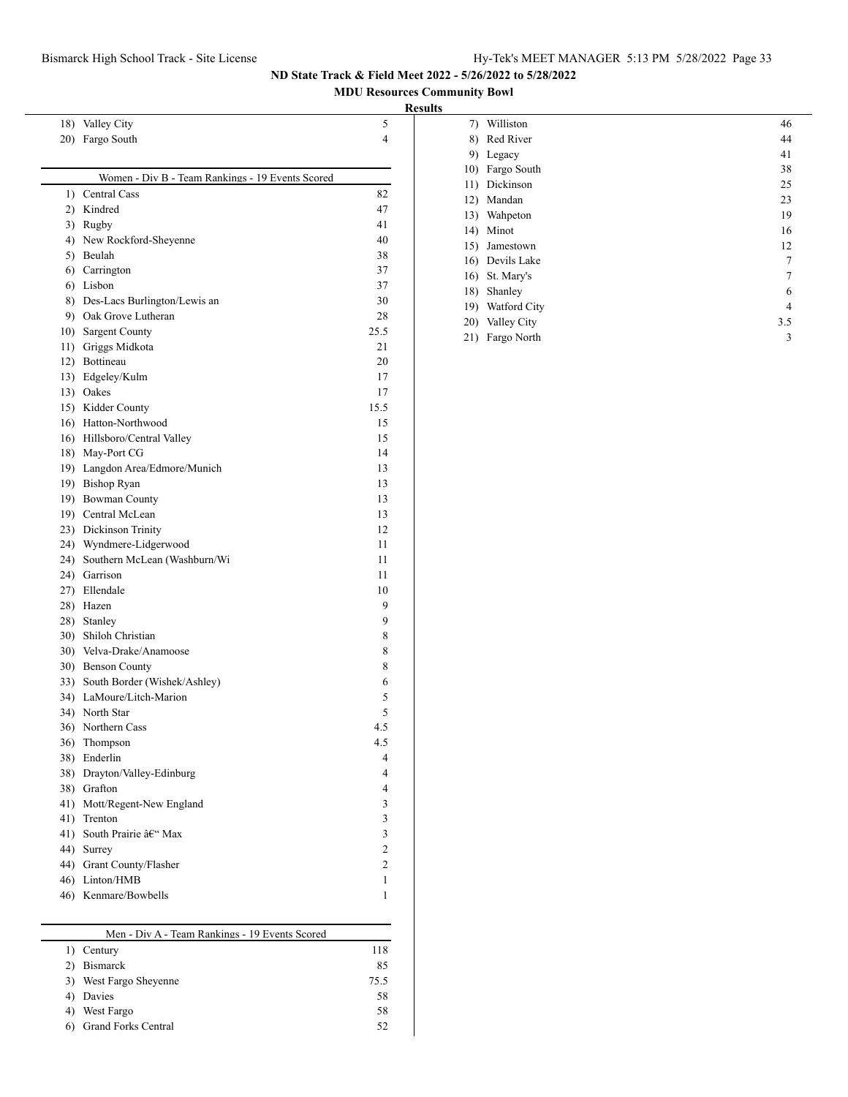**MDU Resources Community Bowl**

#### **Results**

| 20) Fargo South                                  | 4                        |
|--------------------------------------------------|--------------------------|
| Women - Div B - Team Rankings - 19 Events Scored |                          |
| 1) Central Cass                                  | 82                       |
| 2) Kindred                                       | 47                       |
| 3) Rugby                                         | 41                       |
| 4) New Rockford-Sheyenne                         | 40                       |
| 5) Beulah                                        | 38                       |
| 6) Carrington                                    | 37                       |
| 6) Lisbon                                        | 37                       |
| 8) Des-Lacs Burlington/Lewis an                  | 30                       |
| 9) Oak Grove Lutheran                            | 28                       |
| 10) Sargent County                               | 25.5                     |
| 11) Griggs Midkota                               | 21                       |
| 12) Bottineau                                    | 20                       |
| 13) Edgeley/Kulm                                 | 17                       |
| 13) Oakes                                        | 17                       |
| 15) Kidder County                                | 15.5                     |
| 16) Hatton-Northwood                             | 15                       |
| 16) Hillsboro/Central Valley                     | 15                       |
| 18) May-Port CG                                  | 14                       |
| 19) Langdon Area/Edmore/Munich                   | 13                       |
| 19) Bishop Ryan                                  | 13                       |
| 19) Bowman County                                | 13                       |
| 19) Central McLean                               | 13                       |
| 23) Dickinson Trinity                            | 12                       |
| 24) Wyndmere-Lidgerwood                          | 11                       |
| 24) Southern McLean (Washburn/Wi                 | 11                       |
| 24) Garrison                                     | 11                       |
| 27) Ellendale                                    | 10                       |
| 28) Hazen                                        | 9                        |
| 28) Stanley                                      | 9                        |
| 30) Shiloh Christian                             | 8                        |
| 30) Velva-Drake/Anamoose                         | 8                        |
| 30) Benson County                                | 8                        |
| 33) South Border (Wishek/Ashley)                 | 6                        |
| 34) LaMoure/Litch-Marion                         | 5                        |
| 34) North Star                                   | 5                        |
| 36) Northern Cass                                | 4.5                      |
| 36) Thompson                                     | 4.5                      |
| 38) Enderlin                                     | $\overline{\mathcal{L}}$ |
| 38) Drayton/Valley-Edinburg                      | 4                        |
| 38) Grafton                                      | 4                        |
| 41) Mott/Regent-New England                      | 3                        |
| 41) Trenton                                      | 3                        |
| 41) South Prairie – Max                          | 3                        |
| 44) Surrey                                       | $\overline{2}$           |
| 44) Grant County/Flasher                         | 2                        |
| 46) Linton/HMB                                   | 1                        |
| 46) Kenmare/Bowbells                             | 1                        |

18) Valley City 5

| Men - Div A - Team Rankings - 19 Events Scored |      |  |  |  |
|------------------------------------------------|------|--|--|--|
| Century                                        | 118  |  |  |  |
| <b>Bismarck</b>                                | 85   |  |  |  |
| West Fargo Sheyenne                            | 75.5 |  |  |  |
| Davies                                         | 58   |  |  |  |
| West Fargo                                     | 58   |  |  |  |
| <b>Grand Forks Central</b>                     | 52   |  |  |  |

| 7)  | Williston       | 46  |
|-----|-----------------|-----|
| 8)  | Red River       | 44  |
| 9)  | Legacy          | 41  |
| 10) | Fargo South     | 38  |
| 11) | Dickinson       | 25  |
| 12) | Mandan          | 23  |
| 13) | Wahpeton        | 19  |
| 14) | Minot           | 16  |
| 15) | Jamestown       | 12  |
|     | 16) Devils Lake | 7   |
| 16) | St. Mary's      | 7   |
| 18) | Shanley         | 6   |
| 19) | Watford City    | 4   |
| 20) | Valley City     | 3.5 |
| 21) | Fargo North     | 3   |
|     |                 |     |